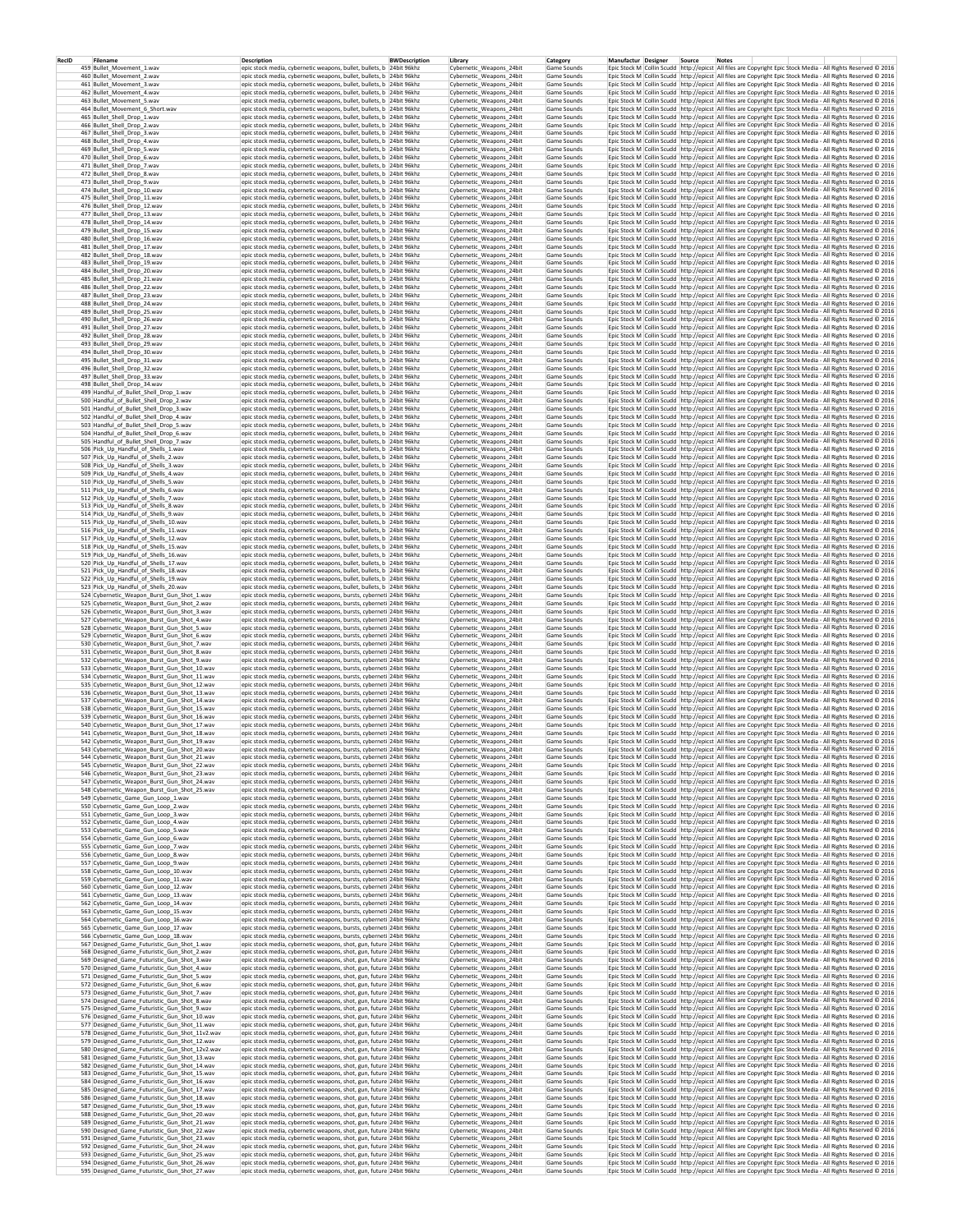| RecID | Filename<br>459 Bullet_Movement_1.wav                                                          | Description<br>epic stock media, cybernetic weapons, bullet, bullets, b 24bit 96khz                                                          | <b>BWDescription</b> | Library<br>Cybernetic_Weapons_24bit                  | Category<br>Game Sounds    | Manufactur Designer Source<br>Epic Stock M Collin Scudd http://epicst All files are Copyright Epic Stock Media - All Rights Reserved @ 2016                                                                                                | <b>Notes</b> |  |  |
|-------|------------------------------------------------------------------------------------------------|----------------------------------------------------------------------------------------------------------------------------------------------|----------------------|------------------------------------------------------|----------------------------|--------------------------------------------------------------------------------------------------------------------------------------------------------------------------------------------------------------------------------------------|--------------|--|--|
|       | 460 Bullet_Movement_2.wav                                                                      | epic stock media, cybernetic weapons, bullet, bullets, b 24bit 96khz                                                                         |                      | Cybernetic_Weapons_24bit                             | Game Sounds                | Epic Stock M Collin Scudd http://epicst All files are Copyright Epic Stock Media - All Rights Reserved @ 2016                                                                                                                              |              |  |  |
|       | 461 Bullet_Movement_3.wav                                                                      | epic stock media, cybernetic weapons, bullet, bullets, b 24bit 96khz                                                                         |                      | Cybernetic Weapons 24bit                             | Game Sounds                | Epic Stock M   Collin Scudd   http://epicst   All files are Copyright Epic Stock Media - All Rights Reserved @ 2016                                                                                                                        |              |  |  |
|       | 462 Bullet Movement 4.way                                                                      | epic stock media, cybernetic weapons, bullet, bullets, b 24bit 96khz                                                                         |                      | Cybernetic Weapons 24bit                             | Game Sounds                | Epic Stock M Collin Scudd http://epicst All files are Copyright Epic Stock Media - All Rights Reserved @ 2016                                                                                                                              |              |  |  |
|       | 463 Bullet_Movement_5.wav<br>464 Bullet Movement 6 Short.way                                   | epic stock media, cybernetic weapons, bullet, bullets, b 24bit 96khz<br>epic stock media, cybernetic weapons, bullet, bullets, b 24bit 96khz |                      | Cybernetic_Weapons_24bit<br>Cybernetic Weapons 24bit | Game Sounds<br>Game Sounds | Epic Stock M Collin Scudd http://epicst All files are Copyright Epic Stock Media - All Rights Reserved © 2016<br>Epic Stock M Collin Scudd http://epicst All files are Copyright Epic Stock Media - All Rights Reserved @ 2016             |              |  |  |
|       | 465 Bullet Shell Drop 1.wav                                                                    | epic stock media, cybernetic weapons, bullet, bullets, b 24bit 96khz                                                                         |                      | Cybernetic_Weapons_24bit                             | Game Sounds                | Epic Stock M Collin Scudd http://epicst All files are Copyright Epic Stock Media - All Rights Reserved @ 2016                                                                                                                              |              |  |  |
|       | 466 Bullet_Shell_Drop_2.wav                                                                    | epic stock media, cybernetic weapons, bullet, bullets, b 24bit 96khz                                                                         |                      | Cybernetic_Weapons_24bit                             | Game Sounds                | Epic Stock M Collin Scudd http://epicst All files are Copyright Epic Stock Media - All Rights Reserved @ 2016                                                                                                                              |              |  |  |
|       | 467 Bullet_Shell_Drop_3.wav<br>468 Bullet_Shell_Drop_4.wav                                     | epic stock media, cybernetic weapons, bullet, bullets, b 24bit 96khz<br>epic stock media, cybernetic weapons, bullet, bullets, b 24bit 96khz |                      | Cybernetic_Weapons_24bit<br>Cybernetic Weapons 24bit | Game Sounds<br>Game Sounds | Epic Stock M Collin Scudd http://epicst All files are Copyright Epic Stock Media - All Rights Reserved © 2016<br>Epic Stock M Collin Scudd http://epicst All files are Copyright Epic Stock Media - All Rights Reserved @ 2016             |              |  |  |
|       | 469 Bullet_Shell_Drop_5.wav                                                                    | epic stock media, cybernetic weapons, bullet, bullets, b 24bit 96khz                                                                         |                      | Cybernetic_Weapons_24bit                             | Game Sounds                | Epic Stock M Collin Scudd http://epicst All files are Copyright Epic Stock Media - All Rights Reserved @ 2016                                                                                                                              |              |  |  |
|       | 470 Bullet_Shell_Drop_6.wav                                                                    | epic stock media, cybernetic weapons, bullet, bullets, b 24bit 96khz                                                                         |                      | Cybernetic_Weapons_24bit                             | Game Sounds                | Epic Stock M Collin Scudd http://epicst All files are Copyright Epic Stock Media - All Rights Reserved @ 2016                                                                                                                              |              |  |  |
|       | 471 Bullet_Shell_Drop_7.wav<br>472 Bullet_Shell_Drop_8.wav                                     | epic stock media, cybernetic weapons, bullet, bullets, b 24bit 96khz<br>epic stock media, cybernetic weapons, bullet, bullets, b 24bit 96khz |                      | Cybernetic_Weapons_24bit<br>Cybernetic_Weapons_24bit | Game Sounds<br>Game Sounds | Epic Stock M Collin Scudd http://epicst All files are Copyright Epic Stock Media - All Rights Reserved @ 2016<br>Epic Stock M Collin Scudd http://epicst All files are Copyright Epic Stock Media - All Rights Reserved @ 2016             |              |  |  |
|       | 473 Bullet Shell Drop 9.wav                                                                    | epic stock media, cybernetic weapons, bullet, bullets, b 24bit 96khz                                                                         |                      | Cybernetic_Weapons_24bit                             | Game Sounds                | Epic Stock M Collin Scudd http://epicst All files are Copyright Epic Stock Media - All Rights Reserved @ 2016                                                                                                                              |              |  |  |
|       | 474 Bullet_Shell_Drop_10.wav                                                                   | epic stock media, cybernetic weapons, bullet, bullets, b 24bit 96khz<br>epic stock media, cybernetic weapons, bullet, bullets, b 24bit 96khz |                      | Cybernetic_Weapons_24bit<br>Cybernetic_Weapons 24bit | Game Sounds<br>Game Sounds | Epic Stock M Collin Scudd http://epicst All files are Copyright Epic Stock Media - All Rights Reserved © 2016                                                                                                                              |              |  |  |
|       | 475 Bullet Shell Drop 11.wav<br>476 Bullet Shell Drop 12.wav                                   | epic stock media, cybernetic weapons, bullet, bullets, b 24bit 96khz                                                                         |                      | Cybernetic Weapons 24bit                             | Game Sounds                | Epic Stock M   Collin Scudd   http://epicst   All files are Copyright Epic Stock Media - All Rights Reserved @ 2016<br>Epic Stock M   Collin Scudd   http://epicst   All files are Copyright Epic Stock Media - All Rights Reserved @ 2016 |              |  |  |
|       | 477 Bullet Shell Drop 13.way                                                                   | epic stock media, cybernetic weapons, bullet, bullets, b 24bit 96khz                                                                         |                      | Cybernetic Weapons 24bit                             | Game Sounds                | Epic Stock M Collin Scudd http://epicst All files are Copyright Epic Stock Media - All Rights Reserved @ 2016                                                                                                                              |              |  |  |
|       | 478 Bullet_Shell_Drop_14.wav<br>479 Bullet Shell Drop 15.wav                                   | epic stock media, cybernetic weapons, bullet, bullets, b 24bit 96khz<br>epic stock media, cybernetic weapons, bullet, bullets, b 24bit 96khz |                      | Cybernetic_Weapons_24bit<br>Cybernetic Weapons 24bit | Game Sounds<br>Game Sounds | Epic Stock M Collin Scudd http://epicst All files are Copyright Epic Stock Media - All Rights Reserved © 2016<br>Epic Stock M Collin Scudd http://epicst All files are Copyright Epic Stock Media - All Rights Reserved @ 2016             |              |  |  |
|       | 480 Bullet_Shell_Drop_16.wav                                                                   | epic stock media, cybernetic weapons, bullet, bullets, b 24bit 96khz                                                                         |                      | Cybernetic Weapons 24bit                             | Game Sounds                | Epic Stock M Collin Scudd http://epicst All files are Copyright Epic Stock Media - All Rights Reserved @ 2016                                                                                                                              |              |  |  |
|       | 481 Bullet_Shell_Drop_17.wav                                                                   | epic stock media, cybernetic weapons, bullet, bullets, b 24bit 96khz                                                                         |                      | Cybernetic Weapons 24bit                             | Game Sounds                | Epic Stock M Collin Scudd http://epicst All files are Copyright Epic Stock Media - All Rights Reserved @ 2016                                                                                                                              |              |  |  |
|       | 482 Bullet_Shell_Drop_18.wav<br>483 Bullet Shell Drop 19.wav                                   | epic stock media, cybernetic weapons, bullet, bullets, b 24bit 96khz<br>epic stock media, cybernetic weapons, bullet, bullets, b 24bit 96khz |                      | Cybernetic_Weapons_24bit<br>Cybernetic Weapons 24bit | Game Sounds<br>Game Sounds | Epic Stock M Collin Scudd http://epicst All files are Copyright Epic Stock Media - All Rights Reserved @ 2016<br>Epic Stock M Collin Scudd http://epicst All files are Copyright Epic Stock Media - All Rights Reserved C 2016             |              |  |  |
|       | 484 Bullet_Shell_Drop_20.wav                                                                   | epic stock media, cybernetic weapons, bullet, bullets, b 24bit 96khz                                                                         |                      | Cybernetic Weapons 24bit                             | Game Sounds                | Epic Stock M Collin Scudd http://epicst All files are Copyright Epic Stock Media - All Rights Reserved @ 2016                                                                                                                              |              |  |  |
|       | 485 Bullet_Shell_Drop_21.wav                                                                   | epic stock media, cybernetic weapons, bullet, bullets, b 24bit 96khz                                                                         |                      | Cybernetic_Weapons_24bit                             | Game Sounds                | Epic Stock M Collin Scudd http://epicst All files are Copyright Epic Stock Media - All Rights Reserved © 2016                                                                                                                              |              |  |  |
|       | 486 Bullet_Shell_Drop_22.wav<br>487 Bullet_Shell_Drop_23.wav                                   | epic stock media, cybernetic weapons, bullet, bullets, b 24bit 96khz<br>epic stock media, cybernetic weapons, bullet, bullets, b 24bit 96khz |                      | Cybernetic_Weapons_24bit<br>Cybernetic Weapons 24bit | Game Sounds<br>Game Sounds | Epic Stock M Collin Scudd http://epicst All files are Copyright Epic Stock Media - All Rights Reserved @ 2016<br>Epic Stock M Collin Scudd http://epicst All files are Copyright Epic Stock Media - All Rights Reserved @ 2016             |              |  |  |
|       | 488 Bullet_Shell_Drop_24.wav                                                                   | epic stock media, cybernetic weapons, bullet, bullets, b 24bit 96khz                                                                         |                      | Cybernetic_Weapons_24bit                             | Game Sounds                | Epic Stock M Collin Scudd http://epicst All files are Copyright Epic Stock Media - All Rights Reserved @ 2016                                                                                                                              |              |  |  |
|       | 489 Bullet_Shell_Drop_25.wav                                                                   | epic stock media, cybernetic weapons, bullet, bullets, b 24bit 96khz                                                                         |                      | Cybernetic_Weapons_24bit                             | Game Sounds                | Epic Stock M Collin Scudd http://epicst All files are Copyright Epic Stock Media - All Rights Reserved @ 2016                                                                                                                              |              |  |  |
|       | 490 Bullet_Shell_Drop_26.wav<br>491 Bullet Shell Drop 27.wav                                   | epic stock media, cybernetic weapons, bullet, bullets, b 24bit 96khz<br>epic stock media, cybernetic weapons, bullet, bullets, b 24bit 96khz |                      | Cybernetic_Weapons_24bit<br>Cybernetic Weapons 24bit | Game Sounds<br>Game Sounds | Epic Stock M Collin Scudd http://epicst All files are Copyright Epic Stock Media - All Rights Reserved @ 2016<br>Epic Stock M Collin Scudd http://epicst All files are Copyright Epic Stock Media - All Rights Reserved @ 2016             |              |  |  |
|       | 492 Bullet Shell Drop 28.wav                                                                   | epic stock media, cybernetic weapons, bullet, bullets, b 24bit 96khz                                                                         |                      | Cybernetic Weapons 24bit                             | Game Sounds                | Epic Stock M Collin Scudd http://epicst All files are Copyright Epic Stock Media - All Rights Reserved @ 2016                                                                                                                              |              |  |  |
|       | 493 Bullet_Shell_Drop_29.wav                                                                   | epic stock media, cybernetic weapons, bullet, bullets, b 24bit 96khz<br>epic stock media, cybernetic weapons, bullet, bullets, b 24bit 96khz |                      | Cybernetic_Weapons_24bit                             | Game Sounds                | Epic Stock M Collin Scudd http://epicst All files are Copyright Epic Stock Media - All Rights Reserved © 2016                                                                                                                              |              |  |  |
|       | 494 Bullet Shell Drop 30.wav<br>495 Bullet Shell Drop 31.wav                                   | epic stock media, cybernetic weapons, bullet, bullets, b 24bit 96khz                                                                         |                      | Cybernetic Weapons 24bit<br>Cybernetic Weapons 24bit | Game Sounds<br>Game Sounds | Epic Stock M   Collin Scudd   http://epicst   All files are Copyright Epic Stock Media - All Rights Reserved @ 2016<br>Epic Stock M   Collin Scudd   http://epicst   All files are Copyright Epic Stock Media - All Rights Reserved @ 2016 |              |  |  |
|       | 496 Bullet Shell Drop 32.wav                                                                   | epic stock media, cybernetic weapons, bullet, bullets, b 24bit 96khz                                                                         |                      | Cybernetic Weapons 24bit                             | Game Sounds                | Epic Stock M Collin Scudd http://epicst All files are Copyright Epic Stock Media - All Rights Reserved @ 2016                                                                                                                              |              |  |  |
|       | 497 Bullet_Shell_Drop_33.wav<br>498 Bullet Shell Drop 34.wav                                   | epic stock media, cybernetic weapons, bullet, bullets, b 24bit 96khz<br>epic stock media, cybernetic weapons, bullet, bullets, b 24bit 96khz |                      | Cybernetic_Weapons_24bit                             | Game Sounds                | Epic Stock M Collin Scudd http://epicst All files are Copyright Epic Stock Media - All Rights Reserved @ 2016                                                                                                                              |              |  |  |
|       | 499 Handful of Bullet Shell Drop 1.wav                                                         | epic stock media, cybernetic weapons, bullet, bullets, b 24bit 96khz                                                                         |                      | Cybernetic Weapons 24bit<br>Cybernetic Weapons 24bit | Game Sounds<br>Game Sounds | Epic Stock M   Collin Scudd   http://epicst   All files are Copyright Epic Stock Media - All Rights Reserved © 2016<br>Epic Stock M   Collin Scudd   http://epicst   All files are Copyright Epic Stock Media - All Rights Reserved @ 2016 |              |  |  |
|       | 500 Handful of Bullet Shell Drop 2.wav                                                         | epic stock media, cybernetic weapons, bullet, bullets. b 24bit 96khz                                                                         |                      | Cybernetic Weapons 24bit                             | Game Sounds                | Epic Stock M Collin Scudd http://epicst All files are Copyright Epic Stock Media - All Rights Reserved @ 2016                                                                                                                              |              |  |  |
|       | 501 Handful_of_Bullet_Shell_Drop_3.wav<br>502 Handful_of_Bullet_Shell_Drop_4.wav               | epic stock media, cybernetic weapons, bullet, bullets, b 24bit 96khz<br>epic stock media, cybernetic weapons, bullet, bullets, b 24bit 96khz |                      | Cybernetic Weapons 24bit<br>Cybernetic Weapons 24bit | Game Sounds<br>Game Sounds | Epic Stock M Collin Scudd http://epicst All files are Copyright Epic Stock Media - All Rights Reserved @ 2016<br>Epic Stock M Collin Scudd http://epicst All files are Copyright Epic Stock Media - All Rights Reserved @ 2016             |              |  |  |
|       | 503 Handful of Bullet Shell Drop 5.wav                                                         | epic stock media, cybernetic weapons, bullet, bullets, b 24bit 96khz                                                                         |                      | Cybernetic Weapons 24bit                             | Game Sounds                | Epic Stock M Collin Scudd http://epicst All files are Copyright Epic Stock Media - All Rights Reserved @ 2016                                                                                                                              |              |  |  |
|       | 504 Handful of Bullet Shell Drop 6.wav                                                         | epic stock media, cybernetic weapons, bullet, bullets, b 24bit 96khz                                                                         |                      | Cybernetic Weapons 24bit                             | Game Sounds                | Epic Stock M Collin Scudd http://epicst All files are Copyright Epic Stock Media - All Rights Reserved @ 2016                                                                                                                              |              |  |  |
|       | 505 Handful_of_Bullet_Shell_Drop_7.wav<br>506 Pick_Up_Handful_of_Shells_1.wav                  | epic stock media, cybernetic weapons, bullet, bullets, b 24bit 96khz<br>epic stock media, cybernetic weapons, bullet, bullets, b 24bit 96khz |                      | Cybernetic_Weapons_24bit<br>Cybernetic Weapons 24bit | Game Sounds<br>Game Sounds | Epic Stock M Collin Scudd http://epicst All files are Copyright Epic Stock Media - All Rights Reserved @ 2016<br>Epic Stock M Collin Scudd http://epicst All files are Copyright Epic Stock Media - All Rights Reserved @ 2016             |              |  |  |
|       | 507 Pick_Up_Handful_of_Shells_2.wav                                                            | epic stock media, cybernetic weapons, bullet, bullets, b 24bit 96khz                                                                         |                      | Cybernetic_Weapons_24bit                             | Game Sounds                | Epic Stock M Collin Scudd http://epicst All files are Copyright Epic Stock Media - All Rights Reserved @ 2016                                                                                                                              |              |  |  |
|       | 508 Pick_Up_Handful_of_Shells_3.wav                                                            | epic stock media, cybernetic weapons, bullet, bullets, b 24bit 96khz                                                                         |                      | Cybernetic Weapons 24bit                             | Game Sounds                | Epic Stock M Collin Scudd http://epicst All files are Copyright Epic Stock Media - All Rights Reserved @ 2016                                                                                                                              |              |  |  |
|       | 509 Pick_Up_Handful_of_Shells_4.wav<br>510 Pick Up Handful of Shells 5.wav                     | epic stock media, cybernetic weapons, bullet, bullets, b 24bit 96khz<br>epic stock media, cybernetic weapons, bullet, bullets, b 24bit 96khz |                      | Cybernetic_Weapons_24bit<br>Cybernetic_Weapons_24bit | Game Sounds<br>Game Sounds | Epic Stock M Collin Scudd http://epicst All files are Copyright Epic Stock Media - All Rights Reserved @ 2016<br>Epic Stock M Collin Scudd http://epicst All files are Copyright Epic Stock Media - All Rights Reserved @ 2016             |              |  |  |
|       | 511 Pick_Up_Handful_of_Shells_6.wav                                                            | epic stock media, cybernetic weapons, bullet, bullets, b 24bit 96khz                                                                         |                      | Cybernetic_Weapons_24bit                             | Game Sounds                | Epic Stock M Collin Scudd http://epicst All files are Copyright Epic Stock Media - All Rights Reserved @ 2016                                                                                                                              |              |  |  |
|       | 512 Pick_Up_Handful_of_Shells_7.wav                                                            | epic stock media, cybernetic weapons, bullet, bullets, b 24bit 96khz                                                                         |                      | Cybernetic_Weapons_24bit                             | Game Sounds                | Epic Stock M Collin Scudd http://epicst All files are Copyright Epic Stock Media - All Rights Reserved @ 2016                                                                                                                              |              |  |  |
|       | 513 Pick_Up_Handful_of_Shells_8.wav<br>514 Pick Up Handful of Shells 9.wav                     | epic stock media, cybernetic weapons, bullet, bullets, b 24bit 96khz<br>epic stock media, cybernetic weapons, bullet, bullets, b 24bit 96khz |                      | Cybernetic_Weapons_24bit<br>Cybernetic Weapons 24bit | Game Sounds<br>Game Sound: | Epic Stock M   Collin Scudd   http://epicst   All files are Copyright Epic Stock Media - All Rights Reserved @ 2016<br>Epic Stock M   Collin Scudd   http://epicst   All files are Copyright Epic Stock Media - All Rights Reserved @ 2016 |              |  |  |
|       | 515 Pick Up Handful of Shells 10.wav                                                           | epic stock media, cybernetic weapons, bullet, bullets, b 24bit 96khz                                                                         |                      | Cybernetic Weapons 24bit                             | Game Sounds                | Epic Stock M Collin Scudd http://epicst All files are Copyright Epic Stock Media - All Rights Reserved @ 2016                                                                                                                              |              |  |  |
|       | 516 Pick_Up_Handful_of_Shells_11.wav<br>517 Pick_Up_Handful_of_Shells_12.wav                   | epic stock media, cybernetic weapons, bullet, bullets, b 24bit 96khz<br>epic stock media, cybernetic weapons, bullet, bullets, b 24bit 96khz |                      | Cybernetic Weapons 24bit<br>Cybernetic Weapons 24bit | Game Sounds<br>Game Sounds | Epic Stock M Collin Scudd http://epicst All files are Copyright Epic Stock Media - All Rights Reserved © 2016<br>Epic Stock M   Collin Scudd   http://epicst   All files are Copyright Epic Stock Media - All Rights Reserved @ 2016       |              |  |  |
|       | 518 Pick_Up_Handful_of_Shells_15.wav                                                           | epic stock media, cybernetic weapons, bullet, bullets, b 24bit 96khz                                                                         |                      | Cybernetic Weapons 24bit                             | Game Sounds                | Epic Stock M Collin Scudd http://epicst All files are Copyright Epic Stock Media - All Rights Reserved © 2016                                                                                                                              |              |  |  |
|       | 519 Pick Up Handful of Shells 16.wav                                                           | epic stock media, cybernetic weapons, bullet, bullets, b 24bit 96khz                                                                         |                      | Cybernetic Weapons 24bit                             | Game Sounds                | Epic Stock M Collin Scudd http://epicst All files are Copyright Epic Stock Media - All Rights Reserved @ 2016                                                                                                                              |              |  |  |
|       | 520 Pick_Up_Handful_of_Shells_17.wav<br>521 Pick Up Handful of Shells 18.wav                   | epic stock media, cybernetic weapons, bullet, bullets, b 24bit 96khz<br>epic stock media, cybernetic weapons, bullet, bullets, b 24bit 96khz |                      | Cybernetic_Weapons_24bit<br>Cybernetic Weapons 24bit | Game Sounds<br>Game Sounds | Epic Stock M Collin Scudd http://epicst All files are Copyright Epic Stock Media - All Rights Reserved @ 2016<br>Epic Stock M Collin Scudd http://epicst All files are Copyright Epic Stock Media - All Rights Reserved @ 2016             |              |  |  |
|       | 522 Pick_Up_Handful_of_Shells_19.wav                                                           | epic stock media, cybernetic weapons, bullet, bullets, b 24bit 96khz                                                                         |                      | Cybernetic Weapons 24bit                             | Game Sounds                | Epic Stock M Collin Scudd http://epicst All files are Copyright Epic Stock Media - All Rights Reserved @ 2016                                                                                                                              |              |  |  |
|       | 523 Pick_Up_Handful_of_Shells_20.wav                                                           | epic stock media, cybernetic weapons, bullet, bullets, b 24bit 96khz                                                                         |                      | Cybernetic Weapons 24bit                             | Game Sounds                | Epic Stock M Collin Scudd http://epicst All files are Copyright Epic Stock Media - All Rights Reserved @ 2016                                                                                                                              |              |  |  |
|       | 524 Cybernetic_Weapon_Burst_Gun_Shot_1.wav<br>525 Cybernetic_Weapon_Burst_Gun_Shot_2.wav       | epic stock media, cybernetic weapons, bursts, cyberneti 24bit 96khz<br>epic stock media, cybernetic weapons, bursts, cyberneti 24bit 96khz   |                      | Cybernetic_Weapons_24bit<br>Cybernetic Weapons 24bit | Game Sounds<br>Game Sounds | Epic Stock M Collin Scudd http://epicst All files are Copyright Epic Stock Media - All Rights Reserved @ 2016<br>Epic Stock M Collin Scudd http://epicst All files are Copyright Epic Stock Media - All Rights Reserved @ 2016             |              |  |  |
|       | 526 Cybernetic_Weapon_Burst_Gun_Shot_3.wav                                                     | epic stock media, cybernetic weapons, bursts, cyberneti 24bit 96khz                                                                          |                      | Cybernetic_Weapons_24bit                             | Game Sounds                | Epic Stock M Collin Scudd http://epicst All files are Copyright Epic Stock Media - All Rights Reserved @ 2016                                                                                                                              |              |  |  |
|       | 527 Cybernetic_Weapon_Burst_Gun_Shot_4.wav<br>528 Cybernetic_Weapon_Burst_Gun_Shot_5.wav       | epic stock media, cybernetic weapons, bursts, cyberneti 24bit 96khz<br>epic stock media, cybernetic weapons, bursts, cyberneti 24bit 96khz   |                      | Cybernetic_Weapons_24bit<br>Cybernetic_Weapons_24bit | Game Sounds<br>Game Sounds | Epic Stock M Collin Scudd http://epicst All files are Copyright Epic Stock Media - All Rights Reserved @ 2016<br>Epic Stock M Collin Scudd   http://epicst   All files are Copyright Epic Stock Media - All Rights Reserved @ 2016         |              |  |  |
|       | 529 Cybernetic_Weapon_Burst_Gun_Shot_6.wav                                                     | epic stock media, cybernetic weapons, bursts, cyberneti 24bit 96khz                                                                          |                      | Cybernetic Weapons 24bit                             | Game Sounds                | Epic Stock M Collin Scudd http://epicst All files are Copyright Epic Stock Media - All Rights Reserved @ 2016                                                                                                                              |              |  |  |
|       | 530 Cybernetic_Weapon_Burst_Gun_Shot_7.wav                                                     | epic stock media, cybernetic weapons, bursts, cyberneti 24bit 96khz                                                                          |                      | Cybernetic_Weapons_24bit                             | Game Sounds                | Epic Stock M Collin Scudd http://epicst All files are Copyright Epic Stock Media - All Rights Reserved @ 2016                                                                                                                              |              |  |  |
|       | 531 Cybernetic_Weapon_Burst_Gun_Shot_8.wav<br>532 Cybernetic_Weapon_Burst_Gun_Shot_9.wav       | epic stock media, cybernetic weapons, bursts, cyberneti 24bit 96khz<br>epic stock media, cybernetic weapons, bursts, cyberneti 24bit 96khz   |                      | Cybernetic_Weapons_24bit<br>Cybernetic_Weapons_24bit | Game Sounds<br>Game Sounds | Epic Stock M Collin Scudd http://epicst All files are Copyright Epic Stock Media - All Rights Reserved @ 2016<br>Epic Stock M   Collin Scudd   http://epicst   All files are Copyright Epic Stock Media - All Rights Reserved @ 2016       |              |  |  |
|       | 533 Cybernetic Weapon Burst Gun Shot 10.wav                                                    | epic stock media, cybernetic weapons, bursts, cyberneti 24bit 96khz                                                                          |                      | Cybernetic_Weapons_24bit                             | Game Sounds                | Epic Stock M Collin Scudd http://epicst All files are Copyright Epic Stock Media - All Rights Reserved @ 2016                                                                                                                              |              |  |  |
|       | 534 Cybernetic Weapon Burst Gun Shot 11.wav<br>535 Cybernetic_Weapon_Burst_Gun_Shot_12.wav     | epic stock media, cybernetic weapons, bursts, cyberneti 24bit 96khz<br>epic stock media, cybernetic weapons, bursts, cyberneti 24bit 96khz   |                      | Cybernetic Weapons 24bit                             | Game Sounds<br>Game Sounds | Epic Stock M Collin Scudd http://epicst All files are Copyright Epic Stock Media - All Rights Reserved @ 2016<br>Epic Stock M Collin Scudd http://epicst All files are Copyright Epic Stock Media - All Rights Reserved @ 2016             |              |  |  |
|       | 536 Cybernetic Weapon Burst Gun Shot 13.wav                                                    | epic stock media, cybernetic weapons, bursts, cyberneti 24bit 96khz                                                                          |                      | Cybernetic_Weapons_24bit<br>Cybernetic_Weapons_24bit | Game Sounds                | Epic Stock M   Collin Scudd   http://epicst   All files are Copyright Epic Stock Media - All Rights Reserved © 2016                                                                                                                        |              |  |  |
|       | 537 Cybernetic Weapon Burst Gun Shot 14.wav                                                    | epic stock media, cybernetic weapons, bursts, cyberneti 24bit 96khz                                                                          |                      | Cybernetic Weapons 24bit                             | Game Sounds                | Epic Stock M   Collin Scudd   http://epicst   All files are Copyright Epic Stock Media - All Rights Reserved @ 2016                                                                                                                        |              |  |  |
|       | 538 Cybernetic Weapon Burst Gun Shot 15.wav<br>539 Cybernetic_Weapon_Burst_Gun_Shot_16.wav     | epic stock media, cybernetic weapons, bursts, cyberneti 24bit 96khz<br>epic stock media, cybernetic weapons, bursts, cyberneti 24bit 96khz   |                      | Cybernetic Weapons 24bit<br>Cybernetic_Weapons_24bit | Game Sounds<br>Game Sounds | Epic Stock M Collin Scudd http://epicst All files are Copyright Epic Stock Media - All Rights Reserved @ 2016<br>Epic Stock M Collin Scudd http://epicst All files are Copyright Epic Stock Media - All Rights Reserved © 2016             |              |  |  |
|       | 540 Cybernetic Weapon Burst Gun Shot 17.wav                                                    | epic stock media, cybernetic weapons, bursts, cyberneti 24bit 96khz                                                                          |                      | Cybernetic Weapons 24bit                             | Game Sounds                | Epic Stock M   Collin Scudd   http://epicst   All files are Copyright Epic Stock Media - All Rights Reserved © 2016                                                                                                                        |              |  |  |
|       | 541 Cybernetic Weapon Burst Gun Shot 18.wav                                                    | epic stock media, cybernetic weapons, bursts, cyberneti 24bit 96khz                                                                          |                      | Cybernetic Weapons 24bit                             | Game Sounds                | Epic Stock M Collin Scudd http://epicst All files are Copyright Epic Stock Media - All Rights Reserved @ 2016                                                                                                                              |              |  |  |
|       | 542 Cybernetic_Weapon_Burst_Gun_Shot_19.wav<br>543 Cybernetic_Weapon_Burst_Gun_Shot_20.wav     | epic stock media, cybernetic weapons, bursts, cyberneti 24bit 96khz<br>epic stock media, cybernetic weapons, bursts, cyberneti 24bit 96khz   |                      | Cybernetic Weapons 24bit<br>Cybernetic_Weapons_24bit | Game Sounds<br>Game Sounds | Epic Stock M Collin Scudd http://epicst All files are Copyright Epic Stock Media - All Rights Reserved C 2016<br>Epic Stock M Collin Scudd   http://epicst   All files are Copyright Epic Stock Media - All Rights Reserved @ 2016         |              |  |  |
|       | 544 Cybernetic Weapon Burst Gun Shot 21.wav                                                    | epic stock media, cybernetic weapons, bursts, cyberneti 24bit 96khz                                                                          |                      | Cybernetic Weapons 24bit                             | Game Sounds                | Epic Stock M   Collin Scudd   http://epicst   All files are Copyright Epic Stock Media - All Rights Reserved © 2016                                                                                                                        |              |  |  |
|       | 545 Cybernetic_Weapon_Burst_Gun_Shot_22.wav<br>546 Cybernetic_Weapon_Burst_Gun_Shot_23.wav     | epic stock media, cybernetic weapons, bursts, cyberneti 24bit 96khz<br>epic stock media, cybernetic weapons, bursts, cyberneti 24bit 96khz   |                      | Cybernetic_Weapons_24bit<br>Cybernetic_Weapons_24bit | Game Sounds<br>Game Sounds | Epic Stock M Collin Scudd http://epicst All files are Copyright Epic Stock Media - All Rights Reserved @ 2016<br>Epic Stock M Collin Scudd http://epicst All files are Copyright Epic Stock Media - All Rights Reserved @ 2016             |              |  |  |
|       | 547 Cybernetic_Weapon_Burst_Gun_Shot_24.wav                                                    | epic stock media, cybernetic weapons, bursts, cyberneti 24bit 96khz                                                                          |                      | Cybernetic_Weapons_24bit                             | Game Sounds                | Epic Stock M Collin Scudd http://epicst All files are Copyright Epic Stock Media - All Rights Reserved @ 2016                                                                                                                              |              |  |  |
|       | 548 Cybernetic_Weapon_Burst_Gun_Shot_25.wav                                                    | epic stock media, cybernetic weapons, bursts, cyberneti 24bit 96khz                                                                          |                      | Cybernetic Weapons 24bit                             | Game Sounds                | Epic Stock M Collin Scudd http://epicst All files are Copyright Epic Stock Media - All Rights Reserved @ 2016                                                                                                                              |              |  |  |
|       | 549 Cybernetic_Game_Gun_Loop_1.wav<br>550 Cybernetic Game Gun Loop 2.wav                       | epic stock media, cybernetic weapons, bursts, cyberneti 24bit 96khz<br>epic stock media, cybernetic weapons, bursts, cyberneti 24bit 96khz   |                      | Cybernetic_Weapons_24bit<br>Cybernetic Weapons 24bit | Game Sounds<br>Game Sounds | Epic Stock M Collin Scudd http://epicst All files are Copyright Epic Stock Media - All Rights Reserved @ 2016<br>Epic Stock M Collin Scudd http://epicst All files are Copyright Epic Stock Media - All Rights Reserved © 2016             |              |  |  |
|       | 551 Cybernetic_Game_Gun_Loop_3.wav                                                             | epic stock media, cybernetic weapons, bursts, cyberneti 24bit 96khz                                                                          |                      | Cybernetic_Weapons_24bit                             | Game Sounds                | Epic Stock M   Collin Scudd   http://epicst   All files are Copyright Epic Stock Media - All Rights Reserved @ 2016                                                                                                                        |              |  |  |
|       | 552 Cybernetic_Game_Gun_Loop_4.wav<br>553 Cybernetic Game Gun Loop 5.wav                       | epic stock media, cybernetic weapons, bursts, cyberneti 24bit 96khz<br>epic stock media, cybernetic weapons, bursts, cyberneti 24bit 96khz   |                      | Cybernetic_Weapons_24bit<br>Cybernetic Weapons 24bit | Game Sounds<br>Game Sounds | Epic Stock M Collin Scudd http://epicst All files are Copyright Epic Stock Media - All Rights Reserved @ 2016<br>Epic Stock M Collin Scudd http://epicst All files are Copyright Epic Stock Media - All Rights Reserved @ 2016             |              |  |  |
|       | 554 Cybernetic_Game_Gun_Loop_6.wav                                                             | epic stock media, cybernetic weapons, bursts, cyberneti 24bit 96khz                                                                          |                      | Cybernetic_Weapons_24bit                             | Game Sounds                | Epic Stock M Collin Scudd http://epicst All files are Copyright Epic Stock Media - All Rights Reserved @ 2016                                                                                                                              |              |  |  |
|       | 555 Cybernetic_Game_Gun_Loop_7.wav                                                             | epic stock media, cybernetic weapons, bursts, cyberneti 24bit 96khz                                                                          |                      | Cybernetic Weapons 24bit                             | Game Sounds                | Epic Stock M   Collin Scudd   http://epicst   All files are Copyright Epic Stock Media - All Rights Reserved © 2016                                                                                                                        |              |  |  |
|       | 556 Cybernetic_Game_Gun_Loop_8.wav<br>557 Cybernetic_Game_Gun_Loop_9.wav                       | epic stock media, cybernetic weapons, bursts, cyberneti 24bit 96khz<br>epic stock media, cybernetic weapons, bursts, cyberneti 24bit 96khz   |                      | Cybernetic Weapons 24bit<br>Cybernetic Weapons 24bit | Game Sounds<br>Game Sounds | Epic Stock M Collin Scudd http://epicst All files are Copyright Epic Stock Media - All Rights Reserved © 2016<br>Epic Stock M Collin Scudd http://epicst All files are Copyright Epic Stock Media - All Rights Reserved © 2016             |              |  |  |
|       | 558 Cybernetic_Game_Gun_Loop_10.wav                                                            | epic stock media, cybernetic weapons, bursts, cyberneti 24bit 96khz                                                                          |                      | Cybernetic_Weapons_24bit                             | Game Sounds                | Epic Stock M Collin Scudd http://epicst All files are Copyright Epic Stock Media - All Rights Reserved @ 2016                                                                                                                              |              |  |  |
|       | 559 Cybernetic_Game_Gun_Loop_11.wav<br>560 Cybernetic Game Gun Loop 12.wav                     | epic stock media, cybernetic weapons, bursts, cyberneti 24bit 96khz<br>epic stock media, cybernetic weapons, bursts, cyberneti 24bit 96khz   |                      | Cybernetic Weapons 24bit<br>Cybernetic_Weapons_24bit | Game Sounds<br>Game Sounds | Epic Stock M   Collin Scudd   http://epicst   All files are Copyright Epic Stock Media - All Rights Reserved © 2016<br>Epic Stock M Collin Scudd http://epicst All files are Copyright Epic Stock Media - All Rights Reserved @ 2016       |              |  |  |
|       | 561 Cybernetic Game Gun Loop 13.wav                                                            | epic stock media, cybernetic weapons, bursts, cyberneti 24bit 96khz                                                                          |                      | Cybernetic Weapons 24bit                             | Game Sounds                | Epic Stock M Collin Scudd http://epicst All files are Copyright Epic Stock Media - All Rights Reserved C 2016                                                                                                                              |              |  |  |
|       | 562 Cybernetic_Game_Gun_Loop_14.wav<br>563 Cybernetic Game Gun Loop 15.wav                     | epic stock media, cybernetic weapons, bursts, cyberneti 24bit 96khz<br>epic stock media, cybernetic weapons, bursts, cyberneti 24bit 96khz   |                      | Cybernetic_Weapons_24bit<br>Cybernetic_Weapons_24bit | Game Sounds<br>Game Sounds | Epic Stock M Collin Scudd http://epicst All files are Copyright Epic Stock Media - All Rights Reserved @ 2016<br>Epic Stock M Collin Scudd http://epicst All files are Copyright Epic Stock Media - All Rights Reserved @ 2016             |              |  |  |
|       | 564 Cybernetic_Game_Gun_Loop_16.wav                                                            | epic stock media, cybernetic weapons, bursts, cyberneti 24bit 96khz                                                                          |                      | Cybernetic_Weapons_24bit                             | Game Sounds                | Epic Stock M Collin Scudd http://epicst All files are Copyright Epic Stock Media - All Rights Reserved @ 2016                                                                                                                              |              |  |  |
|       | 565 Cybernetic_Game_Gun_Loop_17.wav                                                            | epic stock media, cybernetic weapons, bursts, cyberneti 24bit 96khz                                                                          |                      | Cybernetic_Weapons_24bit                             | Game Sounds                | Epic Stock M Collin Scudd http://epicst All files are Copyright Epic Stock Media - All Rights Reserved @ 2016                                                                                                                              |              |  |  |
|       | 566 Cybernetic_Game_Gun_Loop_18.wav<br>567 Designed_Game_Futuristic_Gun_Shot_1.wav             | epic stock media, cybernetic weapons, bursts, cyberneti 24bit 96khz<br>epic stock media, cybernetic weapons, shot, gun, future 24bit 96khz   |                      | Cybernetic_Weapons_24bit<br>Cybernetic_Weapons_24bit | Game Sounds<br>Game Sounds | Epic Stock M Collin Scudd http://epicst All files are Copyright Epic Stock Media - All Rights Reserved @ 2016<br>Epic Stock M Collin Scudd http://epicst All files are Copyright Epic Stock Media - All Rights Reserved @ 2016             |              |  |  |
|       | 568 Designed_Game_Futuristic_Gun_Shot_2.wav                                                    | epic stock media, cybernetic weapons, shot, gun, future 24bit 96khz                                                                          |                      | Cybernetic_Weapons_24bit                             | Game Sounds                | Epic Stock M Collin Scudd http://epicst All files are Copyright Epic Stock Media - All Rights Reserved @ 2016                                                                                                                              |              |  |  |
|       | 569 Designed_Game_Futuristic_Gun_Shot_3.wav                                                    | epic stock media, cybernetic weapons, shot, gun, future 24bit 96khz                                                                          |                      | Cybernetic_Weapons_24bit                             | Game Sounds                | Epic Stock M Collin Scudd http://epicst All files are Copyright Epic Stock Media - All Rights Reserved @ 2016                                                                                                                              |              |  |  |
|       | 570 Designed_Game_Futuristic_Gun_Shot_4.wav<br>571 Designed_Game_Futuristic_Gun_Shot_5.wav     | epic stock media, cybernetic weapons, shot, gun, future 24bit 96khz<br>epic stock media, cybernetic weapons, shot, gun, future 24bit 96khz   |                      | Cybernetic_Weapons_24bit<br>Cybernetic_Weapons_24bit | Game Sounds<br>Game Sounds | Epic Stock M   Collin Scudd   http://epicst   All files are Copyright Epic Stock Media - All Rights Reserved @ 2016<br>Epic Stock M Collin Scudd http://epicst All files are Copyright Epic Stock Media - All Rights Reserved @ 2016       |              |  |  |
|       | 572 Designed Game Futuristic Gun Shot 6.wav                                                    | epic stock media, cybernetic weapons, shot, gun, future 24bit 96khz                                                                          |                      | Cybernetic Weapons 24bit                             | Game Sounds                | Epic Stock M   Collin Scudd   http://epicst   All files are Copyright Epic Stock Media - All Rights Reserved @ 2016                                                                                                                        |              |  |  |
|       | 573 Designed_Game_Futuristic_Gun_Shot_7.wav                                                    | epic stock media, cybernetic weapons, shot, gun, future 24bit 96khz                                                                          |                      | Cybernetic_Weapons_24bit                             | Game Sounds                | Epic Stock M Collin Scudd http://epicst All files are Copyright Epic Stock Media - All Rights Reserved @ 2016<br>Epic Stock M   Collin Scudd   http://epicst   All files are Copyright Epic Stock Media - All Rights Reserved © 2016       |              |  |  |
|       | 574 Designed_Game_Futuristic_Gun_Shot_8.wav<br>575 Designed_Game_Futuristic_Gun_Shot_9.wav     | epic stock media, cybernetic weapons, shot, gun, future 24bit 96khz<br>epic stock media, cybernetic weapons, shot, gun, future 24bit 96khz   |                      | Cybernetic_Weapons_24bit<br>Cybernetic Weapons 24bit | Game Sounds<br>Game Sounds | Epic Stock M Collin Scudd http://epicst All files are Copyright Epic Stock Media - All Rights Reserved © 2016                                                                                                                              |              |  |  |
|       | 576 Designed Game Futuristic Gun Shot 10.wav                                                   | epic stock media, cybernetic weapons, shot, gun, future 24bit 96khz                                                                          |                      | Cybernetic Weapons 24bit                             | Game Sounds                | Epic Stock M Collin Scudd http://epicst All files are Copyright Epic Stock Media - All Rights Reserved @ 2016                                                                                                                              |              |  |  |
|       | 577 Designed_Game_Futuristic_Gun_Shot_11.wav<br>578 Designed Game Futuristic Gun Shot 11v2.way | epic stock media, cybernetic weapons, shot, gun, future 24bit 96khz<br>epic stock media, cybernetic weapons, shot, gun, future 24bit 96khz   |                      | Cybernetic_Weapons_24bit<br>Cybernetic Weapons 24bit | Game Sounds<br>Game Sounds | Epic Stock M Collin Scudd http://epicst All files are Copyright Epic Stock Media - All Rights Reserved © 2016<br>Epic Stock M Collin Scudd http://epicst All files are Copyright Epic Stock Media - All Rights Reserved @ 2016             |              |  |  |
|       | 579 Designed_Game_Futuristic_Gun_Shot_12.wav                                                   | epic stock media, cybernetic weapons, shot, gun, future 24bit 96khz                                                                          |                      | Cybernetic Weapons 24bit                             | Game Sounds                | Epic Stock M Collin Scudd http://epicst All files are Copyright Epic Stock Media - All Rights Reserved @ 2016                                                                                                                              |              |  |  |
|       | 580 Designed_Game_Futuristic_Gun_Shot_12v2.wav                                                 | epic stock media, cybernetic weapons, shot, gun, future 24bit 96khz                                                                          |                      | Cybernetic Weapons 24bit                             | Game Sounds                | Epic Stock M Collin Scudd http://epicst All files are Copyright Epic Stock Media - All Rights Reserved @ 2016                                                                                                                              |              |  |  |
|       | 581 Designed_Game_Futuristic_Gun_Shot_13.wav<br>582 Designed Game Futuristic Gun Shot 14.wav   | epic stock media, cybernetic weapons, shot, gun, future 24bit 96khz<br>epic stock media, cybernetic weapons, shot, gun, future 24bit 96khz   |                      | Cybernetic_Weapons_24bit<br>Cybernetic Weapons 24bit | Game Sounds<br>Game Sounds | Epic Stock M Collin Scudd http://epicst All files are Copyright Epic Stock Media - All Rights Reserved C 2016<br>Epic Stock M Collin Scudd http://epicst All files are Copyright Epic Stock Media - All Rights Reserved @ 2016             |              |  |  |
|       | 583 Designed_Game_Futuristic_Gun_Shot_15.wav                                                   | epic stock media, cybernetic weapons, shot, gun, future 24bit 96khz                                                                          |                      | Cybernetic_Weapons_24bit                             | Game Sounds                | Epic Stock M Collin Scudd http://epicst All files are Copyright Epic Stock Media - All Rights Reserved @ 2016                                                                                                                              |              |  |  |
|       | 584 Designed_Game_Futuristic_Gun_Shot_16.wav<br>585 Designed_Game_Futuristic_Gun_Shot_17.wav   | epic stock media, cybernetic weapons, shot, gun, future 24bit 96khz<br>epic stock media, cybernetic weapons, shot, gun, future 24bit 96khz   |                      | Cybernetic_Weapons_24bit<br>Cybernetic_Weapons_24bit | Game Sounds<br>Game Sounds | Epic Stock M Collin Scudd http://epicst All files are Copyright Epic Stock Media - All Rights Reserved @ 2016<br>Epic Stock M Collin Scudd http://epicst All files are Copyright Epic Stock Media - All Rights Reserved @ 2016             |              |  |  |
|       | 586 Designed_Game_Futuristic_Gun_Shot_18.wav                                                   | epic stock media, cybernetic weapons, shot, gun, future 24bit 96khz                                                                          |                      | Cybernetic_Weapons_24bit                             | Game Sounds                | Epic Stock M Collin Scudd http://epicst All files are Copyright Epic Stock Media - All Rights Reserved @ 2016                                                                                                                              |              |  |  |
|       | 587 Designed_Game_Futuristic_Gun_Shot_19.wav                                                   | epic stock media, cybernetic weapons, shot, gun, future 24bit 96khz                                                                          |                      | Cybernetic_Weapons_24bit                             | Game Sounds                | Epic Stock M Collin Scudd http://epicst All files are Copyright Epic Stock Media - All Rights Reserved @ 2016                                                                                                                              |              |  |  |
|       | 588 Designed_Game_Futuristic_Gun_Shot_20.wav<br>589 Designed_Game_Futuristic_Gun_Shot_21.wav   | epic stock media, cybernetic weapons, shot, gun, future 24bit 96khz<br>epic stock media, cybernetic weapons, shot, gun, future 24bit 96khz   |                      | Cybernetic_Weapons_24bit<br>Cybernetic_Weapons_24bit | Game Sounds<br>Game Sounds | Epic Stock M Collin Scudd http://epicst All files are Copyright Epic Stock Media - All Rights Reserved @ 2016<br>Epic Stock M Collin Scudd http://epicst All files are Copyright Epic Stock Media - All Rights Reserved @ 2016             |              |  |  |
|       | 590 Designed_Game_Futuristic_Gun_Shot_22.wav                                                   | epic stock media, cybernetic weapons, shot, gun, future 24bit 96khz                                                                          |                      | Cybernetic_Weapons_24bit                             | Game Sounds                | Epic Stock M Collin Scudd http://epicst All files are Copyright Epic Stock Media - All Rights Reserved @ 2016                                                                                                                              |              |  |  |
|       | 591 Designed_Game_Futuristic_Gun_Shot_23.wav<br>592 Designed_Game_Futuristic_Gun_Shot_24.wav   | epic stock media, cybernetic weapons, shot, gun, future 24bit 96khz<br>epic stock media, cybernetic weapons, shot, gun, future 24bit 96khz   |                      | Cybernetic Weapons 24bit<br>Cybernetic_Weapons_24bit | Game Sounds<br>Game Sounds | Epic Stock M   Collin Scudd   http://epicst   All files are Copyright Epic Stock Media - All Rights Reserved @ 2016<br>Epic Stock M Collin Scudd http://epicst All files are Copyright Epic Stock Media - All Rights Reserved © 2016       |              |  |  |
|       | 593 Designed_Game_Futuristic_Gun_Shot_25.wav                                                   | epic stock media, cybernetic weapons, shot, gun, future 24bit 96khz                                                                          |                      | Cybernetic Weapons 24bit                             | Game Sounds                | Epic Stock M   Collin Scudd   http://epicst   All files are Copyright Epic Stock Media - All Rights Reserved @ 2016                                                                                                                        |              |  |  |
|       | 594 Designed Game Futuristic Gun Shot 26.wav                                                   | epic stock media, cybernetic weapons, shot, gun, future 24bit 96khz                                                                          |                      | Cybernetic Weapons 24bit                             | Game Sounds                | Epic Stock M Collin Scudd http://epicst All files are Copyright Epic Stock Media - All Rights Reserved @ 2016                                                                                                                              |              |  |  |
|       | 595 Designed_Game_Futuristic_Gun_Shot_27.wav                                                   | epic stock media, cybernetic weapons, shot, gun, future 24bit 96khz                                                                          |                      | Cybernetic_Weapons_24bit                             | Game Sounds                | Epic Stock M Collin Scudd http://epicst All files are Copyright Epic Stock Media - All Rights Reserved @ 2016                                                                                                                              |              |  |  |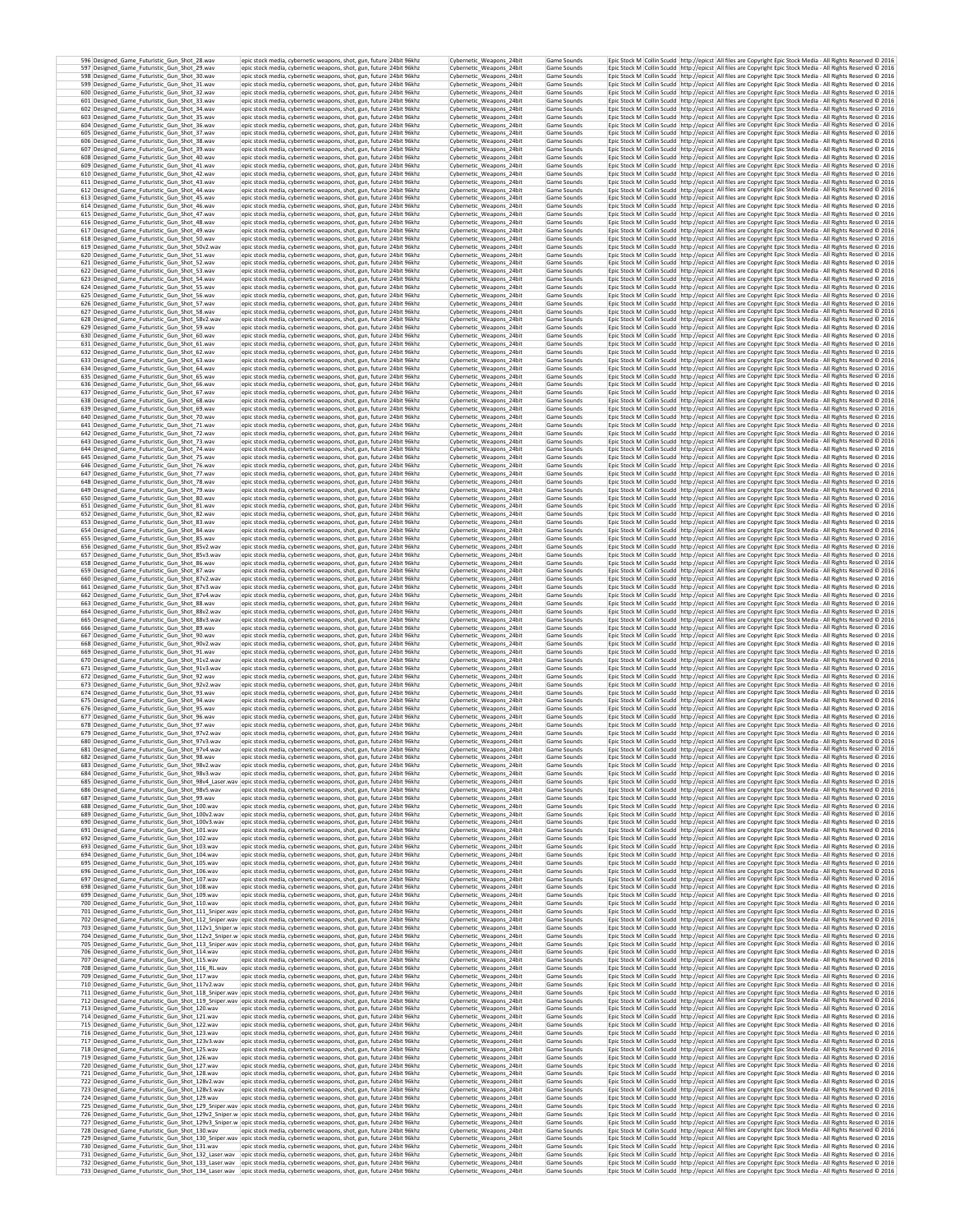| 597 Designed Game Futuristic Gun Shot 29.wav                                                                                                                                                                                                                                                        | epic stock media, cybernetic weapons, shot, gun, future 24bit 96khz<br>epic stock media, cybernetic weapons, shot, gun, future 24bit 96khz                                                                        |                                                                     | Cybernetic Weapons 24bit<br>Cybernetic_Weapons_24bit                             | Game Sounds<br>Game Sounds                |  | Epic Stock M Collin Scudd http://epicst All files are Copyright Epic Stock Media - All Rights Reserved @ 2016<br>Epic Stock M Collin Scudd http://epicst All files are Copyright Epic Stock Media - All Rights Reserved @ 2016                                                                                                                        |
|-----------------------------------------------------------------------------------------------------------------------------------------------------------------------------------------------------------------------------------------------------------------------------------------------------|-------------------------------------------------------------------------------------------------------------------------------------------------------------------------------------------------------------------|---------------------------------------------------------------------|----------------------------------------------------------------------------------|-------------------------------------------|--|-------------------------------------------------------------------------------------------------------------------------------------------------------------------------------------------------------------------------------------------------------------------------------------------------------------------------------------------------------|
| 598 Designed Game Futuristic Gun Shot 30.wav<br>599 Designed Game Futuristic Gun Shot 31.way                                                                                                                                                                                                        | epic stock media, cybernetic weapons, shot, gun, future 24bit 96khz                                                                                                                                               |                                                                     | Cybernetic_Weapons_24bit                                                         | Game Sounds                               |  | Epic Stock M   Collin Scudd   http://epicst   All files are Copyright Epic Stock Media - All Rights Reserved @ 2016                                                                                                                                                                                                                                   |
| 600 Designed Game Futuristic Gun Shot 32.wav                                                                                                                                                                                                                                                        | epic stock media, cybernetic weapons, shot, gun, future 24bit 96khz<br>epic stock media, cybernetic weapons, shot, gun, future 24bit 96khz                                                                        |                                                                     | Cybernetic Weapons 24bit<br>Cybernetic Weapons 24bit                             | Game Sounds<br>Game Sounds                |  | Epic Stock M   Collin Scudd   http://epicst   All files are Copyright Epic Stock Media - All Rights Reserved @ 2016<br>Epic Stock M   Collin Scudd   http://epicst   All files are Copyright Epic Stock Media - All Rights Reserved @ 2016                                                                                                            |
| 601 Designed_Game_Futuristic_Gun_Shot_33.wav<br>602 Designed Game Futuristic Gun Shot 34 way                                                                                                                                                                                                        | epic stock media, cybernetic weapons, shot, gun, future 24bit 96khz<br>epic stock media, cybernetic weapons, shot, gun, future 24bit 96khz                                                                        |                                                                     | Cybernetic_Weapons_24bit<br>Cybernetic Weapons 24bit                             | Game Sounds<br>Game Sounds                |  | Epic Stock M Collin Scudd http://epicst All files are Copyright Epic Stock Media - All Rights Reserved @ 2016<br>Epic Stock M Collin Scudd http://epicst All files are Copyright Epic Stock Media - All Rights Reserved C 2016                                                                                                                        |
| 603 Designed_Game_Futuristic_Gun_Shot_35.wav<br>604 Designed_Game_Futuristic_Gun_Shot_36.wav                                                                                                                                                                                                        | epic stock media, cybernetic weapons, shot, gun, future 24bit 96khz<br>epic stock media, cybernetic weapons, shot, gun, future 24bit 96khz                                                                        |                                                                     | Cybernetic_Weapons_24bit<br>Cybernetic_Weapons_24bit                             | Game Sounds<br>Game Sounds                |  | Epic Stock M Collin Scudd http://epicst All files are Copyright Epic Stock Media - All Rights Reserved @ 2016<br>Epic Stock M Collin Scudd http://epicst All files are Copyright Epic Stock Media - All Rights Reserved C 2016                                                                                                                        |
| 605 Designed_Game_Futuristic_Gun_Shot_37.wav<br>606 Designed Game Futuristic Gun Shot 38.wav                                                                                                                                                                                                        | epic stock media, cybernetic weapons, shot, gun, future 24bit 96khz<br>epic stock media, cybernetic weapons, shot, eun, future 24bit 96khz                                                                        |                                                                     | Cybernetic_Weapons_24bit<br>Cybernetic Weapons 24bit                             | Game Sounds<br>Game Sounds                |  | Epic Stock M Collin Scudd http://epicst All files are Copyright Epic Stock Media - All Rights Reserved @ 2016<br>Epic Stock M Collin Scudd http://epicst All files are Copyright Epic Stock Media - All Rights Reserved @ 2016                                                                                                                        |
| 607 Designed_Game_Futuristic_Gun_Shot_39.wav<br>608 Designed Game Futuristic Gun Shot 40.wav                                                                                                                                                                                                        | epic stock media, cybernetic weapons, shot, gun, future 24bit 96khz<br>epic stock media, cybernetic weapons, shot, gun, future 24bit 96khz                                                                        |                                                                     | Cybernetic_Weapons_24bit<br>Cybernetic Weapons 24bit                             | Game Sounds<br>Game Sounds                |  | Epic Stock M Collin Scudd http://epicst All files are Copyright Epic Stock Media - All Rights Reserved @ 2016<br>Epic Stock M Collin Scudd http://epicst All files are Copyright Epic Stock Media - All Rights Reserved C 2016                                                                                                                        |
| 609 Designed_Game_Futuristic_Gun_Shot_41.wav                                                                                                                                                                                                                                                        | epic stock media, cybernetic weapons, shot, gun, future 24bit 96khz                                                                                                                                               |                                                                     | Cybernetic_Weapons_24bit                                                         | Game Sounds                               |  | Epic Stock M Collin Scudd http://epicst All files are Copyright Epic Stock Media - All Rights Reserved @ 2016                                                                                                                                                                                                                                         |
| 610 Designed_Game_Futuristic_Gun_Shot_42.wav<br>611 Designed_Game_Futuristic_Gun_Shot_43.wav                                                                                                                                                                                                        | epic stock media, cybernetic weapons, shot, gun, future 24bit 96khz<br>epic stock media, cybernetic weapons, shot, gun, future 24bit 96khz                                                                        |                                                                     | Cybernetic_Weapons_24bit<br>Cybernetic_Weapons_24bit                             | Game Sounds<br>Game Sounds                |  | Epic Stock M Collin Scudd http://epicst All files are Copyright Epic Stock Media - All Rights Reserved © 2016<br>Epic Stock M Collin Scudd http://epicst All files are Copyright Epic Stock Media - All Rights Reserved @ 2016                                                                                                                        |
| 612 Designed_Game_Futuristic_Gun_Shot_44.wav<br>613 Designed_Game_Futuristic_Gun_Shot_45.wav                                                                                                                                                                                                        | epic stock media, cybernetic weapons, shot, gun, future 24bit 96khz<br>epic stock media, cybernetic weapons, shot, gun, future 24bit 96khz                                                                        |                                                                     | Cybernetic_Weapons_24bit<br>Cybernetic Weapons 24bit                             | Game Sounds<br>Game Sounds                |  | Epic Stock M Collin Scudd http://epicst All files are Copyright Epic Stock Media - All Rights Reserved @ 2016<br>Epic Stock M Collin Scudd http://epicst All files are Copyright Epic Stock Media - All Rights Reserved @ 2016                                                                                                                        |
| 614 Designed Game Futuristic Gun Shot 46.wav<br>615 Designed Game Futuristic Gun Shot 47.wav                                                                                                                                                                                                        | epic stock media, cybernetic weapons, shot, gun, future 24bit 96khz<br>epic stock media, cybernetic weapons, shot, gun, future 24bit 96khz                                                                        |                                                                     | Cybernetic_Weapons_24bit<br>Cybernetic Weapons 24bit                             | Game Sounds<br>Game Sounds                |  | Epic Stock M Collin Scudd http://epicst All files are Copyright Epic Stock Media - All Rights Reserved C 2016<br>Epic Stock M Collin Scudd http://epicst All files are Copyright Epic Stock Media - All Rights Reserved C 2016                                                                                                                        |
| 616 Designed Game Futuristic Gun Shot 48.wav<br>617 Designed Game Futuristic Gun Shot 49.way                                                                                                                                                                                                        | epic stock media, cybernetic weapons, shot, gun, future 24bit 96khz<br>epic stock media, cybernetic weapons, shot, gun, future 24bit 96khz                                                                        |                                                                     | Cybernetic_Weapons_24bit<br>Cybernetic Weapons 24bit                             | Game Sounds<br>Game Sounds                |  | Epic Stock M Collin Scudd http://epicst All files are Copyright Epic Stock Media - All Rights Reserved @ 2016<br>Epic Stock M Collin Scudd   http://epicst   All files are Copyright Epic Stock Media - All Rights Reserved @ 2016                                                                                                                    |
| 618 Designed Game Futuristic Gun Shot 50, way<br>619 Designed Game Futuristic Gun Shot 50v2.wav                                                                                                                                                                                                     | epic stock media, cybernetic weapons, shot, gun, future 24bit 96khz<br>epic stock media, cybernetic weapons, shot, gun, future 24bit 96khz                                                                        |                                                                     | Cybernetic Weapons 24bit<br>Cybernetic Weapons 24bit                             | Game Sounds<br>Game Sounds                |  | Epic Stock M Collin Scudd http://epicst All files are Copyright Epic Stock Media - All Rights Reserved © 2016<br>Epic Stock M   Collin Scudd   http://epicst   All files are Copyright Epic Stock Media - All Rights Reserved @ 2016                                                                                                                  |
| 620 Designed_Game_Futuristic_Gun_Shot_51.wav<br>621 Designed Game Futuristic Gun Shot 52.wav                                                                                                                                                                                                        | epic stock media, cybernetic weapons, shot, gun, future 24bit 96khz<br>epic stock media, cybernetic weapons, shot, gun, future 24bit 96khz                                                                        |                                                                     | Cybernetic_Weapons_24bit<br>Cybernetic Weapons 24bit                             | Game Sounds<br>Game Sounds                |  | Epic Stock M Collin Scudd http://epicst All files are Copyright Epic Stock Media - All Rights Reserved @ 2016<br>Epic Stock M Collin Scudd http://epicst All files are Copyright Epic Stock Media - All Rights Reserved @ 2016                                                                                                                        |
| 622 Designed Game Futuristic Gun Shot 53.wav                                                                                                                                                                                                                                                        | epic stock media, cybernetic weapons, shot, gun, future 24bit 96khz                                                                                                                                               |                                                                     | Cybernetic Weapons 24bit                                                         | Game Sounds                               |  | Epic Stock M Collin Scudd http://epicst All files are Copyright Epic Stock Media - All Rights Reserved @ 2016                                                                                                                                                                                                                                         |
| 623 Designed Game Futuristic Gun Shot 54.wav<br>624 Designed_Game_Futuristic_Gun_Shot_55.wav                                                                                                                                                                                                        | epic stock media, cybernetic weapons, shot, gun, future 24bit 96khz<br>epic stock media, cybernetic weapons, shot, gun, future 24bit 96khz                                                                        |                                                                     | Cybernetic Weapons 24bit<br>Cybernetic_Weapons_24bit                             | Game Sounds<br>Game Sounds                |  | Epic Stock M Collin Scudd http://epicst All files are Copyright Epic Stock Media - All Rights Reserved C 2016<br>Epic Stock M Collin Scudd http://epicst All files are Copyright Epic Stock Media - All Rights Reserved @ 2016                                                                                                                        |
| 625 Designed_Game_Futuristic_Gun_Shot_56.wav<br>626 Designed_Game_Futuristic_Gun_Shot_57.wav                                                                                                                                                                                                        | epic stock media, cybernetic weapons, shot, gun, future 24bit 96khz<br>epic stock media, cybernetic weapons, shot, gun, future 24bit 96khz                                                                        |                                                                     | Cybernetic Weapons 24bit<br>Cybernetic_Weapons_24bit                             | Game Sounds<br>Game Sounds                |  | Epic Stock M Collin Scudd http://epicst All files are Copyright Epic Stock Media - All Rights Reserved @ 2016<br>Epic Stock M Collin Scudd http://epicst All files are Copyright Epic Stock Media - All Rights Reserved @ 2016                                                                                                                        |
| 627 Designed_Game_Futuristic_Gun_Shot_58.wav<br>628 Designed_Game_Futuristic_Gun_Shot_58v2.wav                                                                                                                                                                                                      | epic stock media, cybernetic weapons, shot, gun, future 24bit 96khz<br>epic stock media, cybernetic weapons, shot, gun, future 24bit 96khz                                                                        |                                                                     | Cybernetic_Weapons_24bit<br>Cybernetic_Weapons_24bit                             | Game Sounds<br>Game Sounds                |  | Epic Stock M Collin Scudd http://epicst All files are Copyright Epic Stock Media - All Rights Reserved C 2016<br>Epic Stock M Collin Scudd http://epicst All files are Copyright Epic Stock Media - All Rights Reserved @ 2016                                                                                                                        |
| 629 Designed_Game_Futuristic_Gun_Shot_59.wav<br>630 Designed Game Futuristic Gun Shot 60.wav                                                                                                                                                                                                        | epic stock media, cybernetic weapons, shot, gun, future 24bit 96khz<br>epic stock media, cybernetic weapons, shot, gun, future 24bit 96khz                                                                        |                                                                     | Cybernetic Weapons 24bit<br>Cybernetic Weapons 24bit                             | Game Sounds<br>Game Sounds                |  | Epic Stock M Collin Scudd http://epicst All files are Copyright Epic Stock Media - All Rights Reserved @ 2016<br>Epic Stock M Collin Scudd http://epicst All files are Copyright Epic Stock Media - All Rights Reserved @ 2016                                                                                                                        |
| 631 Designed_Game_Futuristic_Gun_Shot_61.wav<br>632 Designed Game Futuristic Gun Shot 62.wav                                                                                                                                                                                                        | epic stock media, cybernetic weapons, shot, gun, future 24bit 96khz<br>epic stock media, cybernetic weapons, shot, gun, future 24bit 96khz                                                                        |                                                                     | Cybernetic_Weapons_24bit<br>Cybernetic Weapons 24bit                             | Game Sounds<br>Game Sounds                |  | Epic Stock M Collin Scudd http://epicst All files are Copyright Epic Stock Media - All Rights Reserved @ 2016<br>Epic Stock M Collin Scudd http://epicst All files are Copyright Epic Stock Media - All Rights Reserved © 2016                                                                                                                        |
| 633 Designed Game Futuristic Gun Shot 63.wav<br>634 Designed Game Futuristic Gun Shot 64.wav                                                                                                                                                                                                        | epic stock media, cybernetic weapons, shot, gun, future 24bit 96khz<br>epic stock media, cybernetic weapons, shot, gun, future 24bit 96khz                                                                        |                                                                     | Cybernetic Weapons 24bit<br>Cybernetic Weapons 24bit                             | Game Sounds<br>Game Sounds                |  | Epic Stock M Collin Scudd http://epicst All files are Copyright Epic Stock Media - All Rights Reserved © 2016<br>Epic Stock M Collin Scudd http://epicst All files are Copyright Epic Stock Media - All Rights Reserved C 2016                                                                                                                        |
| 635 Designed_Game_Futuristic_Gun_Shot_65.wav                                                                                                                                                                                                                                                        | epic stock media, cybernetic weapons, shot, gun, future 24bit 96khz                                                                                                                                               |                                                                     | Cybernetic_Weapons_24bit                                                         | Game Sounds                               |  | Epic Stock M Collin Scudd http://epicst All files are Copyright Epic Stock Media - All Rights Reserved @ 2016                                                                                                                                                                                                                                         |
| 636 Designed Game Futuristic Gun Shot 66.wav<br>637 Designed Game Futuristic Gun Shot 67.wav                                                                                                                                                                                                        | epic stock media, cybernetic weapons, shot, gun, future 24bit 96khz<br>epic stock media, cybernetic weapons, shot, gun, future 24bit 96khz                                                                        |                                                                     | Cybernetic_Weapons_24bit<br>Cybernetic Weapons 24bit                             | Game Sounds<br>Game Sounds                |  | Epic Stock M Collin Scudd http://epicst All files are Copyright Epic Stock Media - All Rights Reserved @ 2016<br>Epic Stock M Collin Scudd http://epicst All files are Copyright Epic Stock Media - All Rights Reserved C 2016                                                                                                                        |
| 638 Designed Game Futuristic Gun Shot 68.wav<br>639 Designed Game Futuristic Gun Shot 69.wav                                                                                                                                                                                                        | epic stock media, cybernetic weapons, shot, gun, future 24bit 96khz<br>epic stock media, cybernetic weapons, shot, gun, future 24bit 96khz                                                                        |                                                                     | Cybernetic Weapons 24bit<br>Cybernetic_Weapons_24bit                             | Game Sounds<br>Game Sounds                |  | Epic Stock M   Collin Scudd   http://epicst   All files are Copyright Epic Stock Media - All Rights Reserved @ 2016<br>Epic Stock M Collin Scudd http://epicst All files are Copyright Epic Stock Media - All Rights Reserved @ 2016                                                                                                                  |
| 640 Designed Game Futuristic Gun Shot 70 way<br>641 Designed Game Futuristic Gun Shot 71, way                                                                                                                                                                                                       | epic stock media, cybernetic weapons, shot, gun, future 24bit 96khz<br>epic stock media, cybernetic weapons, shot, gun, future 24bit 96khz                                                                        |                                                                     | Cybernetic Weapons 24bit<br>Cybernetic Weapons 24bit                             | Game Sounds<br>Game Sounds                |  | Epic Stock M Collin Scudd http://epicst All files are Copyright Epic Stock Media - All Rights Reserved C 2016<br>Epic Stock M Collin Scudd http://epicst All files are Copyright Epic Stock Media - All Rights Reserved @ 2016                                                                                                                        |
| 642 Designed Game Futuristic Gun Shot 72.wav<br>643 Designed_Game_Futuristic_Gun_Shot_73.wav                                                                                                                                                                                                        | epic stock media, cybernetic weapons, shot, gun, future 24bit 96khz<br>epic stock media, cybernetic weapons, shot, gun, future 24bit 96khz                                                                        |                                                                     | Cybernetic Weapons 24bit<br>Cybernetic_Weapons_24bit                             | Game Sounds<br>Game Sounds                |  | Epic Stock M Collin Scudd http://epicst All files are Copyright Epic Stock Media - All Rights Reserved C 2016<br>Epic Stock M Collin Scudd http://epicst All files are Copyright Epic Stock Media - All Rights Reserved @ 2016                                                                                                                        |
| 644 Designed Game Futuristic Gun Shot 74.wav<br>645 Designed_Game_Futuristic_Gun_Shot_75.wav                                                                                                                                                                                                        | epic stock media, cybernetic weapons, shot, eun, future 24bit 96khz<br>epic stock media, cybernetic weapons, shot, gun, future 24bit 96khz                                                                        |                                                                     | Cybernetic Weapons 24bit<br>Cybernetic_Weapons_24bit                             | Game Sounds<br>Game Sounds                |  | Epic Stock M Collin Scudd http://epicst All files are Copyright Epic Stock Media - All Rights Reserved @ 2016<br>Epic Stock M Collin Scudd http://epicst All files are Copyright Epic Stock Media - All Rights Reserved @ 2016                                                                                                                        |
| 646 Designed Game Futuristic Gun Shot 76.wav                                                                                                                                                                                                                                                        | epic stock media, cybernetic weapons, shot, gun, future 24bit 96khz                                                                                                                                               |                                                                     | Cybernetic Weapons 24bit                                                         | Game Sounds                               |  | Epic Stock M Collin Scudd http://epicst All files are Copyright Epic Stock Media - All Rights Reserved C 2016                                                                                                                                                                                                                                         |
| 647 Designed_Game_Futuristic_Gun_Shot_77.wav<br>648 Designed_Game_Futuristic_Gun_Shot_78.wav                                                                                                                                                                                                        | epic stock media, cybernetic weapons, shot, gun, future 24bit 96khz<br>epic stock media, cybernetic weapons, shot, eun, future 24bit 96khz                                                                        |                                                                     | Cybernetic_Weapons_24bit<br>Cybernetic Weapons 24bit                             | Game Sounds<br>Game Sounds                |  | Epic Stock M Collin Scudd http://epicst All files are Copyright Epic Stock Media - All Rights Reserved @ 2016<br>Epic Stock M Collin Scudd http://epicst All files are Copyright Epic Stock Media - All Rights Reserved © 2016                                                                                                                        |
| 649 Designed_Game_Futuristic_Gun_Shot_79.wav<br>650 Designed_Game_Futuristic_Gun_Shot_80.wav                                                                                                                                                                                                        | epic stock media, cybernetic weapons, shot, gun, future 24bit 96khz<br>epic stock media, cybernetic weapons, shot, gun, future 24bit 96khz                                                                        |                                                                     | Cybernetic_Weapons_24bit<br>Cybernetic_Weapons_24bit                             | Game Sounds<br>Game Sounds                |  | Epic Stock M Collin Scudd http://epicst All files are Copyright Epic Stock Media - All Rights Reserved @ 2016<br>Epic Stock M Collin Scudd http://epicst All files are Copyright Epic Stock Media - All Rights Reserved @ 2016                                                                                                                        |
| 651 Designed_Game_Futuristic_Gun_Shot_81.wav<br>652 Designed Game Futuristic Gun Shot 82.wav                                                                                                                                                                                                        | epic stock media, cybernetic weapons, shot, gun, future 24bit 96khz<br>epic stock media, cybernetic weapons, shot, gun, future 24bit 96khz                                                                        |                                                                     | Cybernetic_Weapons_24bit<br>Cybernetic_Weapons_24bit                             | Game Sounds<br>Game Sounds                |  | Epic Stock M Collin Scudd http://epicst All files are Copyright Epic Stock Media - All Rights Reserved © 2016<br>Epic Stock M Collin Scudd http://epicst All files are Copyright Epic Stock Media - All Rights Reserved @ 2016                                                                                                                        |
| 653 Designed Game Futuristic Gun Shot 83.wav<br>654 Designed_Game_Futuristic_Gun_Shot_84.wav                                                                                                                                                                                                        | epic stock media, cybernetic weapons, shot, gun, future 24bit 96khz<br>epic stock media, cybernetic weapons, shot, gun, future 24bit 96khz                                                                        |                                                                     | Cybernetic Weapons 24bit<br>Cybernetic Weapons 24bit                             | Game Sounds<br>Game Sounds                |  | Epic Stock M Collin Scudd http://epicst All files are Copyright Epic Stock Media - All Rights Reserved C 2016<br>Epic Stock M Collin Scudd http://epicst All files are Copyright Epic Stock Media - All Rights Reserved @ 2016                                                                                                                        |
| 655 Designed Game Futuristic Gun Shot 85.wav<br>656 Designed Game Futuristic Gun Shot 85v2.wav                                                                                                                                                                                                      | epic stock media, cybernetic weapons, shot, gun, future 24bit 96khz<br>epic stock media, cybernetic weapons, shot, gun, future 24bit 96khz                                                                        |                                                                     | Cybernetic Weapons 24bit<br>Cybernetic Weapons 24bit                             | Game Sounds<br>Game Sounds                |  | Epic Stock M   Collin Scudd   http://epicst   All files are Copyright Epic Stock Media - All Rights Reserved @ 2016<br>Epic Stock M Collin Scudd http://epicst All files are Copyright Epic Stock Media - All Rights Reserved C 2016                                                                                                                  |
| 657 Designed Game Futuristic Gun Shot 85v3.wav<br>658 Designed Game Futuristic Gun Shot 86.wav                                                                                                                                                                                                      | epic stock media, cybernetic weapons, shot, gun, future 24bit 96khz<br>epic stock media, cybernetic weapons, shot, gun, future 24bit 96khz                                                                        |                                                                     | Cybernetic Weapons 24bit<br>Cybernetic_Weapons_24bit                             | Game Sounds<br>Game Sounds                |  | Epic Stock M   Collin Scudd   http://epicst   All files are Copyright Epic Stock Media - All Rights Reserved @ 2016<br>Epic Stock M Collin Scudd http://epicst All files are Copyright Epic Stock Media - All Rights Reserved @ 2016                                                                                                                  |
| 659 Designed Game Futuristic Gun Shot 87.wav<br>660 Designed Game Futuristic Gun Shot 87v2.wav                                                                                                                                                                                                      | epic stock media, cybernetic weapons, shot, gun, future 24bit 96khz<br>epic stock media, cybernetic weapons, shot, gun, future 24bit 96khz                                                                        |                                                                     | Cybernetic_Weapons_24bit<br>Cybernetic Weapons 24bit                             | Game Sounds<br>Game Sounds                |  | Epic Stock M   Collin Scudd   http://epicst   All files are Copyright Epic Stock Media - All Rights Reserved @ 2016<br>Epic Stock M Collin Scudd http://epicst All files are Copyright Epic Stock Media - All Rights Reserved @ 2016                                                                                                                  |
| 661 Designed Game Futuristic Gun Shot 87v3.wav<br>662 Designed_Game_Futuristic_Gun_Shot_87v4.wav                                                                                                                                                                                                    | epic stock media, cybernetic weapons, shot, gun, future 24bit 96khz<br>epic stock media, cybernetic weapons, shot, gun, future 24bit 96khz                                                                        |                                                                     | Cybernetic Weapons 24bit<br>Cybernetic_Weapons_24bit                             | Game Sounds<br>Game Sounds                |  | Epic Stock M Collin Scudd http://epicst All files are Copyright Epic Stock Media - All Rights Reserved C 2016<br>Epic Stock M Collin Scudd http://epicst All files are Copyright Epic Stock Media - All Rights Reserved @ 2016                                                                                                                        |
| 663 Designed Game Futuristic Gun Shot 88.wav                                                                                                                                                                                                                                                        | epic stock media, cybernetic weapons, shot, gun, future 24bit 96khz                                                                                                                                               |                                                                     | Cybernetic Weapons 24bit                                                         | Game Sounds                               |  | Epic Stock M Collin Scudd http://epicst All files are Copyright Epic Stock Media - All Rights Reserved @ 2016                                                                                                                                                                                                                                         |
| 664 Designed_Game_Futuristic_Gun_Shot_88v2.wav<br>665 Designed_Game_Futuristic_Gun_Shot_88v3.wav                                                                                                                                                                                                    | epic stock media, cybernetic weapons, shot, gun, future 24bit 96khz<br>epic stock media, cybernetic weapons, shot, gun, future 24bit 96khz                                                                        |                                                                     | Cybernetic_Weapons_24bit<br>Cybernetic Weapons 24bit                             | Game Sounds<br>Game Sounds                |  | Epic Stock M Collin Scudd http://epicst All files are Copyright Epic Stock Media - All Rights Reserved @ 2016<br>Epic Stock M Collin Scudd http://epicst All files are Copyright Epic Stock Media - All Rights Reserved @ 2016                                                                                                                        |
| 666 Designed_Game_Futuristic_Gun_Shot_89.wav<br>667 Designed Game Futuristic Gun Shot 90.wav                                                                                                                                                                                                        | epic stock media, cybernetic weapons, shot, gun, future 24bit 96khz<br>epic stock media, cybernetic weapons, shot, gun, future 24bit 96khz                                                                        |                                                                     | Cybernetic_Weapons_24bit<br>Cybernetic Weapons 24bit                             | Game Sounds<br>Game Sounds                |  | Epic Stock M Collin Scudd http://epicst All files are Copyright Epic Stock Media - All Rights Reserved @ 2016<br>Epic Stock M Collin Scudd http://epicst All files are Copyright Epic Stock Media - All Rights Reserved @ 2016                                                                                                                        |
| 668 Designed_Game_Futuristic_Gun_Shot_90v2.wav<br>669 Designed_Game_Futuristic_Gun_Shot_91.wav                                                                                                                                                                                                      | epic stock media, cybernetic weapons, shot, gun, future 24bit 96khz<br>epic stock media, cybernetic weapons, shot, gun, future 24bit 96khz                                                                        |                                                                     | Cybernetic_Weapons_24bit<br>Cybernetic_Weapons_24bit                             | Game Sounds<br>Game Sounds                |  | Epic Stock M Collin Scudd http://epicst All files are Copyright Epic Stock Media - All Rights Reserved @ 2016<br>Epic Stock M Collin Scudd http://epicst All files are Copyright Epic Stock Media - All Rights Reserved C 2016                                                                                                                        |
| 670 Designed_Game_Futuristic_Gun_Shot_91v2.wav<br>671 Designed_Game_Futuristic_Gun_Shot_91v3.wav                                                                                                                                                                                                    | epic stock media, cybernetic weapons, shot, gun, future 24bit 96khz<br>epic stock media, cybernetic weapons, shot, gun, future 24bit 96khz                                                                        |                                                                     | Cybernetic_Weapons_24bit<br>Cybernetic_Weapons_24bit                             | Game Sounds<br>Game Sounds                |  | Epic Stock M Collin Scudd http://epicst All files are Copyright Epic Stock Media - All Rights Reserved © 2016<br>Epic Stock M Collin Scudd http://epicst All files are Copyright Epic Stock Media - All Rights Reserved @ 2016                                                                                                                        |
| 672 Designed Game Futuristic Gun Shot 92,way<br>673 Designed_Game_Futuristic_Gun_Shot_92v2.wav                                                                                                                                                                                                      | epic stock media, cybernetic weapons, shot, gun, future 24bit 96khz<br>epic stock media, cybernetic weapons, shot, gun, future 24bit 96khz                                                                        |                                                                     | Cybernetic Weapons 24bit<br>Cybernetic_Weapons_24bit                             | Game Sounds<br>Game Sounds                |  | Epic Stock M Collin Scudd http://epicst All files are Copyright Epic Stock Media - All Rights Reserved © 2016<br>Epic Stock M Collin Scudd http://epicst All files are Copyright Epic Stock Media - All Rights Reserved @ 2016                                                                                                                        |
| 674 Designed_Game_Futuristic_Gun_Shot_93.wav<br>675 Designed Game Futuristic Gun Shot 94.way                                                                                                                                                                                                        | epic stock media, cybernetic weapons, shot, gun, future 24bit 96khz<br>epic stock media, cybernetic weapons, shot, gun, future 24bit 96khz                                                                        |                                                                     | Cybernetic_Weapons_24bit<br>Cybernetic Weapons 24bit                             | Game Sounds<br>Game Sounds                |  | Epic Stock M Collin Scudd http://epicst All files are Copyright Epic Stock Media - All Rights Reserved @ 2016<br>Epic Stock M Collin Scudd   http://epicst   All files are Copyright Epic Stock Media - All Rights Reserved @ 2016                                                                                                                    |
| 676 Designed Game Futuristic Gun Shot 95, way<br>677 Designed Game Futuristic Gun Shot 96.wav                                                                                                                                                                                                       | epic stock media, cybernetic weapons, shot, gun, future 24bit 96khz<br>epic stock media, cybernetic weapons, shot, gun, future 24bit 96khz                                                                        |                                                                     | Cybernetic Weapons 24bit<br>Cybernetic_Weapons_24bit                             | Game Sounds<br>Game Sounds                |  | Epic Stock M Collin Scudd http://epicst All files are Copyright Epic Stock Media - All Rights Reserved © 2016<br>Epic Stock M Collin Scudd http://epicst All files are Copyright Epic Stock Media - All Rights Reserved @ 2016                                                                                                                        |
| 678 Designed Game Futuristic Gun Shot 97.wav<br>679 Designed Game Futuristic Gun Shot 97v2.wav                                                                                                                                                                                                      | epic stock media, cybernetic weapons, shot, gun, future 24bit 96khz                                                                                                                                               |                                                                     | Cybernetic Weapons 24bit<br>Cybernetic Weapons 24bit                             | Game Sounds<br>Game Sounds                |  | Epic Stock M Collin Scudd http://epicst All files are Copyright Epic Stock Media - All Rights Reserved © 2016<br>Epic Stock M Collin Scudd http://epicst All files are Copyright Epic Stock Media - All Rights Reserved @ 2016                                                                                                                        |
| 680 Designed Game Futuristic Gun Shot 97v3 way                                                                                                                                                                                                                                                      | epic stock media, cybernetic weapons, shot, gun, future 24bit 96khz<br>epic stock media, cybernetic weapons, shot, gun, future 24bit 96khz                                                                        |                                                                     | Cybernetic Weapons 24bit<br>Cybernetic_Weapons_24bit                             | Game Sounds                               |  | Epic Stock M Collin Scudd http://epicst All files are Copyright Epic Stock Media - All Rights Reserved C 2016                                                                                                                                                                                                                                         |
| 681 Designed_Game_Futuristic_Gun_Shot_97v4.wav<br>682 Designed Game Futuristic Gun Shot 98.wav                                                                                                                                                                                                      | epic stock media, cybernetic weapons, shot, gun, future 24bit 96khz<br>epic stock media, cybernetic weapons, shot, gun, future  24bit 96kh2                                                                       |                                                                     |                                                                                  | Game Sounds                               |  |                                                                                                                                                                                                                                                                                                                                                       |
| 683 Designed_Game_Futuristic_Gun_Shot_98v2.wav<br>684 Designed_Game_Futuristic_Gun_Shot_98v3.wav                                                                                                                                                                                                    | epic stock media, cybernetic weapons, shot, gun, future 24bit 96khz                                                                                                                                               |                                                                     | Cybernetic Weapons 24bit                                                         | Game Sounds                               |  | Epic Stock M Collin Scudd http://epicst All files are Copyright Epic Stock Media - All Rights Reserved @ 2016<br>Epic Stock M_Collin Scudd_http://epicst   All files are Copyright Epic Stock Media - All Rights Reserved © 2016                                                                                                                      |
| 685 Designed_Game_Futuristic_Gun_Shot_98v4_Laser.wav epic stock media, cybernetic weapons, shot, gun, future 24bit 96khz                                                                                                                                                                            |                                                                                                                                                                                                                   | epic stock media, cybernetic weapons, shot, gun, future 24bit 96khz | Cybernetic_Weapons_24bit<br>Cybernetic_Weapons_24bit                             | Game Sounds<br>Game Sounds                |  | Epic Stock M Collin Scudd http://epicst All files are Copyright Epic Stock Media - All Rights Reserved @ 2016<br>Epic Stock M Collin Scudd http://epicst All files are Copyright Epic Stock Media - All Rights Reserved © 2016                                                                                                                        |
| 686 Designed Game Futuristic Gun Shot 98v5.wav                                                                                                                                                                                                                                                      | epic stock media, cybernetic weapons, shot, gun, future 24bit 96khz                                                                                                                                               |                                                                     | Cybernetic_Weapons_24bit<br>Cybernetic_Weapons_24bit                             | Game Sounds<br>Game Sounds                |  | Epic Stock M Collin Scudd http://epicst All files are Copyright Epic Stock Media - All Rights Reserved @ 2016<br>Epic Stock M Collin Scudd http://epicst All files are Copyright Epic Stock Media - All Rights Reserved © 2016                                                                                                                        |
| 687 Designed Game Futuristic Gun Shot 99.wav<br>688 Designed_Game_Futuristic_Gun_Shot_100.wav                                                                                                                                                                                                       | epic stock media, cybernetic weapons, shot, gun, future 24bit 96khz<br>epic stock media, cybernetic weapons, shot, gun, future 24bit 96khz                                                                        |                                                                     | Cybernetic Weapons 24bit<br>Cybernetic_Weapons_24bit                             | Game Sounds<br>Game Sounds                |  | Epic Stock M Collin Scudd http://epicst All files are Copyright Epic Stock Media - All Rights Reserved @ 2016<br>Epic Stock M Collin Scudd http://epicst All files are Copyright Epic Stock Media - All Rights Reserved © 2016                                                                                                                        |
| 689 Designed_Game_Futuristic_Gun_Shot_100v2.wav                                                                                                                                                                                                                                                     | epic stock media, cybernetic weapons, shot, gun, future 24bit 96khz                                                                                                                                               |                                                                     | Cybernetic_Weapons_24bit                                                         | Game Sounds                               |  | Epic Stock M Collin Scudd http://epicst All files are Copyright Epic Stock Media - All Rights Reserved C 2016                                                                                                                                                                                                                                         |
| 690 Designed_Game_Futuristic_Gun_Shot_100v3.wav<br>691 Designed Game Futuristic Gun Shot 101.wav<br>692 Designed_Game_Futuristic_Gun_Shot_102.wav                                                                                                                                                   | epic stock media, cybernetic weapons, shot, gun, future 24bit 96khz<br>epic stock media, cybernetic weapons, shot, gun, future 24bit 96khz<br>epic stock media, cybernetic weapons, shot, gun, future 24bit 96khz |                                                                     | Cybernetic_Weapons_24bit<br>Cybernetic Weapons 24bit<br>Cybernetic_Weapons_24bit | Game Sounds<br>Game Sounds<br>Game Sounds |  | Epic Stock M Collin Scudd http://epicst All files are Copyright Epic Stock Media - All Rights Reserved © 2016<br>Epic Stock M Collin Scudd http://epicst All files are Copyright Epic Stock Media - All Rights Reserved @ 2016<br>Epic Stock M Collin Scudd http://epicst All files are Copyright Epic Stock Media - All Rights Reserved @ 2016       |
| 693 Designed Game Futuristic Gun Shot 103.way                                                                                                                                                                                                                                                       | epic stock media, cybernetic weapons, shot, gun, future 24bit 96khz                                                                                                                                               |                                                                     | Cybernetic Weapons 24bit                                                         | Game Sounds                               |  | Epic Stock M Collin Scudd http://epicst All files are Copyright Epic Stock Media - All Rights Reserved C 2016                                                                                                                                                                                                                                         |
| 694 Designed Game Futuristic Gun Shot 104.wav<br>695 Designed Game Futuristic Gun Shot 105.way                                                                                                                                                                                                      | epic stock media, cybernetic weapons, shot, eun, future 24bit 96khz<br>epic stock media, cybernetic weapons, shot, gun, future 24bit 96khz                                                                        |                                                                     | Cybernetic_Weapons_24bit<br>Cybernetic Weapons 24bit                             | Game Sounds<br>Game Sounds                |  | Epic Stock M Collin Scudd http://epicst All files are Copyright Epic Stock Media - All Rights Reserved © 2016<br>Epic Stock M Collin Scudd http://epicst All files are Copyright Epic Stock Media - All Rights Reserved C 2016                                                                                                                        |
| 696 Designed_Game_Futuristic_Gun_Shot_106.wav<br>697 Designed Game Futuristic Gun Shot 107.wav                                                                                                                                                                                                      | epic stock media, cybernetic weapons, shot, gun, future 24bit 96khz<br>epic stock media, cybernetic weapons, shot, gun, future 24bit 96khz                                                                        |                                                                     | Cybernetic_Weapons_24bit<br>Cybernetic Weapons 24bit                             | Game Sounds<br>Game Sounds                |  | Epic Stock M Collin Scudd http://epicst All files are Copyright Epic Stock Media - All Rights Reserved @ 2016<br>Epic Stock M   Collin Scudd   http://epicst   All files are Copyright Epic Stock Media - All Rights Reserved @ 2016                                                                                                                  |
| 698 Designed Game Futuristic Gun Shot 108.way<br>699 Designed Game Futuristic Gun Shot 109 way                                                                                                                                                                                                      | epic stock media, cybernetic weapons, shot, gun, future 24bit 96khz<br>epic stock media, cybernetic weapons, shot, gun, future 24bit 96khz                                                                        |                                                                     | Cybernetic_Weapons_24bit<br>Cybernetic Weapons 24bit                             | Game Sounds<br>Game Sounds                |  | Epic Stock M Collin Scudd http://epicst All files are Copyright Epic Stock Media - All Rights Reserved C 2016<br>Epic Stock M Collin Scudd http://epicst All files are Copyright Epic Stock Media - All Rights Reserved C 2016                                                                                                                        |
| 700 Designed_Game_Futuristic_Gun_Shot_110.wav<br>701 Designed Game Futuristic Gun Shot 111 Sniper.wav epic stock media, cybernetic weapons, shot, gun, future 24bit 96khz                                                                                                                           | epic stock media, cybernetic weapons, shot, gun, future 24bit 96khz                                                                                                                                               |                                                                     | Cybernetic_Weapons_24bit<br>Cybernetic_Weapons_24bit                             | Game Sounds<br>Game Sounds                |  | Epic Stock M Collin Scudd http://epicst All files are Copyright Epic Stock Media - All Rights Reserved C 2016<br>Epic Stock M Collin Scudd http://epicst All files are Copyright Epic Stock Media - All Rights Reserved @ 2016                                                                                                                        |
| 702 Designed_Game_Futuristic_Gun_Shot_112_Sniper.wav epic stock media, cybernetic weapons, shot, gun, future 24bit 96khz<br>703 Designed_Game_Futuristic_Gun_Shot_112v1_Sniper.w epic stock media, cybernetic weapons, shot, gun, future 24bit 96khz                                                |                                                                                                                                                                                                                   |                                                                     | Cybernetic Weapons 24bit<br>Cybernetic_Weapons_24bit                             | Game Sounds<br>Game Sounds                |  | Epic Stock M Collin Scudd http://epicst All files are Copyright Epic Stock Media - All Rights Reserved © 2016<br>Epic Stock M Collin Scudd http://epicst All files are Copyright Epic Stock Media - All Rights Reserved © 2016                                                                                                                        |
| 704 Designed_Game_Futuristic_Gun_Shot_112v2_Sniper.w epic stock media, cybernetic weapons, shot, gun, future 24bit 96khz<br>705 Designed_Game_Futuristic_Gun_Shot_113_Sniper.wav epic stock media, cybernetic weapons, shot, gun, future 24bit 96khz                                                |                                                                                                                                                                                                                   |                                                                     | Cybernetic_Weapons_24bit<br>Cybernetic_Weapons_24bit                             | Game Sounds<br>Game Sounds                |  | Epic Stock M Collin Scudd http://epicst All files are Copyright Epic Stock Media - All Rights Reserved @ 2016<br>Epic Stock M Collin Scudd http://epicst All files are Copyright Epic Stock Media - All Rights Reserved @ 2016                                                                                                                        |
| 706 Designed Game Futuristic Gun Shot 114.wav                                                                                                                                                                                                                                                       | epic stock media, cybernetic weapons, shot, gun, future 24bit 96khz                                                                                                                                               |                                                                     | Cybernetic Weapons 24bit                                                         | Game Sounds                               |  | Epic Stock M Collin Scudd http://epicst All files are Copyright Epic Stock Media - All Rights Reserved @ 2016                                                                                                                                                                                                                                         |
| 707 Designed_Game_Futuristic_Gun_Shot_115.wav<br>708 Designed_Game_Futuristic_Gun_Shot_116_RL.wav<br>709 Designed_Game_Futuristic_Gun_Shot_117.wav                                                                                                                                                  | epic stock media, cybernetic weapons, shot, gun, future 24bit 96khz<br>epic stock media, cybernetic weapons, shot, gun, future 24bit 96khz<br>epic stock media, cybernetic weapons, shot, gun, future 24bit 96khz |                                                                     | Cybernetic_Weapons_24bit<br>Cybernetic_Weapons_24bit<br>Cybernetic_Weapons_24bit | Game Sounds<br>Game Sounds<br>Game Sounds |  | Epic Stock M Collin Scudd http://epicst All files are Copyright Epic Stock Media - All Rights Reserved C 2016<br>Epic Stock M Collin Scudd http://epicst All files are Copyright Epic Stock Media - All Rights Reserved @ 2016<br>Epic Stock M Collin Scudd http://epicst All files are Copyright Epic Stock Media - All Rights Reserved © 2016       |
| 710 Designed Game Futuristic Gun Shot 117v2.wav                                                                                                                                                                                                                                                     | epic stock media, cybernetic weapons, shot, gun, future 24bit 96khz                                                                                                                                               |                                                                     | Cybernetic Weapons 24bit                                                         | Game Sounds                               |  | Epic Stock M Collin Scudd http://epicst All files are Copyright Epic Stock Media - All Rights Reserved @ 2016                                                                                                                                                                                                                                         |
| 711 Designed_Game_Futuristic_Gun_Shot_118_Sniper.wav epic stock media, cybernetic weapons, shot, gun, future 24bit 96khz<br>712 Designed_Game_Futuristic_Gun_Shot_119_Sniper.wav epic stock media, cybernetic weapons, shot, gun, future 24bit 96khz                                                |                                                                                                                                                                                                                   |                                                                     | Cybernetic_Weapons_24bit<br>Cybernetic_Weapons_24bit                             | Game Sounds<br>Game Sounds                |  | Epic Stock M Collin Scudd http://epicst All files are Copyright Epic Stock Media - All Rights Reserved @ 2016<br>Epic Stock M   Collin Scudd   http://epicst   All files are Copyright Epic Stock Media - All Rights Reserved @ 2016                                                                                                                  |
| 713 Designed Game Futuristic Gun Shot 120.wav<br>714 Designed Game Futuristic Gun Shot 121.wav                                                                                                                                                                                                      | epic stock media, cybernetic weapons, shot, gun, future 24bit 96khz<br>epic stock media, cybernetic weapons, shot, gun, future 24bit 96khz                                                                        |                                                                     | Cybernetic Weapons 24bit<br>Cybernetic Weapons 24bit                             | Game Sounds<br>Game Sounds                |  | Epic Stock M Collin Scudd http://epicst All files are Copyright Epic Stock Media - All Rights Reserved @ 2016<br>Epic Stock M   Collin Scudd   http://epicst   All files are Copyright Epic Stock Media - All Rights Reserved @ 2016                                                                                                                  |
| 715 Designed_Game_Futuristic_Gun_Shot_122.wav<br>716 Designed Game Futuristic Gun Shot 123.wav                                                                                                                                                                                                      | epic stock media, cybernetic weapons, shot, gun, future 24bit 96khz<br>epic stock media, cybernetic weapons, shot, gun, future 24bit 96khz                                                                        |                                                                     | Cybernetic_Weapons_24bit<br>Cybernetic Weapons 24bit                             | Game Sounds<br>Game Sounds                |  | Epic Stock M Collin Scudd http://epicst All files are Copyright Epic Stock Media - All Rights Reserved @ 2016<br>Epic Stock M Collin Scudd http://epicst All files are Copyright Epic Stock Media - All Rights Reserved C 2016                                                                                                                        |
| 717 Designed_Game_Futuristic_Gun_Shot_123v3.wav<br>718 Designed Game Futuristic Gun Shot 125.wav                                                                                                                                                                                                    | epic stock media, cybernetic weapons, shot, gun, future 24bit 96khz<br>epic stock media, cybernetic weapons, shot, gun, future 24bit 96khz                                                                        |                                                                     | Cybernetic_Weapons_24bit<br>Cybernetic Weapons 24bit                             | Game Sounds<br>Game Sounds                |  | Epic Stock M Collin Scudd http://epicst All files are Copyright Epic Stock Media - All Rights Reserved C 2016<br>Epic Stock M Collin Scudd http://epicst All files are Copyright Epic Stock Media - All Rights Reserved C 2016                                                                                                                        |
| 719 Designed_Game_Futuristic_Gun_Shot_126.wav<br>720 Designed Game Futuristic Gun Shot 127.wav                                                                                                                                                                                                      | epic stock media, cybernetic weapons, shot, gun, future 24bit 96khz<br>epic stock media, cybernetic weapons, shot, gun, future 24bit 96khz                                                                        |                                                                     | Cybernetic_Weapons_24bit<br>Cybernetic Weapons 24bit                             | Game Sounds<br>Game Sounds                |  | Epic Stock M Collin Scudd http://epicst All files are Copyright Epic Stock Media - All Rights Reserved © 2016<br>Epic Stock M Collin Scudd http://epicst All files are Copyright Epic Stock Media - All Rights Reserved C 2016                                                                                                                        |
| 721 Designed Game Futuristic Gun Shot 128.wav<br>722 Designed_Game_Futuristic_Gun_Shot_128v2.wav                                                                                                                                                                                                    | epic stock media, cybernetic weapons, shot, gun, future 24bit 96khz<br>epic stock media, cybernetic weapons, shot, gun, future 24bit 96khz                                                                        |                                                                     | Cybernetic Weapons 24bit<br>Cybernetic_Weapons_24bit                             | Game Sounds<br>Game Sounds                |  | Epic Stock M Collin Scudd http://epicst All files are Copyright Epic Stock Media - All Rights Reserved @ 2016<br>Epic Stock M Collin Scudd http://epicst All files are Copyright Epic Stock Media - All Rights Reserved C 2016                                                                                                                        |
| 723 Designed_Game_Futuristic_Gun_Shot_128v3.wav<br>724 Designed_Game_Futuristic_Gun_Shot_129.wav                                                                                                                                                                                                    | epic stock media, cybernetic weapons, shot, gun, future 24bit 96khz<br>epic stock media, cybernetic weapons, shot, gun, future 24bit 96khz                                                                        |                                                                     | Cybernetic_Weapons_24bit<br>Cybernetic_Weapons_24bit                             | Game Sounds<br>Game Sounds                |  | Epic Stock M Collin Scudd http://epicst All files are Copyright Epic Stock Media - All Rights Reserved @ 2016<br>Epic Stock M Collin Scudd http://epicst All files are Copyright Epic Stock Media - All Rights Reserved © 2016                                                                                                                        |
| 725 Designed_Game_Futuristic_Gun_Shot_129_Sniper.wav epic stock media, cybernetic weapons, shot, gun, future 24bit 96khz<br>726 Designed_Game_Futuristic_Gun_Shot_129v2_Sniper.w epic stock media, cybernetic weapons, shot, gun, future 24bit 96khz                                                |                                                                                                                                                                                                                   |                                                                     | Cybernetic Weapons 24bit<br>Cybernetic_Weapons_24bit                             | Game Sounds<br>Game Sounds                |  | Epic Stock M Collin Scudd http://epicst All files are Copyright Epic Stock Media - All Rights Reserved @ 2016<br>Epic Stock M Collin Scudd http://epicst All files are Copyright Epic Stock Media - All Rights Reserved C 2016                                                                                                                        |
| 727 Designed_Game_Futuristic_Gun_Shot_129v3_Sniper.w epic stock media, cybernetic weapons, shot, gun, future 24bit 96khz                                                                                                                                                                            |                                                                                                                                                                                                                   |                                                                     | Cybernetic_Weapons_24bit                                                         | Game Sounds                               |  | Epic Stock M Collin Scudd http://epicst All files are Copyright Epic Stock Media - All Rights Reserved @ 2016                                                                                                                                                                                                                                         |
| 728 Designed_Game_Futuristic_Gun_Shot_130.wav<br>729 Designed_Game_Futuristic_Gun_Shot_130_Sniper.wav epic stock media, cybernetic weapons, shot, gun, future 24bit 96khz                                                                                                                           | epic stock media, cybernetic weapons, shot, gun, future 24bit 96khz                                                                                                                                               |                                                                     | Cybernetic_Weapons_24bit<br>Cybernetic Weapons 24bit                             | Game Sounds<br>Game Sounds                |  | Epic Stock M Collin Scudd http://epicst All files are Copyright Epic Stock Media - All Rights Reserved @ 2016<br>Epic Stock M Collin Scudd http://epicst All files are Copyright Epic Stock Media - All Rights Reserved @ 2016                                                                                                                        |
| 730 Designed Game Futuristic Gun Shot 131.wav<br>731 Designed_Game_Futuristic_Gun_Shot_132_Laser.wav epic stock media, cybernetic weapons, shot, gun, future 24bit 96khz<br>732 Designed Game Futuristic Gun Shot 133 Laser.wav epic stock media, cybernetic weapons, shot, gun, future 24bit 96khz | epic stock media, cybernetic weapons, shot, gun, future 24bit 96khz                                                                                                                                               |                                                                     | Cybernetic Weapons 24bit<br>Cybernetic Weapons 24bit<br>Cybernetic Weapons 24bit | Game Sounds<br>Game Sounds<br>Game Sounds |  | Epic Stock M Collin Scudd http://epicst All files are Copyright Epic Stock Media - All Rights Reserved @ 2016<br>Epic Stock M   Collin Scudd   http://epicst   All files are Copyright Epic Stock Media - All Rights Reserved @ 2016<br>Epic Stock M Collin Scudd http://epicst All files are Copyright Epic Stock Media - All Rights Reserved @ 2016 |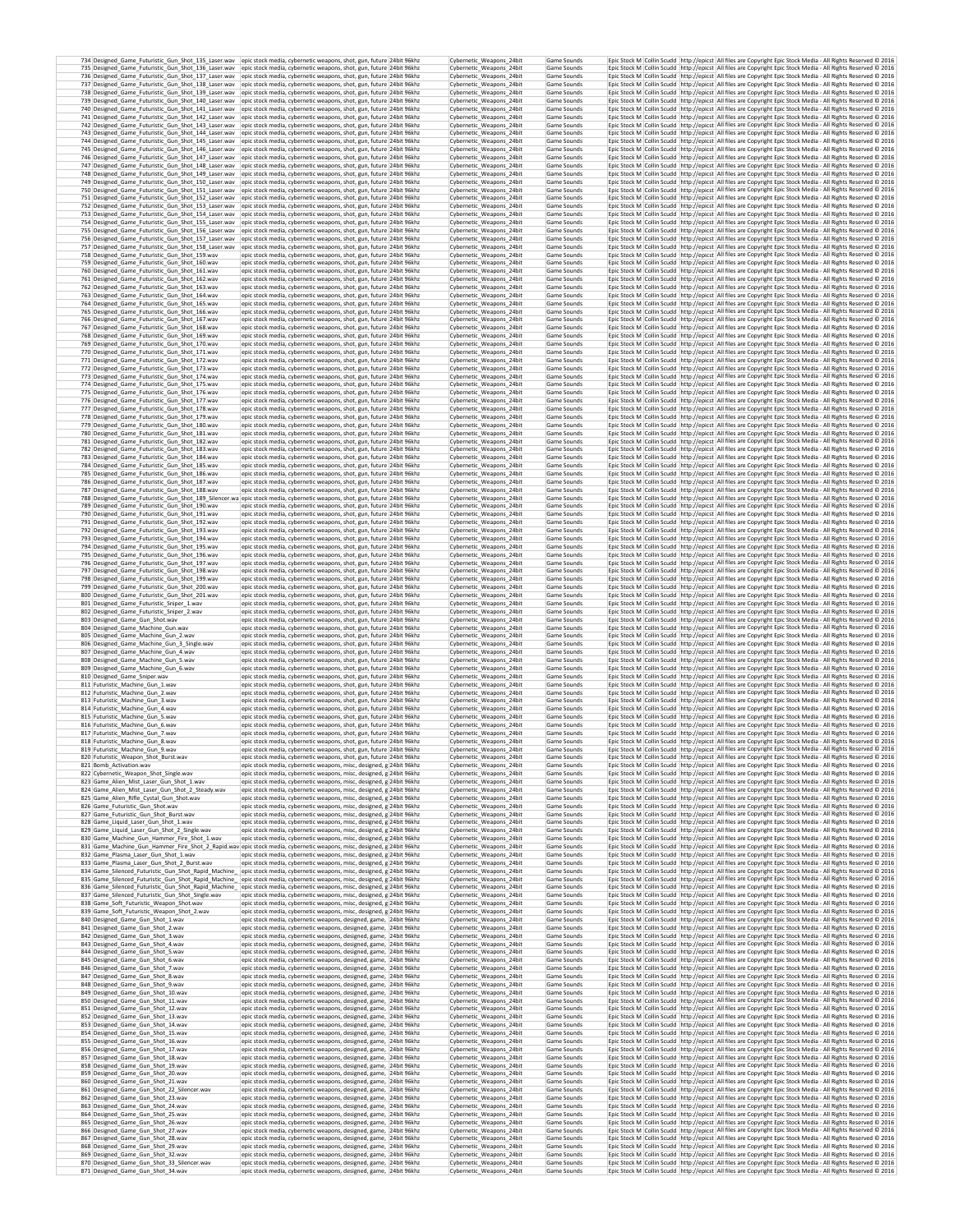|                                                                                                                      | 734 Designed_Game_Futuristic_Gun_Shot_135_Laser.wav  epic stock media, cybernetic weapons, shot, gun, future 24bit 96khz<br>735 Designed_Game_Futuristic_Gun_Shot_136_Laser.wav epic stock media, cybernetic weapons, shot, gun, future 24bit 96khz   | Cybernetic_Weapons_24bit<br>Cybernetic_Weapons_24bit                             | Game Sounds<br>Game Sounds |                                                                                                               | Epic Stock M Collin Scudd http://epicst All files are Copyright Epic Stock Media - All Rights Reserved @ 2016<br>Epic Stock M Collin Scudd http://epicst All files are Copyright Epic Stock Media - All Rights Reserved © 2016                                                                                                                  |  |
|----------------------------------------------------------------------------------------------------------------------|-------------------------------------------------------------------------------------------------------------------------------------------------------------------------------------------------------------------------------------------------------|----------------------------------------------------------------------------------|----------------------------|---------------------------------------------------------------------------------------------------------------|-------------------------------------------------------------------------------------------------------------------------------------------------------------------------------------------------------------------------------------------------------------------------------------------------------------------------------------------------|--|
|                                                                                                                      | 736 Designed_Game_Futuristic_Gun_Shot_137_Laser.wav epic stock media, cybernetic weapons, shot, gun, future 24bit 96khz                                                                                                                               | Cybernetic Weapons 24bit                                                         | Game Sounds                |                                                                                                               | Epic Stock M Collin Scudd http://epicst All files are Copyright Epic Stock Media - All Rights Reserved @ 2016                                                                                                                                                                                                                                   |  |
|                                                                                                                      | 737 Designed Game Futuristic Gun Shot 138 Laser.wav epic stock media, cybernetic weapons, shot, gun, future 24bit 96khz<br>738 Designed Game Futuristic Gun Shot 139 Laser.wav epic stock media, cybernetic weapons, shot, gun, future 24bit 96khz    | Cybernetic Weapons 24bit<br>Cybernetic Weapons 24bit                             | Game Sounds<br>Game Sounds |                                                                                                               | Epic Stock M   Collin Scudd   http://epicst   All files are Copyright Epic Stock Media - All Rights Reserved @ 2016<br>Epic Stock M Collin Scudd http://epicst All files are Copyright Epic Stock Media - All Rights Reserved @ 2016                                                                                                            |  |
|                                                                                                                      | 739 Designed_Game_Futuristic_Gun_Shot_140_Laser.wav  epic stock media, cybernetic weapons, shot, gun, future 24bit 96khz<br>740 Designed_Game_Futuristic_Gun_Shot_141_Laser.wav epic stock media, cybernetic weapons, shot, gun, future 24bit 96khz   | Cybernetic_Weapons_24bit<br>Cybernetic Weapons 24bit                             | Game Sounds<br>Game Sounds |                                                                                                               | Epic Stock M Collin Scudd http://epicst All files are Copyright Epic Stock Media - All Rights Reserved @ 2016<br>Epic Stock M Collin Scudd http://epicst All files are Copyright Epic Stock Media - All Rights Reserved C 2016                                                                                                                  |  |
|                                                                                                                      | 741 Designed_Game_Futuristic_Gun_Shot_142_Laser.wav  epic stock media, cybernetic weapons, shot, gun, future 24bit 96khz                                                                                                                              | Cybernetic Weapons 24bit                                                         | Game Sounds                |                                                                                                               | Epic Stock M Collin Scudd http://epicst All files are Copyright Epic Stock Media - All Rights Reserved @ 2016                                                                                                                                                                                                                                   |  |
|                                                                                                                      | 742 Designed_Game_Futuristic_Gun_Shot_143_Laser.wav epic stock media, cybernetic weapons, shot, gun, future 24bit 96khz<br>743 Designed_Game_Futuristic_Gun_Shot_144_Laser.wav epic stock media, cybernetic weapons, shot, gun, future 24bit 96khz    | Cybernetic_Weapons_24bit<br>Cybernetic_Weapons_24bit                             | Game Sounds<br>Game Sounds |                                                                                                               | Epic Stock M Collin Scudd http://epicst All files are Copyright Epic Stock Media - All Rights Reserved @ 2016<br>Epic Stock M Collin Scudd http://epicst All files are Copyright Epic Stock Media - All Rights Reserved @ 2016                                                                                                                  |  |
|                                                                                                                      | 744 Designed_Game_Futuristic_Gun_Shot_145_Laser.wav epic stock media, cybernetic weapons, shot, gun, future 24bit 96khz<br>745 Designed_Game_Futuristic_Gun_Shot_146_Laser.wav epic stock media, cybernetic weapons, shot, gun, future 24bit 96khz    | Cybernetic_Weapons_24bit<br>Cybernetic Weapons 24bit                             | Game Sounds<br>Game Sounds |                                                                                                               | Epic Stock M Collin Scudd http://epicst All files are Copyright Epic Stock Media - All Rights Reserved @ 2016<br>Epic Stock M Collin Scudd http://epicst All files are Copyright Epic Stock Media - All Rights Reserved @ 2016                                                                                                                  |  |
|                                                                                                                      | 746 Designed_Game_Futuristic_Gun_Shot_147_Laser.wav epic stock media, cybernetic weapons, shot, gun, future 24bit 96khz<br>747 Designed_Game_Futuristic_Gun_Shot_148_Laser.wav epic stock media, cybernetic weapons, shot, gun, future 24bit 96khz    | Cybernetic_Weapons_24bit<br>Cybernetic_Weapons_24bit                             | Game Sounds<br>Game Sounds |                                                                                                               | Epic Stock M Collin Scudd http://epicst All files are Copyright Epic Stock Media - All Rights Reserved @ 2016<br>Epic Stock M Collin Scudd http://epicst All files are Copyright Epic Stock Media - All Rights Reserved © 2016                                                                                                                  |  |
|                                                                                                                      | 748 Designed_Game_Futuristic_Gun_Shot_149_Laser.wav epic stock media, cybernetic weapons, shot, gun, future 24bit 96khz                                                                                                                               | Cybernetic_Weapons_24bit                                                         | Game Sounds                |                                                                                                               | Epic Stock M Collin Scudd http://epicst All files are Copyright Epic Stock Media - All Rights Reserved © 2016                                                                                                                                                                                                                                   |  |
|                                                                                                                      | 749 Designed_Game_Futuristic_Gun_Shot_150_Laser.wav  epic stock media, cybernetic weapons, shot, gun, future 24bit 96khz<br>750 Designed_Game_Futuristic_Gun_Shot_151_Laser.wav epic stock media, cybernetic weapons, shot, gun, future 24bit 96khz   | Cybernetic Weapons 24bit<br>Cybernetic_Weapons_24bit                             | Game Sounds<br>Game Sounds |                                                                                                               | Epic Stock M Collin Scudd http://epicst All files are Copyright Epic Stock Media - All Rights Reserved @ 2016<br>Epic Stock M Collin Scudd http://epicst All files are Copyright Epic Stock Media - All Rights Reserved @ 2016                                                                                                                  |  |
| 752 Designed Game Futuristic Gun Shot 153 Laser.wav                                                                  | 751 Designed_Game_Futuristic_Gun_Shot_152_Laser.wav epic stock media, cybernetic weapons, shot, gun, future 24bit 96khz<br>epic stock media, cybernetic weapons, shot, gun, future 24bit 96khz                                                        | Cybernetic Weapons 24bit<br>Cybernetic Weapons 24bit                             | Game Sounds<br>Game Sounds |                                                                                                               | Epic Stock M Collin Scudd http://epicst All files are Copyright Epic Stock Media - All Rights Reserved @ 2016<br>Epic Stock M   Collin Scudd   http://epicst   All files are Copyright Epic Stock Media - All Rights Reserved @ 2016                                                                                                            |  |
|                                                                                                                      | 753 Designed_Game_Futuristic_Gun_Shot_154_Laser.wav epic stock media, cybernetic weapons, shot, gun, future 24bit 96khz<br>754 Designed_Game_Futuristic_Gun_Shot_155_Laser.wav epic stock media, cybernetic weapons, shot, gun, future 24bit 96khz    | Cybernetic Weapons 24bit<br>Cybernetic_Weapons_24bit                             | Game Sounds<br>Game Sounds |                                                                                                               | Epic Stock M Collin Scudd http://epicst All files are Copyright Epic Stock Media - All Rights Reserved @ 2016<br>Epic Stock M Collin Scudd http://epicst All files are Copyright Epic Stock Media - All Rights Reserved @ 2016                                                                                                                  |  |
|                                                                                                                      | 755 Designed_Game_Futuristic_Gun_Shot_156_Laser.wav  epic stock media, cybernetic weapons, shot, gun, future 24bit 96khz                                                                                                                              | Cybernetic_Weapons_24bit                                                         | Game Sounds                |                                                                                                               | Epic Stock M Collin Scudd http://epicst All files are Copyright Epic Stock Media - All Rights Reserved @ 2016                                                                                                                                                                                                                                   |  |
|                                                                                                                      | 756 Designed Game Futuristic Gun Shot 157 Laser wav epic stock media, cybernetic weapons, shot, gun, future 24bit 96khz<br>757 Designed Game Futuristic Gun Shot 158 Laser.wav epic stock media, cybernetic weapons, shot, gun, future 24bit 96khz    | Cybernetic Weapons 24bit<br>Cybernetic Weapons 24bit                             | Game Sounds<br>Game Sounds |                                                                                                               | Epic Stock M Collin Scudd http://epicst All files are Copyright Epic Stock Media - All Rights Reserved © 2016<br>Epic Stock M Collin Scudd http://epicst All files are Copyright Epic Stock Media - All Rights Reserved @ 2016                                                                                                                  |  |
| 758 Designed_Game_Futuristic_Gun_Shot_159.wav<br>759 Designed Game Futuristic Gun Shot 160.wav                       | epic stock media, cybernetic weapons, shot, gun, future 24bit 96khz<br>epic stock media, cybernetic weapons, shot, gun, future 24bit 96khz                                                                                                            | Cybernetic_Weapons_24bit<br>Cybernetic Weapons 24bit                             | Game Sounds<br>Game Sounds |                                                                                                               | Epic Stock M Collin Scudd http://epicst All files are Copyright Epic Stock Media - All Rights Reserved © 2016<br>Epic Stock M Collin Scudd http://epicst All files are Copyright Epic Stock Media - All Rights Reserved @ 2016                                                                                                                  |  |
| 760 Designed_Game_Futuristic_Gun_Shot_161.wav<br>761 Designed Game Futuristic Gun Shot 162.wav                       | epic stock media, cybernetic weapons, shot, gun, future 24bit 96khz<br>epic stock media, cybernetic weapons, shot, gun, future 24bit 96khz                                                                                                            | Cybernetic_Weapons_24bit<br>Cybernetic_Weapons_24bit                             | Game Sounds<br>Game Sounds |                                                                                                               | Epic Stock M Collin Scudd http://epicst All files are Copyright Epic Stock Media - All Rights Reserved @ 2016<br>Epic Stock M Collin Scudd http://epicst All files are Copyright Epic Stock Media - All Rights Reserved @ 2016                                                                                                                  |  |
| 762 Designed_Game_Futuristic_Gun_Shot_163.wav                                                                        | epic stock media, cybernetic weapons, shot, gun, future 24bit 96khz                                                                                                                                                                                   | Cybernetic_Weapons_24bit                                                         | Game Sounds                |                                                                                                               | Epic Stock M Collin Scudd http://epicst All files are Copyright Epic Stock Media - All Rights Reserved © 2016                                                                                                                                                                                                                                   |  |
| 763 Designed_Game_Futuristic_Gun_Shot_164.wav<br>764 Designed_Game_Futuristic_Gun_Shot_165.wav                       | epic stock media, cybernetic weapons, shot, gun, future 24bit 96khz<br>epic stock media, cybernetic weapons, shot, gun, future 24bit 96khz                                                                                                            | Cybernetic_Weapons_24bit<br>Cybernetic Weapons 24bit                             | Game Sounds<br>Game Sounds |                                                                                                               | Epic Stock M Collin Scudd http://epicst All files are Copyright Epic Stock Media - All Rights Reserved @ 2016<br>Epic Stock M Collin Scudd http://epicst All files are Copyright Epic Stock Media - All Rights Reserved @ 2016                                                                                                                  |  |
| 765 Designed_Game_Futuristic_Gun_Shot_166.wav<br>766 Designed_Game_Futuristic_Gun_Shot_167.wav                       | epic stock media, cybernetic weapons, shot, gun, future 24bit 96khz<br>epic stock media, cybernetic weapons, shot, gun, future 24bit 96khz                                                                                                            | Cybernetic_Weapons_24bit<br>Cybernetic_Weapons_24bit                             | Game Sounds<br>Game Sounds |                                                                                                               | Epic Stock M Collin Scudd http://epicst All files are Copyright Epic Stock Media - All Rights Reserved @ 2016<br>Epic Stock M Collin Scudd http://epicst All files are Copyright Epic Stock Media - All Rights Reserved @ 2016                                                                                                                  |  |
| 767 Designed_Game_Futuristic_Gun_Shot_168.wav                                                                        | epic stock media, cybernetic weapons, shot, gun, future 24bit 96khz                                                                                                                                                                                   | Cybernetic_Weapons_24bit                                                         | Game Sounds<br>Game Sounds |                                                                                                               | Epic Stock M Collin Scudd http://epicst All files are Copyright Epic Stock Media - All Rights Reserved @ 2016                                                                                                                                                                                                                                   |  |
| 768 Designed Game Futuristic Gun Shot 169.wav<br>769 Designed_Game_Futuristic_Gun_Shot_170.wav                       | epic stock media, cybernetic weapons, shot, gun, future 24bit 96khz<br>epic stock media, cybernetic weapons, shot, gun, future 24bit 96khz                                                                                                            | Cybernetic Weapons 24bit<br>Cybernetic_Weapons_24bit                             | Game Sounds                |                                                                                                               | Epic Stock M   Collin Scudd   http://epicst   All files are Copyright Epic Stock Media - All Rights Reserved © 2016<br>Epic Stock M Collin Scudd http://epicst All files are Copyright Epic Stock Media - All Rights Reserved @ 2016                                                                                                            |  |
| 770 Designed Game Futuristic Gun Shot 171.wav<br>771 Designed Game Futuristic Gun Shot 172.wav                       | epic stock media, cybernetic weapons, shot, gun, future 24bit 96khz<br>epic stock media, cybernetic weapons, shot, gun, future 24bit 96khz                                                                                                            | Cybernetic Weapons 24bit<br>Cybernetic Weapons 24bit                             | Game Sounds<br>Game Sounds |                                                                                                               | Epic Stock M Collin Scudd   http://epicst   All files are Copyright Epic Stock Media - All Rights Reserved @ 2016<br>Epic Stock M Collin Scudd http://epicst All files are Copyright Epic Stock Media - All Rights Reserved © 2016                                                                                                              |  |
| 772 Designed Game Futuristic Gun Shot 173.wav<br>773 Designed_Game_Futuristic_Gun_Shot_174.wav                       | epic stock media, cybernetic weapons, shot, gun, future 24bit 96khz<br>epic stock media, cybernetic weapons, shot, gun, future 24bit 96khz                                                                                                            | Cybernetic Weanons 24bit<br>Cybernetic_Weapons_24bit                             | Game Sounds<br>Game Sounds |                                                                                                               | Epic Stock M Collin Scudd http://epicst All files are Copyright Epic Stock Media - All Rights Reserved © 2016<br>Epic Stock M Collin Scudd http://epicst All files are Copyright Epic Stock Media - All Rights Reserved @ 2016                                                                                                                  |  |
| 774 Designed Game Futuristic Gun Shot 175.wav                                                                        | epic stock media, cybernetic weapons, shot, gun, future 24bit 96khz                                                                                                                                                                                   | Cybernetic Weapons 24bit<br>Cybernetic Weapons 24bit                             | Game Sounds<br>Game Sounds |                                                                                                               | Epic Stock M   Collin Scudd   http://epicst   All files are Copyright Epic Stock Media - All Rights Reserved @ 2016                                                                                                                                                                                                                             |  |
| 775 Designed Game Futuristic Gun Shot 176.wav<br>776 Designed Game Futuristic Gun Shot 177.wav                       | epic stock media, cybernetic weapons, shot, gun, future 24bit 96khz<br>epic stock media, cybernetic weapons, shot, gun, future 24bit 96khz                                                                                                            | Cybernetic Weanons 24bit                                                         | Game Sounds                |                                                                                                               | Epic Stock M   Collin Scudd   http://epicst   All files are Copyright Epic Stock Media - All Rights Reserved @ 2016<br>Epic Stock M Collin Scudd http://epicst All files are Copyright Epic Stock Media - All Rights Reserved © 2016                                                                                                            |  |
| 777 Designed Game Futuristic Gun Shot 178.wav<br>778 Designed Game Futuristic Gun Shot 179.way                       | epic stock media, cybernetic weapons, shot, gun, future 24bit 96khz<br>epic stock media, cybernetic weapons, shot, gun, future 24bit 96khz                                                                                                            | Cybernetic_Weapons_24bit<br>Cybernetic Weapons 24bit                             | Game Sounds<br>Game Sounds |                                                                                                               | Epic Stock M Collin Scudd http://epicst All files are Copyright Epic Stock Media - All Rights Reserved @ 2016<br>Epic Stock M Collin Scudd http://epicst All files are Copyright Epic Stock Media - All Rights Reserved @ 2016                                                                                                                  |  |
| 779 Designed Game Futuristic Gun Shot 180.wav<br>780 Designed Game Futuristic Gun Shot 181.wav                       | epic stock media, cybernetic weapons, shot, gun, future 24bit 96khz<br>epic stock media, cybernetic weapons, shot, gun, future 24bit 96khz                                                                                                            | Cybernetic Weapons 24bit<br>Cybernetic_Weapons_24bit                             | Game Sounds<br>Game Sounds |                                                                                                               | Epic Stock M Collin Scudd http://epicst All files are Copyright Epic Stock Media - All Rights Reserved @ 2016<br>Epic Stock M Collin Scudd http://epicst All files are Copyright Epic Stock Media - All Rights Reserved @ 2016                                                                                                                  |  |
| 781 Designed_Game_Futuristic_Gun_Shot_182.wav<br>782 Designed_Game_Futuristic_Gun_Shot_183.wav                       | epic stock media, cybernetic weapons, shot, gun, future 24bit 96khz<br>epic stock media, cybernetic weapons, shot, gun, future 24bit 96khz                                                                                                            | Cybernetic_Weapons_24bit<br>Cybernetic_Weapons_24bit                             | Game Sounds<br>Game Sounds |                                                                                                               | Epic Stock M Collin Scudd http://epicst All files are Copyright Epic Stock Media - All Rights Reserved @ 2016<br>Epic Stock M Collin Scudd http://epicst All files are Copyright Epic Stock Media - All Rights Reserved @ 2016                                                                                                                  |  |
| 783 Designed_Game_Futuristic_Gun_Shot_184.wav                                                                        | epic stock media, cybernetic weapons, shot, gun, future 24bit 96khz                                                                                                                                                                                   | Cybernetic Weapons 24bit                                                         | Game Sounds                |                                                                                                               | Epic Stock M Collin Scudd http://epicst All files are Copyright Epic Stock Media - All Rights Reserved @ 2016                                                                                                                                                                                                                                   |  |
| 784 Designed Game Futuristic Gun Shot 185.wav<br>785 Designed_Game_Futuristic_Gun_Shot_186.wav                       | epic stock media, cybernetic weapons, shot, gun, future 24bit 96khz<br>epic stock media, cybernetic weapons, shot, gun, future 24bit 96khz                                                                                                            | Cybernetic_Weapons_24bit<br>Cybernetic_Weapons_24bit                             | Game Sounds<br>Game Sounds |                                                                                                               | Epic Stock M Collin Scudd http://epicst All files are Copyright Epic Stock Media - All Rights Reserved @ 2016<br>Epic Stock M Collin Scudd http://epicst All files are Copyright Epic Stock Media - All Rights Reserved © 2016                                                                                                                  |  |
| 786 Designed_Game_Futuristic_Gun_Shot_187.wav<br>787 Designed_Game_Futuristic_Gun_Shot_188.wav                       | epic stock media, cybernetic weapons, shot, gun, future 24bit 96khz<br>epic stock media, cybernetic weapons, shot, gun, future 24bit 96khz                                                                                                            | Cybernetic_Weapons_24bit<br>Cybernetic Weapons 24bit                             | Game Sounds<br>Game Sounds |                                                                                                               | Epic Stock M Collin Scudd http://epicst All files are Copyright Epic Stock Media - All Rights Reserved © 2016<br>Epic Stock M   Collin Scudd   http://epicst   All files are Copyright Epic Stock Media - All Rights Reserved © 2016                                                                                                            |  |
| 789 Designed_Game_Futuristic_Gun_Shot_190.wav                                                                        | 788 Designed_Game_Futuristic_Gun_Shot_189_Silencer.wa epic stock media, cybernetic weapons, shot, gun, future 24bit 96khz<br>epic stock media, cybernetic weapons, shot, gun, future 24bit 96khz                                                      | Cybernetic_Weapons_24bit<br>Cybernetic Weapons 24bit                             | Game Sounds<br>Game Sounds |                                                                                                               | Epic Stock M Collin Scudd http://epicst All files are Copyright Epic Stock Media - All Rights Reserved @ 2016<br>Epic Stock M   Collin Scudd   http://epicst   All files are Copyright Epic Stock Media - All Rights Reserved @ 2016                                                                                                            |  |
| 790 Designed Game Futuristic Gun Shot 191.wav                                                                        | epic stock media, cybernetic weapons, shot, gun, future 24bit 96khz                                                                                                                                                                                   | Cybernetic Weapons 24bit                                                         | Game Sounds                |                                                                                                               | Epic Stock M   Collin Scudd   http://epicst   All files are Copyright Epic Stock Media - All Rights Reserved @ 2016                                                                                                                                                                                                                             |  |
| 791 Designed Game Futuristic Gun Shot 192.wav<br>792 Designed Game Futuristic Gun Shot 193.wav                       | epic stock media, cybernetic weapons, shot, gun, future 24bit 96khz<br>epic stock media, cybernetic weapons, shot, gun, future 24bit 96khz                                                                                                            | Cybernetic Weapons 24bit<br>Cybernetic_Weapons_24bit                             | Game Sounds<br>Game Sounds |                                                                                                               | Epic Stock M Collin Scudd   http://epicst   All files are Copyright Epic Stock Media - All Rights Reserved @ 2016<br>Epic Stock M Collin Scudd http://epicst All files are Copyright Epic Stock Media - All Rights Reserved @ 2016                                                                                                              |  |
| 793 Designed Game Futuristic Gun Shot 194.wav<br>794 Designed Game Futuristic Gun Shot 195.wav                       | epic stock media, cybernetic weapons, shot, gun, future 24bit 96khz<br>epic stock media, cybernetic weapons, shot, gun, future 24bit 96khz                                                                                                            | Cybernetic_Weapons_24bit<br>Cybernetic Weapons 24bit                             | Game Sounds<br>Game Sounds |                                                                                                               | Epic Stock M Collin Scudd http://epicst All files are Copyright Epic Stock Media - All Rights Reserved @ 2016<br>Epic Stock M   Collin Scudd   http://epicst   All files are Copyright Epic Stock Media - All Rights Reserved @ 2016                                                                                                            |  |
| 795 Designed Game Futuristic Gun Shot 196.wav<br>796 Designed_Game_Futuristic_Gun_Shot_197.wav                       | epic stock media, cybernetic weapons, shot, gun, future 24bit 96khz<br>epic stock media, cybernetic weapons, shot, gun, future 24bit 96khz                                                                                                            | Cybernetic Weapons 24bit<br>Cybernetic_Weapons_24bit                             | Game Sounds<br>Game Sounds |                                                                                                               | Epic Stock M Collin Scudd http://epicst All files are Copyright Epic Stock Media - All Rights Reserved @ 2016<br>Epic Stock M Collin Scudd http://epicst All files are Copyright Epic Stock Media - All Rights Reserved © 2016                                                                                                                  |  |
| 797 Designed Game Futuristic Gun Shot 198.wav<br>798 Designed Game Futuristic Gun Shot 199.wav                       | epic stock media, cybernetic weapons, shot, gun, future 24bit 96khz<br>epic stock media, cybernetic weapons, shot, gun, future 24bit 96khz                                                                                                            | Cybernetic Weapons 24bit<br>Cybernetic_Weapons_24bit                             | Game Sounds<br>Game Sounds |                                                                                                               | Epic Stock M   Collin Scudd   http://epicst   All files are Copyright Epic Stock Media - All Rights Reserved @ 2016<br>Epic Stock M Collin Scudd http://epicst All files are Copyright Epic Stock Media - All Rights Reserved @ 2016                                                                                                            |  |
| 799 Designed Game Futuristic Gun Shot 200.wav<br>800 Designed_Game_Futuristic_Gun_Shot_201.wav                       | epic stock media, cybernetic weapons, shot, gun, future 24bit 96khz<br>epic stock media, cybernetic weapons, shot, gun, future 24bit 96khz                                                                                                            | Cybernetic Weapons 24bit<br>Cybernetic_Weapons_24bit                             | Game Sounds<br>Game Sounds |                                                                                                               | Epic Stock M Collin Scudd http://epicst All files are Copyright Epic Stock Media - All Rights Reserved @ 2016<br>Epic Stock M Collin Scudd http://epicst All files are Copyright Epic Stock Media - All Rights Reserved © 2016                                                                                                                  |  |
| 801 Designed Game Futuristic Sniper 1.wav                                                                            | epic stock media, cybernetic weapons, shot, gun, future 24bit 96khz                                                                                                                                                                                   | Cybernetic_Weapons_24bit<br>Cybernetic Weapons 24bit                             | Game Sounds<br>Game Sounds |                                                                                                               | Epic Stock M Collin Scudd http://epicst All files are Copyright Epic Stock Media - All Rights Reserved @ 2016                                                                                                                                                                                                                                   |  |
| 802 Designed_Game_Futuristic_Sniper_2.wav<br>803 Designed_Game_Gun_Shot.wav                                          | epic stock media, cybernetic weapons, shot, gun, future 24bit 96khz<br>epic stock media, cybernetic weapons, shot, gun, future 24bit 96khz                                                                                                            | Cybernetic_Weapons_24bit                                                         | Game Sounds                |                                                                                                               | Epic Stock M Collin Scudd http://epicst All files are Copyright Epic Stock Media - All Rights Reserved @ 2016<br>Epic Stock M Collin Scudd http://epicst All files are Copyright Epic Stock Media - All Rights Reserved @ 2016                                                                                                                  |  |
| 804 Designed_Game_Machine_Gun.wav<br>805 Designed_Game_Machine_Gun_2.wav                                             | epic stock media, cybernetic weapons, shot, gun, future 24bit 96khz<br>epic stock media, cybernetic weapons, shot, gun, future 24bit 96khz                                                                                                            | Cybernetic_Weapons_24bit<br>Cybernetic_Weapons_24bit                             | Game Sounds<br>Game Sounds |                                                                                                               | Epic Stock M Collin Scudd http://epicst All files are Copyright Epic Stock Media - All Rights Reserved @ 2016<br>Epic Stock M Collin Scudd http://epicst All files are Copyright Epic Stock Media - All Rights Reserved @ 2016                                                                                                                  |  |
| 806 Designed_Game_Machine_Gun_3_Single.wav<br>807 Designed_Game_Machine_Gun_4.wav                                    | epic stock media, cybernetic weapons, shot, gun, future 24bit 96khz<br>epic stock media, cybernetic weapons, shot, gun, future 24bit 96khz                                                                                                            | Cybernetic Weapons 24bit<br>Cybernetic_Weapons_24bit                             | Game Sounds<br>Game Sounds |                                                                                                               | Epic Stock M Collin Scudd http://epicst All files are Copyright Epic Stock Media - All Rights Reserved @ 2016<br>Epic Stock M Collin Scudd http://epicst All files are Copyright Epic Stock Media - All Rights Reserved @ 2016                                                                                                                  |  |
| 808 Designed_Game_Machine_Gun_5.wav<br>809 Designed_Game_Machine_Gun_6.wav                                           | epic stock media, cybernetic weapons, shot, gun, future 24bit 96khz<br>epic stock media, cybernetic weapons, shot, gun, future 24bit 96khz                                                                                                            | Cybernetic Weapons 24bit<br>Cybernetic_Weapons_24bit                             | Game Sounds<br>Game Sounds |                                                                                                               | Epic Stock M   Collin Scudd   http://epicst   All files are Copyright Epic Stock Media - All Rights Reserved @ 2016<br>Epic Stock M Collin Scudd http://epicst All files are Copyright Epic Stock Media - All Rights Reserved @ 2016                                                                                                            |  |
| 810 Designed Game Sniper.wav<br>811 Futuristic_Machine_Gun_1.wav                                                     | epic stock media, cybernetic weapons, shot, gun, future 24bit 96khz<br>epic stock media, cybernetic weapons, shot, gun, future 24bit 96khz                                                                                                            | Cybernetic Weapons 24bit<br>Cybernetic_Weapons_24bit                             | Game Sounds<br>Game Sounds |                                                                                                               | Epic Stock M Collin Scudd   http://epicst   All files are Copyright Epic Stock Media - All Rights Reserved @ 2016<br>Epic Stock M Collin Scudd http://epicst All files are Copyright Epic Stock Media - All Rights Reserved © 2016                                                                                                              |  |
| 812 Futuristic_Machine_Gun_2.wav<br>813 Futuristic Machine Gun 3.way                                                 | epic stock media, cybernetic weapons, shot, gun, future 24bit 96khz<br>epic stock media, cybernetic weapons, shot, gun, future 24bit 96khz                                                                                                            | Cybernetic Weapons 24bit<br>Cybernetic_Weapons_24bit                             | Game Sounds<br>Game Sounds |                                                                                                               | Epic Stock M Collin Scudd http://epicst All files are Copyright Epic Stock Media - All Rights Reserved @ 2016<br>Epic Stock M   Collin Scudd   http://epicst   All files are Copyright Epic Stock Media - All Rights Reserved @ 2016                                                                                                            |  |
| 814 Euturistic Machine Gun 4 way                                                                                     | epic stock media, cybernetic weapons, shot, gun, future 24bit 96khz                                                                                                                                                                                   | Cybernetic Weapons 24bit                                                         | Game Sounds                |                                                                                                               | Epic Stock M   Collin Scudd   http://epicst   All files are Copyright Epic Stock Media - All Rights Reserved @ 2016                                                                                                                                                                                                                             |  |
| 815 Futuristic Machine Gun 5.wav<br>816 Futuristic Machine Gun 6.wav                                                 | epic stock media, cybernetic weapons, shot, gun, future 24bit 96khz<br>epic stock media, cybernetic weapons, shot, gun, future 24bit 96khz                                                                                                            | Cybernetic_Weapons_24bit<br>Cybernetic Weapons 24bit                             | Game Sounds<br>Game Sounds |                                                                                                               | Epic Stock M Collin Scudd http://epicst All files are Copyright Epic Stock Media - All Rights Reserved © 2016<br>Epic Stock M   Collin Scudd   http://epicst   All files are Copyright Epic Stock Media - All Rights Reserved @ 2016                                                                                                            |  |
| 817 Futuristic Machine Gun 7.wav<br>818 Futuristic Machine Gun 8 way                                                 | epic stock media, cybernetic weapons, shot, gun, future 24bit 96khz<br>epic stock media, cybernetic weapons, shot, gun, future 24bit 96khz                                                                                                            | Cybernetic Weapons 24bit<br>Cybernetic Weapons 24bit                             | Game Sounds<br>Game Sounds |                                                                                                               | Epic Stock M Collin Scudd http://epicst All files are Copyright Epic Stock Media - All Rights Reserved © 2016<br>Epic Stock M Collin Scudd http://epicst All files are Copyright Epic Stock Media - All Rights Reserved @ 2016                                                                                                                  |  |
| 819 Futuristic_Machine_Gun_9.wav<br>820 Futuristic Weapon Shot Burst.wav                                             | epic stock media, cybernetic weapons, shot, gun, future 24bit 96khz<br>epic stock media, cybernetic weapons, shot, gun, future  24bit 96kh2                                                                                                           | Cybernetic_Weapons_24bit<br>Cybernetic Weapons 24bit                             | Game Sounds<br>Game Sounds |                                                                                                               | Epic Stock M Collin Scudd http://epicst All files are Copyright Epic Stock Media - All Rights Reserved @ 2016<br>Epic Stock M   Collin Scudd   http://epicst   All files are Copyright Epic Stock Media - All Rights Reserved © 2016                                                                                                            |  |
| 821 Bomb_Activation.wav<br>822 Cybernetic_Weapon_Shot_Single.wav                                                     | epic stock media, cybernetic weapons, misc, designed, g 24bit 96khz<br>epic stock media, cybernetic weapons, misc, designed, g 24bit 96khz                                                                                                            | Cybernetic_Weapons_24bit<br>Cybernetic_Weapons_24bit                             | Game Sounds<br>Game Sounds |                                                                                                               | Epic Stock M Collin Scudd http://epicst All files are Copyright Epic Stock Media - All Rights Reserved @ 2016<br>Epic Stock M Collin Scudd http://epicst All files are Copyright Epic Stock Media - All Rights Reserved © 2016                                                                                                                  |  |
| 823 Game_Alien_Mist_Laser_Gun_Shot_1.wav                                                                             | epic stock media, cybernetic weapons, misc, designed, g 24bit 96khz                                                                                                                                                                                   | Cybernetic Weapons 24bit                                                         | Game Sounds                |                                                                                                               | Epic Stock M Collin Scudd http://epicst All files are Copyright Epic Stock Media - All Rights Reserved @ 2016<br>Epic Stock M Collin Scudd http://epicst All files are Copyright Epic Stock Media - All Rights Reserved @ 2016                                                                                                                  |  |
| 824 Game_Alien_Mist_Laser_Gun_Shot_2_Steady.wav<br>825 Game_Alien_Rifle_Cystal_Gun_Shot.wav                          | epic stock media, cybernetic weapons, misc, designed, g 24bit 96khz<br>epic stock media, cybernetic weapons, misc, designed, g 24bit 96khz                                                                                                            | Cybernetic_Weapons_24bit<br>Cybernetic Weapons 24bit                             | Game Sounds<br>Game Sounds |                                                                                                               | Epic Stock M Collin Scudd http://epicst All files are Copyright Epic Stock Media - All Rights Reserved @ 2016                                                                                                                                                                                                                                   |  |
| 826 Game_Futuristic_Gun_Shot.wav<br>827 Game_Futuristic_Gun_Shot_Burst.wav                                           | epic stock media, cybernetic weapons, misc, designed, g 24bit 96khz<br>epic stock media, cybernetic weapons, misc, designed, g 24bit 96khz                                                                                                            | Cybernetic_Weapons_24bit<br>Cybernetic_Weapons_24bit                             | Game Sounds<br>Game Sounds |                                                                                                               | Epic Stock M Collin Scudd http://epicst All files are Copyright Epic Stock Media - All Rights Reserved @ 2016<br>Epic Stock M   Collin Scudd   http://epicst   All files are Copyright Epic Stock Media - All Rights Reserved @ 2016                                                                                                            |  |
| 828 Game_Liquid_Laser_Gun_Shot_1.wav<br>829 Game Liquid Laser Gun Shot 2 Single, way                                 | epic stock media, cybernetic weapons, misc, designed, g 24bit 96khz<br>epic stock media, cybernetic weapons, misc, designed, g 24bit 96khz                                                                                                            | Cybernetic_Weapons_24bit<br>Cybernetic Weapons 24bit                             | Game Sounds<br>Game Sounds |                                                                                                               | Epic Stock M Collin Scudd http://epicst All files are Copyright Epic Stock Media - All Rights Reserved @ 2016<br>Epic Stock M Collin Scudd http://epicst All files are Copyright Epic Stock Media - All Rights Reserved © 2016                                                                                                                  |  |
| 830 Game_Machine_Gun_Hammer_Fire_Shot_1.wav                                                                          | epic stock media, cybernetic weapons, misc, designed, g 24bit 96khz<br>831 Game Machine Gun Hammer Fire Shot 2 Rapid way epic stock media, cybernetic weapons, misc, designed, g 24bit 96khz                                                          | Cybernetic_Weapons_24bit<br>Cybernetic Weapons 24bit                             | Game Sounds<br>Game Sounds |                                                                                                               | Epic Stock M Collin Scudd http://epicst All files are Copyright Epic Stock Media - All Rights Reserved @ 2016<br>Epic Stock M Collin Scudd http://epicst All files are Copyright Epic Stock Media - All Rights Reserved @ 2016                                                                                                                  |  |
| 832 Game Plasma Laser Gun Shot 1.way<br>833 Game Plasma Laser Gun Shot 2 Burst.wav                                   | epic stock media, cybernetic weapons, misc, designed, g 24bit 96khz<br>epic stock media, cybernetic weapons, misc, designed, g 24bit 96khz                                                                                                            | Cybernetic Weapons 24bit<br>Cybernetic Weapons 24bit                             | Game Sounds<br>Game Sounds |                                                                                                               | Epic Stock M Collin Scudd http://epicst All files are Copyright Epic Stock Media - All Rights Reserved @ 2016<br>Epic Stock M Collin Scudd http://epicst All files are Copyright Epic Stock Media - All Rights Reserved @ 2016                                                                                                                  |  |
|                                                                                                                      | 834 Game_Silenced_Futuristic_Gun_Shot_Rapid_Machine_  epic stock media, cybernetic weapons, misc, designed, g 24bit 96khz<br>835 Game_Silenced_Futuristic_Gun_Shot_Rapid_Machine_ epic stock media, cybernetic weapons, misc, designed, g 24bit 96khz | Cybernetic_Weapons_24bit<br>Cybernetic Weapons 24bit                             | Game Sounds<br>Game Sounds |                                                                                                               | Epic Stock M Collin Scudd http://epicst All files are Copyright Epic Stock Media - All Rights Reserved @ 2016<br>Epic Stock M   Collin Scudd   http://epicst   All files are Copyright Epic Stock Media - All Rights Reserved @ 2016                                                                                                            |  |
|                                                                                                                      | 836 Game Silenced Futuristic Gun Shot Rapid Machine epic stock media, cybernetic weapons, misc, designed, g 24bit 96khz                                                                                                                               | Cybernetic_Weapons_24bit                                                         | Game Sounds                |                                                                                                               | Epic Stock M Collin Scudd http://epicst All files are Copyright Epic Stock Media - All Rights Reserved @ 2016                                                                                                                                                                                                                                   |  |
| 837 Game Silenced Futuristic Gun Shot Single.wav<br>838 Game Soft Futuristic Weapon Shot.way                         | epic stock media, cybernetic weapons, misc, designed, g 24bit 96khz<br>epic stock media, cybernetic weapons, misc, designed, g 24bit 96khz                                                                                                            | Cybernetic_Weapons_24bit<br>Cybernetic_Weapons_24bit                             | Game Sounds<br>Game Sounds |                                                                                                               | Epic Stock M Collin Scudd http://epicst All files are Copyright Epic Stock Media - All Rights Reserved @ 2016<br>Epic Stock M Collin Scudd http://epicst All files are Copyright Epic Stock Media - All Rights Reserved @ 2016                                                                                                                  |  |
| 839 Game_Soft_Futuristic_Weapon_Shot_2.wav<br>840 Designed_Game_Gun_Shot_1.wav                                       | epic stock media, cybernetic weapons, misc, designed, g 24bit 96khz<br>epic stock media, cybernetic weapons, designed, game, 24bit 96khz                                                                                                              | Cybernetic_Weapons_24bit<br>Cybernetic Weapons 24bit                             | Game Sounds<br>Game Sounds |                                                                                                               | Epic Stock M Collin Scudd http://epicst All files are Copyright Epic Stock Media - All Rights Reserved © 2016<br>Epic Stock M Collin Scudd http://epicst All files are Copyright Epic Stock Media - All Rights Reserved © 2016                                                                                                                  |  |
| 841 Designed_Game_Gun_Shot_2.wav<br>842 Designed_Game_Gun_Shot_3.wav                                                 | epic stock media, cybernetic weapons, designed, game, 24bit 96khz<br>epic stock media, cybernetic weapons, designed, game, 24bit 96khz                                                                                                                | Cybernetic_Weapons_24bit<br>Cybernetic_Weapons_24bit                             | Game Sounds<br>Game Sounds |                                                                                                               | Epic Stock M Collin Scudd http://epicst All files are Copyright Epic Stock Media - All Rights Reserved © 2016<br>Epic Stock M Collin Scudd http://epicst All files are Copyright Epic Stock Media - All Rights Reserved © 2016                                                                                                                  |  |
| 843 Designed Game Gun Shot 4.wav<br>844 Designed_Game_Gun_Shot_5.wav                                                 | epic stock media, cybernetic weapons, designed, game, 24bit 96khz                                                                                                                                                                                     | Cybernetic_Weapons_24bit                                                         | Game Sounds                |                                                                                                               | Epic Stock M Collin Scudd http://epicst All files are Copyright Epic Stock Media - All Rights Reserved © 2016                                                                                                                                                                                                                                   |  |
| 845 Designed Game Gun Shot 6.wav                                                                                     |                                                                                                                                                                                                                                                       |                                                                                  |                            |                                                                                                               |                                                                                                                                                                                                                                                                                                                                                 |  |
| 846 Designed_Game_Gun_Shot_7.wav                                                                                     | epic stock media, cybernetic weapons, designed, game, 24bit 96khz<br>epic stock media, cybernetic weapons, designed, game, 24bit 96khz                                                                                                                | Cybernetic Weapons 24bit<br>Cybernetic_Weapons_24bit                             | Game Sounds<br>Game Sounds | Epic Stock M Collin Scudd http://epicst All files are Copyright Epic Stock Media - All Rights Reserved © 2016 | Epic Stock M Collin Scudd http://epicst All files are Copyright Epic Stock Media - All Rights Reserved @ 2016                                                                                                                                                                                                                                   |  |
| 847 Designed_Game_Gun_Shot_8.wav                                                                                     | epic stock media, cybernetic weapons, designed, game, 24bit 96khz<br>epic stock media, cybernetic weapons, designed, game, 24bit 96khz                                                                                                                | Cybernetic Weapons 24bit<br>Cybernetic_Weapons_24bit                             | Game Sounds<br>Game Sounds |                                                                                                               | Epic Stock M   Collin Scudd   http://epicst   All files are Copyright Epic Stock Media - All Rights Reserved © 2016<br>Epic Stock M Collin Scudd http://epicst All files are Copyright Epic Stock Media - All Rights Reserved © 2016                                                                                                            |  |
| 848 Designed Game Gun Shot 9.wav<br>849 Designed_Game_Gun_Shot_10.wav                                                | epic stock media, cybernetic weapons, designed, game, 24bit 96khz<br>epic stock media, cybernetic weapons, designed, game, 24bit 96khz                                                                                                                | Cybernetic Weapons 24bit<br>Cybernetic_Weapons_24bit                             | Game Sounds<br>Game Sounds |                                                                                                               | Epic Stock M Collin Scudd http://epicst All files are Copyright Epic Stock Media - All Rights Reserved @ 2016<br>Epic Stock M Collin Scudd http://epicst All files are Copyright Epic Stock Media - All Rights Reserved @ 2016                                                                                                                  |  |
| 850 Designed_Game_Gun_Shot_11.wav<br>851 Designed Game Gun Shot 12.wav                                               | epic stock media, cybernetic weapons, designed, game, 24bit 96khz<br>epic stock media, cybernetic weapons, designed, game, 24bit 96khz                                                                                                                | Cybernetic Weapons 24bit<br>Cybernetic Weapons 24bit                             | Game Sounds<br>Game Sounds |                                                                                                               | Epic Stock M Collin Scudd http://epicst All files are Copyright Epic Stock Media - All Rights Reserved @ 2016<br>Epic Stock M   Collin Scudd   http://epicst   All files are Copyright Epic Stock Media - All Rights Reserved @ 2016                                                                                                            |  |
| 852 Designed Game Gun Shot 13.wav                                                                                    | epic stock media, cybernetic weapons, designed, game, 24bit 96khz                                                                                                                                                                                     | Cybernetic Weapons 24bit                                                         | Game Sounds<br>Game Sounds |                                                                                                               | Epic Stock M Collin Scudd http://epicst All files are Copyright Epic Stock Media - All Rights Reserved @ 2016                                                                                                                                                                                                                                   |  |
| 853 Designed_Game_Gun_Shot_14.wav<br>854 Designed Game Gun Shot 15.wav                                               | epic stock media, cybernetic weapons, designed, game, 24bit 96khz<br>epic stock media, cybernetic weapons, designed, game, 24bit 96khz                                                                                                                | Cybernetic_Weapons_24bit<br>Cybernetic_Weapons_24bit                             | Game Sounds                |                                                                                                               | Epic Stock M Collin Scudd http://epicst All files are Copyright Epic Stock Media - All Rights Reserved @ 2016<br>Epic Stock M Collin Scudd http://epicst All files are Copyright Epic Stock Media - All Rights Reserved © 2016                                                                                                                  |  |
| 855 Designed Game Gun Shot 16.wav<br>856 Designed_Game_Gun_Shot_17.wav                                               | epic stock media, cybernetic weapons, designed, game, 24bit 96khz<br>epic stock media, cybernetic weapons, designed, game, 24bit 96khz                                                                                                                | Cybernetic_Weapons_24bit<br>Cybernetic Weapons 24bit                             | Game Sounds<br>Game Sounds |                                                                                                               | Epic Stock M   Collin Scudd   http://epicst   All files are Copyright Epic Stock Media - All Rights Reserved @ 2016<br>Epic Stock M Collin Scudd http://epicst All files are Copyright Epic Stock Media - All Rights Reserved @ 2016                                                                                                            |  |
| 857 Designed_Game_Gun_Shot_18.wav<br>858 Designed Game Gun Shot 19.wav                                               | epic stock media, cybernetic weapons, designed, game, 24bit 96khz<br>epic stock media, cybernetic weapons, designed, game, 24bit 96khz                                                                                                                | Cybernetic_Weapons_24bit<br>Cybernetic_Weapons_24bit                             | Game Sounds<br>Game Sounds |                                                                                                               | Epic Stock M Collin Scudd http://epicst All files are Copyright Epic Stock Media - All Rights Reserved © 2016<br>Epic Stock M Collin Scudd http://epicst All files are Copyright Epic Stock Media - All Rights Reserved @ 2016                                                                                                                  |  |
| 859 Designed_Game_Gun_Shot_20.wav<br>860 Designed Game Gun Shot 21.wav                                               | epic stock media, cybernetic weapons, designed, game, 24bit 96khz<br>epic stock media, cybernetic weapons, designed, game, 24bit 96khz                                                                                                                | Cybernetic Weapons 24bit<br>Cybernetic_Weapons_24bit                             | Game Sounds<br>Game Sounds |                                                                                                               | Epic Stock M Collin Scudd http://epicst All files are Copyright Epic Stock Media - All Rights Reserved @ 2016<br>Epic Stock M Collin Scudd http://epicst All files are Copyright Epic Stock Media - All Rights Reserved © 2016                                                                                                                  |  |
| 861 Designed_Game_Gun_Shot_22_Silencer.wav<br>862 Designed_Game_Gun_Shot_23.wav                                      | epic stock media, cybernetic weapons, designed, game, 24bit 96khz<br>epic stock media, cybernetic weapons, designed, game, 24bit 96khz                                                                                                                | Cybernetic_Weapons_24bit<br>Cybernetic_Weapons_24bit                             | Game Sounds<br>Game Sounds |                                                                                                               | Epic Stock M Collin Scudd http://epicst All files are Copyright Epic Stock Media - All Rights Reserved © 2016<br>Epic Stock M Collin Scudd http://epicst All files are Copyright Epic Stock Media - All Rights Reserved © 2016                                                                                                                  |  |
| 863 Designed_Game_Gun_Shot_24.wav<br>864 Designed_Game_Gun_Shot_25.wav                                               | epic stock media, cybernetic weapons, designed, game, 24bit 96khz<br>epic stock media, cybernetic weapons, designed, game, 24bit 96khz                                                                                                                | Cybernetic Weapons 24bit<br>Cybernetic_Weapons_24bit                             | Game Sounds<br>Game Sounds |                                                                                                               | Epic Stock M Collin Scudd http://epicst All files are Copyright Epic Stock Media - All Rights Reserved © 2016<br>Epic Stock M Collin Scudd http://epicst All files are Copyright Epic Stock Media - All Rights Reserved @ 2016                                                                                                                  |  |
| 865 Designed_Game_Gun_Shot_26.wav<br>866 Designed Game Gun Shot 27.wav                                               | epic stock media, cybernetic weapons, designed, game, 24bit 96khz<br>epic stock media, cybernetic weapons, designed, game, 24bit 96khz                                                                                                                | Cybernetic_Weapons_24bit<br>Cybernetic_Weapons_24bit                             | Game Sounds<br>Game Sounds |                                                                                                               | Epic Stock M Collin Scudd http://epicst All files are Copyright Epic Stock Media - All Rights Reserved © 2016<br>Epic Stock M Collin Scudd http://epicst All files are Copyright Epic Stock Media - All Rights Reserved © 2016                                                                                                                  |  |
| 867 Designed_Game_Gun_Shot_28.wav                                                                                    | epic stock media, cybernetic weapons, designed, game, 24bit 96khz                                                                                                                                                                                     | Cybernetic Weapons 24bit                                                         | Game Sounds<br>Game Sounds |                                                                                                               | Epic Stock M Collin Scudd http://epicst All files are Copyright Epic Stock Media - All Rights Reserved @ 2016                                                                                                                                                                                                                                   |  |
| 868 Designed_Game_Gun_Shot_29.wav<br>869 Designed_Game_Gun_Shot_32.wav<br>870 Designed Game Gun Shot 33 Silencer.wav | epic stock media, cybernetic weapons, designed, game, 24bit 96khz<br>epic stock media, cybernetic weapons, designed, game, 24bit 96khz<br>epic stock media, cybernetic weapons, designed, game, 24bit 96khz                                           | Cybernetic_Weapons_24bit<br>Cybernetic Weapons 24bit<br>Cybernetic_Weapons_24bit | Game Sounds<br>Game Sounds |                                                                                                               | Epic Stock M Collin Scudd http://epicst All files are Copyright Epic Stock Media - All Rights Reserved @ 2016<br>Epic Stock M Collin Scudd http://epicst All files are Copyright Epic Stock Media - All Rights Reserved @ 2016<br>Epic Stock M Collin Scudd http://epicst All files are Copyright Epic Stock Media - All Rights Reserved @ 2016 |  |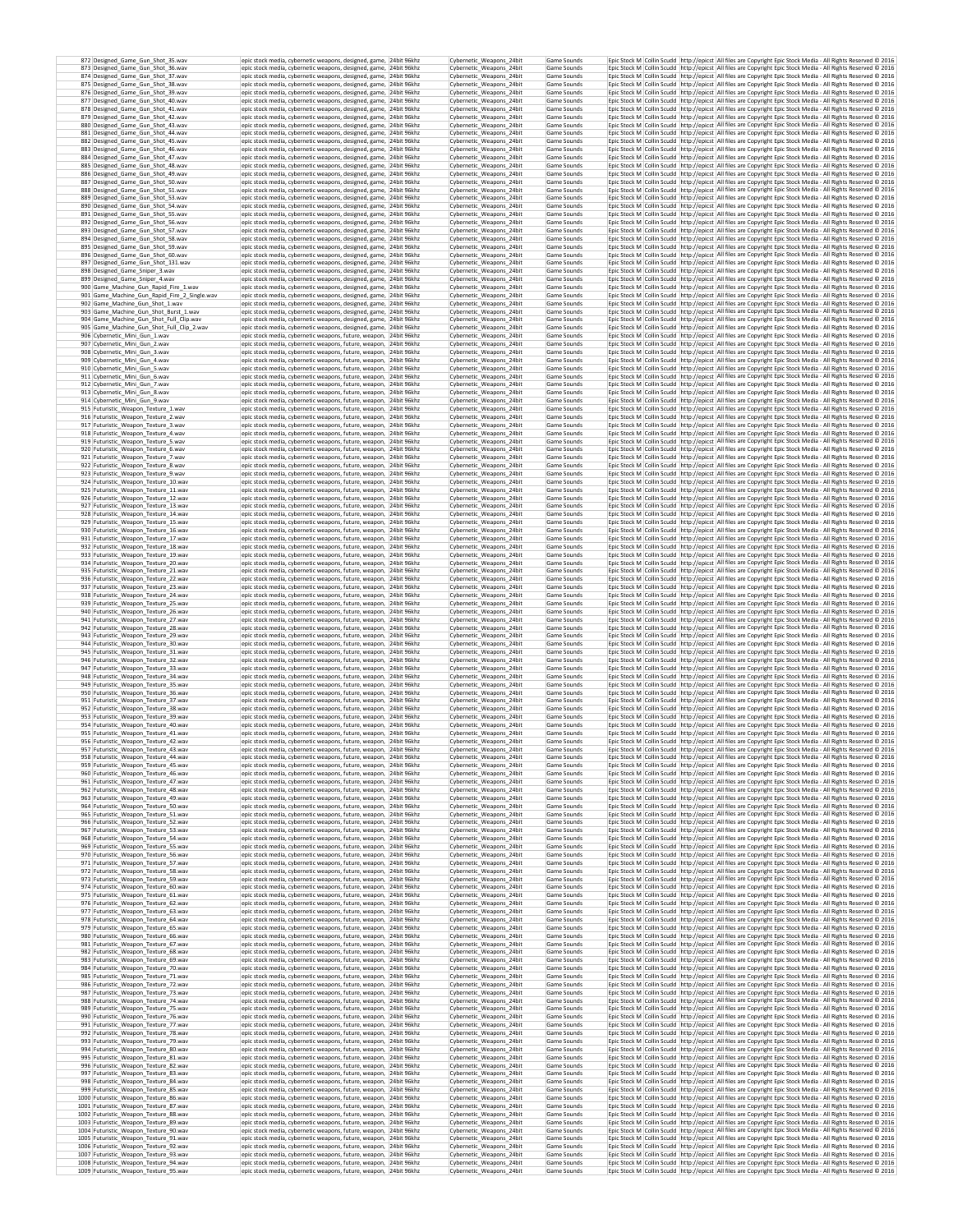| 872 Designed_Game_Gun_Shot_35.wav                                            | epic stock media, cybernetic weapons, designed, game, 24bit 96khz                                                                      | Cybernetic Weapons 24bit                             | Game Sounds                | Epic Stock M Collin Scudd http://epicst All files are Copyright Epic Stock Media - All Rights Reserved @ 2016                                                                                                                  |
|------------------------------------------------------------------------------|----------------------------------------------------------------------------------------------------------------------------------------|------------------------------------------------------|----------------------------|--------------------------------------------------------------------------------------------------------------------------------------------------------------------------------------------------------------------------------|
| 873 Designed_Game_Gun_Shot_36.wav                                            | epic stock media, cybernetic weapons, designed, game, 24bit 96khz                                                                      | Cybernetic_Weapons_24bit                             | Game Sounds                | Epic Stock M Collin Scudd http://epicst All files are Copyright Epic Stock Media - All Rights Reserved © 2016                                                                                                                  |
| 874 Designed_Game_Gun_Shot_37.wav                                            | epic stock media, cybernetic weapons, designed, game, 24bit 96khz                                                                      | Cybernetic Weapons 24bit                             | Game Sounds                | Epic Stock M Collin Scudd http://epicst All files are Copyright Epic Stock Media - All Rights Reserved @ 2016                                                                                                                  |
| 875 Designed Game Gun Shot 38.wav                                            | epic stock media, cybernetic weapons, designed, game, 24bit 96khz                                                                      | Cybernetic Weapons 24bit                             | Game Sounds                | Epic Stock M   Collin Scudd   http://epicst   All files are Copyright Epic Stock Media - All Rights Reserved @ 2016                                                                                                            |
| 876 Designed Game Gun Shot 39.wav                                            | epic stock media, cybernetic weapons, designed, game, 24bit 96khz                                                                      | Cybernetic Weapons 24bit                             | Game Sounds                | Epic Stock M Collin Scudd http://epicst All files are Copyright Epic Stock Media - All Rights Reserved @ 2016                                                                                                                  |
| 877 Designed_Game_Gun_Shot_40.wav                                            | epic stock media, cybernetic weapons, designed, game, 24bit 96khz                                                                      | Cybernetic_Weapons_24bit                             | Game Sounds                | Epic Stock M Collin Scudd http://epicst All files are Copyright Epic Stock Media - All Rights Reserved @ 2016                                                                                                                  |
| 878 Designed Game Gun Shot 41.wav                                            | epic stock media, cybernetic weapons, designed, game, 24bit 96khz                                                                      | Cybernetic Weapons 24bit                             | Game Sounds                | Epic Stock M Collin Scudd http://epicst All files are Copyright Epic Stock Media - All Rights Reserved @ 2016                                                                                                                  |
| 879 Designed_Game_Gun_Shot_42.wav                                            | epic stock media, cybernetic weapons, designed, game, 24bit 96khz                                                                      | Cybernetic Weapons 24bit                             | Game Sounds                | Epic Stock M Collin Scudd http://epicst All files are Copyright Epic Stock Media - All Rights Reserved © 2016                                                                                                                  |
| 880 Designed_Game_Gun_Shot_43.wav                                            | epic stock media, cybernetic weapons, designed, game, 24bit 96khz                                                                      | Cybernetic_Weapons_24bit                             | Game Sounds                | Epic Stock M Collin Scudd http://epicst All files are Copyright Epic Stock Media - All Rights Reserved @ 2016                                                                                                                  |
| 881 Designed_Game_Gun_Shot_44.wav                                            | epic stock media, cybernetic weapons, designed, game, 24bit 96khz                                                                      | Cybernetic_Weapons_24bit                             | Game Sounds                | Epic Stock M Collin Scudd http://epicst All files are Copyright Epic Stock Media - All Rights Reserved @ 2016                                                                                                                  |
| 882 Designed Game Gun Shot 45.wav                                            | epic stock media, cybernetic weapons, designed, game, 24bit 96khz                                                                      | Cybernetic_Weapons_24bit                             | Game Sounds                | Epic Stock M Collin Scudd http://epicst All files are Copyright Epic Stock Media - All Rights Reserved © 2016                                                                                                                  |
| 883 Designed_Game_Gun_Shot_46.wav                                            | epic stock media, cybernetic weapons, designed, game, 24bit 96khz                                                                      | Cybernetic Weapons 24bit                             | Game Sounds                | Epic Stock M Collin Scudd http://epicst All files are Copyright Epic Stock Media - All Rights Reserved @ 2016                                                                                                                  |
| 884 Designed Game Gun Shot 47.wav                                            | epic stock media, cybernetic weapons, designed, game, 24bit 96khz                                                                      | Cybernetic_Weapons_24bit                             | Game Sounds                | Epic Stock M Collin Scudd http://epicst All files are Copyright Epic Stock Media - All Rights Reserved @ 2016                                                                                                                  |
| 885 Designed_Game_Gun_Shot_48.wav                                            | epic stock media, cybernetic weapons, designed, game, 24bit 96khz                                                                      | Cybernetic_Weapons_24bit                             | Game Sounds                | Epic Stock M Collin Scudd http://epicst All files are Copyright Epic Stock Media - All Rights Reserved © 2016                                                                                                                  |
| 886 Designed_Game_Gun_Shot_49.wav                                            | epic stock media, cybernetic weapons, designed, game, 24bit 96khz                                                                      | Cybernetic_Weapons_24bit                             | Game Sounds                | Epic Stock M Collin Scudd http://epicst All files are Copyright Epic Stock Media - All Rights Reserved © 2016                                                                                                                  |
| 887 Designed Game Gun Shot 50.wav                                            | epic stock media, cybernetic weapons, designed, game, 24bit 96khz                                                                      | Cybernetic Weapons 24bit                             | Game Sounds                | Epic Stock M   Collin Scudd   http://epicst   All files are Copyright Epic Stock Media - All Rights Reserved @ 2016                                                                                                            |
| 888 Designed_Game_Gun_Shot_51.wav                                            | epic stock media, cybernetic weapons, designed, game, 24bit 96khz                                                                      | Cybernetic_Weapons_24bit                             | Game Sounds                | Epic Stock M Collin Scudd http://epicst All files are Copyright Epic Stock Media - All Rights Reserved @ 2016                                                                                                                  |
| 889 Designed Game Gun Shot 53.wav                                            | epic stock media, cybernetic weapons, designed, game, 24bit 96khz                                                                      | Cybernetic Weapons 24bit                             | Game Sounds                | Epic Stock M   Collin Scudd   http://epicst   All files are Copyright Epic Stock Media - All Rights Reserved @ 2016                                                                                                            |
| 890 Designed Game Gun Shot 54.wav                                            | epic stock media, cybernetic weapons, designed, game, 24bit 96khz                                                                      | Cybernetic Weapons 24bit                             | Game Sounds                | Epic Stock M   Collin Scudd   http://epicst   All files are Copyright Epic Stock Media - All Rights Reserved @ 2016                                                                                                            |
| 891 Designed Game Gun Shot 55.wav                                            | epic stock media, cybernetic weapons, designed, game, 24bit 96khz                                                                      | Cybernetic Weapons 24bit                             | Game Sounds                | Epic Stock M Collin Scudd http://epicst All files are Copyright Epic Stock Media - All Rights Reserved @ 2016                                                                                                                  |
| 892 Designed_Game_Gun_Shot_56.wav                                            | epic stock media, cybernetic weapons, designed, game, 24bit 96khz                                                                      | Cybernetic_Weapons_24bit                             | Game Sounds                | Epic Stock M Collin Scudd http://epicst All files are Copyright Epic Stock Media - All Rights Reserved @ 2016                                                                                                                  |
| 893 Designed Game Gun Shot 57.wav                                            | epic stock media, cybernetic weapons, designed, game, 24bit 96khz                                                                      | Cybernetic Weapons 24bit                             | Game Sounds                | Epic Stock M Collin Scudd http://epicst All files are Copyright Epic Stock Media - All Rights Reserved © 2016                                                                                                                  |
| 894 Designed Game Gun Shot 58.wav                                            | epic stock media, cybernetic weapons, designed, game. 24bit 96khz                                                                      | Cybernetic_Weapons_24bit                             | Game Sounds                | Epic Stock M Collin Scudd http://epicst All files are Copyright Epic Stock Media - All Rights Reserved @ 2016                                                                                                                  |
| 895 Designed Game Gun Shot 59, way                                           | epic stock media, cybernetic weapons, designed, game, 24bit 96khz                                                                      | Cybernetic Weapons 24bit                             | Game Sounds                | Epic Stock M Collin Scudd http://epicst All files are Copyright Epic Stock Media - All Rights Reserved @ 2016                                                                                                                  |
| 896 Designed_Game_Gun_Shot_60.wav                                            | epic stock media, cybernetic weapons, designed, game, 24bit 96khz                                                                      | Cybernetic_Weapons_24bit                             | Game Sounds                | Epic Stock M Collin Scudd http://epicst All files are Copyright Epic Stock Media - All Rights Reserved @ 2016                                                                                                                  |
| 897 Designed Game Gun Shot 131, way                                          | epic stock media, cybernetic weapons, designed, game, 24bit 96khz                                                                      | Cybernetic Weapons 24bit                             | Game Sounds                | Epic Stock M Collin Scudd http://epicst All files are Copyright Epic Stock Media - All Rights Reserved C 2016                                                                                                                  |
| 898 Designed_Game_Sniper_3.wav                                               | epic stock media, cybernetic weapons, designed, game. 24bit 96khz                                                                      | Cybernetic Weapons 24bit                             | Game Sounds                | Epic Stock M Collin Scudd http://epicst All files are Copyright Epic Stock Media - All Rights Reserved C 2016                                                                                                                  |
| 899 Designed_Game_Sniper_4.wav                                               | epic stock media, cybernetic weapons, designed, game, 24bit 96khz                                                                      | Cybernetic_Weapons_24bit                             | Game Sounds                | Epic Stock M Collin Scudd http://epicst All files are Copyright Epic Stock Media - All Rights Reserved © 2016                                                                                                                  |
| 900 Game_Machine_Gun_Rapid_Fire_1.wav                                        | epic stock media, cybernetic weapons, designed, game, 24bit 96khz                                                                      | Cybernetic_Weapons_24bit                             | Game Sounds                | Epic Stock M Collin Scudd http://epicst All files are Copyright Epic Stock Media - All Rights Reserved © 2016                                                                                                                  |
| 901 Game_Machine_Gun_Rapid_Fire_2_Single.wav                                 | epic stock media, cybernetic weapons, designed, game, 24bit 96khz                                                                      | Cybernetic_Weapons_24bit                             | Game Sounds                | Epic Stock M Collin Scudd http://epicst All files are Copyright Epic Stock Media - All Rights Reserved © 2016                                                                                                                  |
| 902 Game Machine Gun Shot 1.wav                                              | epic stock media, cybernetic weapons, designed, game, 24bit 96khz                                                                      | Cybernetic Weapons 24bit                             | Game Sounds                | Epic Stock M Collin Scudd http://epicst All files are Copyright Epic Stock Media - All Rights Reserved @ 2016                                                                                                                  |
| 903 Game_Machine_Gun_Shot_Burst_1.wav                                        | epic stock media, cybernetic weapons, designed, game, 24bit 96khz                                                                      | Cybernetic_Weapons_24bit                             | Game Sounds                | Epic Stock M Collin Scudd http://epicst All files are Copyright Epic Stock Media - All Rights Reserved @ 2016                                                                                                                  |
| 904 Game_Machine_Gun_Shot_Full_Clip.wav                                      | epic stock media, cybernetic weapons, designed, game, 24bit 96khz                                                                      | Cybernetic_Weapons_24bit                             | Game Sounds                | Epic Stock M Collin Scudd http://epicst All files are Copyright Epic Stock Media - All Rights Reserved @ 2016                                                                                                                  |
| 905 Game_Machine_Gun_Shot_Full_Clip_2.wav                                    | epic stock media, cybernetic weapons, designed, game, 24bit 96khz                                                                      | Cybernetic_Weapons_24bit                             | Game Sounds                | Epic Stock M Collin Scudd http://epicst All files are Copyright Epic Stock Media - All Rights Reserved @ 2016                                                                                                                  |
| 906 Cybernetic Mini Gun 1.wav                                                | epic stock media, cybernetic weapons, future, weapon, 24bit 96khz                                                                      | Cybernetic Weapons 24bit                             | Game Sounds                | Epic Stock M   Collin Scudd   http://epicst   All files are Copyright Epic Stock Media - All Rights Reserved © 2016                                                                                                            |
| 907 Cybernetic_Mini_Gun_2.wav                                                | epic stock media, cybernetic weapons, future, weapon, 24bit 96khz                                                                      | Cybernetic_Weapons_24bit                             | Game Sounds                | Epic Stock M Collin Scudd http://epicst All files are Copyright Epic Stock Media - All Rights Reserved @ 2016                                                                                                                  |
| 908 Cybernetic Mini Gun 3.way                                                | epic stock media, cybernetic weapons, future, weapon, 24bit 96khz                                                                      | Cybernetic Weapons 24bit                             | Game Sounds                | Epic Stock M Collin Scudd http://epicst All files are Copyright Epic Stock Media - All Rights Reserved @ 2016                                                                                                                  |
| 909 Cybernetic Mini Gun 4.way                                                | epic stock media, cybernetic weapons, future, weapon. 24bit 96khz                                                                      | Cybernetic Weapons 24bit                             | Game Sounds                | Epic Stock M Collin Scudd http://epicst All files are Copyright Epic Stock Media - All Rights Reserved @ 2016                                                                                                                  |
| 910 Cybernetic Mini Gun 5 way                                                | epic stock media, cybernetic weapons, future, weapon, 24bit 96khz                                                                      | Cybernetic Weapons 24bit                             | Game Sounds                | Epic Stock M Collin Scudd http://epicst All files are Copyright Epic Stock Media - All Rights Reserved @ 2016                                                                                                                  |
| 911 Cybernetic Mini Gun 6.wav                                                | epic stock media, cybernetic weapons, future, weapon, 24bit 96khz                                                                      | Cybernetic_Weapons_24bit                             | Game Sounds                | Epic Stock M Collin Scudd http://epicst All files are Copyright Epic Stock Media - All Rights Reserved © 2016                                                                                                                  |
| 912 Cyhernetic Mini Gun 7 way                                                | epic stock media, cybernetic weapons, future, weapon, 24bit 96khz                                                                      | Cybernetic Weapons 24bit                             | Game Sounds                | Epic Stock M Collin Scudd http://epicst All files are Copyright Epic Stock Media - All Rights Reserved @ 2016                                                                                                                  |
| 913 Cybernetic Mini Gun 8.way                                                | epic stock media, cybernetic weapons, future, weapon, 24bit 96khz                                                                      | Cybernetic Weapons 24bit                             | Game Sounds                | Epic Stock M Collin Scudd http://epicst All files are Copyright Epic Stock Media - All Rights Reserved © 2016                                                                                                                  |
| 914 Cyhernetic Mini Gun 9 way                                                | epic stock media, cybernetic weapons, future, weapon, 24bit 96khz                                                                      | Cybernetic Weapons 24bit                             | Game Sounds                | Epic Stock M Collin Scudd http://epicst All files are Copyright Epic Stock Media - All Rights Reserved © 2016                                                                                                                  |
| 915 Futuristic_Weapon_Texture_1.wav                                          | epic stock media, cybernetic weapons, future, weapon, 24bit 96khz                                                                      | Cybernetic_Weapons_24bit                             | Game Sounds                | Epic Stock M Collin Scudd http://epicst All files are Copyright Epic Stock Media - All Rights Reserved @ 2016                                                                                                                  |
| 916 Futuristic_Weapon_Texture_2.wav                                          | epic stock media, cybernetic weapons, future, weapon, 24bit 96khz                                                                      | Cybernetic Weapons 24bit                             | Game Sounds                | Epic Stock M Collin Scudd http://epicst All files are Copyright Epic Stock Media - All Rights Reserved @ 2016                                                                                                                  |
| 917 Futuristic_Weapon_Texture_3.wav                                          | epic stock media, cybernetic weapons, future, weapon, 24bit 96khz                                                                      | Cybernetic Weapons 24bit                             | Game Sounds                | Epic Stock M Collin Scudd http://epicst All files are Copyright Epic Stock Media - All Rights Reserved © 2016                                                                                                                  |
| 918 Futuristic Weapon Texture 4.wav<br>919 Futuristic_Weapon_Texture_5.wav   | epic stock media, cybernetic weapons, future, weapon, 24bit 96khz                                                                      | Cybernetic_Weapons_24bit<br>Cybernetic_Weapons_24bit | Game Sounds                | Epic Stock M Collin Scudd http://epicst All files are Copyright Epic Stock Media - All Rights Reserved © 2016<br>Epic Stock M Collin Scudd http://epicst All files are Copyright Epic Stock Media - All Rights Reserved © 2016 |
| 920 Futuristic_Weapon_Texture_6.wav                                          | epic stock media, cybernetic weapons, future, weapon, 24bit 96khz<br>epic stock media, cybernetic weapons, future, weapon, 24bit 96khz | Cybernetic_Weapons_24bit                             | Game Sounds<br>Game Sounds | Epic Stock M Collin Scudd http://epicst All files are Copyright Epic Stock Media - All Rights Reserved @ 2016                                                                                                                  |
| 921 Futuristic_Weapon_Texture_7.wav                                          | epic stock media, cybernetic weapons, future, weapon, 24bit 96khz                                                                      | Cybernetic Weapons 24bit                             | Game Sounds                | Epic Stock M Collin Scudd http://epicst All files are Copyright Epic Stock Media - All Rights Reserved @ 2016                                                                                                                  |
| 922 Futuristic_Weapon_Texture_8.wav                                          | epic stock media, cybernetic weapons, future, weapon, 24bit 96khz                                                                      | Cybernetic_Weapons_24bit                             | Game Sounds                | Epic Stock M Collin Scudd http://epicst All files are Copyright Epic Stock Media - All Rights Reserved @ 2016                                                                                                                  |
| 923 Futuristic_Weapon_Texture_9.wav                                          | epic stock media, cybernetic weapons, future, weapon, 24bit 96khz                                                                      | Cybernetic_Weapons_24bit                             | Game Sounds                | Epic Stock M Collin Scudd http://epicst All files are Copyright Epic Stock Media - All Rights Reserved © 2016                                                                                                                  |
| 924 Futuristic_Weapon_Texture_10.wav                                         | epic stock media, cybernetic weapons, future, weapon, 24bit 96khz                                                                      | Cybernetic_Weapons_24bit                             | Game Sounds                | Epic Stock M Collin Scudd http://epicst All files are Copyright Epic Stock Media - All Rights Reserved @ 2016                                                                                                                  |
| 925 Futuristic Weapon Texture 11.way                                         | epic stock media, cybernetic weapons, future, weapon, 24bit 96khz                                                                      | Cybernetic Weapons 24bit                             | Game Sounds                | Epic Stock M Collin Scudd http://epicst All files are Copyright Epic Stock Media - All Rights Reserved © 2016                                                                                                                  |
| 926 Futuristic_Weapon_Texture_12.wav                                         | epic stock media, cybernetic weapons, future, weapon, 24bit 96khz                                                                      | Cybernetic_Weapons_24bit                             | Game Sounds                | Epic Stock M Collin Scudd http://epicst All files are Copyright Epic Stock Media - All Rights Reserved @ 2016                                                                                                                  |
| 927 Futuristic_Weapon_Texture_13.wav                                         | epic stock media, cybernetic weapons, future, weapon, 24bit 96khz                                                                      | Cybernetic_Weapons_24bit                             | Game Sounds                | Epic Stock M Collin Scudd http://epicst All files are Copyright Epic Stock Media - All Rights Reserved @ 2016                                                                                                                  |
| 928 Futuristic Weapon Texture 14.way                                         | epic stock media, cybernetic weapons, future, weapon, 24bit 96khz                                                                      | Cybernetic Weapons 24bit                             | Game Sounds                | Epic Stock M Collin Scudd http://epicst All files are Copyright Epic Stock Media - All Rights Reserved © 2016                                                                                                                  |
| 929 Futuristic Weapon Texture 15.wav                                         | epic stock media, cybernetic weapons, future, weapon, 24bit 96khz                                                                      | Cybernetic Weapons 24bit                             | Game Sounds                | Epic Stock M Collin Scudd http://epicst All files are Copyright Epic Stock Media - All Rights Reserved @ 2016                                                                                                                  |
| 930 Futuristic_Weapon_Texture_16.wav                                         | epic stock media, cybernetic weapons, future, weapon, 24bit 96khz                                                                      | Cybernetic_Weapons_24bit                             | Game Sounds                | Epic Stock M Collin Scudd http://epicst All files are Copyright Epic Stock Media - All Rights Reserved @ 2016                                                                                                                  |
| 931 Futuristic Weapon Texture 17.way                                         | epic stock media, cybernetic weapons, future, weapon, 24bit 96khz                                                                      | Cybernetic Weapons 24bit                             | Game Sounds                | Epic Stock M Collin Scudd http://epicst All files are Copyright Epic Stock Media - All Rights Reserved © 2016                                                                                                                  |
| 932 Futuristic_Weapon_Texture_18.wav                                         | epic stock media, cybernetic weapons, future, weapon, 24bit 96khz                                                                      | Cybernetic_Weapons_24bit                             | Game Sounds                | Epic Stock M Collin Scudd http://epicst All files are Copyright Epic Stock Media - All Rights Reserved © 2016                                                                                                                  |
| 933 Futuristic Weapon Texture 19.way                                         | epic stock media, cybernetic weapons, future, weapon, 24bit 96khz                                                                      | Cybernetic Weapons 24bit                             | Game Sounds                | Epic Stock M Collin Scudd http://epicst All files are Copyright Epic Stock Media - All Rights Reserved @ 2016                                                                                                                  |
| 934 Futuristic_Weapon_Texture_20.wav                                         | epic stock media, cybernetic weapons, future, weapon, 24bit 96khz                                                                      | Cybernetic_Weapons_24bit                             | Game Sounds                | Epic Stock M Collin Scudd http://epicst All files are Copyright Epic Stock Media - All Rights Reserved © 2016                                                                                                                  |
| 935 Futuristic Weapon Texture 21.way                                         | epic stock media, cybernetic weapons, future, weapon, 24bit 96khz                                                                      | Cybernetic Weapons 24bit                             | Game Sounds                | Epic Stock M Collin Scudd http://epicst All files are Copyright Epic Stock Media - All Rights Reserved @ 2016                                                                                                                  |
| 936 Futuristic_Weapon_Texture_22.wav                                         | epic stock media, cybernetic weapons, future, weapon, 24bit 96khz                                                                      | Cybernetic_Weapons_24bit                             | Game Sounds                | Epic Stock M Collin Scudd http://epicst All files are Copyright Epic Stock Media - All Rights Reserved @ 2016                                                                                                                  |
| 937 Futuristic_Weapon_Texture_23.wav                                         | epic stock media, cybernetic weapons, future, weapon, 24bit 96khz                                                                      | Cybernetic_Weapons_24bit                             | Game Sounds                | Epic Stock M Collin Scudd http://epicst All files are Copyright Epic Stock Media - All Rights Reserved @ 2016                                                                                                                  |
| 938 Futuristic_Weapon_Texture_24.wav                                         | epic stock media, cybernetic weapons, future, weapon, 24bit 96khz                                                                      | Cybernetic_Weapons_24bit                             | Game Sounds                | Epic Stock M Collin Scudd http://epicst All files are Copyright Epic Stock Media - All Rights Reserved © 2016                                                                                                                  |
| 939 Futuristic_Weapon_Texture_25.wav                                         | epic stock media, cybernetic weapons, future, weapon, 24bit 96khz                                                                      | Cybernetic_Weapons_24bit                             | Game Sounds                | Epic Stock M Collin Scudd http://epicst All files are Copyright Epic Stock Media - All Rights Reserved © 2016                                                                                                                  |
| 940 Futuristic Weapon Texture 26.way                                         | epic stock media, cybernetic weapons, future, weapon, 24bit 96khz                                                                      | Cybernetic Weapons 24bit                             | Game Sounds                | Epic Stock M Collin Scudd http://epicst All files are Copyright Epic Stock Media - All Rights Reserved © 2016                                                                                                                  |
| 941 Futuristic_Weapon_Texture_27.wav                                         | epic stock media, cybernetic weapons, future, weapon, 24bit 96khz                                                                      | Cybernetic_Weapons_24bit                             | Game Sounds                | Epic Stock M Collin Scudd http://epicst All files are Copyright Epic Stock Media - All Rights Reserved @ 2016                                                                                                                  |
| 942 Futuristic_Weapon_Texture_28.wav                                         | epic stock media, cybernetic weapons, future, weapon, 24bit 96khz                                                                      | Cybernetic_Weapons_24bit                             | Game Sounds                | Epic Stock M Collin Scudd http://epicst All files are Copyright Epic Stock Media - All Rights Reserved @ 2016                                                                                                                  |
| 943 Futuristic_Weapon_Texture_29.wav                                         | epic stock media, cybernetic weapons, future, weapon, 24bit 96khz                                                                      | Cybernetic_Weapons_24bit                             | Game Sounds                | Epic Stock M Collin Scudd http://epicst All files are Copyright Epic Stock Media - All Rights Reserved @ 2016                                                                                                                  |
| 944 Futuristic_Weapon_Texture_30.wav                                         | epic stock media, cybernetic weapons, future, weapon, 24bit 96khz                                                                      | Cybernetic Weapons 24bit                             | Game Sounds                | Epic Stock M Collin Scudd http://epicst All files are Copyright Epic Stock Media - All Rights Reserved @ 2016                                                                                                                  |
| 945 Futuristic_Weapon_Texture_31.wav                                         | epic stock media, cybernetic weapons, future, weapon, 24bit 96khz                                                                      | Cybernetic_Weapons_24bit                             | Game Sounds                | Epic Stock M Collin Scudd http://epicst All files are Copyright Epic Stock Media - All Rights Reserved @ 2016                                                                                                                  |
| 946 Futuristic_Weapon_Texture_32.wav                                         | epic stock media, cybernetic weapons, future, weapon, 24bit 96khz                                                                      | Cybernetic Weapons 24bit                             | Game Sounds                | Epic Stock M   Collin Scudd   http://epicst   All files are Copyright Epic Stock Media - All Rights Reserved @ 2016                                                                                                            |
| 947 Futuristic_Weapon_Texture_33.wav                                         | epic stock media, cybernetic weapons, future, weapon, 24bit 96khz                                                                      | Cybernetic_Weapons_24bit                             | Game Sounds                | Epic Stock M Collin Scudd http://epicst All files are Copyright Epic Stock Media - All Rights Reserved @ 2016                                                                                                                  |
| 948 Futuristic Weapon Texture 34.way                                         | epic stock media, cybernetic weapons, future, weapon, 24bit 96khz                                                                      | Cybernetic Weapons 24bit                             | Game Sounds                | Epic Stock M Collin Scudd http://epicst All files are Copyright Epic Stock Media - All Rights Reserved @ 2016                                                                                                                  |
| 949 Futuristic_Weapon_Texture_35.wav                                         | epic stock media, cybernetic weapons, future, weapon, 24bit 96khz                                                                      | Cybernetic_Weapons_24bit                             | Game Sounds                | Epic Stock M Collin Scudd http://epicst All files are Copyright Epic Stock Media - All Rights Reserved @ 2016                                                                                                                  |
| 950 Futuristic Weapon Texture 36.way                                         | epic stock media, cybernetic weapons, future, weapon, 24bit 96khz                                                                      | Cybernetic Weapons 24bit                             | Game Sounds                | Epic Stock M Collin Scudd http://epicst All files are Copyright Epic Stock Media - All Rights Reserved © 2016                                                                                                                  |
| 951 Futuristic Weapon Texture 37.way                                         | epic stock media, cybernetic weapons, future, weapon. 24bit 96khz                                                                      | Cybernetic_Weapons_24bit                             | Game Sounds                | Epic Stock M Collin Scudd http://epicst All files are Copyright Epic Stock Media - All Rights Reserved © 2016                                                                                                                  |
| 952 Futuristic Weapon Texture 38.wav                                         | epic stock media, cybernetic weapons, future, weapon, 24bit 96khz                                                                      | Cybernetic Weapons 24bit                             | Game Sounds                | Epic Stock M Collin Scudd http://epicst All files are Copyright Epic Stock Media - All Rights Reserved @ 2016                                                                                                                  |
| 953 Futuristic_Weapon_Texture_39.wav                                         | epic stock media, cybernetic weapons, future, weapon, 24bit 96khz                                                                      | Cybernetic_Weapons_24bit                             | Game Sounds                | Epic Stock M Collin Scudd http://epicst All files are Copyright Epic Stock Media - All Rights Reserved @ 2016                                                                                                                  |
| 954 Futuristic_Weapon_Texture_40.wav                                         | epic stock media, cybernetic weapons, future, weapon, 24bit 96khz                                                                      | Cybernetic_Weapons_24bit                             | Game Sounds                | Epic Stock M Collin Scudd http://epicst All files are Copyright Epic Stock Media - All Rights Reserved @ 2016                                                                                                                  |
| 955 Futuristic_Weapon_Texture_41.wav                                         | epic stock media, cybernetic weapons, future, weapon, 24bit 96khz                                                                      | Cybernetic_Weapons_24bit                             | Game Sounds                | Epic Stock M Collin Scudd http://epicst All files are Copyright Epic Stock Media - All Rights Reserved @ 2016                                                                                                                  |
| 956 Futuristic Weapon Texture 42.wav                                         | epic stock media, cybernetic weapons, future, weapon, 24bit 96khz                                                                      | Cybernetic Weapons 24bit                             | Game Sounds                | Epic Stock M Collin Scudd http://epicst All files are Copyright Epic Stock Media - All Rights Reserved @ 2016                                                                                                                  |
| 957 Futuristic_Weapon_Texture_43.wav                                         | epic stock media, cybernetic weapons, future, weapon, 24bit 96khz                                                                      | Cybernetic_Weapons_24bit                             | Game Sounds                | Epic Stock M Collin Scudd http://epicst All files are Copyright Epic Stock Media - All Rights Reserved @ 2016                                                                                                                  |
| 958 Futuristic Weapon Texture 44.way                                         | epic stock media, cybernetic weapons, future, weapon,   24bit 96khz                                                                    | Cybernetic Weapons 24bit                             | Game Sounds                | Epic Stock M_Collin Scudd_http://epicst   All files are Copyright Epic Stock Media - All Rights Reserved © 2016                                                                                                                |
| 959 Futuristic_Weapon_Texture_45.wav                                         | epic stock media, cybernetic weapons, future, weapon, 24bit 96khz                                                                      | Cybernetic_Weapons_24bit                             | Game Sounds                | Epic Stock M Collin Scudd http://epicst All files are Copyright Epic Stock Media - All Rights Reserved @ 2016                                                                                                                  |
| 960 Futuristic Weapon Texture 46.wav                                         | epic stock media, cybernetic weapons, future, weapon, 24bit 96khz                                                                      | Cybernetic_Weapons_24bit                             | Game Sounds                | Epic Stock M Collin Scudd http://epicst All files are Copyright Epic Stock Media - All Rights Reserved @ 2016                                                                                                                  |
| 961 Futuristic_Weapon_Texture_47.wav                                         | epic stock media, cybernetic weapons, future, weapon, 24bit 96khz                                                                      | Cybernetic Weapons 24bit                             | Game Sounds                | Epic Stock M Collin Scudd http://epicst All files are Copyright Epic Stock Media - All Rights Reserved © 2016                                                                                                                  |
| 962 Futuristic_Weapon_Texture_48.wav                                         | epic stock media, cybernetic weapons, future, weapon, 24bit 96khz                                                                      | Cybernetic_Weapons_24bit                             | Game Sounds                | Epic Stock M Collin Scudd http://epicst All files are Copyright Epic Stock Media - All Rights Reserved © 2016                                                                                                                  |
| 963 Futuristic Weapon Texture 49.way                                         | epic stock media, cybernetic weapons, future, weapon, 24bit 96khz                                                                      | Cybernetic Weapons 24bit                             | Game Sounds                | Epic Stock M Collin Scudd http://epicst All files are Copyright Epic Stock Media - All Rights Reserved @ 2016                                                                                                                  |
| 964 Futuristic Weapon Texture 50.wav                                         | epic stock media, cybernetic weapons, future, weapon, 24bit 96khz                                                                      | Cybernetic_Weapons_24bit                             | Game Sounds                | Epic Stock M Collin Scudd http://epicst All files are Copyright Epic Stock Media - All Rights Reserved @ 2016<br>Epic Stock M Collin Scudd http://epicst All files are Copyright Epic Stock Media - All Rights Reserved @ 2016 |
| 965 Futuristic_Weapon_Texture_51.wav<br>966 Futuristic_Weapon_Texture_52.wav | epic stock media, cybernetic weapons, future, weapon, 24bit 96khz<br>epic stock media, cybernetic weapons, future, weapon, 24bit 96khz | Cybernetic_Weapons_24bit<br>Cybernetic_Weapons_24bit | Game Sounds<br>Game Sounds | Epic Stock M Collin Scudd http://epicst All files are Copyright Epic Stock Media - All Rights Reserved @ 2016                                                                                                                  |
| 967 Futuristic Weapon Texture 53.wav                                         | epic stock media, cybernetic weapons, future, weapon. 24bit 96khz                                                                      | Cybernetic Weapons 24bit                             | Game Sounds                | Epic Stock M Collin Scudd http://epicst All files are Copyright Epic Stock Media - All Rights Reserved © 2016                                                                                                                  |
| 968 Futuristic_Weapon_Texture_54.wav                                         | epic stock media, cybernetic weapons, future, weapon, 24bit 96khz                                                                      | Cybernetic_Weapons_24bit                             | Game Sounds                | Epic Stock M Collin Scudd http://epicst All files are Copyright Epic Stock Media - All Rights Reserved @ 2016                                                                                                                  |
| 969 Futuristic Weapon Texture 55, way                                        | epic stock media, cybernetic weapons, future, weapon, 24bit 96khz                                                                      | Cybernetic Weapons 24bit                             | Game Sounds                | Epic Stock M Collin Scudd http://epicst All files are Copyright Epic Stock Media - All Rights Reserved © 2016                                                                                                                  |
| 970 Futuristic Weapon Texture 56.way                                         | epic stock media, cybernetic weapons, future, weapon, 24bit 96khz                                                                      | Cybernetic_Weapons_24bit                             | Game Sounds                | Epic Stock M Collin Scudd http://epicst All files are Copyright Epic Stock Media - All Rights Reserved © 2016                                                                                                                  |
| 971 Futuristic_Weapon_Texture_57.wav                                         | epic stock media, cybernetic weapons, future, weapon, 24bit 96khz                                                                      | Cybernetic Weapons 24bit                             | Game Sounds                | Epic Stock M Collin Scudd http://epicst All files are Copyright Epic Stock Media - All Rights Reserved @ 2016                                                                                                                  |
| 972 Futuristic_Weapon_Texture_58.wav                                         | epic stock media, cybernetic weapons, future, weapon, 24bit 96khz                                                                      | Cybernetic_Weapons_24bit                             | Game Sounds                | Epic Stock M Collin Scudd http://epicst All files are Copyright Epic Stock Media - All Rights Reserved @ 2016                                                                                                                  |
| 973 Futuristic Weapon Texture 59.way                                         | epic stock media, cybernetic weapons, future, weapon, 24bit 96khz                                                                      | Cybernetic Weapons 24bit                             | Game Sounds                | Epic Stock M Collin Scudd http://epicst All files are Copyright Epic Stock Media - All Rights Reserved © 2016                                                                                                                  |
| 974 Futuristic_Weapon_Texture_60.wav                                         | epic stock media, cybernetic weapons, future, weapon, 24bit 96khz                                                                      | Cybernetic Weapons 24bit                             | Game Sounds                | Epic Stock M Collin Scudd http://epicst All files are Copyright Epic Stock Media - All Rights Reserved @ 2016                                                                                                                  |
| 975 Futuristic Weapon Texture 61.wav                                         | epic stock media, cybernetic weapons, future, weapon, 24bit 96khz                                                                      | Cybernetic Weapons 24bit                             | Game Sounds                | Epic Stock M Collin Scudd http://epicst All files are Copyright Epic Stock Media - All Rights Reserved @ 2016                                                                                                                  |
| 976 Futuristic_Weapon_Texture_62.wav                                         | epic stock media, cybernetic weapons, future, weapon, 24bit 96khz                                                                      | Cybernetic_Weapons_24bit                             | Game Sounds                | Epic Stock M Collin Scudd http://epicst All files are Copyright Epic Stock Media - All Rights Reserved @ 2016                                                                                                                  |
| 977 Futuristic_Weapon_Texture_63.wav                                         | epic stock media, cybernetic weapons, future, weapon, 24bit 96khz                                                                      | Cybernetic_Weapons_24bit                             | Game Sounds                | Epic Stock M Collin Scudd http://epicst All files are Copyright Epic Stock Media - All Rights Reserved © 2016                                                                                                                  |
| 978 Futuristic Weapon Texture 64.wav                                         | epic stock media, cybernetic weapons, future, weapon, 24bit 96khz                                                                      | Cybernetic Weapons 24bit                             | Game Sounds                | Epic Stock M Collin Scudd http://epicst All files are Copyright Epic Stock Media - All Rights Reserved © 2016                                                                                                                  |
| 979 Futuristic Weapon Texture 65.wav                                         | epic stock media, cybernetic weapons, future, weapon, 24bit 96khz                                                                      | Cybernetic_Weapons_24bit                             | Game Sounds                | Epic Stock M Collin Scudd http://epicst All files are Copyright Epic Stock Media - All Rights Reserved @ 2016                                                                                                                  |
| 980 Futuristic_Weapon_Texture_66.wav                                         | epic stock media, cybernetic weapons, future, weapon, 24bit 96khz                                                                      | Cybernetic_Weapons_24bit                             | Game Sounds                | Epic Stock M Collin Scudd http://epicst All files are Copyright Epic Stock Media - All Rights Reserved © 2016                                                                                                                  |
| 981 Futuristic_Weapon_Texture_67.wav                                         | epic stock media, cybernetic weapons, future, weapon, 24bit 96khz                                                                      | Cybernetic_Weapons_24bit                             | Game Sounds                | Epic Stock M Collin Scudd http://epicst All files are Copyright Epic Stock Media - All Rights Reserved © 2016                                                                                                                  |
| 982 Futuristic Weapon Texture 68.wav                                         | epic stock media, cybernetic weapons, future, weapon, 24bit 96khz                                                                      | Cybernetic Weapons 24bit                             | Game Sounds                | Epic Stock M Collin Scudd http://epicst All files are Copyright Epic Stock Media - All Rights Reserved © 2016                                                                                                                  |
| 983 Futuristic_Weapon_Texture_69.wav                                         | epic stock media, cybernetic weapons, future, weapon, 24bit 96khz                                                                      | Cybernetic_Weapons_24bit                             | Game Sounds                | Epic Stock M Collin Scudd http://epicst All files are Copyright Epic Stock Media - All Rights Reserved © 2016                                                                                                                  |
| 984 Futuristic Weapon Texture 70.way                                         | epic stock media, cybernetic weapons, future, weapon, 24bit 96khz                                                                      | Cybernetic Weapons 24bit                             | Game Sounds                | Epic Stock M   Collin Scudd   http://epicst   All files are Copyright Epic Stock Media - All Rights Reserved @ 2016                                                                                                            |
| 985 Futuristic_Weapon_Texture_71.wav                                         | epic stock media, cybernetic weapons, future, weapon, 24bit 96khz                                                                      | Cybernetic_Weapons_24bit                             | Game Sounds                | Epic Stock M Collin Scudd http://epicst All files are Copyright Epic Stock Media - All Rights Reserved © 2016                                                                                                                  |
| 986 Futuristic Weapon Texture 72.wav                                         | epic stock media, cybernetic weapons, future, weapon, 24bit 96khz                                                                      | Cybernetic Weapons 24bit                             | Game Sounds                | Epic Stock M Collin Scudd http://epicst All files are Copyright Epic Stock Media - All Rights Reserved @ 2016                                                                                                                  |
| 987 Futuristic_Weapon_Texture_73.wav                                         | epic stock media, cybernetic weapons, future, weapon, 24bit 96khz                                                                      | Cybernetic_Weapons_24bit                             | Game Sounds                | Epic Stock M Collin Scudd http://epicst All files are Copyright Epic Stock Media - All Rights Reserved @ 2016                                                                                                                  |
| 988 Futuristic_Weapon_Texture_74.wav                                         | epic stock media, cybernetic weapons, future, weapon, 24bit 96khz                                                                      | Cybernetic_Weapons_24bit                             | Game Sounds                | Epic Stock M Collin Scudd http://epicst All files are Copyright Epic Stock Media - All Rights Reserved © 2016                                                                                                                  |
| 989 Futuristic Weapon Texture 75.way                                         | epic stock media, cybernetic weapons, future, weapon, 24bit 96khz                                                                      | Cybernetic Weapons 24bit                             | Game Sounds                | Epic Stock M Collin Scudd http://epicst All files are Copyright Epic Stock Media - All Rights Reserved @ 2016                                                                                                                  |
| 990 Futuristic Weapon Texture 76.wav                                         | epic stock media, cybernetic weapons, future, weapon, 24bit 96khz                                                                      | Cybernetic Weapons 24bit                             | Game Sounds                | Epic Stock M Collin Scudd http://epicst All files are Copyright Epic Stock Media - All Rights Reserved © 2016                                                                                                                  |
| 991 Futuristic_Weapon_Texture_77.wav                                         | epic stock media, cybernetic weapons, future, weapon, 24bit 96khz                                                                      | Cybernetic_Weapons_24bit                             | Game Sounds                | Epic Stock M Collin Scudd http://epicst All files are Copyright Epic Stock Media - All Rights Reserved @ 2016                                                                                                                  |
| 992 Futuristic Weapon Texture 78.way                                         | epic stock media, cybernetic weapons, future, weapon. 24bit 96khz                                                                      | Cybernetic Weapons 24bit                             | Game Sounds                | Epic Stock M Collin Scudd http://epicst All files are Copyright Epic Stock Media - All Rights Reserved © 2016                                                                                                                  |
| 993 Futuristic_Weapon_Texture_79.wav                                         | epic stock media, cybernetic weapons, future, weapon, 24bit 96khz                                                                      | Cybernetic_Weapons_24bit                             | Game Sounds                | Epic Stock M Collin Scudd http://epicst All files are Copyright Epic Stock Media - All Rights Reserved © 2016                                                                                                                  |
| 994 Futuristic Weapon Texture 80.wav                                         | epic stock media, cybernetic weapons, future, weapon, 24bit 96khz                                                                      | Cybernetic Weapons 24bit                             | Game Sounds                | Epic Stock M Collin Scudd http://epicst All files are Copyright Epic Stock Media - All Rights Reserved © 2016                                                                                                                  |
| 995 Futuristic_Weapon_Texture_81.wav                                         | epic stock media, cybernetic weapons, future, weapon, 24bit 96khz                                                                      | Cybernetic_Weapons_24bit                             | Game Sounds                | Epic Stock M Collin Scudd http://epicst All files are Copyright Epic Stock Media - All Rights Reserved © 2016                                                                                                                  |
| 996 Futuristic Weapon Texture 82.way                                         | epic stock media, cybernetic weapons, future, weapon, 24bit 96khz                                                                      | Cybernetic_Weapons_24bit                             | Game Sounds                | Epic Stock M Collin Scudd http://epicst All files are Copyright Epic Stock Media - All Rights Reserved @ 2016                                                                                                                  |
| 997 Futuristic Weapon Texture 83.way                                         | epic stock media, cybernetic weapons, future, weapon, 24bit 96khz                                                                      | Cybernetic Weapons 24bit                             | Game Sounds                | Epic Stock M Collin Scudd http://epicst All files are Copyright Epic Stock Media - All Rights Reserved @ 2016                                                                                                                  |
| 998 Futuristic_Weapon_Texture_84.wav                                         | epic stock media, cybernetic weapons, future, weapon, 24bit 96khz                                                                      | Cybernetic_Weapons_24bit                             | Game Sounds                | Epic Stock M Collin Scudd http://epicst All files are Copyright Epic Stock Media - All Rights Reserved © 2016                                                                                                                  |
| 999 Futuristic_Weapon_Texture_85.wav                                         | epic stock media, cybernetic weapons, future, weapon, 24bit 96khz                                                                      | Cybernetic_Weapons_24bit                             | Game Sounds                | Epic Stock M Collin Scudd http://epicst All files are Copyright Epic Stock Media - All Rights Reserved © 2016                                                                                                                  |
| 1000 Futuristic_Weapon_Texture_86.wav                                        | epic stock media, cybernetic weapons, future, weapon, 24bit 96khz                                                                      | Cybernetic_Weapons_24bit                             | Game Sounds                | Epic Stock M Collin Scudd http://epicst All files are Copyright Epic Stock Media - All Rights Reserved © 2016                                                                                                                  |
| 1001 Futuristic Weapon Texture 87.way                                        | epic stock media, cybernetic weapons, future, weapon, 24bit 96khz                                                                      | Cybernetic Weapons 24bit                             | Game Sounds                | Epic Stock M Collin Scudd http://epicst All files are Copyright Epic Stock Media - All Rights Reserved © 2016                                                                                                                  |
| 1002 Futuristic_Weapon_Texture_88.wav                                        | epic stock media, cybernetic weapons, future, weapon, 24bit 96khz                                                                      | Cybernetic_Weapons_24bit                             | Game Sounds                | Epic Stock M Collin Scudd http://epicst All files are Copyright Epic Stock Media - All Rights Reserved @ 2016                                                                                                                  |
| 1003 Futuristic_Weapon_Texture_89.wav                                        | epic stock media, cybernetic weapons, future, weapon, 24bit 96khz                                                                      | Cybernetic_Weapons_24bit                             | Game Sounds                | Epic Stock M Collin Scudd http://epicst All files are Copyright Epic Stock Media - All Rights Reserved © 2016                                                                                                                  |
| 1004 Futuristic_Weapon_Texture_90.wav                                        | epic stock media, cybernetic weapons, future, weapon, 24bit 96khz                                                                      | Cybernetic_Weapons_24bit                             | Game Sounds                | Epic Stock M Collin Scudd http://epicst All files are Copyright Epic Stock Media - All Rights Reserved © 2016                                                                                                                  |
| 1005 Futuristic Weapon Texture 91.way                                        | epic stock media, cybernetic weapons, future, weapon, 24bit 96khz                                                                      | Cybernetic Weapons 24bit                             | Game Sounds                | Epic Stock M   Collin Scudd   http://epicst   All files are Copyright Epic Stock Media - All Rights Reserved @ 2016                                                                                                            |
| 1006 Futuristic Weapon Texture 92.way                                        | epic stock media, cybernetic weapons, future, weapon, 24bit 96khz                                                                      | Cybernetic_Weapons_24bit                             | Game Sounds                | Epic Stock M Collin Scudd http://epicst All files are Copyright Epic Stock Media - All Rights Reserved @ 2016                                                                                                                  |
| 1007 Futuristic Weapon Texture 93.way                                        | epic stock media, cybernetic weapons, future, weapon, 24bit 96khz                                                                      | Cybernetic Weapons 24bit                             | Game Sounds                | Epic Stock M Collin Scudd http://epicst All files are Copyright Epic Stock Media - All Rights Reserved © 2016                                                                                                                  |
| 1008 Futuristic_Weapon_Texture_94.wav                                        | epic stock media, cybernetic weapons, future, weapon, 24bit 96khz                                                                      | Cybernetic_Weapons_24bit                             | Game Sounds                | Epic Stock M Collin Scudd http://epicst All files are Copyright Epic Stock Media - All Rights Reserved © 2016                                                                                                                  |
| 1009 Futuristic_Weapon_Texture_95.wav                                        | epic stock media, cybernetic weapons, future, weapon, 24bit 96khz                                                                      | Cybernetic Weapons 24bit                             | Game Sounds                | Epic Stock M Collin Scudd http://epicst All files are Copyright Epic Stock Media - All Rights Reserved @ 2016                                                                                                                  |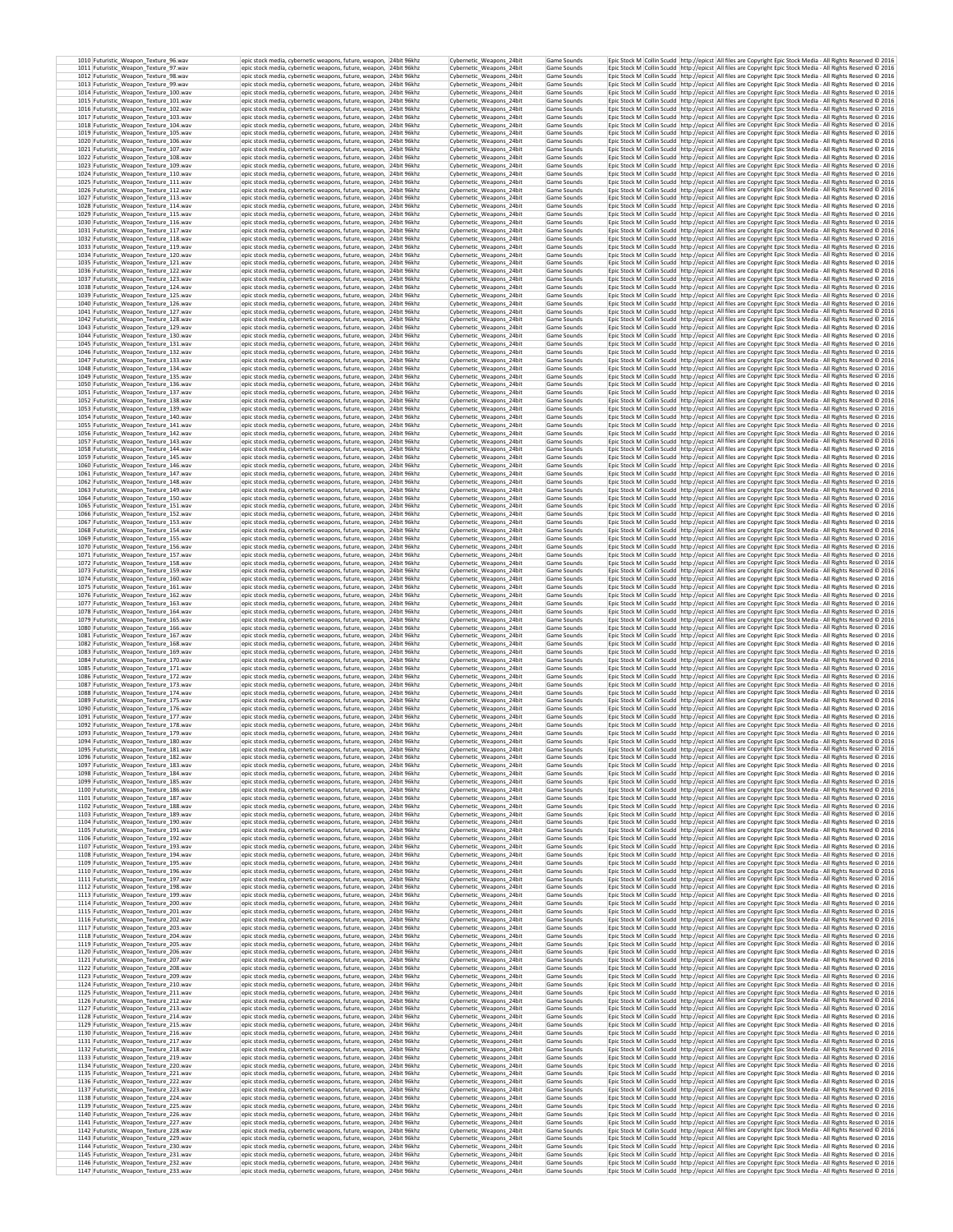| 1010 Futuristic_Weapon_Texture_96.wav<br>1011 Futuristic_Weapon_Texture_97.wav   | epic stock media, cybernetic weapons, future, weapon, 24bit 96khz<br>epic stock media, cybernetic weapons, future, weapon, 24bit 96khz   | Cybernetic_Weapons_24bit<br>Cybernetic_Weapons_24bit | Game Sounds<br>Game Sounds | Epic Stock M Collin Scudd http://epicst All files are Copyright Epic Stock Media - All Rights Reserved @ 2016<br>Epic Stock M Collin Scudd http://epicst All files are Copyright Epic Stock Media - All Rights Reserved © 2016       |  |
|----------------------------------------------------------------------------------|------------------------------------------------------------------------------------------------------------------------------------------|------------------------------------------------------|----------------------------|--------------------------------------------------------------------------------------------------------------------------------------------------------------------------------------------------------------------------------------|--|
| 1012 Futuristic Weapon Texture 98.wav                                            | epic stock media, cybernetic weapons, future, weapon, 24bit 96khz                                                                        | Cybernetic_Weapons_24bit                             | Game Sounds                | Epic Stock M Collin Scudd http://epicst All files are Copyright Epic Stock Media - All Rights Reserved @ 2016                                                                                                                        |  |
| 1013 Futuristic Weapon Texture 99.wav<br>1014 Futuristic Weapon Texture 100.wav  | epic stock media, cybernetic weapons, future, weapon. 24bit 96khz<br>epic stock media, cybernetic weapons, future, weapon, 24bit 96khz   | Cybernetic_Weapons_24bit<br>Cybernetic Weapons 24bit | Game Sounds<br>Game Sounds | Epic Stock M Collin Scudd http://epicst All files are Copyright Epic Stock Media - All Rights Reserved @ 2016<br>Epic Stock M Collin Scudd http://epicst All files are Copyright Epic Stock Media - All Rights Reserved C 2016       |  |
| 1015 Futuristic_Weapon_Texture_101.wav<br>1016 Futuristic_Weapon_Texture_102.wav | epic stock media, cybernetic weapons, future, weapon, 24bit 96khz<br>epic stock media, cybernetic weapons, future, weapon. 24bit 96khz   | Cybernetic_Weapons_24bit<br>Cybernetic Weapons 24bit | Game Sounds<br>Game Sounds | Epic Stock M Collin Scudd http://epicst All files are Copyright Epic Stock Media - All Rights Reserved @ 2016<br>Epic Stock M Collin Scudd http://epicst All files are Copyright Epic Stock Media - All Rights Reserved C 2016       |  |
| 1017 Futuristic_Weapon_Texture_103.wav                                           | epic stock media, cybernetic weapons, future, weapon, 24bit 96khz                                                                        | Cybernetic Weapons 24bit                             | Game Sounds                | Epic Stock M Collin Scudd http://epicst All files are Copyright Epic Stock Media - All Rights Reserved @ 2016                                                                                                                        |  |
| 1018 Futuristic_Weapon_Texture_104.wav<br>1019 Futuristic_Weapon_Texture_105.wav | epic stock media, cybernetic weapons, future, weapon, 24bit 96khz<br>epic stock media, cybernetic weapons, future, weapon, 24bit 96khz   | Cybernetic_Weapons_24bit<br>Cybernetic_Weapons_24bit | Game Sounds<br>Game Sounds | Epic Stock M Collin Scudd http://epicst All files are Copyright Epic Stock Media - All Rights Reserved @ 2016<br>Epic Stock M Collin Scudd http://epicst All files are Copyright Epic Stock Media - All Rights Reserved @ 2016       |  |
| 1020 Futuristic_Weapon_Texture_106.wav<br>1021 Futuristic_Weapon_Texture_107.wav | epic stock media, cybernetic weapons, future, weapon, 24bit 96khz<br>epic stock media, cybernetic weapons, future, weapon, 24bit 96khz   | Cybernetic Weapons 24bit<br>Cybernetic Weapons 24bit | Game Sounds<br>Game Sounds | Epic Stock M Collin Scudd http://epicst All files are Copyright Epic Stock Media - All Rights Reserved © 2016<br>Epic Stock M Collin Scudd http://epicst All files are Copyright Epic Stock Media - All Rights Reserved @ 2016       |  |
| 1022 Futuristic_Weapon_Texture_108.wav                                           | epic stock media, cybernetic weapons, future, weapon, 24bit 96khz                                                                        | Cybernetic_Weapons_24bit<br>Cybernetic Weapons 24bit | Game Sounds                | Epic Stock M Collin Scudd http://epicst All files are Copyright Epic Stock Media - All Rights Reserved @ 2016                                                                                                                        |  |
| 1023 Futuristic_Weapon_Texture_109.wav<br>1024 Futuristic_Weapon_Texture_110.wav | epic stock media, cybernetic weapons, future, weapon, 24bit 96khz<br>epic stock media, cybernetic weapons, future, weapon, 24bit 96khz   | Cybernetic_Weapons_24bit                             | Game Sounds<br>Game Sounds | Epic Stock M Collin Scudd http://epicst All files are Copyright Epic Stock Media - All Rights Reserved @ 2016<br>Epic Stock M Collin Scudd http://epicst All files are Copyright Epic Stock Media - All Rights Reserved @ 2016       |  |
| 1025 Futuristic Weapon Texture 111.wav<br>1026 Futuristic_Weapon_Texture_112.wav | epic stock media, cybernetic weapons, future, weapon, 24bit 96khz<br>epic stock media, cybernetic weapons, future, weapon, 24bit 96khz   | Cybernetic Weapons 24bit<br>Cybernetic_Weapons_24bit | Game Sounds<br>Game Sounds | Epic Stock M   Collin Scudd   http://epicst   All files are Copyright Epic Stock Media - All Rights Reserved @ 2016<br>Epic Stock M Collin Scudd http://epicst All files are Copyright Epic Stock Media - All Rights Reserved @ 2016 |  |
| 1027 Futuristic_Weapon_Texture_113.wav                                           | epic stock media, cybernetic weapons, future, weapon, 24bit 96khz                                                                        | Cybernetic Weapons 24bit                             | Game Sounds                | Epic Stock M Collin Scudd http://epicst All files are Copyright Epic Stock Media - All Rights Reserved @ 2016                                                                                                                        |  |
| 1028 Futuristic_Weapon_Texture_114.wav<br>1029 Futuristic Weapon Texture 115.wav | epic stock media, cybernetic weapons, future, weapon, 24bit 96khz<br>epic stock media, cybernetic weapons, future, weapon, 24bit 96khz   | Cybernetic Weapons 24bit<br>Cybernetic Weapons 24bit | Game Sounds<br>Game Sounds | Epic Stock M Collin Scudd http://epicst All files are Copyright Epic Stock Media - All Rights Reserved @ 2016<br>Epic Stock M Collin Scudd http://epicst All files are Copyright Epic Stock Media - All Rights Reserved @ 2016       |  |
| 1030 Futuristic_Weapon_Texture_116.wav<br>1031 Futuristic Weapon Texture 117.wav | epic stock media, cybernetic weapons, future, weapon, 24bit 96khz<br>epic stock media, cybernetic weapons, future, weapon, 24bit 96khz   | Cybernetic_Weapons_24bit<br>Cybernetic Weapons 24bit | Game Sounds<br>Game Sounds | Epic Stock M Collin Scudd http://epicst All files are Copyright Epic Stock Media - All Rights Reserved © 2016<br>Epic Stock M Collin Scudd http://epicst All files are Copyright Epic Stock Media - All Rights Reserved @ 2016       |  |
| 1032 Futuristic_Weapon_Texture_118.wav<br>1033 Futuristic Weapon Texture 119.wav | epic stock media, cybernetic weapons, future, weapon, 24bit 96khz<br>epic stock media, cybernetic weapons, future, weapon, 24bit 96khz   | Cybernetic Weapons 24bit<br>Cybernetic Weapons 24bit | Game Sounds<br>Game Sounds | Epic Stock M Collin Scudd http://epicst All files are Copyright Epic Stock Media - All Rights Reserved © 2016<br>Epic Stock M Collin Scudd http://epicst All files are Copyright Epic Stock Media - All Rights Reserved C 2016       |  |
| 1034 Futuristic_Weapon_Texture_120.wav                                           | epic stock media, cybernetic weapons, future, weapon, 24bit 96khz                                                                        | Cybernetic_Weapons_24bit                             | Game Sounds                | Epic Stock M Collin Scudd http://epicst All files are Copyright Epic Stock Media - All Rights Reserved © 2016                                                                                                                        |  |
| 1035 Futuristic Weapon Texture 121.wav<br>1036 Futuristic_Weapon_Texture_122.wav | epic stock media, cybernetic weapons, future, weapon, 24bit 96khz<br>epic stock media, cybernetic weapons, future, weapon, 24bit 96khz   | Cybernetic Weapons 24bit<br>Cybernetic Weapons 24bit | Game Sounds<br>Game Sounds | Epic Stock M Collin Scudd http://epicst All files are Copyright Epic Stock Media - All Rights Reserved @ 2016<br>Epic Stock M Collin Scudd http://epicst All files are Copyright Epic Stock Media - All Rights Reserved @ 2016       |  |
| 1037 Futuristic_Weapon_Texture_123.wav                                           | epic stock media, cybernetic weapons, future, weapon, 24bit 96khz                                                                        | Cybernetic_Weapons_24bit                             | Game Sounds                | Epic Stock M Collin Scudd http://epicst All files are Copyright Epic Stock Media - All Rights Reserved @ 2016                                                                                                                        |  |
| 1038 Futuristic_Weapon_Texture_124.wav<br>1039 Futuristic_Weapon_Texture_125.wav | epic stock media, cybernetic weapons, future, weapon, 24bit 96khz<br>epic stock media, cybernetic weapons, future, weapon, 24bit 96khz   | Cybernetic_Weapons_24bit<br>Cybernetic_Weapons_24bit | Game Sounds<br>Game Sounds | Epic Stock M Collin Scudd http://epicst All files are Copyright Epic Stock Media - All Rights Reserved @ 2016<br>Epic Stock M Collin Scudd http://epicst All files are Copyright Epic Stock Media - All Rights Reserved @ 2016       |  |
| 1040 Futuristic_Weapon_Texture_126.wav<br>1041 Futuristic_Weapon_Texture_127.wav | epic stock media, cybernetic weapons, future, weapon, 24bit 96khz<br>epic stock media, cybernetic weapons, future, weapon, 24bit 96khz   | Cybernetic Weapons 24bit<br>Cybernetic_Weapons_24bit | Game Sounds<br>Game Sounds | Epic Stock M Collin Scudd http://epicst All files are Copyright Epic Stock Media - All Rights Reserved @ 2016<br>Epic Stock M Collin Scudd http://epicst All files are Copyright Epic Stock Media - All Rights Reserved @ 2016       |  |
| 1042 Futuristic_Weapon_Texture_128.wav<br>1043 Futuristic_Weapon_Texture_129.wav | epic stock media, cybernetic weapons, future, weapon, 24bit 96khz<br>epic stock media, cybernetic weapons, future, weapon, 24bit 96khz   | Cybernetic_Weapons_24bit<br>Cybernetic_Weapons_24bit | Game Sounds<br>Game Sounds | Epic Stock M Collin Scudd http://epicst All files are Copyright Epic Stock Media - All Rights Reserved @ 2016<br>Epic Stock M Collin Scudd http://epicst All files are Copyright Epic Stock Media - All Rights Reserved @ 2016       |  |
| 1044 Futuristic Weapon Texture 130.wav                                           | epic stock media, cybernetic weapons, future, weapon, 24bit 96khz                                                                        | Cybernetic Weapons 24bit                             | Game Sounds                | Epic Stock M   Collin Scudd   http://epicst   All files are Copyright Epic Stock Media - All Rights Reserved © 2016                                                                                                                  |  |
| 1045 Futuristic_Weapon_Texture_131.wav<br>1046 Futuristic Weapon Texture 132.wav | epic stock media, cybernetic weapons, future, weapon, 24bit 96khz<br>epic stock media, cybernetic weapons, future, weapon, 24bit 96khz   | Cybernetic_Weapons_24bit<br>Cybernetic Weapons 24bit | Game Sounds<br>Game Sounds | Epic Stock M Collin Scudd http://epicst All files are Copyright Epic Stock Media - All Rights Reserved @ 2016<br>Epic Stock M   Collin Scudd   http://epicst   All files are Copyright Epic Stock Media - All Rights Reserved @ 2016 |  |
| 1047 Futuristic Weapon Texture 133.wav<br>1048 Futuristic Weapon Texture 134.wav | epic stock media, cybernetic weapons, future, weapon. 24bit 96khz<br>epic stock media, cybernetic weapons, future, weapon. 24bit 96khz   | Cybernetic Weapons 24bit<br>Cybernetic Weapons 24bit | Game Sounds<br>Game Sounds | Epic Stock M Collin Scudd http://epicst All files are Copyright Epic Stock Media - All Rights Reserved © 2016<br>Epic Stock M Collin Scudd http://epicst All files are Copyright Epic Stock Media - All Rights Reserved C 2016       |  |
| 1049 Futuristic_Weapon_Texture_135.wav                                           | epic stock media, cybernetic weapons, future, weapon, 24bit 96khz                                                                        | Cybernetic_Weapons_24bit                             | Game Sounds                | Epic Stock M Collin Scudd http://epicst All files are Copyright Epic Stock Media - All Rights Reserved © 2016                                                                                                                        |  |
| 1050 Futuristic Weapon Texture 136.wav<br>1051 Futuristic Weapon Texture 137.wav | epic stock media, cybernetic weapons, future, weapon, 24bit 96khz<br>epic stock media, cybernetic weapons, future, weapon, 24bit 96khz   | Cybernetic Weapons 24bit<br>Cybernetic_Weapons_24bit | Game Sounds<br>Game Sounds | Epic Stock M   Collin Scudd   http://epicst   All files are Copyright Epic Stock Media - All Rights Reserved @ 2016<br>Epic Stock M Collin Scudd http://epicst All files are Copyright Epic Stock Media - All Rights Reserved @ 2016 |  |
| 1052 Futuristic Weapon Texture 138.wav<br>1053 Futuristic_Weapon_Texture_139.wav | epic stock media, cybernetic weapons, future, weapon, 24bit 96khz<br>epic stock media, cybernetic weapons, future, weapon, 24bit 96khz   | Cybernetic Weapons 24bit<br>Cybernetic_Weapons_24bit | Game Sounds<br>Game Sounds | Epic Stock M Collin Scudd http://epicst All files are Copyright Epic Stock Media - All Rights Reserved © 2016<br>Epic Stock M Collin Scudd http://epicst All files are Copyright Epic Stock Media - All Rights Reserved © 2016       |  |
| 1054 Futuristic Weapon Texture 140.wav                                           | epic stock media, cybernetic weapons, future, weapon, 24bit 96khz                                                                        | Cybernetic Weapons 24bit                             | Game Sounds                | Epic Stock M Collin Scudd http://epicst All files are Copyright Epic Stock Media - All Rights Reserved © 2016                                                                                                                        |  |
| 1055 Futuristic_Weapon_Texture_141.wav<br>1056 Futuristic_Weapon_Texture_142.wav | epic stock media, cybernetic weapons, future, weapon, 24bit 96khz<br>epic stock media, cybernetic weapons, future, weapon, 24bit 96khz   | Cybernetic Weapons 24bit<br>Cybernetic_Weapons_24bit | Game Sounds<br>Game Sounds | Epic Stock M Collin Scudd http://epicst All files are Copyright Epic Stock Media - All Rights Reserved @ 2016<br>Epic Stock M Collin Scudd http://epicst All files are Copyright Epic Stock Media - All Rights Reserved @ 2016       |  |
| 1057 Futuristic_Weapon_Texture_143.wav<br>1058 Futuristic_Weapon_Texture_144.wav | epic stock media, cybernetic weapons, future, weapon, 24bit 96khz<br>epic stock media, cybernetic weapons, future, weapon, 24bit 96khz   | Cybernetic_Weapons_24bit<br>Cybernetic_Weapons_24bit | Game Sounds<br>Game Sounds | Epic Stock M Collin Scudd http://epicst All files are Copyright Epic Stock Media - All Rights Reserved @ 2016<br>Epic Stock M Collin Scudd http://epicst All files are Copyright Epic Stock Media - All Rights Reserved @ 2016       |  |
| 1059 Futuristic_Weapon_Texture_145.wav                                           | epic stock media, cybernetic weapons, future, weapon, 24bit 96khz                                                                        | Cybernetic Weapons 24bit                             | Game Sounds<br>Game Sounds | Epic Stock M Collin Scudd http://epicst All files are Copyright Epic Stock Media - All Rights Reserved @ 2016                                                                                                                        |  |
| 1060 Futuristic_Weapon_Texture_146.wav<br>1061 Futuristic_Weapon_Texture_147.wav | epic stock media, cybernetic weapons, future, weapon, 24bit 96khz<br>epic stock media, cybernetic weapons, future, weapon, 24bit 96khz   | Cybernetic_Weapons_24bit<br>Cybernetic Weapons 24bit | Game Sounds                | Epic Stock M Collin Scudd http://epicst All files are Copyright Epic Stock Media - All Rights Reserved @ 2016<br>Epic Stock M Collin Scudd http://epicst All files are Copyright Epic Stock Media - All Rights Reserved @ 2016       |  |
| 1062 Futuristic_Weapon_Texture_148.wav<br>1063 Futuristic_Weapon_Texture_149.wav | epic stock media, cybernetic weapons, future, weapon, 24bit 96khz<br>epic stock media, cybernetic weapons, future, weapon, 24bit 96khz   | Cybernetic_Weapons_24bit<br>Cybernetic Weapons 24bit | Game Sounds<br>Game Sounds | Epic Stock M Collin Scudd http://epicst All files are Copyright Epic Stock Media - All Rights Reserved @ 2016<br>Epic Stock M Collin Scudd http://epicst All files are Copyright Epic Stock Media - All Rights Reserved © 2016       |  |
| 1064 Futuristic Weapon Texture 150.wav                                           | epic stock media, cybernetic weapons, future, weapon, 24bit 96khz                                                                        | Cybernetic_Weapons_24bit                             | Game Sounds                | Epic Stock M Collin Scudd http://epicst All files are Copyright Epic Stock Media - All Rights Reserved @ 2016<br>Epic Stock M   Collin Scudd   http://epicst   All files are Copyright Epic Stock Media - All Rights Reserved @ 2016 |  |
| 1065 Futuristic_Weapon_Texture_151.wav<br>1066 Futuristic Weapon Texture 152.way | epic stock media, cybernetic weapons, future, weapon, 24bit 96khz<br>epic stock media, cybernetic weapons, future, weapon, 24bit 96khz   | Cybernetic_Weapons_24bit<br>Cybernetic Weapons 24bit | Game Sounds<br>Game Sounds | Epic Stock M Collin Scudd   http://epicst   All files are Copyright Epic Stock Media - All Rights Reserved @ 2016                                                                                                                    |  |
| 1067 Futuristic Weapon Texture 153.wav<br>1068 Futuristic_Weapon_Texture_154.wav | epic stock media, cybernetic weapons, future, weapon, 24bit 96khz<br>epic stock media, cybernetic weapons, future, weapon, 24bit 96khz   | Cybernetic Weapons 24bit<br>Cybernetic_Weapons_24bit | Game Sounds<br>Game Sounds | Epic Stock M Collin Scudd http://epicst All files are Copyright Epic Stock Media - All Rights Reserved @ 2016<br>Epic Stock M Collin Scudd http://epicst All files are Copyright Epic Stock Media - All Rights Reserved © 2016       |  |
| 1069 Futuristic Weapon Texture 155.wav<br>1070 Futuristic_Weapon_Texture_156.wav | epic stock media, cybernetic weapons, future, weapon, 24bit 96khz<br>epic stock media, cybernetic weapons, future, weapon, 24bit 96khz   | Cybernetic Weapons 24bit<br>Cybernetic Weapons 24bit | Game Sounds<br>Game Sounds | Epic Stock M Collin Scudd http://epicst All files are Copyright Epic Stock Media - All Rights Reserved @ 2016<br>Epic Stock M Collin Scudd http://epicst All files are Copyright Epic Stock Media - All Rights Reserved © 2016       |  |
| 1071 Futuristic Weapon Texture 157.wav                                           | epic stock media, cybernetic weapons, future, weapon, 24bit 96khz                                                                        | Cybernetic Weapons 24bit                             | Game Sounds                | Epic Stock M Collin Scudd http://epicst All files are Copyright Epic Stock Media - All Rights Reserved @ 2016                                                                                                                        |  |
| 1072 Futuristic_Weapon_Texture_158.wav<br>1073 Futuristic Weapon Texture 159.wav | epic stock media, cybernetic weapons, future, weapon, 24bit 96khz<br>epic stock media, cybernetic weapons, future, weapon, 24bit 96khz   | Cybernetic_Weapons_24bit<br>Cybernetic Weapons 24bit | Game Sounds<br>Game Sounds | Epic Stock M Collin Scudd http://epicst All files are Copyright Epic Stock Media - All Rights Reserved © 2016<br>Epic Stock M   Collin Scudd   http://epicst   All files are Copyright Epic Stock Media - All Rights Reserved @ 2016 |  |
| 1074 Futuristic_Weapon_Texture_160.wav<br>1075 Futuristic Weapon Texture 161.wav | epic stock media, cybernetic weapons, future, weapon, 24bit 96khz<br>epic stock media, cybernetic weapons, future, weapon, 24bit 96khz   | Cybernetic_Weapons_24bit<br>Cybernetic_Weapons_24bit | Game Sounds<br>Game Sounds | Epic Stock M Collin Scudd http://epicst All files are Copyright Epic Stock Media - All Rights Reserved @ 2016<br>Epic Stock M Collin Scudd http://epicst All files are Copyright Epic Stock Media - All Rights Reserved @ 2016       |  |
| 1076 Futuristic_Weapon_Texture_162.wav                                           | epic stock media, cybernetic weapons, future, weapon, 24bit 96khz                                                                        | Cybernetic_Weapons_24bit                             | Game Sounds                | Epic Stock M Collin Scudd http://epicst All files are Copyright Epic Stock Media - All Rights Reserved @ 2016                                                                                                                        |  |
| 1077 Futuristic_Weapon_Texture_163.wav<br>1078 Futuristic_Weapon_Texture_164.wav | epic stock media, cybernetic weapons, future, weapon, 24bit 96khz<br>epic stock media, cybernetic weapons, future, weapon, 24bit 96khz   | Cybernetic_Weapons_24bit<br>Cybernetic Weapons 24bit | Game Sounds<br>Game Sounds | Epic Stock M Collin Scudd http://epicst All files are Copyright Epic Stock Media - All Rights Reserved @ 2016<br>Epic Stock M Collin Scudd http://epicst All files are Copyright Epic Stock Media - All Rights Reserved @ 2016       |  |
| 1079 Futuristic_Weapon_Texture_165.wav<br>1080 Futuristic_Weapon_Texture_166.wav | epic stock media, cybernetic weapons, future, weapon, 24bit 96khz<br>epic stock media, cybernetic weapons, future, weapon, 24bit 96khz   | Cybernetic_Weapons_24bit<br>Cybernetic_Weapons_24bit | Game Sounds<br>Game Sounds | Epic Stock M Collin Scudd http://epicst All files are Copyright Epic Stock Media - All Rights Reserved @ 2016<br>Epic Stock M Collin Scudd http://epicst All files are Copyright Epic Stock Media - All Rights Reserved @ 2016       |  |
| 1081 Futuristic_Weapon_Texture_167.wav                                           | epic stock media, cybernetic weapons, future, weapon, 24bit 96khz                                                                        | Cybernetic_Weapons_24bit                             | Game Sounds                | Epic Stock M Collin Scudd http://epicst All files are Copyright Epic Stock Media - All Rights Reserved @ 2016                                                                                                                        |  |
| 1082 Futuristic_Weapon_Texture_168.wav<br>1083 Futuristic_Weapon_Texture_169.wav | epic stock media, cybernetic weapons, future, weapon, 24bit 96khz<br>epic stock media, cybernetic weapons, future, weapon, 24bit 96khz   | Cybernetic Weapons 24bit<br>Cybernetic_Weapons_24bit | Game Sounds<br>Game Sounds | Epic Stock M Collin Scudd http://epicst All files are Copyright Epic Stock Media - All Rights Reserved @ 2016<br>Epic Stock M Collin Scudd http://epicst All files are Copyright Epic Stock Media - All Rights Reserved @ 2016       |  |
| 1084 Futuristic_Weapon_Texture_170.wav<br>1085 Futuristic_Weapon_Texture_171.wav | epic stock media, cybernetic weapons, future, weapon, 24bit 96khz<br>epic stock media, cybernetic weapons, future, weapon, 24bit 96khz   | Cybernetic Weapons 24bit<br>Cybernetic_Weapons_24bit | Game Sounds<br>Game Sounds | Epic Stock M   Collin Scudd   http://epicst   All files are Copyright Epic Stock Media - All Rights Reserved @ 2016<br>Epic Stock M Collin Scudd http://epicst All files are Copyright Epic Stock Media - All Rights Reserved @ 2016 |  |
| 1086 Futuristic Weapon Texture 172.wav<br>1087 Futuristic_Weapon_Texture_173.wav | epic stock media, cybernetic weapons, future, weapon, 24bit 96khz<br>epic stock media, cybernetic weapons, future, weapon, 24bit 96khz   | Cybernetic Weapons 24bit<br>Cybernetic_Weapons_24bit | Game Sounds<br>Game Sounds | Epic Stock M Collin Scudd http://epicst All files are Copyright Epic Stock Media - All Rights Reserved @ 2016<br>Epic Stock M Collin Scudd http://epicst All files are Copyright Epic Stock Media - All Rights Reserved @ 2016       |  |
| 1088 Futuristic_Weapon_Texture_174.wav                                           | epic stock media, cybernetic weapons, future, weapon, 24bit 96khz                                                                        | Cybernetic Weapons 24bit                             | Game Sounds                | Epic Stock M   Collin Scudd   http://epicst   All files are Copyright Epic Stock Media - All Rights Reserved @ 2016                                                                                                                  |  |
| 1089 Futuristic Weapon Texture 175.way<br>1090 Futuristic Weapon Texture 176.wav | epic stock media, cybernetic weapons, future, weapon, 24bit 96khz<br>epic stock media, cybernetic weapons, future, weapon, 24bit 96khz   | Cybernetic_Weapons_24bit<br>Cybernetic Weapons 24bit | Game Sounds<br>Game Sounds | Epic Stock M Collin Scudd http://epicst All files are Copyright Epic Stock Media - All Rights Reserved © 2016<br>Epic Stock M Collin Scudd http://epicst All files are Copyright Epic Stock Media - All Rights Reserved @ 2016       |  |
| 1091 Futuristic_Weapon_Texture_177.wav<br>1092 Futuristic Weapon Texture 178.wav | epic stock media, cybernetic weapons, future, weapon, 24bit 96khz<br>epic stock media, cybernetic weapons, future, weapon, 24bit 96khz   | Cybernetic_Weapons_24bit<br>Cybernetic Weapons 24bit | Game Sounds<br>Game Sounds | Epic Stock M Collin Scudd http://epicst All files are Copyright Epic Stock Media - All Rights Reserved @ 2016<br>Epic Stock M Collin Scudd http://epicst All files are Copyright Epic Stock Media - All Rights Reserved @ 2016       |  |
| 1093 Futuristic_Weapon_Texture_179.wav                                           | epic stock media, cybernetic weapons, future, weapon, 24bit 96khz                                                                        | Cybernetic_Weapons_24bit                             | Game Sounds                | Epic Stock M Collin Scudd http://epicst All files are Copyright Epic Stock Media - All Rights Reserved © 2016                                                                                                                        |  |
| 1094 Futuristic_Weapon_Texture_180.wav<br>1095 Futuristic_Weapon_Texture_181.wav | epic stock media, cybernetic weapons, future, weapon, 24bit 96khz<br>epic stock media, cybernetic weapons, future, weapon, 24bit 96khz   | Cybernetic Weapons 24bit<br>Cybernetic_Weapons_24bit | Game Sounds<br>Game Sounds | Epic Stock M Collin Scudd http://epicst All files are Copyright Epic Stock Media - All Rights Reserved C 2016<br>Epic Stock M Collin Scudd http://epicst All files are Copyright Epic Stock Media - All Rights Reserved @ 2016       |  |
| 1096 Futuristic Weapon Texture 182.way<br>1097 Futuristic_Weapon_Texture_183.wav | epic stock media, cybernetic weapons, future, weapon,   24bit 96khz<br>epic stock media, cybernetic weapons, future, weapon, 24bit 96khz | Cybernetic Weapons 24bit<br>Cybernetic_Weapons_24bit | Game Sounds<br>Game Sounds | Epic Stock M   Collin Scudd   http://epicst   All files are Copyright Epic Stock Media - All Rights Reserved © 2016<br>Epic Stock M Collin Scudd http://epicst All files are Copyright Epic Stock Media - All Rights Reserved @ 2016 |  |
| 1098 Futuristic_Weapon_Texture_184.wav                                           | epic stock media, cybernetic weapons, future, weapon, 24bit 96khz                                                                        | Cybernetic Weapons 24bit<br>Cybernetic Weapons 24bit | Game Sounds                | Epic Stock M Collin Scudd http://epicst All files are Copyright Epic Stock Media - All Rights Reserved @ 2016                                                                                                                        |  |
| 1099 Futuristic_Weapon_Texture_185.wav<br>1100 Futuristic Weapon Texture 186.wav | epic stock media, cybernetic weapons, future, weapon, 24bit 96khz<br>epic stock media, cybernetic weapons, future, weapon, 24bit 96khz   | Cybernetic_Weapons_24bit                             | Game Sounds<br>Game Sounds | Epic Stock M Collin Scudd   http://epicst   All files are Copyright Epic Stock Media - All Rights Reserved @ 2016<br>Epic Stock M Collin Scudd http://epicst All files are Copyright Epic Stock Media - All Rights Reserved @ 2016   |  |
| 1101 Futuristic Weapon Texture 187.wav<br>1102 Futuristic_Weapon_Texture_188.wav | epic stock media, cybernetic weapons, future, weapon, 24bit 96khz<br>epic stock media, cybernetic weapons, future, weapon, 24bit 96khz   | Cybernetic Weapons 24bit<br>Cybernetic_Weapons_24bit | Game Sounds<br>Game Sounds | Epic Stock M   Collin Scudd   http://epicst   All files are Copyright Epic Stock Media - All Rights Reserved @ 2016<br>Epic Stock M Collin Scudd http://epicst All files are Copyright Epic Stock Media - All Rights Reserved @ 2016 |  |
| 1103 Futuristic_Weapon_Texture_189.wav                                           | epic stock media, cybernetic weapons, future, weapon, 24bit 96khz                                                                        | Cybernetic_Weapons_24bit<br>Cybernetic Weapons 24bit | Game Sounds                | Epic Stock M Collin Scudd http://epicst All files are Copyright Epic Stock Media - All Rights Reserved @ 2016                                                                                                                        |  |
| 1104 Futuristic_Weapon_Texture_190.wav<br>1105 Futuristic Weapon Texture 191.wav | epic stock media, cybernetic weapons, future, weapon, 24bit 96khz<br>epic stock media, cybernetic weapons, future, weapon, 24bit 96khz   | Cybernetic Weapons 24bit                             | Game Sounds<br>Game Sounds | Epic Stock M Collin Scudd http://epicst All files are Copyright Epic Stock Media - All Rights Reserved © 2016<br>Epic Stock M Collin Scudd http://epicst All files are Copyright Epic Stock Media - All Rights Reserved © 2016       |  |
| 1106 Futuristic_Weapon_Texture_192.wav<br>1107 Futuristic Weapon Texture 193.wav | epic stock media, cybernetic weapons, future, weapon, 24bit 96khz<br>epic stock media, cybernetic weapons, future, weapon, 24bit 96khz   | Cybernetic_Weapons_24bit<br>Cybernetic Weapons 24bit | Game Sounds<br>Game Sounds | Epic Stock M Collin Scudd http://epicst All files are Copyright Epic Stock Media - All Rights Reserved @ 2016<br>Epic Stock M Collin Scudd http://epicst All files are Copyright Epic Stock Media - All Rights Reserved © 2016       |  |
| 1108 Futuristic Weapon Texture 194.wav<br>1109 Futuristic Weapon Texture 195.wav | epic stock media, cybernetic weapons, future, weapon, 24bit 96khz<br>epic stock media, cybernetic weapons, future, weapon, 24bit 96khz   | Cybernetic Weapons 24bit<br>Cybernetic Weapons 24bit | Game Sounds<br>Game Sounds | Epic Stock M Collin Scudd http://epicst All files are Copyright Epic Stock Media - All Rights Reserved © 2016<br>Epic Stock M Collin Scudd http://epicst All files are Copyright Epic Stock Media - All Rights Reserved C 2016       |  |
| 1110 Futuristic_Weapon_Texture_196.wav                                           | epic stock media, cybernetic weapons, future, weapon, 24bit 96khz                                                                        | Cybernetic_Weapons_24bit                             | Game Sounds<br>Game Sounds | Epic Stock M Collin Scudd http://epicst All files are Copyright Epic Stock Media - All Rights Reserved @ 2016<br>Epic Stock M   Collin Scudd   http://epicst   All files are Copyright Epic Stock Media - All Rights Reserved @ 2016 |  |
| 1111 Futuristic Weapon Texture 197.wav<br>1112 Futuristic_Weapon_Texture_198.wav | epic stock media, cybernetic weapons, future, weapon, 24bit 96khz<br>epic stock media, cybernetic weapons, future, weapon, 24bit 96khz   | Cybernetic_Weapons_24bit<br>Cybernetic_Weapons_24bit | Game Sounds                | Epic Stock M Collin Scudd http://epicst All files are Copyright Epic Stock Media - All Rights Reserved © 2016                                                                                                                        |  |
| 1113 Futuristic_Weapon_Texture_199.wav<br>1114 Futuristic_Weapon_Texture_200.wav | epic stock media, cybernetic weapons, future, weapon, 24bit 96khz<br>epic stock media, cybernetic weapons, future, weapon, 24bit 96khz   | Cybernetic Weapons 24bit<br>Cybernetic_Weapons_24bit | Game Sounds<br>Game Sounds | Epic Stock M Collin Scudd http://epicst All files are Copyright Epic Stock Media - All Rights Reserved C 2016<br>Epic Stock M Collin Scudd http://epicst All files are Copyright Epic Stock Media - All Rights Reserved C 2016       |  |
| 1115 Futuristic_Weapon_Texture_201.wav<br>1116 Futuristic Weapon Texture 202.wav | epic stock media, cybernetic weapons, future, weapon, 24bit 96khz<br>epic stock media, cybernetic weapons, future, weapon, 24bit 96khz   | Cybernetic_Weapons_24bit<br>Cybernetic Weapons 24bit | Game Sounds<br>Game Sounds | Epic Stock M Collin Scudd http://epicst All files are Copyright Epic Stock Media - All Rights Reserved @ 2016<br>Epic Stock M Collin Scudd http://epicst All files are Copyright Epic Stock Media - All Rights Reserved © 2016       |  |
| 1117 Futuristic_Weapon_Texture_203.wav                                           | epic stock media, cybernetic weapons, future, weapon, 24bit 96khz                                                                        | Cybernetic_Weapons_24bit                             | Game Sounds                | Epic Stock M Collin Scudd http://epicst All files are Copyright Epic Stock Media - All Rights Reserved @ 2016                                                                                                                        |  |
| 1118 Futuristic_Weapon_Texture_204.wav<br>1119 Futuristic_Weapon_Texture_205.wav | epic stock media, cybernetic weapons, future, weapon, 24bit 96khz<br>epic stock media, cybernetic weapons, future, weapon, 24bit 96khz   | Cybernetic_Weapons_24bit<br>Cybernetic_Weapons_24bit | Game Sounds<br>Game Sounds | Epic Stock M Collin Scudd http://epicst All files are Copyright Epic Stock Media - All Rights Reserved @ 2016<br>Epic Stock M Collin Scudd http://epicst All files are Copyright Epic Stock Media - All Rights Reserved © 2016       |  |
| 1120 Futuristic_Weapon_Texture_206.wav<br>1121 Futuristic_Weapon_Texture_207.wav | epic stock media, cybernetic weapons, future, weapon, 24bit 96khz<br>epic stock media, cybernetic weapons, future, weapon, 24bit 96khz   | Cybernetic Weapons 24bit<br>Cybernetic_Weapons_24bit | Game Sounds<br>Game Sounds | Epic Stock M Collin Scudd http://epicst All files are Copyright Epic Stock Media - All Rights Reserved © 2016<br>Epic Stock M Collin Scudd http://epicst All files are Copyright Epic Stock Media - All Rights Reserved @ 2016       |  |
| 1122 Futuristic_Weapon_Texture_208.wav                                           | epic stock media, cybernetic weapons, future, weapon, 24bit 96khz                                                                        | Cybernetic Weapons 24bit                             | Game Sounds                | Epic Stock M   Collin Scudd   http://epicst   All files are Copyright Epic Stock Media - All Rights Reserved @ 2016                                                                                                                  |  |
| 1123 Futuristic_Weapon_Texture_209.wav<br>1124 Futuristic Weapon Texture 210.wav | epic stock media, cybernetic weapons, future, weapon, 24bit 96khz<br>epic stock media, cybernetic weapons, future, weapon, 24bit 96khz   | Cybernetic_Weapons_24bit<br>Cybernetic Weapons 24bit | Game Sounds<br>Game Sounds | Epic Stock M Collin Scudd http://epicst All files are Copyright Epic Stock Media - All Rights Reserved © 2016<br>Epic Stock M   Collin Scudd   http://epicst   All files are Copyright Epic Stock Media - All Rights Reserved @ 2016 |  |
| 1125 Futuristic Weapon Texture 211.wav<br>1126 Futuristic_Weapon_Texture_212.wav | epic stock media, cybernetic weapons, future, weapon, 24bit 96khz<br>epic stock media, cybernetic weapons, future, weapon, 24bit 96khz   | Cybernetic_Weapons_24bit<br>Cybernetic Weapons 24bit | Game Sounds<br>Game Sounds | Epic Stock M Collin Scudd http://epicst All files are Copyright Epic Stock Media - All Rights Reserved © 2016<br>Epic Stock M Collin Scudd   http://epicst   All files are Copyright Epic Stock Media - All Rights Reserved @ 2016   |  |
| 1127 Futuristic Weapon Texture 213.way<br>1128 Futuristic Weapon Texture 214.wav | epic stock media, cybernetic weapons, future, weapon, 24bit 96khz<br>epic stock media, cybernetic weapons, future, weapon, 24bit 96khz   | Cybernetic_Weapons_24bit<br>Cybernetic Weapons 24bit | Game Sounds<br>Game Sounds | Epic Stock M Collin Scudd http://epicst All files are Copyright Epic Stock Media - All Rights Reserved C 2016<br>Epic Stock M Collin Scudd http://epicst All files are Copyright Epic Stock Media - All Rights Reserved C 2016       |  |
| 1129 Futuristic_Weapon_Texture_215.wav                                           | epic stock media, cybernetic weapons, future, weapon, 24bit 96khz                                                                        | Cybernetic_Weapons_24bit                             | Game Sounds                | Epic Stock M Collin Scudd http://epicst All files are Copyright Epic Stock Media - All Rights Reserved © 2016                                                                                                                        |  |
| 1130 Futuristic_Weapon_Texture_216.wav<br>1131 Futuristic_Weapon_Texture_217.wav | epic stock media, cybernetic weapons, future, weapon, 24bit 96khz<br>epic stock media, cybernetic weapons, future, weapon, 24bit 96khz   | Cybernetic_Weapons_24bit<br>Cybernetic_Weapons_24bit | Game Sounds<br>Game Sounds | Epic Stock M Collin Scudd http://epicst All files are Copyright Epic Stock Media - All Rights Reserved @ 2016<br>Epic Stock M Collin Scudd http://epicst All files are Copyright Epic Stock Media - All Rights Reserved © 2016       |  |
| 1132 Futuristic Weapon Texture 218.wav<br>1133 Futuristic_Weapon_Texture_219.wav | epic stock media, cybernetic weapons, future, weapon, 24bit 96khz<br>epic stock media, cybernetic weapons, future, weapon, 24bit 96khz   | Cybernetic Weapons 24bit<br>Cybernetic_Weapons_24bit | Game Sounds<br>Game Sounds | Epic Stock M Collin Scudd http://epicst All files are Copyright Epic Stock Media - All Rights Reserved © 2016<br>Epic Stock M Collin Scudd http://epicst All files are Copyright Epic Stock Media - All Rights Reserved @ 2016       |  |
| 1134 Futuristic_Weapon_Texture_220.wav                                           | epic stock media, cybernetic weapons, future, weapon, 24bit 96khz                                                                        | Cybernetic Weapons 24bit                             | Game Sounds                | Epic Stock M Collin Scudd http://epicst All files are Copyright Epic Stock Media - All Rights Reserved @ 2016                                                                                                                        |  |
| 1135 Futuristic_Weapon_Texture_221.wav<br>1136 Futuristic_Weapon_Texture_222.wav | epic stock media, cybernetic weapons, future, weapon, 24bit 96khz<br>epic stock media, cybernetic weapons, future, weapon, 24bit 96khz   | Cybernetic Weapons 24bit<br>Cybernetic_Weapons_24bit | Game Sounds<br>Game Sounds | Epic Stock M Collin Scudd http://epicst All files are Copyright Epic Stock Media - All Rights Reserved @ 2016<br>Epic Stock M Collin Scudd http://epicst All files are Copyright Epic Stock Media - All Rights Reserved @ 2016       |  |
| 1137 Futuristic_Weapon_Texture_223.wav<br>1138 Futuristic_Weapon_Texture_224.wav | epic stock media, cybernetic weapons, future, weapon, 24bit 96khz<br>epic stock media, cybernetic weapons, future, weapon, 24bit 96khz   | Cybernetic Weapons 24bit<br>Cybernetic_Weapons_24bit | Game Sounds<br>Game Sounds | Epic Stock M   Collin Scudd   http://epicst   All files are Copyright Epic Stock Media - All Rights Reserved @ 2016<br>Epic Stock M Collin Scudd http://epicst All files are Copyright Epic Stock Media - All Rights Reserved © 2016 |  |
| 1139 Futuristic Weapon Texture 225.wav<br>1140 Futuristic_Weapon_Texture_226.wav | epic stock media, cybernetic weapons, future, weapon, 24bit 96khz<br>epic stock media, cybernetic weapons, future, weapon, 24bit 96khz   | Cybernetic Weapons 24bit<br>Cybernetic_Weapons_24bit | Game Sounds<br>Game Sounds | Epic Stock M Collin Scudd http://epicst All files are Copyright Epic Stock Media - All Rights Reserved @ 2016<br>Epic Stock M Collin Scudd http://epicst All files are Copyright Epic Stock Media - All Rights Reserved @ 2016       |  |
| 1141 Futuristic_Weapon_Texture_227.wav                                           | epic stock media, cybernetic weapons, future, weapon, 24bit 96khz                                                                        | Cybernetic_Weapons_24bit                             | Game Sounds                | Epic Stock M Collin Scudd http://epicst All files are Copyright Epic Stock Media - All Rights Reserved @ 2016                                                                                                                        |  |
| 1142 Futuristic_Weapon_Texture_228.wav<br>1143 Futuristic Weapon Texture 229.wav | epic stock media, cybernetic weapons, future, weapon, 24bit 96khz<br>epic stock media, cybernetic weapons, future, weapon, 24bit 96khz   | Cybernetic_Weapons_24bit<br>Cybernetic Weapons 24bit | Game Sounds<br>Game Sounds | Epic Stock M Collin Scudd http://epicst All files are Copyright Epic Stock Media - All Rights Reserved @ 2016<br>Epic Stock M Collin Scudd http://epicst All files are Copyright Epic Stock Media - All Rights Reserved @ 2016       |  |
| 1144 Futuristic_Weapon_Texture_230.wav<br>1145 Futuristic Weapon Texture 231.wav | epic stock media, cybernetic weapons, future, weapon, 24bit 96khz<br>epic stock media, cybernetic weapons, future, weapon, 24bit 96khz   | Cybernetic_Weapons_24bit<br>Cybernetic Weapons 24bit | Game Sounds<br>Game Sounds | Epic Stock M Collin Scudd http://epicst All files are Copyright Epic Stock Media - All Rights Reserved © 2016<br>Epic Stock M   Collin Scudd   http://epicst   All files are Copyright Epic Stock Media - All Rights Reserved @ 2016 |  |
|                                                                                  |                                                                                                                                          |                                                      |                            |                                                                                                                                                                                                                                      |  |
| 1146 Futuristic Weapon Texture 232.wav<br>1147 Futuristic_Weapon_Texture_233.wav | epic stock media, cybernetic weapons, future, weapon, 24bit 96khz<br>epic stock media, cybernetic weapons, future, weapon, 24bit 96khz   | Cybernetic_Weapons_24bit<br>Cybernetic_Weapons_24bit | Game Sounds<br>Game Sounds | Epic Stock M Collin Scudd http://epicst All files are Copyright Epic Stock Media - All Rights Reserved © 2016<br>Epic Stock M Collin Scudd http://epicst All files are Copyright Epic Stock Media - All Rights Reserved © 2016       |  |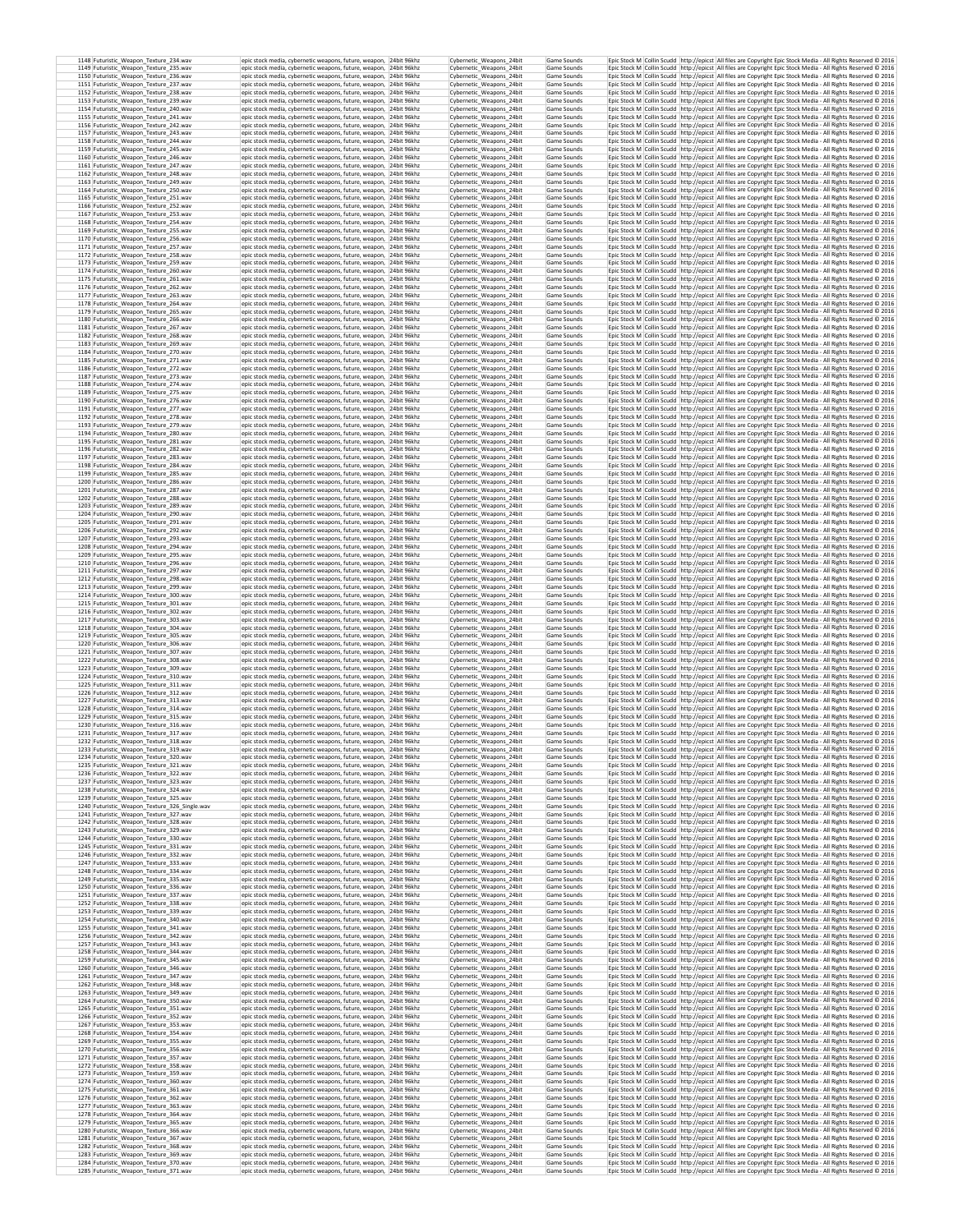| 1148 Futuristic_Weapon_Texture_234.wav<br>1149 Futuristic_Weapon_Texture_235.wav | epic stock media, cybernetic weapons, future, weapon, 24bit 96khz<br>epic stock media, cybernetic weapons, future, weapon, 24bit 96khz  | Cybernetic Weapons 24bit<br>Cybernetic_Weapons_24bit | Game Sounds<br>Game Sounds |  | Epic Stock M Collin Scudd http://epicst All files are Copyright Epic Stock Media - All Rights Reserved @ 2016<br>Epic Stock M Collin Scudd http://epicst All files are Copyright Epic Stock Media - All Rights Reserved @ 2016             |
|----------------------------------------------------------------------------------|-----------------------------------------------------------------------------------------------------------------------------------------|------------------------------------------------------|----------------------------|--|--------------------------------------------------------------------------------------------------------------------------------------------------------------------------------------------------------------------------------------------|
| 1150 Futuristic Weapon Texture 236.wav                                           | epic stock media, cybernetic weapons, future, weapon, 24bit 96khz                                                                       | Cybernetic Weapons 24bit                             | Game Sounds                |  | Epic Stock M Collin Scudd http://epicst All files are Copyright Epic Stock Media - All Rights Reserved @ 2016                                                                                                                              |
| 1151 Futuristic Weapon Texture 237.wav<br>1152 Futuristic Weapon Texture 238.wav | epic stock media, cybernetic weapons, future, weapon. 24bit 96khz<br>epic stock media, cybernetic weapons, future, weapon, 24bit 96khz  | Cybernetic Weapons 24bit<br>Cybernetic Weapons 24bit | Game Sounds<br>Game Sounds |  | Epic Stock M   Collin Scudd   http://epicst   All files are Copyright Epic Stock Media - All Rights Reserved @ 2016<br>Epic Stock M   Collin Scudd   http://epicst   All files are Copyright Epic Stock Media - All Rights Reserved @ 2016 |
| 1153 Futuristic_Weapon_Texture_239.wav<br>1154 Futuristic_Weapon_Texture_240.wav | epic stock media, cybernetic weapons, future, weapon, 24bit 96khz<br>epic stock media, cybernetic weapons, future, weapon, 24bit 96khz  | Cybernetic_Weapons_24bit<br>Cyhernetic Weanons 24bit | Game Sounds<br>Game Sounds |  | Epic Stock M Collin Scudd http://epicst All files are Copyright Epic Stock Media - All Rights Reserved @ 2016<br>Epic Stock M Collin Scudd http://epicst All files are Copyright Epic Stock Media - All Rights Reserved @ 2016             |
| 1155 Futuristic_Weapon_Texture_241.wav                                           | epic stock media, cybernetic weapons, future, weapon, 24bit 96khz                                                                       | Cybernetic_Weapons_24bit                             | Game Sounds                |  | Epic Stock M Collin Scudd http://epicst All files are Copyright Epic Stock Media - All Rights Reserved @ 2016                                                                                                                              |
| 1156 Futuristic_Weapon_Texture_242.wav<br>1157 Futuristic_Weapon_Texture_243.wav | epic stock media, cybernetic weapons, future, weapon, 24bit 96khz<br>epic stock media, cybernetic weapons, future, weapon, 24bit 96khz  | Cybernetic_Weapons_24bit<br>Cybernetic_Weapons_24bit | Game Sounds<br>Game Sounds |  | Epic Stock M Collin Scudd http://epicst All files are Copyright Epic Stock Media - All Rights Reserved C 2016<br>Epic Stock M Collin Scudd http://epicst All files are Copyright Epic Stock Media - All Rights Reserved @ 2016             |
| 1158 Futuristic_Weapon_Texture_244.wav<br>1159 Futuristic_Weapon_Texture_245.wav | epic stock media, cybernetic weapons, future, weapon, 24bit 96khz<br>epic stock media, cybernetic weapons, future, weapon, 24bit 96khz  | Cybernetic_Weapons_24bit<br>Cybernetic Weapons 24bit | Game Sounds<br>Game Sounds |  | Epic Stock M Collin Scudd http://epicst All files are Copyright Epic Stock Media - All Rights Reserved @ 2016<br>Epic Stock M Collin Scudd http://epicst All files are Copyright Epic Stock Media - All Rights Reserved @ 2016             |
| 1160 Futuristic_Weapon_Texture_246.wav                                           | epic stock media, cybernetic weapons, future, weapon, 24bit 96khz                                                                       | Cybernetic Weapons 24bit                             | Game Sounds                |  | Epic Stock M Collin Scudd http://epicst All files are Copyright Epic Stock Media - All Rights Reserved @ 2016                                                                                                                              |
| 1161 Futuristic_Weapon_Texture_247.wav<br>1162 Futuristic_Weapon_Texture_248.wav | epic stock media, cybernetic weapons, future, weapon, 24bit 96khz<br>epic stock media, cybernetic weapons, future, weapon, 24bit 96khz  | Cybernetic_Weapons_24bit<br>Cybernetic_Weapons_24bit | Game Sounds<br>Game Sounds |  | Epic Stock M Collin Scudd http://epicst All files are Copyright Epic Stock Media - All Rights Reserved @ 2016<br>Epic Stock M Collin Scudd http://epicst All files are Copyright Epic Stock Media - All Rights Reserved © 2016             |
| 1163 Futuristic_Weapon_Texture_249.wav<br>1164 Futuristic_Weapon_Texture_250.wav | epic stock media, cybernetic weapons, future, weapon, 24bit 96khz<br>epic stock media, cybernetic weapons, future, weapon, 24bit 96khz  | Cybernetic_Weapons_24bit<br>Cybernetic_Weapons_24bit | Game Sounds<br>Game Sounds |  | Epic Stock M Collin Scudd http://epicst All files are Copyright Epic Stock Media - All Rights Reserved @ 2016<br>Epic Stock M Collin Scudd http://epicst All files are Copyright Epic Stock Media - All Rights Reserved @ 2016             |
| 1165 Futuristic Weapon Texture 251.wav<br>1166 Futuristic_Weapon_Texture_252.wav | epic stock media, cybernetic weapons, future, weapon, 24bit 96khz<br>epic stock media, cybernetic weapons, future, weapon, 24bit 96khz  | Cybernetic Weapons 24bit<br>Cybernetic Weapons 24bit | Game Sounds<br>Game Sounds |  | Epic Stock M Collin Scudd http://epicst All files are Copyright Epic Stock Media - All Rights Reserved © 2016<br>Epic Stock M   Collin Scudd   http://epicst   All files are Copyright Epic Stock Media - All Rights Reserved @ 2016       |
| 1167 Futuristic Weapon Texture 253.wav                                           | epic stock media, cybernetic weapons, future, weapon. 24bit 96khz                                                                       | Cybernetic Weapons 24bit                             | Game Sounds                |  | Epic Stock M Collin Scudd http://epicst All files are Copyright Epic Stock Media - All Rights Reserved C 2016                                                                                                                              |
| 1168 Futuristic_Weapon_Texture_254.wav<br>1169 Futuristic Weapon Texture 255.wav | epic stock media, cybernetic weapons, future, weapon, 24bit 96khz<br>epic stock media, cybernetic weapons, future, weapon, 24bit 96khz  | Cybernetic Weapons 24bit<br>Cybernetic Weapons 24bit | Game Sounds<br>Game Sounds |  | Epic Stock M Collin Scudd http://epicst All files are Copyright Epic Stock Media - All Rights Reserved @ 2016<br>Epic Stock M Collin Scudd http://epicst All files are Copyright Epic Stock Media - All Rights Reserved @ 2016             |
| 1170 Futuristic_Weapon_Texture_256.wav<br>1171 Futuristic Weapon Texture 257.wav | epic stock media, cybernetic weapons, future, weapon. 24bit 96khz<br>epic stock media, cybernetic weapons, future, weapon, 24bit 96khz  | Cybernetic Weapons 24bit<br>Cybernetic Weapons 24bit | Game Sounds<br>Game Sounds |  | Epic Stock M Collin Scudd http://epicst All files are Copyright Epic Stock Media - All Rights Reserved © 2016<br>Epic Stock M Collin Scudd http://epicst All files are Copyright Epic Stock Media - All Rights Reserved © 2016             |
| 1172 Futuristic_Weapon_Texture_258.wav                                           | epic stock media, cybernetic weapons, future, weapon, 24bit 96khz                                                                       | Cybernetic Weapons 24bit                             | Game Sounds                |  | Epic Stock M Collin Scudd http://epicst All files are Copyright Epic Stock Media - All Rights Reserved © 2016                                                                                                                              |
| 1173 Futuristic Weapon Texture 259.wav<br>1174 Futuristic_Weapon_Texture_260.wav | epic stock media, cybernetic weapons, future, weapon, 24bit 96khz<br>epic stock media, cybernetic weapons, future, weapon, 24bit 96khz  | Cybernetic Weapons 24bit<br>Cybernetic Weapons 24bit | Game Sounds<br>Game Sounds |  | Epic Stock M Collin Scudd http://epicst All files are Copyright Epic Stock Media - All Rights Reserved C 2016<br>Epic Stock M Collin Scudd http://epicst All files are Copyright Epic Stock Media - All Rights Reserved @ 2016             |
| 1175 Futuristic_Weapon_Texture_261.wav<br>1176 Futuristic_Weapon_Texture_262.wav | epic stock media, cybernetic weapons, future, weapon, 24bit 96khz<br>epic stock media, cybernetic weapons, future, weapon, 24bit 96khz  | Cybernetic Weapons 24bit<br>Cybernetic_Weapons_24bit | Game Sounds<br>Game Sounds |  | Epic Stock M Collin Scudd http://epicst All files are Copyright Epic Stock Media - All Rights Reserved © 2016<br>Epic Stock M Collin Scudd http://epicst All files are Copyright Epic Stock Media - All Rights Reserved @ 2016             |
| 1177 Futuristic_Weapon_Texture_263.wav                                           | epic stock media, cybernetic weapons, future, weapon, 24bit 96khz                                                                       | Cybernetic_Weapons_24bit                             | Game Sounds                |  | Epic Stock M Collin Scudd http://epicst All files are Copyright Epic Stock Media - All Rights Reserved @ 2016                                                                                                                              |
| 1178 Futuristic_Weapon_Texture_264.wav<br>1179 Futuristic_Weapon_Texture_265.wav | epic stock media, cybernetic weapons, future, weapon, 24bit 96khz<br>epic stock media, cybernetic weapons, future, weapon, 24bit 96khz  | Cybernetic_Weapons_24bit<br>Cybernetic_Weapons_24bit | Game Sounds<br>Game Sounds |  | Epic Stock M Collin Scudd http://epicst All files are Copyright Epic Stock Media - All Rights Reserved @ 2016<br>Epic Stock M Collin Scudd http://epicst All files are Copyright Epic Stock Media - All Rights Reserved @ 2016             |
| 1180 Futuristic_Weapon_Texture_266.wav<br>1181 Futuristic_Weapon_Texture_267.wav | epic stock media, cybernetic weapons, future, weapon, 24bit 96khz<br>epic stock media, cybernetic weapons, future, weapon, 24bit 96khz  | Cybernetic_Weapons_24bit<br>Cybernetic_Weapons_24bit | Game Sounds<br>Game Sounds |  | Epic Stock M Collin Scudd http://epicst All files are Copyright Epic Stock Media - All Rights Reserved @ 2016<br>Epic Stock M Collin Scudd http://epicst All files are Copyright Epic Stock Media - All Rights Reserved @ 2016             |
| 1182 Futuristic Weapon Texture 268.wav                                           | epic stock media, cybernetic weapons, future, weapon, 24bit 96khz                                                                       | Cybernetic Weapons 24bit                             | Game Sounds                |  | Epic Stock M Collin Scudd http://epicst All files are Copyright Epic Stock Media - All Rights Reserved @ 2016                                                                                                                              |
| 1183 Futuristic_Weapon_Texture_269.wav<br>1184 Futuristic Weapon Texture 270.wav | epic stock media, cybernetic weapons, future, weapon, 24bit 96khz<br>epic stock media, cybernetic weapons, future, weapon, 24bit 96khz  | Cybernetic_Weapons_24bit<br>Cybernetic Weapons 24bit | Game Sounds<br>Game Sounds |  | Epic Stock M Collin Scudd http://epicst All files are Copyright Epic Stock Media - All Rights Reserved @ 2016<br>Epic Stock M   Collin Scudd   http://epicst   All files are Copyright Epic Stock Media - All Rights Reserved @ 2016       |
| 1185 Futuristic Weapon Texture 271.wav<br>1186 Futuristic Weapon Texture 272.wav | epic stock media, cybernetic weapons, future, weapon. 24bit 96khz<br>epic stock media, cybernetic weapons, future, weapon, 24bit 96khz  | Cybernetic Weapons 24bit<br>Cybernetic Weapons 24bit | Game Sounds<br>Game Sounds |  | Epic Stock M Collin Scudd http://epicst All files are Copyright Epic Stock Media - All Rights Reserved @ 2016<br>Epic Stock M Collin Scudd http://epicst All files are Copyright Epic Stock Media - All Rights Reserved C 2016             |
| 1187 Futuristic_Weapon_Texture_273.wav<br>1188 Futuristic Weapon Texture 274.wav | epic stock media, cybernetic weapons, future, weapon, 24bit 96khz<br>epic stock media, cybernetic weapons, future, weapon, 24bit 96khz  | Cybernetic Weapons 24bit<br>Cybernetic Weapons 24bit | Game Sounds<br>Game Sounds |  | Epic Stock M Collin Scudd http://epicst All files are Copyright Epic Stock Media - All Rights Reserved @ 2016<br>Epic Stock M   Collin Scudd   http://epicst   All files are Copyright Epic Stock Media - All Rights Reserved © 2016       |
| 1189 Futuristic Weapon Texture 275.way                                           | epic stock media, cybernetic weapons, future, weapon. 24bit 96khz                                                                       | Cybernetic Weapons 24bit                             | Game Sounds                |  | Epic Stock M   Collin Scudd   http://epicst   All files are Copyright Epic Stock Media - All Rights Reserved @ 2016                                                                                                                        |
| 1190 Futuristic Weapon Texture 276.wav<br>1191 Futuristic_Weapon_Texture_277.wav | epic stock media, cybernetic weapons, future, weapon. 24bit 96khz<br>epic stock media, cybernetic weapons, future, weapon, 24bit 96khz  | Cybernetic Weapons 24bit<br>Cybernetic Weapons 24bit | Game Sounds<br>Game Sounds |  | Epic Stock M   Collin Scudd   http://epicst   All files are Copyright Epic Stock Media - All Rights Reserved @ 2016<br>Epic Stock M Collin Scudd http://epicst All files are Copyright Epic Stock Media - All Rights Reserved @ 2016       |
| 1192 Futuristic_Weapon_Texture_278.wav<br>1193 Futuristic_Weapon_Texture_279.wav | epic stock media, cybernetic weapons, future, weapon, 24bit 96khz<br>epic stock media, cybernetic weapons, future, weapon, 24bit 96khz  | Cybernetic Weapons 24bit<br>Cybernetic Weapons 24bit | Game Sounds<br>Game Sounds |  | Epic Stock M Collin Scudd http://epicst All files are Copyright Epic Stock Media - All Rights Reserved @ 2016<br>Epic Stock M Collin Scudd http://epicst All files are Copyright Epic Stock Media - All Rights Reserved @ 2016             |
| 1194 Futuristic_Weapon_Texture_280.wav                                           | epic stock media, cybernetic weapons, future, weapon, 24bit 96khz                                                                       | Cybernetic Weapons 24bit                             | Game Sounds                |  | Epic Stock M Collin Scudd http://epicst All files are Copyright Epic Stock Media - All Rights Reserved © 2016                                                                                                                              |
| 1195 Futuristic_Weapon_Texture_281.wav<br>1196 Futuristic_Weapon_Texture_282.wav | epic stock media, cybernetic weapons, future, weapon, 24bit 96khz<br>epic stock media, cybernetic weapons, future, weapon, 24bit 96khz  | Cybernetic_Weapons_24bit<br>Cybernetic_Weapons_24bit | Game Sounds<br>Game Sounds |  | Epic Stock M Collin Scudd http://epicst All files are Copyright Epic Stock Media - All Rights Reserved @ 2016<br>Epic Stock M Collin Scudd http://epicst All files are Copyright Epic Stock Media - All Rights Reserved @ 2016             |
| 1197 Futuristic_Weapon_Texture_283.wav<br>1198 Futuristic_Weapon_Texture_284.wav | epic stock media, cybernetic weapons, future, weapon, 24bit 96khz<br>epic stock media, cybernetic weapons, future, weapon, 24bit 96khz  | Cybernetic_Weapons_24bit<br>Cybernetic Weapons 24bit | Game Sounds<br>Game Sounds |  | Epic Stock M Collin Scudd http://epicst All files are Copyright Epic Stock Media - All Rights Reserved @ 2016<br>Epic Stock M Collin Scudd http://epicst All files are Copyright Epic Stock Media - All Rights Reserved @ 2016             |
| 1199 Futuristic_Weapon_Texture_285.wav                                           | epic stock media, cybernetic weapons, future, weapon, 24bit 96khz<br>epic stock media, cybernetic weapons, future, weapon, 24bit 96khz  | Cybernetic_Weapons_24bit                             | Game Sounds                |  | Epic Stock M Collin Scudd http://epicst All files are Copyright Epic Stock Media - All Rights Reserved @ 2016                                                                                                                              |
| 1200 Futuristic_Weapon_Texture_286.wav<br>1201 Futuristic_Weapon_Texture_287.wav | epic stock media, cybernetic weapons, future, weapon, 24bit 96khz                                                                       | Cybernetic_Weapons_24bit<br>Cybernetic_Weapons_24bit | Game Sounds<br>Game Sounds |  | Epic Stock M Collin Scudd http://epicst All files are Copyright Epic Stock Media - All Rights Reserved @ 2016<br>Epic Stock M Collin Scudd http://epicst All files are Copyright Epic Stock Media - All Rights Reserved @ 2016             |
| 1202 Futuristic_Weapon_Texture_288.wav<br>1203 Futuristic_Weapon_Texture_289.wav | epic stock media, cybernetic weapons, future, weapon, 24bit 96khz<br>epic stock media, cybernetic weapons, future, weapon, 24bit 96khz  | Cybernetic_Weapons_24bit<br>Cybernetic_Weapons_24bit | Game Sounds<br>Game Sounds |  | Epic Stock M Collin Scudd http://epicst All files are Copyright Epic Stock Media - All Rights Reserved @ 2016<br>Epic Stock M   Collin Scudd   http://epicst   All files are Copyright Epic Stock Media - All Rights Reserved @ 2016       |
| 1204 Futuristic Weapon Texture 290.wav                                           | epic stock media, cybernetic weapons, future, weapon, 24bit 96khz                                                                       | Cybernetic Weapons 24bit                             | Game Sounds                |  | Epic Stock M   Collin Scudd   http://epicst   All files are Copyright Epic Stock Media - All Rights Reserved @ 2016                                                                                                                        |
| 1205 Futuristic_Weapon_Texture_291.wav<br>1206 Futuristic_Weapon_Texture_292.wav | epic stock media, cybernetic weapons, future, weapon, 24bit 96khz<br>epic stock media, cybernetic weapons, future, weapon, 24bit 96khz  | Cybernetic Weapons 24bit<br>Cybernetic Weapons 24bit | Game Sounds<br>Game Sounds |  | Epic Stock M Collin Scudd http://epicst All files are Copyright Epic Stock Media - All Rights Reserved @ 2016<br>Epic Stock M Collin Scudd http://epicst All files are Copyright Epic Stock Media - All Rights Reserved @ 2016             |
| 1207 Futuristic Weapon Texture 293.wav<br>1208 Futuristic Weapon Texture 294.wav | epic stock media, cybernetic weapons, future, weapon, 24bit 96khz<br>epic stock media, cybernetic weapons, future, weapon, 24bit 96khz  | Cybernetic Weapons 24bit<br>Cybernetic Weapons 24bit | Game Sounds<br>Game Sounds |  | Epic Stock M   Collin Scudd   http://epicst   All files are Copyright Epic Stock Media - All Rights Reserved @ 2016<br>Epic Stock M Collin Scudd http://epicst All files are Copyright Epic Stock Media - All Rights Reserved © 2016       |
| 1209 Futuristic Weapon Texture 295.wav                                           | epic stock media, cybernetic weapons, future, weapon, 24bit 96khz                                                                       | Cybernetic Weapons 24bit                             | Game Sounds                |  | Epic Stock M   Collin Scudd   http://epicst   All files are Copyright Epic Stock Media - All Rights Reserved @ 2016                                                                                                                        |
| 1210 Futuristic_Weapon_Texture_296.wav<br>1211 Futuristic Weapon Texture 297.wav | epic stock media, cybernetic weapons, future, weapon, 24bit 96khz<br>epic stock media, cybernetic weapons, future, weapon, 24bit 96khz  | Cybernetic_Weapons_24bit<br>Cybernetic Weapons 24bit | Game Sounds<br>Game Sounds |  | Epic Stock M Collin Scudd http://epicst All files are Copyright Epic Stock Media - All Rights Reserved @ 2016<br>Epic Stock M   Collin Scudd   http://epicst   All files are Copyright Epic Stock Media - All Rights Reserved © 2016       |
| 1212 Futuristic_Weapon_Texture_298.wav<br>1213 Futuristic Weapon Texture 299.wav | epic stock media, cybernetic weapons, future, weapon, 24bit 96khz<br>epic stock media, cybernetic weapons, future, weapon, 24bit 96khz  | Cybernetic Weapons 24bit<br>Cybernetic Weapons 24bit | Game Sounds<br>Game Sounds |  | Epic Stock M Collin Scudd http://epicst All files are Copyright Epic Stock Media - All Rights Reserved @ 2016<br>Epic Stock M Collin Scudd http://epicst All files are Copyright Epic Stock Media - All Rights Reserved C 2016             |
| 1214 Futuristic_Weapon_Texture_300.wav<br>1215 Futuristic_Weapon_Texture_301.wav | epic stock media, cybernetic weapons, future, weapon, 24bit 96khz<br>epic stock media, cybernetic weapons, future, weapon, 24bit 96khz  | Cybernetic_Weapons_24bit<br>Cybernetic Weapons 24bit | Game Sounds<br>Game Sounds |  | Epic Stock M Collin Scudd http://epicst All files are Copyright Epic Stock Media - All Rights Reserved @ 2016<br>Epic Stock M Collin Scudd http://epicst All files are Copyright Epic Stock Media - All Rights Reserved @ 2016             |
| 1216 Futuristic_Weapon_Texture_302.wav                                           | epic stock media, cybernetic weapons, future, weapon, 24bit 96khz                                                                       | Cybernetic_Weapons_24bit                             | Game Sounds                |  | Epic Stock M Collin Scudd http://epicst All files are Copyright Epic Stock Media - All Rights Reserved @ 2016                                                                                                                              |
| 1217 Futuristic_Weapon_Texture_303.wav<br>1218 Futuristic_Weapon_Texture_304.wav | epic stock media, cybernetic weapons, future, weapon, 24bit 96khz<br>epic stock media, cybernetic weapons, future, weapon, 24bit 96khz  | Cybernetic Weapons 24bit<br>Cybernetic_Weapons_24bit | Game Sounds<br>Game Sounds |  | Epic Stock M Collin Scudd http://epicst All files are Copyright Epic Stock Media - All Rights Reserved C 2016<br>Epic Stock M Collin Scudd http://epicst All files are Copyright Epic Stock Media - All Rights Reserved @ 2016             |
| 1219 Futuristic_Weapon_Texture_305.wav<br>1220 Futuristic_Weapon_Texture_306.wav | epic stock media, cybernetic weapons, future, weapon, 24bit 96khz<br>epic stock media, cybernetic weapons, future, weapon, 24bit 96khz  | Cybernetic Weapons 24bit<br>Cybernetic_Weapons_24bit | Game Sounds<br>Game Sounds |  | Epic Stock M Collin Scudd http://epicst All files are Copyright Epic Stock Media - All Rights Reserved @ 2016<br>Epic Stock M Collin Scudd http://epicst All files are Copyright Epic Stock Media - All Rights Reserved @ 2016             |
| 1221 Futuristic_Weapon_Texture_307.wav                                           | epic stock media, cybernetic weapons, future, weapon, 24bit 96khz                                                                       | Cybernetic_Weapons_24bit                             | Game Sounds                |  | Epic Stock M Collin Scudd http://epicst All files are Copyright Epic Stock Media - All Rights Reserved @ 2016                                                                                                                              |
| 1222 Futuristic_Weapon_Texture_308.wav<br>1223 Futuristic Weapon Texture 309.wav | epic stock media, cybernetic weapons, future, weapon, 24bit 96khz<br>epic stock media, cybernetic weapons, future, weapon, 24bit 96khz  | Cybernetic_Weapons_24bit<br>Cybernetic_Weapons_24bit | Game Sounds<br>Game Sounds |  | Epic Stock M   Collin Scudd   http://epicst   All files are Copyright Epic Stock Media - All Rights Reserved @ 2016<br>Epic Stock M Collin Scudd http://epicst All files are Copyright Epic Stock Media - All Rights Reserved @ 2016       |
| 1224 Futuristic Weapon Texture 310.wav<br>1225 Futuristic_Weapon_Texture_311.wav | epic stock media, cybernetic weapons, future, weapon, 24bit 96khz<br>epic stock media, cybernetic weapons, future, weapon, 24bit 96khz  | Cybernetic Weapons 24bit<br>Cybernetic_Weapons_24bit | Game Sounds<br>Game Sounds |  | Epic Stock M   Collin Scudd   http://epicst   All files are Copyright Epic Stock Media - All Rights Reserved @ 2016<br>Epic Stock M Collin Scudd http://epicst All files are Copyright Epic Stock Media - All Rights Reserved @ 2016       |
| 1226 Futuristic_Weapon_Texture_312.wav<br>1227 Futuristic_Weapon_Texture_313.wav | epic stock media, cybernetic weapons, future, weapon, 24bit 96khz<br>epic stock media, cybernetic weapons, future, weapon. 24bit 96khz  | Cybernetic Weapons 24bit<br>Cybernetic Weapons 24bit | Game Sounds<br>Game Sounds |  | Epic Stock M   Collin Scudd   http://epicst   All files are Copyright Epic Stock Media - All Rights Reserved © 2016<br>Epic Stock M   Collin Scudd   http://epicst   All files are Copyright Epic Stock Media - All Rights Reserved @ 2016 |
| 1228 Futuristic Weapon Texture 314.wav                                           | epic stock media, cybernetic weapons, future, weapon. 24bit 96khz                                                                       | Cybernetic Weapons 24bit                             | Game Sounds                |  | Epic Stock M Collin Scudd http://epicst All files are Copyright Epic Stock Media - All Rights Reserved @ 2016                                                                                                                              |
| 1229 Futuristic_Weapon_Texture_315.wav<br>1230 Futuristic_Weapon_Texture_316.wav | epic stock media, cybernetic weapons, future, weapon, 24bit 96khz<br>epic stock media, cybernetic weapons, future, weapon, 24bit 96khz  | Cybernetic_Weapons_24bit<br>Cybernetic Weapons 24bit | Game Sounds<br>Game Sounds |  | Epic Stock M Collin Scudd http://epicst All files are Copyright Epic Stock Media - All Rights Reserved © 2016<br>Epic Stock M   Collin Scudd   http://epicst   All files are Copyright Epic Stock Media - All Rights Reserved @ 2016       |
| 1231 Futuristic_Weapon_Texture_317.wav<br>1232 Futuristic_Weapon_Texture_318.wav | epic stock media, cybernetic weapons, future, weapon. 24bit 96khz<br>epic stock media, cybernetic weapons, future, weapon, 24bit 96khz  | Cybernetic Weapons 24bit<br>Cybernetic_Weapons 24bit | Game Sounds<br>Game Sounds |  | Epic Stock M Collin Scudd http://epicst All files are Copyright Epic Stock Media - All Rights Reserved @ 2016<br>Epic Stock M Collin Scudd http://epicst All files are Copyright Epic Stock Media - All Rights Reserved C 2016             |
| 1233 Futuristic_Weapon_Texture_319.wav                                           | epic stock media, cybernetic weapons, future, weapon, 24bit 96khz                                                                       | Cybernetic_Weapons_24bit                             | Game Sounds                |  | Epic Stock M Collin Scudd http://epicst All files are Copyright Epic Stock Media - All Rights Reserved C 2016                                                                                                                              |
| 1234 Futuristic Weapon Texture 320.wav<br>1235 Futuristic_Weapon_Texture_321.wav | epic stock media, cybernetic weapons, future, weapon,  24bit 96kh2<br>epic stock media, cybernetic weapons, future, weapon, 24bit 96khz | Cybernetic Weapons 24bit<br>Cybernetic_Weapons_24bit | Game Sounds<br>Game Sounds |  | Epic Stock M   Collin Scudd   http://epicst   All files are Copyright Epic Stock Media - All Rights Reserved © 2016<br>Epic Stock M Collin Scudd http://epicst All files are Copyright Epic Stock Media - All Rights Reserved @ 2016       |
| 1236 Futuristic Weapon Texture 322.wav<br>1237 Futuristic_Weapon_Texture_323.wav | epic stock media, cybernetic weapons, future, weapon, 24bit 96khz<br>epic stock media, cybernetic weapons, future, weapon, 24bit 96khz  | Cybernetic_Weapons_24bit<br>Cybernetic Weapons 24bit | Game Sounds<br>Game Sounds |  | Epic Stock M Collin Scudd http://epicst All files are Copyright Epic Stock Media - All Rights Reserved © 2016<br>Epic Stock M Collin Scudd http://epicst All files are Copyright Epic Stock Media - All Rights Reserved © 2016             |
| 1238 Futuristic_Weapon_Texture_324.wav<br>1239 Futuristic Weapon Texture 325.wav | epic stock media, cybernetic weapons, future, weapon, 24bit 96khz<br>epic stock media, cybernetic weapons, future, weapon. 24bit 96khz  | Cybernetic_Weapons_24bit<br>Cybernetic Weapons 24bit | Game Sounds<br>Game Sounds |  | Epic Stock M Collin Scudd http://epicst All files are Copyright Epic Stock Media - All Rights Reserved © 2016<br>Epic Stock M Collin Scudd http://epicst All files are Copyright Epic Stock Media - All Rights Reserved C 2016             |
| 1240 Futuristic Weapon Texture 326 Single.wav                                    | epic stock media, cybernetic weapons, future, weapon, 24bit 96khz                                                                       | Cybernetic_Weapons_24bit                             | Game Sounds                |  | Epic Stock M Collin Scudd http://epicst All files are Copyright Epic Stock Media - All Rights Reserved C 2016                                                                                                                              |
| 1241 Futuristic_Weapon_Texture_327.wav<br>1242 Futuristic_Weapon_Texture_328.wav | epic stock media, cybernetic weapons, future, weapon, 24bit 96khz<br>epic stock media, cybernetic weapons, future, weapon, 24bit 96khz  | Cybernetic_Weapons_24bit<br>Cybernetic_Weapons_24bit | Game Sounds<br>Game Sounds |  | Epic Stock M Collin Scudd http://epicst All files are Copyright Epic Stock Media - All Rights Reserved @ 2016<br>Epic Stock M Collin Scudd http://epicst All files are Copyright Epic Stock Media - All Rights Reserved @ 2016             |
| 1243 Futuristic Weapon Texture 329.wav<br>1244 Futuristic_Weapon_Texture_330.wav | epic stock media, cybernetic weapons, future, weapon. 24bit 96khz<br>epic stock media, cybernetic weapons, future, weapon, 24bit 96khz  | Cybernetic Weapons 24bit<br>Cybernetic_Weapons_24bit | Game Sounds<br>Game Sounds |  | Epic Stock M   Collin Scudd   http://epicst   All files are Copyright Epic Stock Media - All Rights Reserved @ 2016<br>Epic Stock M Collin Scudd http://epicst All files are Copyright Epic Stock Media - All Rights Reserved © 2016       |
| 1245 Futuristic_Weapon_Texture_331.wav                                           | enic stock media, cybernetic weapons, future, weapon. 24bit 96kbz                                                                       | Cybernetic Weapons 24bit                             | Game Sounds                |  | Epic Stock M Collin Scudd http://epicst All files are Copyright Epic Stock Media - All Rights Reserved © 2016                                                                                                                              |
| 1246 Futuristic_Weapon_Texture_332.wav<br>1247 Futuristic_Weapon_Texture_333.wav | epic stock media, cybernetic weapons, future, weapon, 24bit 96khz<br>epic stock media, cybernetic weapons, future, weapon, 24bit 96khz  | Cybernetic Weapons 24bit<br>Cybernetic Weapons 24bit | Game Sounds<br>Game Sounds |  | Epic Stock M Collin Scudd http://epicst All files are Copyright Epic Stock Media - All Rights Reserved © 2016<br>Epic Stock M Collin Scudd http://epicst All files are Copyright Epic Stock Media - All Rights Reserved © 2016             |
| 1248 Futuristic Weapon Texture 334.wav<br>1249 Futuristic Weapon Texture 335.wav | epic stock media, cybernetic weapons, future, weapon, 24bit 96khz<br>epic stock media, cybernetic weapons, future, weapon, 24bit 96khz  | Cybernetic_Weapons_24bit<br>Cybernetic_Weapons_24bit | Game Sounds<br>Game Sounds |  | Epic Stock M Collin Scudd http://epicst All files are Copyright Epic Stock Media - All Rights Reserved @ 2016<br>Epic Stock M Collin Scudd http://epicst All files are Copyright Epic Stock Media - All Rights Reserved © 2016             |
| 1250 Futuristic_Weapon_Texture_336.wav<br>1251 Futuristic Weapon Texture 337.wav | epic stock media, cybernetic weapons, future, weapon, 24bit 96khz<br>epic stock media, cybernetic weapons, future, weapon, 24bit 96khz  | Cybernetic_Weapons_24bit<br>Cybernetic Weapons 24bit | Game Sounds<br>Game Sounds |  | Epic Stock M Collin Scudd http://epicst All files are Copyright Epic Stock Media - All Rights Reserved © 2016<br>Epic Stock M Collin Scudd http://epicst All files are Copyright Epic Stock Media - All Rights Reserved C 2016             |
| 1252 Futuristic_Weapon_Texture_338.wav<br>1253 Futuristic Weapon Texture 339.wav | epic stock media, cybernetic weapons, future, weapon, 24bit 96khz                                                                       | Cybernetic_Weapons_24bit                             | Game Sounds                |  | Epic Stock M Collin Scudd http://epicst All files are Copyright Epic Stock Media - All Rights Reserved © 2016                                                                                                                              |
| 1254 Futuristic Weapon Texture 340.wav                                           | epic stock media, cybernetic weapons, future, weapon, 24bit 96khz<br>epic stock media, cybernetic weapons, future, weapon, 24bit 96khz  | Cybernetic_Weapons_24bit<br>Cybernetic Weapons 24bit | Game Sounds<br>Game Sounds |  | Epic Stock M Collin Scudd http://epicst All files are Copyright Epic Stock Media - All Rights Reserved © 2016<br>Epic Stock M Collin Scudd http://epicst All files are Copyright Epic Stock Media - All Rights Reserved © 2016             |
| 1255 Futuristic Weapon Texture 341.wav<br>1256 Futuristic_Weapon_Texture_342.wav | epic stock media, cybernetic weapons, future, weapon, 24bit 96khz<br>epic stock media, cybernetic weapons, future, weapon, 24bit 96khz  | Cybernetic_Weapons_24bit<br>Cybernetic_Weapons_24bit | Game Sounds<br>Game Sounds |  | Epic Stock M Collin Scudd http://epicst All files are Copyright Epic Stock Media - All Rights Reserved C 2016<br>Epic Stock M Collin Scudd http://epicst All files are Copyright Epic Stock Media - All Rights Reserved @ 2016             |
| 1257 Futuristic_Weapon_Texture_343.wav                                           | epic stock media, cybernetic weapons, future, weapon, 24bit 96khz                                                                       | Cybernetic_Weapons_24bit                             | Game Sounds                |  | Epic Stock M Collin Scudd http://epicst All files are Copyright Epic Stock Media - All Rights Reserved @ 2016                                                                                                                              |
| 1258 Futuristic Weapon Texture 344.wav<br>1259 Futuristic_Weapon_Texture_345.wav | epic stock media, cybernetic weapons, future, weapon, 24bit 96khz<br>epic stock media, cybernetic weapons, future, weapon, 24bit 96khz  | Cybernetic Weapons 24bit<br>Cybernetic_Weapons_24bit | Game Sounds<br>Game Sounds |  | Epic Stock M Collin Scudd http://epicst All files are Copyright Epic Stock Media - All Rights Reserved © 2016<br>Epic Stock M Collin Scudd http://epicst All files are Copyright Epic Stock Media - All Rights Reserved © 2016             |
| 1260 Futuristic Weapon Texture 346.wav<br>1261 Futuristic_Weapon_Texture_347.wav | epic stock media, cybernetic weapons, future, weapon, 24bit 96khz<br>epic stock media, cybernetic weapons, future, weapon, 24bit 96khz  | Cybernetic Weapons 24bit<br>Cybernetic_Weapons_24bit | Game Sounds<br>Game Sounds |  | Epic Stock M   Collin Scudd   http://epicst   All files are Copyright Epic Stock Media - All Rights Reserved @ 2016<br>Epic Stock M Collin Scudd http://epicst All files are Copyright Epic Stock Media - All Rights Reserved © 2016       |
| 1262 Futuristic Weapon Texture 348.wav<br>1263 Futuristic_Weapon_Texture_349.wav | epic stock media, cybernetic weapons, future, weapon, 24bit 96khz<br>epic stock media, cybernetic weapons, future, weapon, 24bit 96khz  | Cybernetic Weapons 24bit<br>Cybernetic_Weapons_24bit | Game Sounds<br>Game Sounds |  | Epic Stock M Collin Scudd http://epicst All files are Copyright Epic Stock Media - All Rights Reserved @ 2016<br>Epic Stock M Collin Scudd http://epicst All files are Copyright Epic Stock Media - All Rights Reserved @ 2016             |
| 1264 Futuristic_Weapon_Texture_350.wav                                           | epic stock media, cybernetic weapons, future, weapon, 24bit 96khz                                                                       | Cybernetic Weapons 24bit                             | Game Sounds                |  | Epic Stock M   Collin Scudd   http://epicst   All files are Copyright Epic Stock Media - All Rights Reserved @ 2016                                                                                                                        |
| 1265 Futuristic Weapon Texture 351.wav<br>1266 Futuristic Weapon Texture 352.wav | epic stock media, cybernetic weapons, future, weapon, 24bit 96khz<br>epic stock media, cybernetic weapons, future, weapon, 24bit 96khz  | Cybernetic Weapons 24bit<br>Cybernetic Weapons 24bit | Game Sounds<br>Game Sounds |  | Epic Stock M Collin Scudd http://epicst All files are Copyright Epic Stock Media - All Rights Reserved @ 2016<br>Epic Stock M   Collin Scudd   http://epicst   All files are Copyright Epic Stock Media - All Rights Reserved @ 2016       |
| 1267 Futuristic_Weapon_Texture_353.wav<br>1268 Futuristic Weapon Texture 354.wav | epic stock media, cybernetic weapons, future, weapon, 24bit 96khz<br>epic stock media, cybernetic weapons, future, weapon. 24bit 96khz  | Cybernetic_Weapons_24bit<br>Cybernetic Weapons 24bit | Game Sounds<br>Game Sounds |  | Epic Stock M Collin Scudd http://epicst All files are Copyright Epic Stock Media - All Rights Reserved @ 2016<br>Epic Stock M Collin Scudd http://epicst All files are Copyright Epic Stock Media - All Rights Reserved @ 2016             |
| 1269 Futuristic_Weapon_Texture_355.wav                                           | epic stock media, cybernetic weapons, future, weapon, 24bit 96khz                                                                       | Cybernetic_Weapons_24bit                             | Game Sounds                |  | Epic Stock M Collin Scudd http://epicst All files are Copyright Epic Stock Media - All Rights Reserved © 2016                                                                                                                              |
| 1270 Futuristic Weapon Texture 356.way<br>1271 Futuristic_Weapon_Texture_357.wav | epic stock media, cybernetic weapons, future, weapon, 24bit 96khz<br>epic stock media, cybernetic weapons, future, weapon, 24bit 96khz  | Cybernetic Weapons 24bit<br>Cybernetic_Weapons_24bit | Game Sounds<br>Game Sounds |  | Epic Stock M Collin Scudd http://epicst All files are Copyright Epic Stock Media - All Rights Reserved © 2016<br>Epic Stock M Collin Scudd http://epicst All files are Copyright Epic Stock Media - All Rights Reserved © 2016             |
| 1272 Futuristic_Weapon_Texture_358.wav<br>1273 Futuristic Weapon Texture 359.wav | epic stock media, cybernetic weapons, future, weapon, 24bit 96khz<br>epic stock media, cybernetic weapons, future, weapon, 24bit 96khz  | Cybernetic_Weapons_24bit<br>Cybernetic Weapons 24bit | Game Sounds<br>Game Sounds |  | Epic Stock M Collin Scudd http://epicst All files are Copyright Epic Stock Media - All Rights Reserved @ 2016<br>Epic Stock M Collin Scudd http://epicst All files are Copyright Epic Stock Media - All Rights Reserved @ 2016             |
| 1274 Futuristic_Weapon_Texture_360.wav<br>1275 Futuristic_Weapon_Texture_361.wav | epic stock media, cybernetic weapons, future, weapon, 24bit 96khz<br>epic stock media, cybernetic weapons, future, weapon, 24bit 96khz  | Cybernetic_Weapons_24bit<br>Cybernetic_Weapons_24bit | Game Sounds<br>Game Sounds |  | Epic Stock M Collin Scudd http://epicst All files are Copyright Epic Stock Media - All Rights Reserved © 2016<br>Epic Stock M Collin Scudd http://epicst All files are Copyright Epic Stock Media - All Rights Reserved @ 2016             |
| 1276 Futuristic_Weapon_Texture_362.wav                                           | epic stock media, cybernetic weapons, future, weapon, 24bit 96khz                                                                       | Cybernetic_Weapons_24bit                             | Game Sounds                |  | Epic Stock M Collin Scudd http://epicst All files are Copyright Epic Stock Media - All Rights Reserved © 2016                                                                                                                              |
| 1277 Futuristic Weapon Texture 363.wav<br>1278 Futuristic_Weapon_Texture_364.wav | epic stock media, cybernetic weapons, future, weapon, 24bit 96khz<br>epic stock media, cybernetic weapons, future, weapon, 24bit 96khz  | Cybernetic Weapons 24bit<br>Cybernetic_Weapons_24bit | Game Sounds<br>Game Sounds |  | Epic Stock M Collin Scudd http://epicst All files are Copyright Epic Stock Media - All Rights Reserved © 2016<br>Epic Stock M Collin Scudd http://epicst All files are Copyright Epic Stock Media - All Rights Reserved © 2016             |
| 1279 Futuristic_Weapon_Texture_365.wav<br>1280 Futuristic_Weapon_Texture_366.wav | epic stock media, cybernetic weapons, future, weapon, 24bit 96khz<br>epic stock media, cybernetic weapons, future, weapon, 24bit 96khz  | Cybernetic_Weapons_24bit<br>Cybernetic_Weapons_24bit | Game Sounds<br>Game Sounds |  | Epic Stock M Collin Scudd http://epicst All files are Copyright Epic Stock Media - All Rights Reserved @ 2016<br>Epic Stock M Collin Scudd http://epicst All files are Copyright Epic Stock Media - All Rights Reserved © 2016             |
| 1281 Futuristic Weapon Texture 367.wav<br>1282 Futuristic Weapon Texture 368.wav | epic stock media, cybernetic weapons, future, weapon, 24bit 96khz<br>epic stock media, cybernetic weapons, future, weapon, 24bit 96khz  | Cybernetic Weapons 24bit<br>Cybernetic_Weapons_24bit | Game Sounds<br>Game Sounds |  | Epic Stock M Collin Scudd http://epicst All files are Copyright Epic Stock Media - All Rights Reserved @ 2016<br>Epic Stock M Collin Scudd http://epicst All files are Copyright Epic Stock Media - All Rights Reserved @ 2016             |
| 1283 Futuristic Weapon Texture 369.wav                                           | epic stock media, cybernetic weapons, future, weapon, 24bit 96khz                                                                       | Cybernetic_Weapons_24bit                             | Game Sounds                |  | Epic Stock M Collin Scudd http://epicst All files are Copyright Epic Stock Media - All Rights Reserved © 2016                                                                                                                              |
| 1284 Futuristic_Weapon_Texture_370.wav<br>1285 Futuristic_Weapon_Texture_371.wav | epic stock media, cybernetic weapons, future, weapon, 24bit 96khz<br>epic stock media, cybernetic weapons, future, weapon, 24bit 96khz  | Cybernetic_Weapons_24bit<br>Cybernetic Weapons 24bit | Game Sounds<br>Game Sounds |  | Epic Stock M Collin Scudd http://epicst All files are Copyright Epic Stock Media - All Rights Reserved @ 2016<br>Epic Stock M Collin Scudd http://epicst All files are Copyright Epic Stock Media - All Rights Reserved @ 2016             |
|                                                                                  |                                                                                                                                         |                                                      |                            |  |                                                                                                                                                                                                                                            |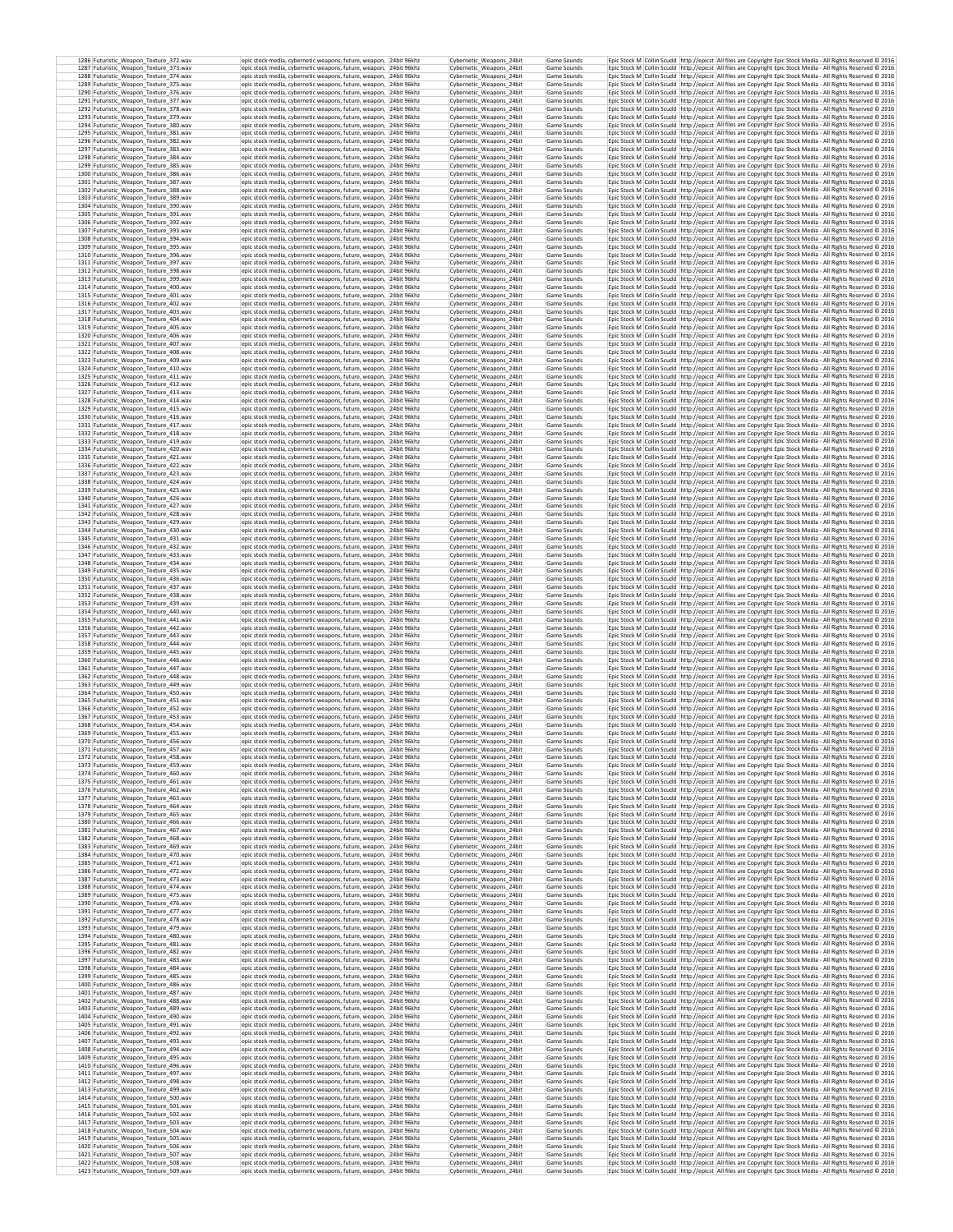| 1286 Futuristic_Weapon_Texture_372.wav<br>1287 Futuristic_Weapon_Texture_373.wav | epic stock media, cybernetic weapons, future, weapon, 24bit 96khz<br>epic stock media, cybernetic weapons, future, weapon, 24bit 96khz   | Cybernetic_Weapons_24bit<br>Cybernetic_Weapons_24bit | Game Sounds<br>Game Sounds | Epic Stock M Collin Scudd http://epicst All files are Copyright Epic Stock Media - All Rights Reserved @ 2016<br>Epic Stock M Collin Scudd http://epicst All files are Copyright Epic Stock Media - All Rights Reserved © 2016       |  |
|----------------------------------------------------------------------------------|------------------------------------------------------------------------------------------------------------------------------------------|------------------------------------------------------|----------------------------|--------------------------------------------------------------------------------------------------------------------------------------------------------------------------------------------------------------------------------------|--|
| 1288 Futuristic Weapon Texture 374.wav                                           | epic stock media, cybernetic weapons, future, weapon, 24bit 96khz                                                                        | Cybernetic_Weapons_24bit                             | Game Sounds                | Epic Stock M   Collin Scudd   http://epicst   All files are Copyright Epic Stock Media - All Rights Reserved @ 2016                                                                                                                  |  |
| 1289 Futuristic Weapon Texture 375.wav<br>1290 Futuristic Weapon Texture 376.wav | epic stock media, cybernetic weapons, future, weapon. 24bit 96khz<br>epic stock media, cybernetic weapons, future, weapon, 24bit 96khz   | Cybernetic_Weapons_24bit<br>Cybernetic Weapons 24bit | Game Sounds<br>Game Sounds | Epic Stock M Collin Scudd http://epicst All files are Copyright Epic Stock Media - All Rights Reserved © 2016<br>Epic Stock M Collin Scudd http://epicst All files are Copyright Epic Stock Media - All Rights Reserved C 2016       |  |
| 1291 Futuristic_Weapon_Texture_377.wav<br>1292 Futuristic_Weapon_Texture_378.wav | epic stock media, cybernetic weapons, future, weapon, 24bit 96khz<br>epic stock media, cybernetic weapons, future, weapon. 24bit 96khz   | Cybernetic_Weapons_24bit<br>Cybernetic Weapons 24bit | Game Sounds<br>Game Sounds | Epic Stock M Collin Scudd http://epicst All files are Copyright Epic Stock Media - All Rights Reserved @ 2016<br>Epic Stock M Collin Scudd http://epicst All files are Copyright Epic Stock Media - All Rights Reserved @ 2016       |  |
| 1293 Futuristic_Weapon_Texture_379.wav                                           | epic stock media, cybernetic weapons, future, weapon, 24bit 96khz                                                                        | Cybernetic Weapons 24bit                             | Game Sounds                | Epic Stock M Collin Scudd http://epicst All files are Copyright Epic Stock Media - All Rights Reserved @ 2016                                                                                                                        |  |
| 1294 Futuristic_Weapon_Texture_380.wav<br>1295 Futuristic_Weapon_Texture_381.wav | epic stock media, cybernetic weapons, future, weapon, 24bit 96khz<br>epic stock media, cybernetic weapons, future, weapon, 24bit 96khz   | Cybernetic_Weapons_24bit<br>Cybernetic_Weapons_24bit | Game Sounds<br>Game Sounds | Epic Stock M Collin Scudd http://epicst All files are Copyright Epic Stock Media - All Rights Reserved @ 2016<br>Epic Stock M Collin Scudd http://epicst All files are Copyright Epic Stock Media - All Rights Reserved @ 2016       |  |
| 1296 Futuristic_Weapon_Texture_382.wav<br>1297 Futuristic_Weapon_Texture_383.wav | epic stock media, cybernetic weapons, future, weapon, 24bit 96khz<br>epic stock media, cybernetic weapons, future, weapon, 24bit 96khz   | Cybernetic_Weapons_24bit<br>Cybernetic Weapons 24bit | Game Sounds<br>Game Sounds | Epic Stock M Collin Scudd http://epicst All files are Copyright Epic Stock Media - All Rights Reserved @ 2016<br>Epic Stock M Collin Scudd http://epicst All files are Copyright Epic Stock Media - All Rights Reserved @ 2016       |  |
| 1298 Futuristic_Weapon_Texture_384.wav                                           | epic stock media, cybernetic weapons, future, weapon, 24bit 96khz                                                                        | Cybernetic_Weapons_24bit                             | Game Sounds                | Epic Stock M Collin Scudd http://epicst All files are Copyright Epic Stock Media - All Rights Reserved @ 2016                                                                                                                        |  |
| 1299 Futuristic_Weapon_Texture_385.wav<br>1300 Futuristic_Weapon_Texture_386.wav | epic stock media, cybernetic weapons, future, weapon, 24bit 96khz<br>epic stock media, cybernetic weapons, future, weapon, 24bit 96khz   | Cybernetic Weapons 24bit<br>Cybernetic_Weapons_24bit | Game Sounds<br>Game Sounds | Epic Stock M Collin Scudd http://epicst All files are Copyright Epic Stock Media - All Rights Reserved @ 2016<br>Epic Stock M Collin Scudd http://epicst All files are Copyright Epic Stock Media - All Rights Reserved @ 2016       |  |
| 1301 Futuristic_Weapon_Texture_387.wav<br>1302 Futuristic_Weapon_Texture_388.wav | epic stock media, cybernetic weapons, future, weapon, 24bit 96khz<br>epic stock media, cybernetic weapons, future, weapon, 24bit 96khz   | Cybernetic Weapons 24bit<br>Cybernetic_Weapons_24bit | Game Sounds<br>Game Sounds | Epic Stock M   Collin Scudd   http://epicst   All files are Copyright Epic Stock Media - All Rights Reserved @ 2016<br>Epic Stock M Collin Scudd http://epicst All files are Copyright Epic Stock Media - All Rights Reserved @ 2016 |  |
| 1303 Futuristic_Weapon_Texture_389.wav                                           | epic stock media, cybernetic weapons, future, weapon, 24bit 96khz                                                                        | Cybernetic Weapons 24bit<br>Cybernetic Weapons 24bit | Game Sounds<br>Game Sounds | Epic Stock M Collin Scudd http://epicst All files are Copyright Epic Stock Media - All Rights Reserved @ 2016<br>Epic Stock M   Collin Scudd   http://epicst   All files are Copyright Epic Stock Media - All Rights Reserved @ 2016 |  |
| 1304 Futuristic_Weapon_Texture_390.wav<br>1305 Futuristic Weapon Texture 391.wav | epic stock media, cybernetic weapons, future, weapon, 24bit 96khz<br>epic stock media, cybernetic weapons, future, weapon. 24bit 96khz   | Cybernetic Weanons 24bit                             | Game Sounds                | Epic Stock M Collin Scudd http://epicst All files are Copyright Epic Stock Media - All Rights Reserved C 2016                                                                                                                        |  |
| 1306 Futuristic_Weapon_Texture_392.wav<br>1307 Futuristic Weapon Texture 393.wav | epic stock media, cybernetic weapons, future, weapon, 24bit 96khz<br>epic stock media, cybernetic weapons, future, weapon, 24bit 96khz   | Cybernetic_Weapons_24bit<br>Cybernetic Weapons 24bit | Game Sounds<br>Game Sounds | Epic Stock M Collin Scudd http://epicst All files are Copyright Epic Stock Media - All Rights Reserved © 2016<br>Epic Stock M Collin Scudd http://epicst All files are Copyright Epic Stock Media - All Rights Reserved @ 2016       |  |
| 1308 Futuristic Weapon Texture 394.wav<br>1309 Futuristic Weapon Texture 395.wav | epic stock media, cybernetic weapons, future, weapon, 24bit 96khz<br>epic stock media, cybernetic weapons, future, weapon, 24bit 96khz   | Cybernetic Weapons 24bit<br>Cybernetic Weapons 24bit | Game Sounds<br>Game Sounds | Epic Stock M Collin Scudd http://epicst All files are Copyright Epic Stock Media - All Rights Reserved © 2016<br>Epic Stock M Collin Scudd http://epicst All files are Copyright Epic Stock Media - All Rights Reserved © 2016       |  |
| 1310 Futuristic_Weapon_Texture_396.wav                                           | epic stock media, cybernetic weapons, future, weapon, 24bit 96khz                                                                        | Cybernetic_Weapons_24bit                             | Game Sounds                | Epic Stock M Collin Scudd http://epicst All files are Copyright Epic Stock Media - All Rights Reserved © 2016                                                                                                                        |  |
| 1311 Futuristic Weapon Texture 397.wav<br>1312 Futuristic_Weapon_Texture_398.wav | epic stock media, cybernetic weapons, future, weapon, 24bit 96khz<br>epic stock media, cybernetic weapons, future, weapon, 24bit 96khz   | Cybernetic Weapons 24bit<br>Cybernetic_Weapons_24bit | Game Sounds<br>Game Sounds | Epic Stock M Collin Scudd http://epicst All files are Copyright Epic Stock Media - All Rights Reserved @ 2016<br>Epic Stock M Collin Scudd http://epicst All files are Copyright Epic Stock Media - All Rights Reserved @ 2016       |  |
| 1313 Futuristic_Weapon_Texture_399.wav<br>1314 Futuristic_Weapon_Texture_400.wav | epic stock media, cybernetic weapons, future, weapon, 24bit 96khz<br>epic stock media, cybernetic weapons, future, weapon, 24bit 96khz   | Cybernetic_Weapons_24bit<br>Cybernetic_Weapons_24bit | Game Sounds<br>Game Sounds | Epic Stock M Collin Scudd http://epicst All files are Copyright Epic Stock Media - All Rights Reserved @ 2016<br>Epic Stock M Collin Scudd http://epicst All files are Copyright Epic Stock Media - All Rights Reserved @ 2016       |  |
| 1315 Futuristic_Weapon_Texture_401.wav                                           | epic stock media, cybernetic weapons, future, weapon, 24bit 96khz                                                                        | Cybernetic_Weapons_24bit                             | Game Sounds                | Epic Stock M Collin Scudd http://epicst All files are Copyright Epic Stock Media - All Rights Reserved @ 2016                                                                                                                        |  |
| 1316 Futuristic_Weapon_Texture_402.wav<br>1317 Futuristic_Weapon_Texture_403.wav | epic stock media, cybernetic weapons, future, weapon, 24bit 96khz<br>epic stock media, cybernetic weapons, future, weapon, 24bit 96khz   | Cybernetic Weapons 24bit<br>Cybernetic_Weapons_24bit | Game Sounds<br>Game Sounds | Epic Stock M Collin Scudd http://epicst All files are Copyright Epic Stock Media - All Rights Reserved © 2016<br>Epic Stock M Collin Scudd http://epicst All files are Copyright Epic Stock Media - All Rights Reserved @ 2016       |  |
| 1318 Futuristic_Weapon_Texture_404.wav<br>1319 Futuristic_Weapon_Texture_405.wav | epic stock media, cybernetic weapons, future, weapon, 24bit 96khz<br>epic stock media, cybernetic weapons, future, weapon, 24bit 96khz   | Cybernetic_Weapons_24bit<br>Cybernetic_Weapons_24bit | Game Sounds<br>Game Sounds | Epic Stock M Collin Scudd http://epicst All files are Copyright Epic Stock Media - All Rights Reserved @ 2016<br>Epic Stock M Collin Scudd http://epicst All files are Copyright Epic Stock Media - All Rights Reserved @ 2016       |  |
| 1320 Futuristic Weapon Texture 406.wav                                           | epic stock media, cybernetic weapons, future, weapon, 24bit 96khz                                                                        | Cybernetic Weapons 24bit                             | Game Sounds                | Epic Stock M   Collin Scudd   http://epicst   All files are Copyright Epic Stock Media - All Rights Reserved © 2016                                                                                                                  |  |
| 1321 Futuristic_Weapon_Texture_407.wav<br>1322 Futuristic Weapon Texture 408.wav | epic stock media, cybernetic weapons, future, weapon, 24bit 96khz<br>epic stock media, cybernetic weapons, future, weapon, 24bit 96khz   | Cybernetic_Weapons_24bit<br>Cybernetic Weapons 24bit | Game Sounds<br>Game Sounds | Epic Stock M Collin Scudd http://epicst All files are Copyright Epic Stock Media - All Rights Reserved @ 2016<br>Epic Stock M   Collin Scudd   http://epicst   All files are Copyright Epic Stock Media - All Rights Reserved @ 2016 |  |
| 1323 Futuristic Weapon Texture 409.wav<br>1324 Futuristic Weapon Texture 410.wav | epic stock media, cybernetic weapons, future, weapon. 24bit 96khz<br>epic stock media, cybernetic weapons, future, weapon, 24bit 96khz   | Cybernetic Weapons 24bit<br>Cybernetic Weapons 24bit | Game Sounds<br>Game Sounds | Epic Stock M Collin Scudd http://epicst All files are Copyright Epic Stock Media - All Rights Reserved © 2016<br>Epic Stock M Collin Scudd http://epicst All files are Copyright Epic Stock Media - All Rights Reserved C 2016       |  |
| 1325 Futuristic_Weapon_Texture_411.wav                                           | epic stock media, cybernetic weapons, future, weapon, 24bit 96khz                                                                        | Cybernetic_Weapons_24bit                             | Game Sounds                | Epic Stock M Collin Scudd http://epicst All files are Copyright Epic Stock Media - All Rights Reserved © 2016                                                                                                                        |  |
| 1326 Futuristic Weapon Texture 412.wav<br>1327 Futuristic Weapon Texture 413.way | epic stock media, cybernetic weapons, future, weapon, 24bit 96khz<br>epic stock media, cybernetic weapons, future, weapon, 24bit 96khz   | Cybernetic Weapons 24bit<br>Cybernetic Weapons 24bit | Game Sounds<br>Game Sounds | Epic Stock M   Collin Scudd   http://epicst   All files are Copyright Epic Stock Media - All Rights Reserved @ 2016<br>Epic Stock M Collin Scudd http://epicst All files are Copyright Epic Stock Media - All Rights Reserved @ 2016 |  |
| 1328 Futuristic Weapon Texture 414.wav<br>1329 Futuristic_Weapon_Texture_415.wav | epic stock media, cybernetic weapons, future, weapon, 24bit 96khz<br>epic stock media, cybernetic weapons, future, weapon, 24bit 96khz   | Cybernetic Weapons 24bit<br>Cybernetic_Weapons_24bit | Game Sounds<br>Game Sounds | Epic Stock M Collin Scudd http://epicst All files are Copyright Epic Stock Media - All Rights Reserved @ 2016<br>Epic Stock M Collin Scudd http://epicst All files are Copyright Epic Stock Media - All Rights Reserved © 2016       |  |
| 1330 Futuristic_Weapon_Texture_416.wav                                           | epic stock media, cybernetic weapons, future, weapon, 24bit 96khz                                                                        | Cybernetic Weapons 24bit                             | Game Sounds                | Epic Stock M Collin Scudd http://epicst All files are Copyright Epic Stock Media - All Rights Reserved @ 2016                                                                                                                        |  |
| 1331 Futuristic_Weapon_Texture_417.wav<br>1332 Futuristic_Weapon_Texture_418.wav | epic stock media, cybernetic weapons, future, weapon, 24bit 96khz<br>epic stock media, cybernetic weapons, future, weapon, 24bit 96khz   | Cybernetic_Weapons_24bit<br>Cybernetic_Weapons_24bit | Game Sounds<br>Game Sounds | Epic Stock M Collin Scudd http://epicst All files are Copyright Epic Stock Media - All Rights Reserved @ 2016<br>Epic Stock M Collin Scudd http://epicst All files are Copyright Epic Stock Media - All Rights Reserved @ 2016       |  |
| 1333 Futuristic_Weapon_Texture_419.wav<br>1334 Futuristic_Weapon_Texture_420.wav | epic stock media, cybernetic weapons, future, weapon, 24bit 96khz<br>epic stock media, cybernetic weapons, future, weapon, 24bit 96khz   | Cybernetic_Weapons_24bit<br>Cybernetic Weapons 24bit | Game Sounds<br>Game Sounds | Epic Stock M Collin Scudd http://epicst All files are Copyright Epic Stock Media - All Rights Reserved @ 2016<br>Epic Stock M Collin Scudd http://epicst All files are Copyright Epic Stock Media - All Rights Reserved © 2016       |  |
| 1335 Futuristic_Weapon_Texture_421.wav<br>1336 Futuristic_Weapon_Texture_422.wav | epic stock media, cybernetic weapons, future, weapon, 24bit 96khz<br>epic stock media, cybernetic weapons, future, weapon, 24bit 96khz   | Cybernetic Weapons 24bit<br>Cybernetic_Weapons_24bit | Game Sounds<br>Game Sounds | Epic Stock M Collin Scudd http://epicst All files are Copyright Epic Stock Media - All Rights Reserved @ 2016<br>Epic Stock M Collin Scudd http://epicst All files are Copyright Epic Stock Media - All Rights Reserved @ 2016       |  |
| 1337 Futuristic_Weapon_Texture_423.wav                                           | epic stock media, cybernetic weapons, future, weapon, 24bit 96khz                                                                        | Cybernetic Weapons 24bit                             | Game Sounds                | Epic Stock M Collin Scudd http://epicst All files are Copyright Epic Stock Media - All Rights Reserved @ 2016                                                                                                                        |  |
| 1338 Futuristic_Weapon_Texture_424.wav<br>1339 Futuristic_Weapon_Texture_425.wav | epic stock media, cybernetic weapons, future, weapon, 24bit 96khz<br>epic stock media, cybernetic weapons, future, weapon, 24bit 96khz   | Cybernetic_Weapons_24bit<br>Cybernetic Weapons 24bit | Game Sounds<br>Game Sounds | Epic Stock M Collin Scudd http://epicst All files are Copyright Epic Stock Media - All Rights Reserved @ 2016<br>Epic Stock M Collin Scudd   http://epicst   All files are Copyright Epic Stock Media - All Rights Reserved @ 2016   |  |
| 1340 Futuristic Weapon Texture 426.wav<br>1341 Futuristic_Weapon_Texture_427.wav | epic stock media, cybernetic weapons, future, weapon, 24bit 96khz<br>epic stock media, cybernetic weapons, future, weapon, 24bit 96khz   | Cybernetic_Weapons_24bit<br>Cybernetic_Weapons_24bit | Game Sounds<br>Game Sounds | Epic Stock M Collin Scudd http://epicst All files are Copyright Epic Stock Media - All Rights Reserved @ 2016<br>Epic Stock M   Collin Scudd   http://epicst   All files are Copyright Epic Stock Media - All Rights Reserved @ 2016 |  |
| 1342 Futuristic Weapon Texture 428.way                                           | epic stock media, cybernetic weapons, future, weapon, 24bit 96khz                                                                        | Cybernetic Weapons 24bit                             | Game Sounds                | Epic Stock M Collin Scudd http://epicst All files are Copyright Epic Stock Media - All Rights Reserved @ 2016                                                                                                                        |  |
| 1343 Futuristic Weapon Texture 429.wav<br>1344 Futuristic_Weapon_Texture_430.wav | epic stock media, cybernetic weapons, future, weapon, 24bit 96khz<br>epic stock media, cybernetic weapons, future, weapon, 24bit 96khz   | Cybernetic Weapons 24bit<br>Cybernetic_Weapons_24bit | Game Sounds<br>Game Sounds | Epic Stock M Collin Scudd http://epicst All files are Copyright Epic Stock Media - All Rights Reserved @ 2016<br>Epic Stock M Collin Scudd http://epicst All files are Copyright Epic Stock Media - All Rights Reserved © 2016       |  |
| 1345 Futuristic Weapon Texture 431.wav<br>1346 Futuristic_Weapon_Texture_432.wav | epic stock media, cybernetic weapons, future, weapon, 24bit 96khz<br>epic stock media, cybernetic weapons, future, weapon, 24bit 96khz   | Cybernetic Weapons 24bit<br>Cybernetic Weapons 24bit | Game Sounds<br>Game Sounds | Epic Stock M Collin Scudd http://epicst All files are Copyright Epic Stock Media - All Rights Reserved @ 2016<br>Epic Stock M Collin Scudd http://epicst All files are Copyright Epic Stock Media - All Rights Reserved © 2016       |  |
| 1347 Futuristic Weapon Texture 433.wav                                           | epic stock media, cybernetic weapons, future, weapon, 24bit 96khz                                                                        | Cybernetic Weapons 24bit                             | Game Sounds                | Epic Stock M Collin Scudd http://epicst All files are Copyright Epic Stock Media - All Rights Reserved @ 2016                                                                                                                        |  |
| 1348 Futuristic_Weapon_Texture_434.wav<br>1349 Futuristic Weapon Texture 435.wav | epic stock media, cybernetic weapons, future, weapon, 24bit 96khz<br>epic stock media, cybernetic weapons, future, weapon, 24bit 96khz   | Cybernetic_Weapons_24bit<br>Cybernetic Weapons 24bit | Game Sounds<br>Game Sounds | Epic Stock M Collin Scudd http://epicst All files are Copyright Epic Stock Media - All Rights Reserved © 2016<br>Epic Stock M   Collin Scudd   http://epicst   All files are Copyright Epic Stock Media - All Rights Reserved @ 2016 |  |
| 1350 Futuristic_Weapon_Texture_436.wav<br>1351 Futuristic_Weapon_Texture_437.wav | epic stock media, cybernetic weapons, future, weapon, 24bit 96khz<br>epic stock media, cybernetic weapons, future, weapon, 24bit 96khz   | Cybernetic_Weapons_24bit<br>Cybernetic_Weapons_24bit | Game Sounds<br>Game Sounds | Epic Stock M Collin Scudd http://epicst All files are Copyright Epic Stock Media - All Rights Reserved @ 2016<br>Epic Stock M Collin Scudd http://epicst All files are Copyright Epic Stock Media - All Rights Reserved C 2016       |  |
| 1352 Futuristic_Weapon_Texture_438.wav<br>1353 Futuristic_Weapon_Texture_439.wav | epic stock media, cybernetic weapons, future, weapon, 24bit 96khz<br>epic stock media, cybernetic weapons, future, weapon, 24bit 96khz   | Cybernetic_Weapons_24bit<br>Cybernetic_Weapons_24bit | Game Sounds<br>Game Sounds | Epic Stock M Collin Scudd http://epicst All files are Copyright Epic Stock Media - All Rights Reserved @ 2016<br>Epic Stock M Collin Scudd http://epicst All files are Copyright Epic Stock Media - All Rights Reserved @ 2016       |  |
| 1354 Futuristic_Weapon_Texture_440.wav                                           | epic stock media, cybernetic weapons, future, weapon, 24bit 96khz                                                                        | Cybernetic Weapons 24bit                             | Game Sounds                | Epic Stock M Collin Scudd http://epicst All files are Copyright Epic Stock Media - All Rights Reserved @ 2016                                                                                                                        |  |
| 1355 Futuristic_Weapon_Texture_441.wav<br>1356 Futuristic_Weapon_Texture_442.wav | epic stock media, cybernetic weapons, future, weapon, 24bit 96khz<br>epic stock media, cybernetic weapons, future, weapon, 24bit 96khz   | Cybernetic_Weapons_24bit<br>Cybernetic_Weapons_24bit | Game Sounds<br>Game Sounds | Epic Stock M Collin Scudd http://epicst All files are Copyright Epic Stock Media - All Rights Reserved @ 2016<br>Epic Stock M Collin Scudd http://epicst All files are Copyright Epic Stock Media - All Rights Reserved @ 2016       |  |
| 1357 Futuristic_Weapon_Texture_443.wav<br>1358 Futuristic_Weapon_Texture_444.wav | epic stock media, cybernetic weapons, future, weapon, 24bit 96khz<br>epic stock media, cybernetic weapons, future, weapon, 24bit 96khz   | Cybernetic_Weapons_24bit<br>Cybernetic Weapons 24bit | Game Sounds<br>Game Sounds | Epic Stock M Collin Scudd http://epicst All files are Copyright Epic Stock Media - All Rights Reserved @ 2016<br>Epic Stock M Collin Scudd http://epicst All files are Copyright Epic Stock Media - All Rights Reserved @ 2016       |  |
| 1359 Futuristic_Weapon_Texture_445.wav                                           | epic stock media, cybernetic weapons, future, weapon, 24bit 96khz                                                                        | Cybernetic_Weapons_24bit                             | Game Sounds                | Epic Stock M Collin Scudd http://epicst All files are Copyright Epic Stock Media - All Rights Reserved @ 2016                                                                                                                        |  |
| 1360 Futuristic_Weapon_Texture_446.wav<br>1361 Futuristic_Weapon_Texture_447.wav | epic stock media, cybernetic weapons, future, weapon, 24bit 96khz<br>epic stock media, cybernetic weapons, future, weapon, 24bit 96khz   | Cybernetic Weapons 24bit<br>Cybernetic_Weapons_24bit | Game Sounds<br>Game Sounds | Epic Stock M   Collin Scudd   http://epicst   All files are Copyright Epic Stock Media - All Rights Reserved @ 2016<br>Epic Stock M Collin Scudd http://epicst All files are Copyright Epic Stock Media - All Rights Reserved @ 2016 |  |
| 1362 Futuristic Weapon Texture 448.wav<br>1363 Futuristic_Weapon_Texture_449.wav | epic stock media, cybernetic weapons, future, weapon, 24bit 96khz<br>epic stock media, cybernetic weapons, future, weapon, 24bit 96khz   | Cybernetic Weapons 24bit<br>Cybernetic_Weapons_24bit | Game Sounds<br>Game Sounds | Epic Stock M Collin Scudd http://epicst All files are Copyright Epic Stock Media - All Rights Reserved @ 2016<br>Epic Stock M Collin Scudd http://epicst All files are Copyright Epic Stock Media - All Rights Reserved © 2016       |  |
| 1364 Futuristic Weapon Texture 450.wav<br>1365 Futuristic Weapon Texture 451.wav | epic stock media, cybernetic weapons, future, weapon, 24bit 96khz<br>epic stock media, cybernetic weapons, future, weapon, 24bit 96khz   | Cybernetic Weapons 24bit<br>Cybernetic_Weapons_24bit | Game Sounds<br>Game Sounds | Epic Stock M   Collin Scudd   http://epicst   All files are Copyright Epic Stock Media - All Rights Reserved @ 2016<br>Epic Stock M Collin Scudd http://epicst All files are Copyright Epic Stock Media - All Rights Reserved @ 2016 |  |
| 1366 Futuristic Weapon Texture 452.wav                                           | epic stock media, cybernetic weapons, future, weapon, 24bit 96khz                                                                        | Cybernetic Weapons 24bit                             | Game Sounds                | Epic Stock M Collin Scudd http://epicst All files are Copyright Epic Stock Media - All Rights Reserved © 2016                                                                                                                        |  |
| 1367 Futuristic_Weapon_Texture_453.wav<br>1368 Futuristic Weapon Texture 454.wav | epic stock media, cybernetic weapons, future, weapon, 24bit 96khz<br>epic stock media, cybernetic weapons, future, weapon, 24bit 96khz   | Cybernetic_Weapons_24bit<br>Cybernetic Weapons 24bit | Game Sounds<br>Game Sounds | Epic Stock M Collin Scudd http://epicst All files are Copyright Epic Stock Media - All Rights Reserved @ 2016<br>Epic Stock M Collin Scudd http://epicst All files are Copyright Epic Stock Media - All Rights Reserved © 2016       |  |
| 1369 Futuristic_Weapon_Texture_455.wav<br>1370 Futuristic_Weapon_Texture_456.wav | epic stock media, cybernetic weapons, future, weapon, 24bit 96khz<br>epic stock media, cybernetic weapons, future, weapon, 24bit 96khz   | Cybernetic_Weapons_24bit<br>Cybernetic Weapons 24bit | Game Sounds<br>Game Sounds | Epic Stock M Collin Scudd http://epicst All files are Copyright Epic Stock Media - All Rights Reserved @ 2016<br>Epic Stock M Collin Scudd http://epicst All files are Copyright Epic Stock Media - All Rights Reserved @ 2016       |  |
| 1371 Futuristic_Weapon_Texture_457.wav                                           | epic stock media, cybernetic weapons, future, weapon, 24bit 96khz                                                                        | Cybernetic_Weapons_24bit                             | Game Sounds                | Epic Stock M Collin Scudd http://epicst All files are Copyright Epic Stock Media - All Rights Reserved @ 2016                                                                                                                        |  |
| 1372 Futuristic Weapon Texture 458.way<br>1373 Futuristic_Weapon_Texture_459.wav | epic stock media, cybernetic weapons, future, weapon,   24bit 96khz<br>epic stock media, cybernetic weapons, future, weapon, 24bit 96khz | Cybernetic Weapons 24bit<br>Cybernetic_Weapons_24bit | Game Sounds<br>Game Sounds | Epic Stock M   Collin Scudd   http://epicst   All files are Copyright Epic Stock Media - All Rights Reserved © 2016<br>Epic Stock M Collin Scudd http://epicst All files are Copyright Epic Stock Media - All Rights Reserved @ 2016 |  |
| 1374 Futuristic Weapon Texture 460.wav<br>1375 Futuristic Weapon Texture 461.wav | epic stock media, cybernetic weapons, future, weapon, 24bit 96khz<br>epic stock media, cybernetic weapons, future, weapon, 24bit 96khz   | Cybernetic Weapons 24bit<br>Cybernetic Weapons 24bit | Game Sounds<br>Game Sounds | Epic Stock M Collin Scudd http://epicst All files are Copyright Epic Stock Media - All Rights Reserved @ 2016<br>Epic Stock M Collin Scudd http://epicst All files are Copyright Epic Stock Media - All Rights Reserved © 2016       |  |
| 1376 Futuristic Weapon Texture 462.wav<br>1377 Futuristic Weapon Texture 463.wav | epic stock media, cybernetic weapons, future, weapon, 24bit 96khz                                                                        | Cybernetic_Weapons_24bit<br>Cybernetic Weapons 24bit | Game Sounds<br>Game Sounds | Epic Stock M Collin Scudd http://epicst All files are Copyright Epic Stock Media - All Rights Reserved © 2016<br>Epic Stock M Collin Scudd   http://epicst   All files are Copyright Epic Stock Media - All Rights Reserved @ 2016   |  |
| 1378 Futuristic_Weapon_Texture_464.wav                                           | epic stock media, cybernetic weapons, future, weapon, 24bit 96khz<br>epic stock media, cybernetic weapons, future, weapon, 24bit 96khz   | Cybernetic_Weapons_24bit                             | Game Sounds                | Epic Stock M Collin Scudd http://epicst All files are Copyright Epic Stock Media - All Rights Reserved © 2016                                                                                                                        |  |
| 1379 Futuristic_Weapon_Texture_465.wav<br>1380 Futuristic_Weapon_Texture_466.wav | epic stock media, cybernetic weapons, future, weapon, 24bit 96khz<br>epic stock media, cybernetic weapons, future, weapon, 24bit 96khz   | Cybernetic Weapons 24bit<br>Cybernetic Weapons 24bit | Game Sounds<br>Game Sounds | Epic Stock M Collin Scudd http://epicst All files are Copyright Epic Stock Media - All Rights Reserved @ 2016<br>Epic Stock M Collin Scudd http://epicst All files are Copyright Epic Stock Media - All Rights Reserved @ 2016       |  |
| 1381 Futuristic Weapon Texture 467.wav<br>1382 Futuristic_Weapon_Texture_468.wav | epic stock media, cybernetic weapons, future, weapon, 24bit 96khz<br>epic stock media, cybernetic weapons, future, weapon, 24bit 96khz   | Cybernetic Weapons 24bit<br>Cybernetic_Weapons_24bit | Game Sounds<br>Game Sounds | Epic Stock M Collin Scudd http://epicst All files are Copyright Epic Stock Media - All Rights Reserved © 2016<br>Epic Stock M Collin Scudd http://epicst All files are Copyright Epic Stock Media - All Rights Reserved @ 2016       |  |
| 1383 Futuristic_Weapon_Texture_469.wav<br>1384 Futuristic Weapon Texture 470.wav | epic stock media, cybernetic weapons, future, weapon, 24bit 96khz                                                                        | Cybernetic Weapons 24bit                             | Game Sounds                | Enic Stock M. Collin Scudd. http://enicst. All files are Convright Enic Stock Media - All Rights Reserved © 2016                                                                                                                     |  |
| 1385 Futuristic Weapon Texture 471.wav                                           | epic stock media, cybernetic weapons, future, weapon, 24bit 96khz<br>epic stock media, cybernetic weapons, future, weapon, 24bit 96khz   | Cybernetic_Weapons_24bit<br>Cybernetic Weapons 24bit | Game Sounds<br>Game Sounds | Epic Stock M Collin Scudd http://epicst All files are Copyright Epic Stock Media - All Rights Reserved © 2016<br>Epic Stock M Collin Scudd http://epicst All files are Copyright Epic Stock Media - All Rights Reserved C 2016       |  |
| 1386 Futuristic_Weapon_Texture_472.wav<br>1387 Futuristic_Weapon_Texture_473.wav | epic stock media, cybernetic weapons, future, weapon, 24bit 96khz<br>epic stock media, cybernetic weapons, future, weapon, 24bit 96khz   | Cybernetic_Weapons_24bit<br>Cybernetic_Weapons_24bit | Game Sounds<br>Game Sounds | Epic Stock M Collin Scudd http://epicst All files are Copyright Epic Stock Media - All Rights Reserved @ 2016<br>Epic Stock M   Collin Scudd   http://epicst   All files are Copyright Epic Stock Media - All Rights Reserved @ 2016 |  |
| 1388 Futuristic_Weapon_Texture_474.wav<br>1389 Futuristic Weapon Texture 475.wav | epic stock media, cybernetic weapons, future, weapon, 24bit 96khz<br>epic stock media, cybernetic weapons, future, weapon, 24bit 96khz   | Cybernetic_Weapons_24bit<br>Cybernetic Weapons 24bit | Game Sounds<br>Game Sounds | Epic Stock M Collin Scudd http://epicst All files are Copyright Epic Stock Media - All Rights Reserved © 2016<br>Epic Stock M Collin Scudd http://epicst All files are Copyright Epic Stock Media - All Rights Reserved C 2016       |  |
| 1390 Futuristic_Weapon_Texture_476.wav                                           | epic stock media, cybernetic weapons, future, weapon, 24bit 96khz                                                                        | Cybernetic Weapons 24bit                             | Game Sounds                | Epic Stock M Collin Scudd http://epicst All files are Copyright Epic Stock Media - All Rights Reserved @ 2016                                                                                                                        |  |
| 1391 Futuristic Weapon Texture 477.wav<br>1392 Futuristic Weapon Texture 478.wav | epic stock media, cybernetic weapons, future, weapon, 24bit 96khz<br>epic stock media, cybernetic weapons, future, weapon, 24bit 96khz   | Cybernetic_Weapons_24bit<br>Cybernetic Weapons 24bit | Game Sounds<br>Game Sounds | Epic Stock M Collin Scudd http://epicst All files are Copyright Epic Stock Media - All Rights Reserved @ 2016<br>Epic Stock M Collin Scudd http://epicst All files are Copyright Epic Stock Media - All Rights Reserved © 2016       |  |
| 1393 Futuristic Weapon Texture 479.wav<br>1394 Futuristic_Weapon_Texture_480.wav | epic stock media, cybernetic weapons, future, weapon, 24bit 96khz<br>epic stock media, cybernetic weapons, future, weapon, 24bit 96khz   | Cybernetic_Weapons_24bit<br>Cybernetic_Weapons_24bit | Game Sounds<br>Game Sounds | Epic Stock M Collin Scudd http://epicst All files are Copyright Epic Stock Media - All Rights Reserved @ 2016<br>Epic Stock M Collin Scudd http://epicst All files are Copyright Epic Stock Media - All Rights Reserved @ 2016       |  |
| 1395 Futuristic Weapon Texture 481.wav                                           | epic stock media, cybernetic weapons, future, weapon, 24bit 96khz                                                                        | Cybernetic_Weapons_24bit<br>Cybernetic Weapons 24bit | Game Sounds<br>Game Sounds | Epic Stock M Collin Scudd http://epicst All files are Copyright Epic Stock Media - All Rights Reserved @ 2016                                                                                                                        |  |
| 1396 Futuristic_Weapon_Texture_482.wav<br>1397 Futuristic_Weapon_Texture_483.wav | epic stock media, cybernetic weapons, future, weapon, 24bit 96khz<br>epic stock media, cybernetic weapons, future, weapon, 24bit 96khz   | Cybernetic_Weapons_24bit                             | Game Sounds                | Epic Stock M Collin Scudd http://epicst All files are Copyright Epic Stock Media - All Rights Reserved © 2016<br>Epic Stock M Collin Scudd http://epicst All files are Copyright Epic Stock Media - All Rights Reserved @ 2016       |  |
| 1398 Futuristic_Weapon_Texture_484.wav<br>1399 Futuristic_Weapon_Texture_485.wav | epic stock media, cybernetic weapons, future, weapon, 24bit 96khz<br>epic stock media, cybernetic weapons, future, weapon, 24bit 96khz   | Cybernetic Weapons 24bit<br>Cybernetic_Weapons_24bit | Game Sounds<br>Game Sounds | Epic Stock M   Collin Scudd   http://epicst   All files are Copyright Epic Stock Media - All Rights Reserved @ 2016<br>Epic Stock M Collin Scudd http://epicst All files are Copyright Epic Stock Media - All Rights Reserved © 2016 |  |
| 1400 Futuristic Weapon Texture 486.wav<br>1401 Futuristic Weapon Texture 487.wav | epic stock media, cybernetic weapons, future, weapon, 24bit 96khz<br>epic stock media, cybernetic weapons, future, weapon, 24bit 96khz   | Cybernetic Weapons 24bit<br>Cybernetic_Weapons_24bit | Game Sounds<br>Game Sounds | Epic Stock M   Collin Scudd   http://epicst   All files are Copyright Epic Stock Media - All Rights Reserved @ 2016<br>Epic Stock M Collin Scudd http://epicst All files are Copyright Epic Stock Media - All Rights Reserved @ 2016 |  |
| 1402 Futuristic_Weapon_Texture_488.wav                                           | epic stock media, cybernetic weapons, future, weapon, 24bit 96khz                                                                        | Cybernetic Weapons 24bit                             | Game Sounds                | Epic Stock M   Collin Scudd   http://epicst   All files are Copyright Epic Stock Media - All Rights Reserved @ 2016                                                                                                                  |  |
| 1403 Futuristic Weapon Texture 489.wav<br>1404 Futuristic Weapon Texture 490.wav | epic stock media, cybernetic weapons, future, weapon, 24bit 96khz<br>epic stock media, cybernetic weapons, future, weapon, 24bit 96khz   | Cybernetic_Weapons_24bit<br>Cybernetic Weapons 24bit | Game Sounds<br>Game Sounds | Epic Stock M Collin Scudd http://epicst All files are Copyright Epic Stock Media - All Rights Reserved © 2016<br>Epic Stock M Collin Scudd http://epicst All files are Copyright Epic Stock Media - All Rights Reserved C 2016       |  |
| 1405 Futuristic_Weapon_Texture_491.wav<br>1406 Futuristic_Weapon_Texture_492.wav | epic stock media, cybernetic weapons, future, weapon, 24bit 96khz<br>epic stock media, cybernetic weapons, future, weapon, 24bit 96khz   | Cybernetic_Weapons_24bit<br>Cybernetic_Weapons_24bit | Game Sounds<br>Game Sounds | Epic Stock M Collin Scudd http://epicst All files are Copyright Epic Stock Media - All Rights Reserved © 2016<br>Epic Stock M Collin Scudd http://epicst All files are Copyright Epic Stock Media - All Rights Reserved @ 2016       |  |
| 1407 Futuristic_Weapon_Texture_493.wav<br>1408 Futuristic Weapon Texture 494.wav | epic stock media, cybernetic weapons, future, weapon, 24bit 96khz<br>epic stock media, cybernetic weapons, future, weapon, 24bit 96khz   | Cybernetic_Weapons_24bit<br>Cybernetic Weapons 24bit | Game Sounds<br>Game Sounds | Epic Stock M Collin Scudd http://epicst All files are Copyright Epic Stock Media - All Rights Reserved © 2016<br>Epic Stock M Collin Scudd http://epicst All files are Copyright Epic Stock Media - All Rights Reserved © 2016       |  |
| 1409 Futuristic_Weapon_Texture_495.wav                                           | epic stock media, cybernetic weapons, future, weapon, 24bit 96khz                                                                        | Cybernetic_Weapons_24bit                             | Game Sounds                | Epic Stock M Collin Scudd http://epicst All files are Copyright Epic Stock Media - All Rights Reserved @ 2016                                                                                                                        |  |
| 1410 Futuristic Weapon Texture 496.wav<br>1411 Futuristic Weapon Texture 497.wav | epic stock media, cybernetic weapons, future, weapon, 24bit 96khz<br>epic stock media, cybernetic weapons, future, weapon, 24bit 96khz   | Cybernetic Weapons 24bit<br>Cybernetic Weapons 24bit | Game Sounds<br>Game Sounds | Epic Stock M Collin Scudd http://epicst All files are Copyright Epic Stock Media - All Rights Reserved C 2016<br>Epic Stock M Collin Scudd http://epicst All files are Copyright Epic Stock Media - All Rights Reserved @ 2016       |  |
| 1412 Futuristic_Weapon_Texture_498.wav<br>1413 Futuristic_Weapon_Texture_499.wav | epic stock media, cybernetic weapons, future, weapon, 24bit 96khz<br>epic stock media, cybernetic weapons, future, weapon, 24bit 96khz   | Cybernetic_Weapons_24bit<br>Cybernetic Weapons 24bit | Game Sounds<br>Game Sounds | Epic Stock M Collin Scudd http://epicst All files are Copyright Epic Stock Media - All Rights Reserved @ 2016<br>Epic Stock M   Collin Scudd   http://epicst   All files are Copyright Epic Stock Media - All Rights Reserved @ 2016 |  |
| 1414 Futuristic_Weapon_Texture_500.wav                                           | epic stock media, cybernetic weapons, future, weapon, 24bit 96khz                                                                        | Cybernetic_Weapons_24bit                             | Game Sounds                | Epic Stock M Collin Scudd http://epicst All files are Copyright Epic Stock Media - All Rights Reserved © 2016                                                                                                                        |  |
| 1415 Futuristic Weapon Texture 501.wav<br>1416 Futuristic_Weapon_Texture_502.wav | epic stock media, cybernetic weapons, future, weapon, 24bit 96khz<br>epic stock media, cybernetic weapons, future, weapon, 24bit 96khz   | Cybernetic Weapons 24bit<br>Cybernetic_Weapons_24bit | Game Sounds<br>Game Sounds | Epic Stock M Collin Scudd http://epicst All files are Copyright Epic Stock Media - All Rights Reserved @ 2016<br>Epic Stock M Collin Scudd http://epicst All files are Copyright Epic Stock Media - All Rights Reserved @ 2016       |  |
| 1417 Futuristic_Weapon_Texture_503.wav<br>1418 Futuristic_Weapon_Texture_504.wav | epic stock media, cybernetic weapons, future, weapon, 24bit 96khz<br>epic stock media, cybernetic weapons, future, weapon, 24bit 96khz   | Cybernetic_Weapons_24bit<br>Cybernetic_Weapons_24bit | Game Sounds<br>Game Sounds | Epic Stock M Collin Scudd http://epicst All files are Copyright Epic Stock Media - All Rights Reserved @ 2016<br>Epic Stock M Collin Scudd http://epicst All files are Copyright Epic Stock Media - All Rights Reserved @ 2016       |  |
| 1419 Futuristic Weapon Texture 505.wav<br>1420 Futuristic_Weapon_Texture_506.wav | epic stock media, cybernetic weapons, future, weapon, 24bit 96khz<br>epic stock media, cybernetic weapons, future, weapon, 24bit 96khz   | Cybernetic Weapons 24bit<br>Cybernetic_Weapons_24bit | Game Sounds<br>Game Sounds | Epic Stock M Collin Scudd http://epicst All files are Copyright Epic Stock Media - All Rights Reserved @ 2016<br>Epic Stock M Collin Scudd http://epicst All files are Copyright Epic Stock Media - All Rights Reserved © 2016       |  |
| 1421 Futuristic Weapon Texture 507.wav<br>1422 Futuristic Weapon Texture 508.way | epic stock media, cybernetic weapons, future, weapon, 24bit 96khz<br>epic stock media, cybernetic weapons, future, weapon, 24bit 96khz   | Cybernetic Weapons 24bit<br>Cybernetic_Weapons_24bit | Game Sounds<br>Game Sounds | Epic Stock M   Collin Scudd   http://epicst   All files are Copyright Epic Stock Media - All Rights Reserved @ 2016<br>Epic Stock M Collin Scudd http://epicst All files are Copyright Epic Stock Media - All Rights Reserved © 2016 |  |
| 1423 Futuristic Weapon Texture 509.wav                                           | epic stock media, cybernetic weapons, future, weapon, 24bit 96khz                                                                        | Cybernetic_Weapons_24bit                             | Game Sounds                | Epic Stock M Collin Scudd http://epicst All files are Copyright Epic Stock Media - All Rights Reserved © 2016                                                                                                                        |  |
|                                                                                  |                                                                                                                                          |                                                      |                            |                                                                                                                                                                                                                                      |  |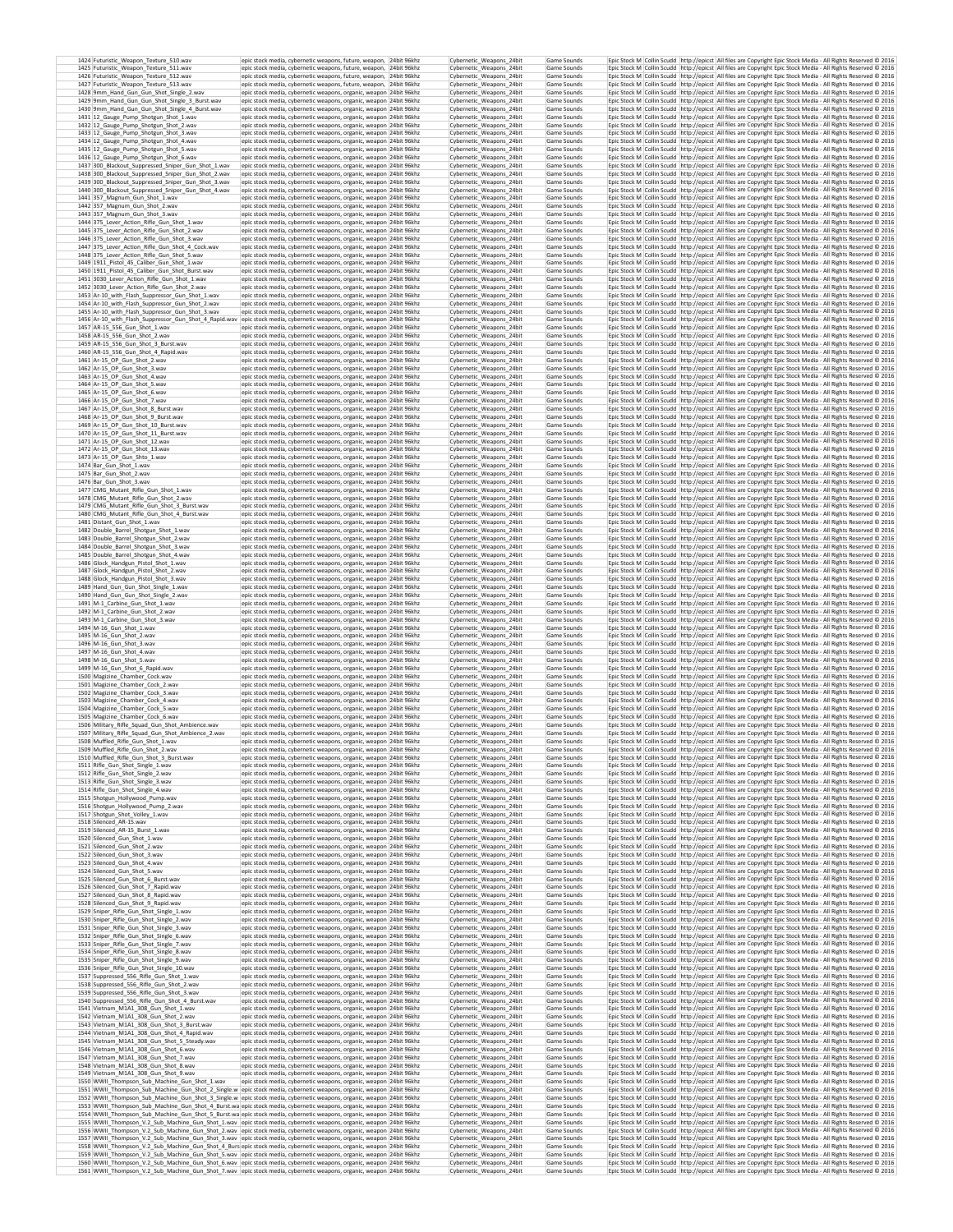| 1424 Futuristic_Weapon_Texture_510.wav<br>1425 Futuristic_Weapon_Texture_511.wav                         | epic stock media, cybernetic weapons, future, weapon, 24bit 96khz<br>epic stock media, cybernetic weapons, future, weapon, 24bit 96khz                                                                                                       | Cybernetic_Weapons_24bit<br>Cybernetic_Weapons_24bit | Game Sounds<br>Game Sounds |  | Epic Stock M Collin Scudd http://epicst All files are Copyright Epic Stock Media - All Rights Reserved @ 2016<br>Epic Stock M Collin Scudd http://epicst All files are Copyright Epic Stock Media - All Rights Reserved @ 2016             |
|----------------------------------------------------------------------------------------------------------|----------------------------------------------------------------------------------------------------------------------------------------------------------------------------------------------------------------------------------------------|------------------------------------------------------|----------------------------|--|--------------------------------------------------------------------------------------------------------------------------------------------------------------------------------------------------------------------------------------------|
| 1426 Futuristic Weapon Texture 512.wav                                                                   | epic stock media, cybernetic weapons, future, weapon, 24bit 96khz                                                                                                                                                                            | Cybernetic Weapons 24bit                             | Game Sounds                |  | Epic Stock M   Collin Scudd   http://epicst   All files are Copyright Epic Stock Media - All Rights Reserved @ 2016                                                                                                                        |
| 1427 Futuristic Weapon Texture 513.wav<br>1428 9mm Hand Gun Gun Shot Single 2.wav                        | epic stock media, cybernetic weapons, future, weapon, 24bit 96khz<br>epic stock media, cybernetic weapons, organic, weapon 24bit 96khz                                                                                                       | Cybernetic Weapons 24bit<br>Cybernetic Weapons 24bit | Game Sounds<br>Game Sounds |  | Epic Stock M   Collin Scudd   http://epicst   All files are Copyright Epic Stock Media - All Rights Reserved @ 2016<br>Epic Stock M   Collin Scudd   http://epicst   All files are Copyright Epic Stock Media - All Rights Reserved @ 2016 |
| 1429 9mm_Hand_Gun_Gun_Shot_Single_3_Burst.wav<br>1430 9mm Hand Gun Gun Shot Single 4 Burst.wav           | epic stock media, cybernetic weapons, organic, weapon 24bit 96khz<br>epic stock media, cybernetic weapons, organic, weapon 24bit 96khz                                                                                                       | Cybernetic_Weapons_24bit<br>Cyhernetic Weanons 24bit | Game Sounds<br>Game Sounds |  | Epic Stock M Collin Scudd http://epicst All files are Copyright Epic Stock Media - All Rights Reserved © 2016<br>Epic Stock M Collin Scudd http://epicst All files are Copyright Epic Stock Media - All Rights Reserved C 2016             |
| 1431 12_Gauge_Pump_Shotgun_Shot_1.wav                                                                    | epic stock media, cybernetic weapons, organic, weapon 24bit 96khz                                                                                                                                                                            | Cybernetic_Weapons_24bit                             | Game Sounds                |  | Epic Stock M Collin Scudd http://epicst All files are Copyright Epic Stock Media - All Rights Reserved C 2016                                                                                                                              |
| 1432 12_Gauge_Pump_Shotgun_Shot_2.wav<br>1433 12_Gauge_Pump_Shotgun_Shot_3.wav                           | epic stock media, cybernetic weapons, organic, weapon 24bit 96khz<br>epic stock media, cybernetic weapons, organic, weapon 24bit 96khz                                                                                                       | Cybernetic_Weapons_24bit<br>Cybernetic_Weapons_24bit | Game Sounds<br>Game Sounds |  | Epic Stock M Collin Scudd http://epicst All files are Copyright Epic Stock Media - All Rights Reserved @ 2016<br>Epic Stock M Collin Scudd http://epicst All files are Copyright Epic Stock Media - All Rights Reserved @ 2016             |
| 1434 12 Gauge Pump Shotgun Shot 4.wav<br>1435 12_Gauge_Pump_Shotgun_Shot_5.wav                           | epic stock media, cybernetic weapons, organic, weapon 24bit 96khz<br>epic stock media, cybernetic weapons, organic, weapon 24bit 96khz                                                                                                       | Cybernetic_Weapons_24bit<br>Cybernetic_Weapons_24bit | Game Sounds<br>Game Sounds |  | Epic Stock M Collin Scudd http://epicst All files are Copyright Epic Stock Media - All Rights Reserved @ 2016<br>Epic Stock M Collin Scudd http://epicst All files are Copyright Epic Stock Media - All Rights Reserved @ 2016             |
| 1436 12 Gauge Pump Shotgun Shot 6.wav<br>1437 300_Blackout_Suppressed_Sniper_Gun_Shot_1.wav              | epic stock media, cybernetic weapons, organic, weapon 24bit 96khz<br>epic stock media, cybernetic weapons, organic, weapon 24bit 96khz                                                                                                       | Cybernetic_Weapons_24bit<br>Cybernetic_Weapons_24bit | Game Sounds<br>Game Sounds |  | Epic Stock M Collin Scudd http://epicst All files are Copyright Epic Stock Media - All Rights Reserved @ 2016<br>Epic Stock M Collin Scudd http://epicst All files are Copyright Epic Stock Media - All Rights Reserved @ 2016             |
| 1438 300_Blackout_Suppressed_Sniper_Gun_Shot_2.wav                                                       | epic stock media, cybernetic weapons, organic, weapon 24bit 96khz                                                                                                                                                                            | Cybernetic_Weapons_24bit                             | Game Sounds                |  | Epic Stock M Collin Scudd http://epicst All files are Copyright Epic Stock Media - All Rights Reserved © 2016                                                                                                                              |
| 1439 300_Blackout_Suppressed_Sniper_Gun_Shot_3.wav<br>1440 300_Blackout_Suppressed_Sniper_Gun_Shot_4.wav | epic stock media, cybernetic weapons, organic, weapon 24bit 96khz<br>epic stock media, cybernetic weapons, organic, weapon 24bit 96khz                                                                                                       | Cybernetic Weapons 24bit<br>Cybernetic_Weapons_24bit | Game Sounds<br>Game Sounds |  | Epic Stock M Collin Scudd http://epicst All files are Copyright Epic Stock Media - All Rights Reserved @ 2016<br>Epic Stock M Collin Scudd http://epicst All files are Copyright Epic Stock Media - All Rights Reserved @ 2016             |
| 1441 357_Magnum_Gun_Shot_1.wav<br>1442 357 Magnum Gun Shot 2.wav                                         | epic stock media, cybernetic weapons, organic, weapon 24bit 96khz<br>epic stock media, cybernetic weapons, organic, weapon 24bit 96khz                                                                                                       | Cybernetic Weapons 24bit<br>Cybernetic Weapons 24bit | Game Sounds<br>Game Sounds |  | Epic Stock M Collin Scudd http://epicst All files are Copyright Epic Stock Media - All Rights Reserved © 2016<br>Epic Stock M Collin Scudd http://epicst All files are Copyright Epic Stock Media - All Rights Reserved © 2016             |
| 1443 357 Magnum Gun Shot 3.way<br>1444 375_Lever_Action_Rifle_Gun_Shot_1.wav                             | epic stock media, cybernetic weapons, organic, weapon 24bit 96khz<br>epic stock media, cybernetic weapons, organic, weapon 24bit 96khz                                                                                                       | Cybernetic Weapons 24bit<br>Cybernetic Weapons 24bit | Game Sounds<br>Game Sounds |  | Epic Stock M Collin Scudd http://epicst All files are Copyright Epic Stock Media - All Rights Reserved © 2016<br>Epic Stock M Collin Scudd http://epicst All files are Copyright Epic Stock Media - All Rights Reserved © 2016             |
| 1445 375 Lever Action Rifle Gun Shot 2.wav                                                               | epic stock media, cybernetic weapons, organic, weapon 24bit 96khz                                                                                                                                                                            | Cybernetic Weapons 24bit                             | Game Sounds                |  | Epic Stock M   Collin Scudd   http://epicst   All files are Copyright Epic Stock Media - All Rights Reserved @ 2016                                                                                                                        |
| 1446 375 Lever Action Rifle Gun Shot 3.wav<br>1447 375 Lever Action Rifle Gun Shot 4 Cock.wav            | epic stock media, cybernetic weapons, organic, weapon 24bit 96khz<br>epic stock media, cybernetic weapons, organic, weapon 24bit 96khz                                                                                                       | Cybernetic Weapons 24bit<br>Cybernetic Weapons 24bit | Game Sounds<br>Game Sounds |  | Epic Stock M Collin Scudd http://epicst All files are Copyright Epic Stock Media - All Rights Reserved @ 2016<br>Epic Stock M Collin Scudd http://epicst All files are Copyright Epic Stock Media - All Rights Reserved © 2016             |
| 1448 375_Lever_Action_Rifle_Gun_Shot_5.wav<br>1449 1911 Pistol 45 Caliber Gun Shot 1.wav                 | epic stock media, cybernetic weapons, organic, weapon 24bit 96khz<br>epic stock media, cybernetic weapons, organic, weapon 24bit 96khz                                                                                                       | Cybernetic_Weapons_24bit<br>Cybernetic Weapons 24bit | Game Sounds<br>Game Sounds |  | Epic Stock M Collin Scudd http://epicst All files are Copyright Epic Stock Media - All Rights Reserved @ 2016<br>Epic Stock M Collin Scudd http://epicst All files are Copyright Epic Stock Media - All Rights Reserved @ 2016             |
| 1450 1911_Pistol_45_Caliber_Gun_Shot_Burst.wav<br>1451 3030_Lever_Action_Rifle_Gun_Shot_1.wav            | epic stock media, cybernetic weapons, organic, weapon 24bit 96khz<br>epic stock media, cybernetic weapons, organic, weapon 24bit 96khz                                                                                                       | Cybernetic Weapons 24bit<br>Cybernetic_Weapons_24bit | Game Sounds<br>Game Sounds |  | Epic Stock M Collin Scudd http://epicst All files are Copyright Epic Stock Media - All Rights Reserved @ 2016<br>Epic Stock M Collin Scudd http://epicst All files are Copyright Epic Stock Media - All Rights Reserved @ 2016             |
| 1452 3030_Lever_Action_Rifle_Gun_Shot_2.wav                                                              | epic stock media, cybernetic weapons, organic, weapon 24bit 96khz                                                                                                                                                                            | Cybernetic_Weapons_24bit                             | Game Sounds                |  | Epic Stock M Collin Scudd http://epicst All files are Copyright Epic Stock Media - All Rights Reserved @ 2016                                                                                                                              |
| 1453 Ar-10_with_Flash_Suppressor_Gun_Shot_1.wav<br>1454 Ar-10_with_Flash_Suppressor_Gun_Shot_2.wav       | epic stock media, cybernetic weapons, organic, weapon 24bit 96khz<br>epic stock media, cybernetic weapons, organic, weapon 24bit 96khz                                                                                                       | Cybernetic_Weapons_24bit<br>Cybernetic Weapons 24bit | Game Sounds<br>Game Sounds |  | Epic Stock M Collin Scudd http://epicst All files are Copyright Epic Stock Media - All Rights Reserved @ 2016<br>Epic Stock M Collin Scudd http://epicst All files are Copyright Epic Stock Media - All Rights Reserved @ 2016             |
| 1455 Ar-10_with_Flash_Suppressor_Gun_Shot_3.wav                                                          | epic stock media, cybernetic weapons, organic, weapon 24bit 96khz<br>1456 Ar-10_with_Flash_Suppressor_Gun_Shot_4_Rapid.wav epic stock media, cybernetic weapons, organic, weapon 24bit 96khz                                                 | Cybernetic_Weapons_24bit<br>Cybernetic_Weapons_24bit | Game Sounds<br>Game Sounds |  | Epic Stock M Collin Scudd http://epicst All files are Copyright Epic Stock Media - All Rights Reserved @ 2016<br>Epic Stock M Collin Scudd http://epicst All files are Copyright Epic Stock Media - All Rights Reserved @ 2016             |
| 1457 AR-15 556 Gun Shot 1.wav                                                                            | epic stock media, cybernetic weapons, organic, weapon 24bit 96khz                                                                                                                                                                            | Cybernetic Weapons 24bit                             | Game Sounds<br>Game Sounds |  | Epic Stock M Collin Scudd http://epicst All files are Copyright Epic Stock Media - All Rights Reserved @ 2016                                                                                                                              |
| 1458 AR-15 556 Gun Shot 2.wav<br>1459 AR-15_556_Gun_Shot_3_Burst.wav                                     | epic stock media, cybernetic weapons, organic, weapon 24bit 96khz<br>epic stock media, cybernetic weapons, organic, weapon 24bit 96khz                                                                                                       | Cybernetic Weapons 24bit<br>Cybernetic_Weapons_24bit | Game Sounds                |  | Epic Stock M Collin Scudd http://epicst All files are Copyright Epic Stock Media - All Rights Reserved @ 2016<br>Epic Stock M Collin Scudd http://epicst All files are Copyright Epic Stock Media - All Rights Reserved @ 2016             |
| 1460 AR-15 556 Gun Shot 4 Rapid.wav<br>1461 Ar-15 OP Gun Shot 2.way                                      | epic stock media, cybernetic weapons, organic, weapon 24bit 96khz<br>epic stock media, cybernetic weapons, organic, weapon 24bit 96khz                                                                                                       | Cybernetic Weapons 24bit<br>Cybernetic Weapons 24bit | Game Sounds<br>Game Sounds |  | Epic Stock M Collin Scudd   http://epicst   All files are Copyright Epic Stock Media - All Rights Reserved @ 2016<br>Epic Stock M Collin Scudd http://epicst All files are Copyright Epic Stock Media - All Rights Reserved © 2016         |
| 1462 Ar-15 OP Gun Shot 3.wav<br>1463 Ar-15 OP Gun Shot 4.way                                             | epic stock media, cybernetic weapons, organic, weapon 24bit 96khz<br>epic stock media, cybernetic weapons, organic, weapon 24bit 96khz                                                                                                       | Cybernetic Weapons 24bit<br>Cybernetic_Weapons_24bit | Game Sounds<br>Game Sounds |  | Epic Stock M Collin Scudd   http://epicst   All files are Copyright Epic Stock Media - All Rights Reserved @ 2016<br>Epic Stock M Collin Scudd http://epicst All files are Copyright Epic Stock Media - All Rights Reserved @ 2016         |
| 1464 Ar-15 OP Gun Shot 5.way                                                                             | epic stock media, cybernetic weapons, organic, weapon 24bit 96khz                                                                                                                                                                            | Cybernetic Weapons 24bit                             | Game Sounds<br>Game Sounds |  | Epic Stock M   Collin Scudd   http://epicst   All files are Copyright Epic Stock Media - All Rights Reserved © 2016                                                                                                                        |
| 1465 Ar-15 OP Gun Shot 6.wav<br>1466 Ar-15 OP Gun Shot 7.wav                                             | epic stock media, cybernetic weapons, organic, weapon 24bit 96khz<br>epic stock media, cybernetic weapons, organic, weapon 24bit 96khz                                                                                                       | Cybernetic Weapons 24bit<br>Cybernetic Weapons 24bit | Game Sounds                |  | Epic Stock M   Collin Scudd   http://epicst   All files are Copyright Epic Stock Media - All Rights Reserved @ 2016<br>Epic Stock M   Collin Scudd   http://epicst   All files are Copyright Epic Stock Media - All Rights Reserved @ 2016 |
| 1467 Ar-15 OP Gun Shot 8 Burst.way<br>1468 Ar-15 OP Gun Shot 9 Burst.wav                                 | epic stock media, cybernetic weapons, organic, weapon 24bit 96khz<br>epic stock media, cybernetic weapons, organic, weapon 24bit 96khz                                                                                                       | Cybernetic_Weapons_24bit<br>Cybernetic Weapons 24bit | Game Sounds<br>Game Sounds |  | Epic Stock M Collin Scudd http://epicst All files are Copyright Epic Stock Media - All Rights Reserved @ 2016<br>Epic Stock M Collin Scudd http://epicst All files are Copyright Epic Stock Media - All Rights Reserved © 2016             |
| 1469 Ar-15_OP_Gun_Shot_10_Burst.wav<br>1470 Ar-15 OP Gun Shot 11 Burst.wav                               | epic stock media, cybernetic weapons, organic, weapon 24bit 96khz<br>epic stock media, cybernetic weapons, organic, weapon 24bit 96khz                                                                                                       | Cybernetic Weapons 24bit<br>Cybernetic_Weapons_24bit | Game Sounds<br>Game Sounds |  | Epic Stock M Collin Scudd http://epicst All files are Copyright Epic Stock Media - All Rights Reserved @ 2016<br>Epic Stock M Collin Scudd http://epicst All files are Copyright Epic Stock Media - All Rights Reserved @ 2016             |
| 1471 Ar-15_OP_Gun_Shot_12.wav<br>1472 Ar-15_OP_Gun_Shot_13.wav                                           | epic stock media, cybernetic weapons, organic, weapon 24bit 96khz<br>epic stock media, cybernetic weapons, organic, weapon 24bit 96khz                                                                                                       | Cybernetic_Weapons_24bit<br>Cybernetic_Weapons_24bit | Game Sounds<br>Game Sounds |  | Epic Stock M Collin Scudd http://epicst All files are Copyright Epic Stock Media - All Rights Reserved @ 2016<br>Epic Stock M Collin Scudd http://epicst All files are Copyright Epic Stock Media - All Rights Reserved @ 2016             |
| 1473 Ar-15_OP_Gun_Shto_1.wav                                                                             | epic stock media, cybernetic weapons, organic, weapon 24bit 96khz                                                                                                                                                                            | Cybernetic_Weapons_24bit                             | Game Sounds                |  | Epic Stock M Collin Scudd http://epicst All files are Copyright Epic Stock Media - All Rights Reserved @ 2016                                                                                                                              |
| 1474 Bar_Gun_Shot_1.wav<br>1475 Bar_Gun_Shot_2.wav                                                       | epic stock media, cybernetic weapons, organic, weapon 24bit 96khz<br>epic stock media, cybernetic weapons, organic, weapon 24bit 96khz                                                                                                       | Cybernetic_Weapons_24bit<br>Cybernetic Weapons 24bit | Game Sounds<br>Game Sounds |  | Epic Stock M Collin Scudd http://epicst All files are Copyright Epic Stock Media - All Rights Reserved @ 2016<br>Epic Stock M Collin Scudd http://epicst All files are Copyright Epic Stock Media - All Rights Reserved @ 2016             |
| 1476 Bar_Gun_Shot_3.wav<br>1477 CMG_Mutant_Rifle_Gun_Shot_1.wav                                          | epic stock media, cybernetic weapons, organic, weapon 24bit 96khz<br>epic stock media, cybernetic weapons, organic, weapon 24bit 96khz                                                                                                       | Cybernetic_Weapons_24bit<br>Cybernetic Weapons 24bit | Game Sounds<br>Game Sounds |  | Epic Stock M Collin Scudd http://epicst All files are Copyright Epic Stock Media - All Rights Reserved @ 2016<br>Epic Stock M Collin Scudd http://epicst All files are Copyright Epic Stock Media - All Rights Reserved @ 2016             |
| 1478 CMG_Mutant_Rifle_Gun_Shot_2.wav<br>1479 CMG_Mutant_Rifle_Gun_Shot_3_Burst.wav                       | epic stock media, cybernetic weapons, organic, weapon 24bit 96khz<br>epic stock media, cybernetic weapons, organic, weapon 24bit 96khz                                                                                                       | Cybernetic_Weapons_24bit<br>Cybernetic_Weapons_24bit | Game Sounds<br>Game Sounds |  | Epic Stock M Collin Scudd http://epicst All files are Copyright Epic Stock Media - All Rights Reserved @ 2016<br>Epic Stock M Collin Scudd http://epicst All files are Copyright Epic Stock Media - All Rights Reserved @ 2016             |
| 1480 CMG Mutant Rifle Gun Shot 4 Burst.way<br>1481 Distant Gun Shot 1.wav                                | epic stock media, cybernetic weapons, organic, weapon 24bit 96khz<br>epic stock media, cybernetic weapons, organic, weapon 24bit 96khz                                                                                                       | Cybernetic Weapons 24bit<br>Cybernetic Weapons 24bit | Game Sound:<br>Game Sounds |  | Epic Stock M Collin Scudd http://epicst All files are Copyright Epic Stock Media - All Rights Reserved © 2016<br>Epic Stock M Collin Scudd   http://epicst   All files are Copyright Epic Stock Media - All Rights Reserved @ 2016         |
| 1482 Double_Barrel_Shotgun_Shot_1.wav                                                                    | epic stock media, cybernetic weapons, organic, weapon 24bit 96khz                                                                                                                                                                            | Cybernetic_Weapons_24bit                             | Game Sounds                |  | Epic Stock M Collin Scudd http://epicst All files are Copyright Epic Stock Media - All Rights Reserved © 2016                                                                                                                              |
| 1483 Double Barrel Shotgun Shot 2.wav<br>1484 Double Barrel Shotgun Shot 3.wav                           | epic stock media, cybernetic weapons, organic, weapon 24bit 96khz<br>epic stock media, cybernetic weapons, organic, weapon 24bit 96khz                                                                                                       | Cybernetic Weapons 24bit<br>Cybernetic Weapons 24bit | Game Sounds<br>Game Sounds |  | Epic Stock M Collin Scudd http://epicst All files are Copyright Epic Stock Media - All Rights Reserved @ 2016<br>Epic Stock M Collin Scudd http://epicst All files are Copyright Epic Stock Media - All Rights Reserved © 2016             |
| 1485 Double Barrel Shotgun Shot 4.wav<br>1486 Glock_Handgun_Pistol_Shot_1.wav                            | epic stock media, cybernetic weapons, organic, weapon 24bit 96khz<br>epic stock media, cybernetic weapons, organic, weapon 24bit 96khz                                                                                                       | Cybernetic Weapons 24bit<br>Cybernetic_Weapons_24bit | Game Sounds<br>Game Sounds |  | Epic Stock M   Collin Scudd   http://epicst   All files are Copyright Epic Stock Media - All Rights Reserved @ 2016<br>Epic Stock M Collin Scudd http://epicst All files are Copyright Epic Stock Media - All Rights Reserved @ 2016       |
| 1487 Glock_Handgun_Pistol_Shot_2.wav<br>1488 Glock Handgun Pistol Shot 3.wav                             | epic stock media, cybernetic weapons, organic, weapon 24bit 96khz<br>epic stock media, cybernetic weapons, organic, weapon 24bit 96khz                                                                                                       | Cybernetic Weapons 24bit<br>Cybernetic Weapons 24bit | Game Sounds<br>Game Sounds |  | Epic Stock M   Collin Scudd   http://epicst   All files are Copyright Epic Stock Media - All Rights Reserved © 2016<br>Epic Stock M Collin Scudd http://epicst All files are Copyright Epic Stock Media - All Rights Reserved @ 2016       |
| 1489 Hand Gun Gun Shot Single 1.wav<br>1490 Hand_Gun_Gun_Shot_Single_2.wav                               | epic stock media, cybernetic weapons, organic, weapon 24bit 96khz<br>epic stock media, cybernetic weapons, organic, weapon 24bit 96khz                                                                                                       | Cybernetic Weapons 24bit<br>Cybernetic_Weapons_24bit | Game Sounds<br>Game Sounds |  | Epic Stock M Collin Scudd http://epicst All files are Copyright Epic Stock Media - All Rights Reserved @ 2016<br>Epic Stock M Collin Scudd http://epicst All files are Copyright Epic Stock Media - All Rights Reserved @ 2016             |
| 1491 M-1 Carbine Gun Shot 1.wav<br>1492 M-1_Carbine_Gun_Shot_2.wav                                       | epic stock media, cybernetic weapons, organic, weapon 24bit 96khz<br>epic stock media, cybernetic weapons, organic, weapon 24bit 96khz                                                                                                       | Cybernetic_Weapons_24bit<br>Cybernetic Weapons 24bit | Game Sounds<br>Game Sounds |  | Epic Stock M Collin Scudd http://epicst All files are Copyright Epic Stock Media - All Rights Reserved @ 2016<br>Epic Stock M Collin Scudd http://epicst All files are Copyright Epic Stock Media - All Rights Reserved @ 2016             |
| 1493 M-1_Carbine_Gun_Shot_3.wav                                                                          | epic stock media, cybernetic weapons, organic, weapon 24bit 96khz                                                                                                                                                                            | Cybernetic_Weapons_24bit                             | Game Sounds                |  | Epic Stock M Collin Scudd http://epicst All files are Copyright Epic Stock Media - All Rights Reserved @ 2016                                                                                                                              |
| 1494 M-16_Gun_Shot_1.wav<br>1495 M-16 Gun Shot 2.wav                                                     | epic stock media, cybernetic weapons, organic, weapon 24bit 96khz<br>epic stock media, cybernetic weapons, organic, weapon 24bit 96khz                                                                                                       | Cybernetic_Weapons_24bit<br>Cybernetic Weapons 24bit | Game Sounds<br>Game Sounds |  | Epic Stock M Collin Scudd http://epicst All files are Copyright Epic Stock Media - All Rights Reserved @ 2016<br>Epic Stock M Collin Scudd http://epicst All files are Copyright Epic Stock Media - All Rights Reserved @ 2016             |
| 1496 M-16_Gun_Shot_3.wav<br>1497 M-16_Gun_Shot_4.wav                                                     | epic stock media, cybernetic weapons, organic, weapon 24bit 96khz<br>epic stock media, cybernetic weapons, organic, weapon 24bit 96khz                                                                                                       | Cybernetic Weapons 24bit<br>Cybernetic_Weapons_24bit | Game Sounds<br>Game Sounds |  | Epic Stock M Collin Scudd http://epicst All files are Copyright Epic Stock Media - All Rights Reserved @ 2016<br>Epic Stock M Collin Scudd http://epicst All files are Copyright Epic Stock Media - All Rights Reserved @ 2016             |
| 1498 M-16_Gun_Shot_5.wav<br>1499 M-16_Gun_Shot_6_Rapid.wav                                               | epic stock media, cybernetic weapons, organic, weapon 24bit 96khz<br>epic stock media, cybernetic weapons, organic, weapon 24bit 96khz                                                                                                       | Cybernetic_Weapons_24bit<br>Cybernetic_Weapons_24bit | Game Sounds<br>Game Sounds |  | Epic Stock M   Collin Scudd   http://epicst   All files are Copyright Epic Stock Media - All Rights Reserved © 2016<br>Epic Stock M Collin Scudd http://epicst All files are Copyright Epic Stock Media - All Rights Reserved @ 2016       |
| 1500 Magizine Chamber Cock.way<br>1501 Magizine_Chamber_Cock_2.wav                                       | epic stock media, cybernetic weapons, organic, weapon 24bit 96khz<br>epic stock media, cybernetic weapons, organic, weapon 24bit 96khz                                                                                                       | Cybernetic Weapons 24bit<br>Cybernetic_Weapons_24bit | Game Sounds<br>Game Sounds |  | Epic Stock M Collin Scudd   http://epicst   All files are Copyright Epic Stock Media - All Rights Reserved @ 2016<br>Epic Stock M Collin Scudd http://epicst All files are Copyright Epic Stock Media - All Rights Reserved @ 2016         |
| 1502 Magizine Chamber Cock 3.way<br>1503 Magizine Chamber Cock 4.way                                     | epic stock media, cybernetic weapons, organic, weapon 24bit 96khz<br>epic stock media, cybernetic weapons, organic, weapon 24bit 96khz                                                                                                       | Cybernetic Weapons 24bit<br>Cybernetic Weapons 24bit | Game Sounds<br>Game Sounds |  | Epic Stock M Collin Scudd http://epicst All files are Copyright Epic Stock Media - All Rights Reserved @ 2016<br>Epic Stock M   Collin Scudd   http://epicst   All files are Copyright Epic Stock Media - All Rights Reserved @ 2016       |
| 1504 Magizine Chamber Cock 5.way                                                                         | epic stock media, cybernetic weapons, organic, weapon 24bit 96khz                                                                                                                                                                            | Cybernetic Weapons 24bit                             | Game Sounds                |  | Epic Stock M   Collin Scudd   http://epicst   All files are Copyright Epic Stock Media - All Rights Reserved © 2016                                                                                                                        |
| 1505 Magizine_Chamber_Cock_6.wav<br>1506 Military_Rifle_Squad_Gun_Shot_Ambience.wav                      | epic stock media, cybernetic weapons, organic, weapon 24bit 96khz<br>epic stock media, cybernetic weapons, organic, weapon 24bit 96khz                                                                                                       | Cybernetic_Weapons_24bit<br>Cybernetic Weapons 24bit | Game Sounds<br>Game Sounds |  | Epic Stock M Collin Scudd http://epicst All files are Copyright Epic Stock Media - All Rights Reserved @ 2016<br>Epic Stock M   Collin Scudd   http://epicst   All files are Copyright Epic Stock Media - All Rights Reserved @ 2016       |
| 1507 Military Rifle Squad Gun Shot Ambience 2.wav<br>1508 Muffled Rifle Gun Shot 1.wav                   | epic stock media, cybernetic weapons, organic, weapon 24bit 96khz<br>epic stock media, cybernetic weapons, organic, weapon 24bit 96khz                                                                                                       | Cybernetic Weapons 24bit<br>Cybernetic Weapons 24bit | Game Sounds<br>Game Sounds |  | Epic Stock M Collin Scudd http://epicst All files are Copyright Epic Stock Media - All Rights Reserved © 2016<br>Epic Stock M Collin Scudd http://epicst All files are Copyright Epic Stock Media - All Rights Reserved @ 2016             |
| 1509 Muffled_Rifle_Gun_Shot_2.wav<br>1510 Muffled Rifle Gun Shot 3 Burst.wav                             | epic stock media, cybernetic weapons, organic, weapon 24bit 96khz<br>epic stock media, cybernetic weapons, organic, weapon  24bit 96kh2                                                                                                      | Cybernetic_Weapons_24bit<br>Cybernetic Weapons 24bit | Game Sounds<br>Game Sounds |  | Epic Stock M Collin Scudd http://epicst All files are Copyright Epic Stock Media - All Rights Reserved C 2016<br>Epic Stock M_Collin Scudd_http://epicst   All files are Copyright Epic Stock Media - All Rights Reserved © 2016           |
| 1511 Rifle_Gun_Shot_Single_1.wav<br>1512 Rifle_Gun_Shot_Single_2.wav                                     | epic stock media, cybernetic weapons, organic, weapon 24bit 96khz<br>epic stock media, cybernetic weapons, organic, weapon 24bit 96khz                                                                                                       | Cybernetic_Weapons_24bit<br>Cybernetic_Weapons_24bit | Game Sounds<br>Game Sounds |  | Epic Stock M Collin Scudd http://epicst All files are Copyright Epic Stock Media - All Rights Reserved © 2016<br>Epic Stock M Collin Scudd http://epicst All files are Copyright Epic Stock Media - All Rights Reserved @ 2016             |
| 1513 Rifle_Gun_Shot_Single_3.wav<br>1514 Rifle_Gun_Shot_Single_4.wav                                     | epic stock media, cybernetic weapons, organic, weapon 24bit 96khz<br>epic stock media, cybernetic weapons, organic, weapon 24bit 96khz                                                                                                       | Cybernetic Weapons 24bit<br>Cybernetic_Weapons_24bit | Game Sounds<br>Game Sounds |  | Epic Stock M Collin Scudd http://epicst All files are Copyright Epic Stock Media - All Rights Reserved @ 2016<br>Epic Stock M Collin Scudd http://epicst All files are Copyright Epic Stock Media - All Rights Reserved © 2016             |
| 1515 Shotgun_Hollywood_Pump.wav                                                                          | epic stock media, cybernetic weapons, organic, weapon 24bit 96khz                                                                                                                                                                            | Cybernetic Weapons 24bit                             | Game Sounds                |  | Epic Stock M Collin Scudd http://epicst All files are Copyright Epic Stock Media - All Rights Reserved @ 2016                                                                                                                              |
| 1516 Shotgun_Hollywood_Pump_2.wav<br>1517 Shotgun_Shot_Volley_1.wav                                      | epic stock media, cybernetic weapons, organic, weapon 24bit 96khz<br>epic stock media, cybernetic weapons, organic, weapon 24bit 96khz                                                                                                       | Cybernetic_Weapons_24bit<br>Cybernetic_Weapons_24bit | Game Sounds<br>Game Sounds |  | Epic Stock M Collin Scudd http://epicst All files are Copyright Epic Stock Media - All Rights Reserved © 2016<br>Epic Stock M Collin Scudd http://epicst All files are Copyright Epic Stock Media - All Rights Reserved @ 2016             |
| 1518 Silenced_AR-15.wav<br>1519 Silenced AR-15 Burst 1.way                                               | epic stock media, cybernetic weapons, organic, weapon 24bit 96khz<br>epic stock media, cybernetic weapons, organic, weapon 24bit 96khz                                                                                                       | Cybernetic Weapons 24bit<br>Cybernetic Weanons 24bit | Game Sounds<br>Game Sounds |  | Epic Stock M Collin Scudd http://epicst All files are Copyright Epic Stock Media - All Rights Reserved @ 2016<br>Epic Stock M   Collin Scudd   http://epicst   All files are Copyright Epic Stock Media - All Rights Reserved @ 2016       |
| 1520 Silenced_Gun_Shot_1.wav<br>1521 Silenced Gun Shot 2 way                                             | epic stock media, cybernetic weapons, organic, weapon 24bit 96khz<br>epic stock media, cybernetic weapons, organic, weapon 24bit 96khz                                                                                                       | Cybernetic_Weapons_24bit<br>Cybernetic_Weapons_24bit | Game Sounds<br>Game Sounds |  | Epic Stock M Collin Scudd http://epicst All files are Copyright Epic Stock Media - All Rights Reserved @ 2016<br>Epic Stock M Collin Scudd http://epicst All files are Copyright Epic Stock Media - All Rights Reserved © 2016             |
| 1522 Silenced Gun Shot 3.way<br>1523 Silenced Gun Shot 4 way                                             | epic stock media, cybernetic weapons, organic, weapon 24bit 96khz<br>epic stock media, cybernetic weapons, organic, weapon 24bit 96khz                                                                                                       | Cybernetic_Weapons_24bit<br>Cybernetic Weapons 24bit | Game Sounds<br>Game Sounds |  | Epic Stock M Collin Scudd http://epicst All files are Copyright Epic Stock Media - All Rights Reserved © 2016<br>Epic Stock M Collin Scudd http://epicst All files are Copyright Epic Stock Media - All Rights Reserved @ 2016             |
| 1524 Silenced Gun Shot 5.wav                                                                             | epic stock media, cybernetic weapons, organic, weapon 24bit 96khz                                                                                                                                                                            | Cybernetic_Weapons_24bit                             | Game Sounds                |  | Epic Stock M Collin Scudd http://epicst All files are Copyright Epic Stock Media - All Rights Reserved @ 2016                                                                                                                              |
| 1525 Silenced Gun Shot 6 Burst.wav<br>1526 Silenced Gun Shot 7 Rapid.way                                 | epic stock media, cybernetic weapons, organic, weapon 24bit 96khz<br>epic stock media, cybernetic weapons, organic, weapon 24bit 96khz                                                                                                       | Cybernetic_Weapons_24bit<br>Cybernetic_Weapons_24bit | Game Sounds<br>Game Sounds |  | Epic Stock M Collin Scudd http://epicst All files are Copyright Epic Stock Media - All Rights Reserved @ 2016<br>Epic Stock M Collin Scudd http://epicst All files are Copyright Epic Stock Media - All Rights Reserved @ 2016             |
| 1527 Silenced Gun Shot 8 Rapid.wav<br>1528 Silenced_Gun_Shot_9_Rapid.wav                                 | epic stock media, cybernetic weapons, organic, weapon 24bit 96khz<br>epic stock media, cybernetic weapons, organic, weapon 24bit 96khz                                                                                                       | Cybernetic Weapons 24bit<br>Cybernetic_Weapons_24bit | Game Sounds<br>Game Sounds |  | Epic Stock M Collin Scudd http://epicst All files are Copyright Epic Stock Media - All Rights Reserved @ 2016<br>Epic Stock M Collin Scudd http://epicst All files are Copyright Epic Stock Media - All Rights Reserved @ 2016             |
| 1529 Sniper_Rifle_Gun_Shot_Single_1.wav<br>1530 Sniper_Rifle_Gun_Shot_Single_2.wav                       | epic stock media, cybernetic weapons, organic, weapon 24bit 96khz<br>epic stock media, cybernetic weapons, organic, weapon 24bit 96khz                                                                                                       | Cybernetic_Weapons_24bit<br>Cybernetic Weapons 24bit | Game Sounds<br>Game Sounds |  | Epic Stock M Collin Scudd http://epicst All files are Copyright Epic Stock Media - All Rights Reserved @ 2016<br>Epic Stock M Collin Scudd http://epicst All files are Copyright Epic Stock Media - All Rights Reserved @ 2016             |
| 1531 Sniper Rifle Gun Shot Single 3.wav<br>1532 Sniper_Rifle_Gun_Shot_Single_6.wav                       | epic stock media, cybernetic weapons, organic, weapon 24bit 96khz<br>epic stock media, cybernetic weapons, organic, weapon 24bit 96khz                                                                                                       | Cybernetic_Weapons_24bit<br>Cybernetic_Weapons_24bit | Game Sounds<br>Game Sounds |  | Epic Stock M Collin Scudd http://epicst All files are Copyright Epic Stock Media - All Rights Reserved © 2016<br>Epic Stock M Collin Scudd http://epicst All files are Copyright Epic Stock Media - All Rights Reserved @ 2016             |
| 1533 Sniper_Rifle_Gun_Shot_Single_7.wav<br>1534 Sniper_Rifle_Gun_Shot_Single_8.wav                       | epic stock media, cybernetic weapons, organic, weapon 24bit 96khz<br>epic stock media, cybernetic weapons, organic, weapon 24bit 96khz                                                                                                       | Cybernetic_Weapons_24bit<br>Cybernetic Weapons 24bit | Game Sounds<br>Game Sounds |  | Epic Stock M Collin Scudd http://epicst All files are Copyright Epic Stock Media - All Rights Reserved © 2016<br>Epic Stock M Collin Scudd http://epicst All files are Copyright Epic Stock Media - All Rights Reserved @ 2016             |
| 1535 Sniper_Rifle_Gun_Shot_Single_9.wav                                                                  | epic stock media, cybernetic weapons, organic, weapon 24bit 96khz                                                                                                                                                                            | Cybernetic_Weapons_24bit                             | Game Sounds                |  | Epic Stock M Collin Scudd http://epicst All files are Copyright Epic Stock Media - All Rights Reserved © 2016                                                                                                                              |
| 1536 Sniper_Rifle_Gun_Shot_Single_10.wav<br>1537 Suppressed_556_Rifle_Gun_Shot_1.wav                     | epic stock media, cybernetic weapons, organic, weapon 24bit 96khz<br>epic stock media, cybernetic weapons, organic, weapon 24bit 96khz                                                                                                       | Cybernetic Weapons 24bit<br>Cybernetic_Weapons_24bit | Game Sounds<br>Game Sounds |  | Epic Stock M   Collin Scudd   http://epicst   All files are Copyright Epic Stock Media - All Rights Reserved © 2016<br>Epic Stock M Collin Scudd http://epicst All files are Copyright Epic Stock Media - All Rights Reserved © 2016       |
| 1538 Suppressed 556 Rifle Gun Shot 2.wav<br>1539 Suppressed_556_Rifle_Gun_Shot_3.wav                     | epic stock media, cybernetic weapons, organic, weapon 24bit 96khz<br>epic stock media, cybernetic weapons, organic, weapon 24bit 96khz                                                                                                       | Cybernetic Weapons 24bit<br>Cybernetic_Weapons_24bit | Game Sounds<br>Game Sounds |  | Epic Stock M Collin Scudd http://epicst All files are Copyright Epic Stock Media - All Rights Reserved @ 2016<br>Epic Stock M Collin Scudd http://epicst All files are Copyright Epic Stock Media - All Rights Reserved @ 2016             |
| 1540 Suppressed_556_Rifle_Gun_Shot_4_Burst.wav<br>1541 Vietnam_M1A1_308_Gun_Shot_1.wav                   | epic stock media, cybernetic weapons, organic, weapon 24bit 96khz<br>epic stock media, cybernetic weapons, organic, weapon 24bit 96khz                                                                                                       | Cybernetic Weapons 24bit<br>Cybernetic_Weapons_24bit | Game Sounds<br>Game Sounds |  | Epic Stock M Collin Scudd   http://epicst   All files are Copyright Epic Stock Media - All Rights Reserved @ 2016<br>Epic Stock M Collin Scudd http://epicst All files are Copyright Epic Stock Media - All Rights Reserved © 2016         |
| 1542 Vietnam_M1A1_308_Gun_Shot_2.wav<br>1543 Vietnam_M1A1_308_Gun_Shot_3_Burst.wav                       | epic stock media, cybernetic weapons, organic, weapon 24bit 96khz<br>epic stock media, cybernetic weapons, organic, weapon 24bit 96khz                                                                                                       | Cybernetic Weapons 24bit<br>Cybernetic_Weapons_24bit | Game Sounds<br>Game Sounds |  | Epic Stock M Collin Scudd http://epicst All files are Copyright Epic Stock Media - All Rights Reserved @ 2016<br>Epic Stock M Collin Scudd http://epicst All files are Copyright Epic Stock Media - All Rights Reserved @ 2016             |
| 1544 Vietnam_M1A1_308_Gun_Shot_4_Rapid.wav<br>1545 Vietnam_M1A1_308_Gun_Shot_5_Steady.wav                | epic stock media, cybernetic weapons, organic, weapon 24bit 96khz<br>epic stock media, cybernetic weapons, organic, weapon 24bit 96khz                                                                                                       | Cybernetic Weapons 24bit<br>Cybernetic_Weapons_24bit | Game Sounds<br>Game Sounds |  | Epic Stock M Collin Scudd http://epicst All files are Copyright Epic Stock Media - All Rights Reserved © 2016<br>Epic Stock M Collin Scudd http://epicst All files are Copyright Epic Stock Media - All Rights Reserved © 2016             |
| 1546 Vietnam_M1A1_308_Gun_Shot_6.wav                                                                     | epic stock media, cybernetic weapons, organic, weapon 24bit 96khz                                                                                                                                                                            | Cybernetic Weapons 24bit                             | Game Sounds                |  | Epic Stock M Collin Scudd http://epicst All files are Copyright Epic Stock Media - All Rights Reserved @ 2016                                                                                                                              |
| 1547 Vietnam_M1A1_308_Gun_Shot_7.wav<br>1548 Vietnam M1A1 308 Gun Shot 8.wav                             | epic stock media, cybernetic weapons, organic, weapon 24bit 96khz<br>epic stock media, cybernetic weapons, organic, weapon 24bit 96khz                                                                                                       | Cybernetic_Weapons_24bit<br>Cybernetic_Weapons_24bit | Game Sounds<br>Game Sounds |  | Epic Stock M Collin Scudd http://epicst All files are Copyright Epic Stock Media - All Rights Reserved © 2016<br>Epic Stock M Collin Scudd http://epicst All files are Copyright Epic Stock Media - All Rights Reserved @ 2016             |
| 1549 Vietnam M1A1 308 Gun Shot 9.wav<br>1550 WWII_Thompson_Sub_Machine_Gun_Shot_1.wav                    | epic stock media, cybernetic weapons, organic, weapon 24bit 96khz<br>epic stock media, cybernetic weapons, organic, weapon 24bit 96khz                                                                                                       | Cybernetic Weapons 24bit<br>Cybernetic_Weapons_24bit | Game Sounds<br>Game Sounds |  | Epic Stock M Collin Scudd http://epicst All files are Copyright Epic Stock Media - All Rights Reserved @ 2016<br>Epic Stock M Collin Scudd http://epicst All files are Copyright Epic Stock Media - All Rights Reserved © 2016             |
|                                                                                                          | 1551 WWII_Thompson_Sub_Machine_Gun_Shot_2_Single.w epic stock media, cybernetic weapons, organic, weapon 24bit 96khz<br>1552 WWII_Thompson_Sub_Machine_Gun_Shot_3_Single.w epic stock media, cybernetic weapons, organic, weapon 24bit 96khz | Cybernetic_Weapons_24bit<br>Cybernetic_Weapons_24bit | Game Sounds<br>Game Sounds |  | Epic Stock M Collin Scudd http://epicst All files are Copyright Epic Stock Media - All Rights Reserved © 2016<br>Epic Stock M Collin Scudd http://epicst All files are Copyright Epic Stock Media - All Rights Reserved © 2016             |
|                                                                                                          | 1553 WWII_Thompson_Sub_Machine_Gun_Shot_4_Burst.wa epic stock media, cybernetic weapons, organic, weapon 24bit 96khz<br>1554 WWII_Thompson_Sub_Machine_Gun_Shot_5_Burst.wa epic stock media, cybernetic weapons, organic, weapon 24bit 96khz | Cybernetic Weapons 24bit<br>Cybernetic_Weapons_24bit | Game Sounds<br>Game Sounds |  | Epic Stock M Collin Scudd http://epicst All files are Copyright Epic Stock Media - All Rights Reserved @ 2016<br>Epic Stock M Collin Scudd http://epicst All files are Copyright Epic Stock Media - All Rights Reserved @ 2016             |
|                                                                                                          | 1555 WWII_Thompson_V.2_Sub_Machine_Gun_Shot_1.wav epic stock media, cybernetic weapons, organic, weapon 24bit 96khz<br>1556 WWII_Thompson_V.2_Sub_Machine_Gun_Shot_2.wav epic stock media, cybernetic weapons, organic, weapon 24bit 96khz   | Cybernetic_Weapons_24bit<br>Cybernetic_Weapons_24bit | Game Sounds<br>Game Sounds |  | Epic Stock M Collin Scudd http://epicst All files are Copyright Epic Stock Media - All Rights Reserved @ 2016<br>Epic Stock M Collin Scudd http://epicst All files are Copyright Epic Stock Media - All Rights Reserved © 2016             |
|                                                                                                          | 1557 WWII_Thompson_V.2_Sub_Machine_Gun_Shot_3.wav epic stock media, cybernetic weapons, organic, weapon 24bit 96khz<br>1558 WWII_Thompson_V.2_Sub_Machine_Gun_Shot_4_Burs epic stock media, cybernetic weapons, organic, weapon 24bit 96khz  | Cybernetic Weapons 24bit<br>Cybernetic_Weapons_24bit | Game Sounds<br>Game Sounds |  | Epic Stock M Collin Scudd http://epicst All files are Copyright Epic Stock Media - All Rights Reserved @ 2016<br>Epic Stock M Collin Scudd http://epicst All files are Copyright Epic Stock Media - All Rights Reserved @ 2016             |
|                                                                                                          | 1559 WWII Thompson V.2 Sub Machine Gun Shot 5.wav epic stock media, cybernetic weapons, organic, weapon 24bit 96khz<br>1560 WWII_Thompson_V.2_Sub_Machine_Gun_Shot_6.wav epic stock media, cybernetic weapons, organic, weapon 24bit 96khz   | Cybernetic Weapons 24bit<br>Cybernetic Weapons 24bit | Game Sounds<br>Game Sounds |  | Epic Stock M Collin Scudd http://epicst All files are Copyright Epic Stock Media - All Rights Reserved @ 2016<br>Epic Stock M Collin Scudd http://epicst All files are Copyright Epic Stock Media - All Rights Reserved @ 2016             |
|                                                                                                          | 1561 WWII Thompson V.2 Sub Machine Gun Shot 7.wav epic stock media, cybernetic weapons, organic, weapon 24bit 96khz                                                                                                                          | Cybernetic Weapons 24bit                             | Game Sounds                |  | Epic Stock M Collin Scudd http://epicst All files are Copyright Epic Stock Media - All Rights Reserved © 2016                                                                                                                              |